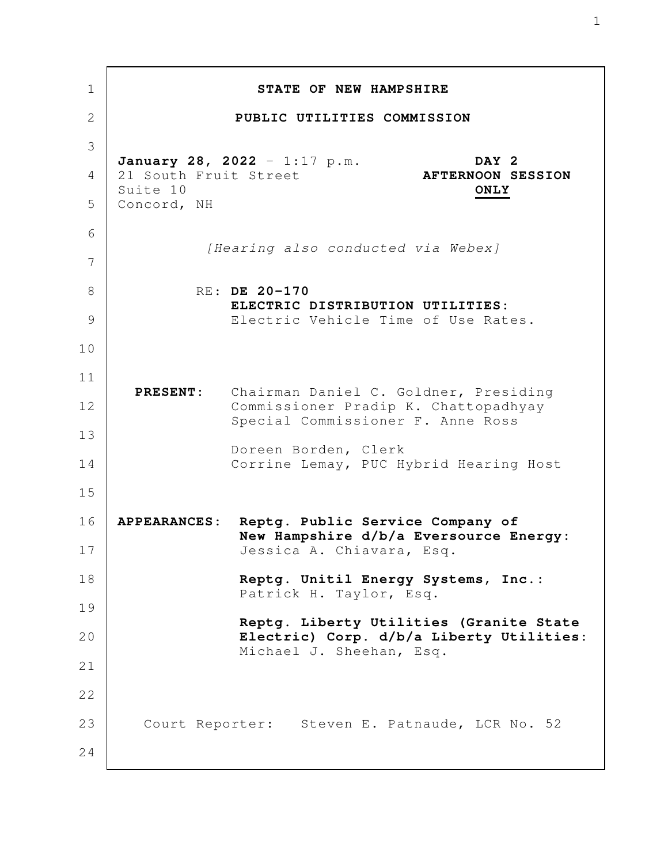**STATE OF NEW HAMPSHIRE PUBLIC UTILITIES COMMISSION January 28, 2022** - 1:17 p.m. **DAY 2** 21 South Fruit Street **AFTERNOON SESSION** Suite 10 **ONLY** Concord, NH *[Hearing also conducted via Webex]* RE: **DE 20-170 ELECTRIC DISTRIBUTION UTILITIES:** Electric Vehicle Time of Use Rates.  **PRESENT:** Chairman Daniel C. Goldner, Presiding Commissioner Pradip K. Chattopadhyay Special Commissioner F. Anne Ross Doreen Borden, Clerk Corrine Lemay, PUC Hybrid Hearing Host **APPEARANCES: Reptg. Public Service Company of New Hampshire d/b/a Eversource Energy:** Jessica A. Chiavara, Esq. **Reptg. Unitil Energy Systems, Inc.:** Patrick H. Taylor, Esq. **Reptg. Liberty Utilities (Granite State Electric) Corp. d/b/a Liberty Utilities:** Michael J. Sheehan, Esq. Court Reporter: Steven E. Patnaude, LCR No. 52 1 2 3 4 5 6 7 8 9 10 11 12 13 14 15 16 17 18 19 20 21 22 23 24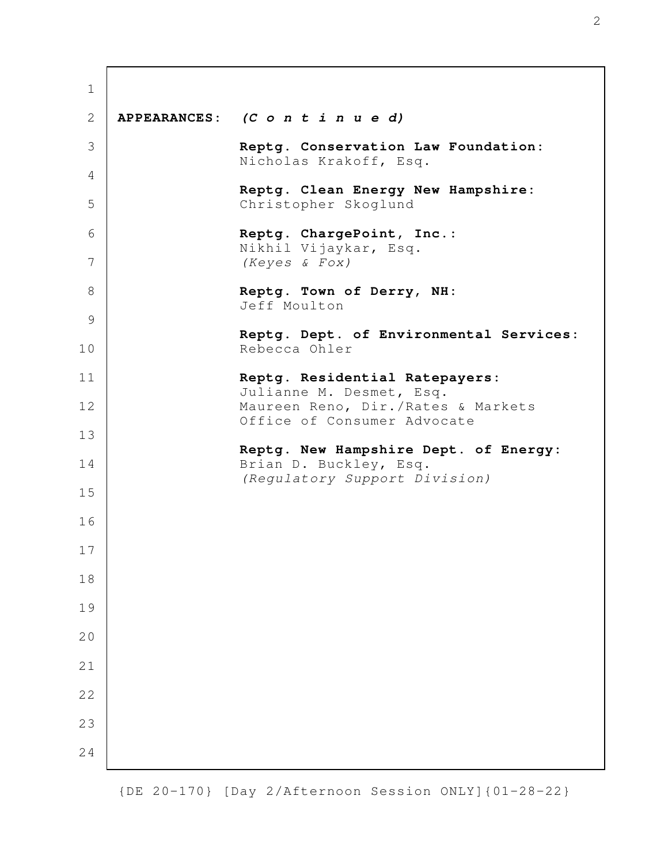| $\mathbf 1$ |                                                                   |
|-------------|-------------------------------------------------------------------|
| 2           | APPEARANCES: (C o n t i n u e d)                                  |
| 3           | Reptg. Conservation Law Foundation:<br>Nicholas Krakoff, Esq.     |
| 4           |                                                                   |
| 5           | Reptg. Clean Energy New Hampshire:<br>Christopher Skoglund        |
| 6           | Reptg. ChargePoint, Inc.:<br>Nikhil Vijaykar, Esq.                |
| 7           | (Keyes & Fox)                                                     |
| 8           | Reptg. Town of Derry, NH:<br>Jeff Moulton                         |
| 9           |                                                                   |
| 10          | Reptg. Dept. of Environmental Services:<br>Rebecca Ohler          |
| 11          | Reptg. Residential Ratepayers:<br>Julianne M. Desmet, Esq.        |
| 12          | Maureen Reno, Dir./Rates & Markets<br>Office of Consumer Advocate |
| 13          |                                                                   |
| 14          | Reptg. New Hampshire Dept. of Energy:<br>Brian D. Buckley, Esq.   |
| 15          | (Requlatory Support Division)                                     |
| 16          |                                                                   |
| 17          |                                                                   |
| 18          |                                                                   |
| 19          |                                                                   |
| 20          |                                                                   |
| 21          |                                                                   |
| 22          |                                                                   |
| 23          |                                                                   |
| 24          |                                                                   |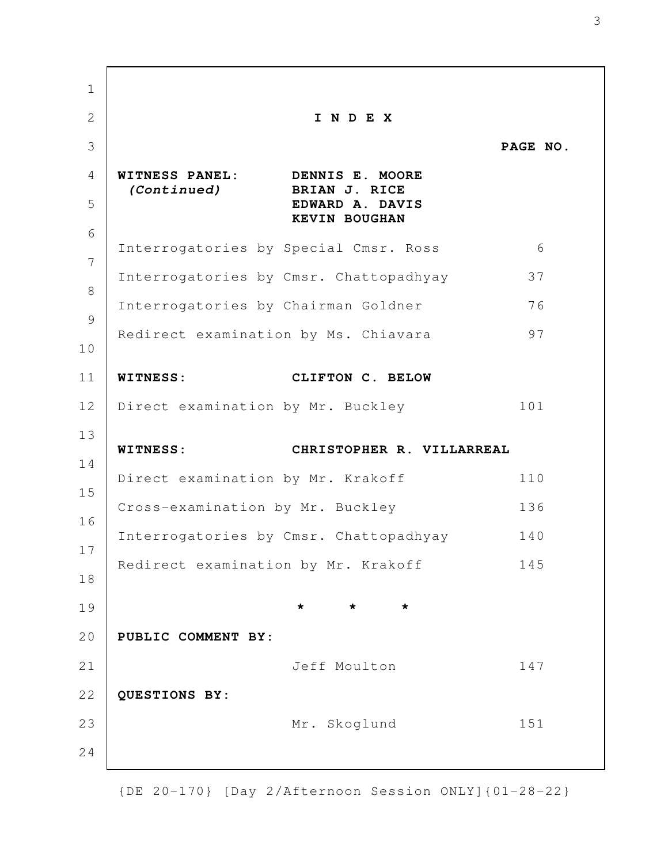**I N D E X PAGE NO. WITNESS PANEL: DENNIS E. MOORE**  *(Continued)* **BRIAN J. RICE EDWARD A. DAVIS KEVIN BOUGHAN** Interrogatories by Special Cmsr. Ross 6 Interrogatories by Cmsr. Chattopadhyay 37 Interrogatories by Chairman Goldner 76 Redirect examination by Ms. Chiavara 97 **WITNESS: CLIFTON C. BELOW** Direct examination by Mr. Buckley 101 **WITNESS: CHRISTOPHER R. VILLARREAL** Direct examination by Mr. Krakoff 110 Cross-examination by Mr. Buckley 136 Interrogatories by Cmsr. Chattopadhyay 140 Redirect examination by Mr. Krakoff 145 **\* \* \* PUBLIC COMMENT BY:** Jeff Moulton 147 **QUESTIONS BY:** Mr. Skoglund 151 1 2 3 4 5 6 7 8 9 10 11 12 13 14 15 16 17 18 19 20 21 22 23 24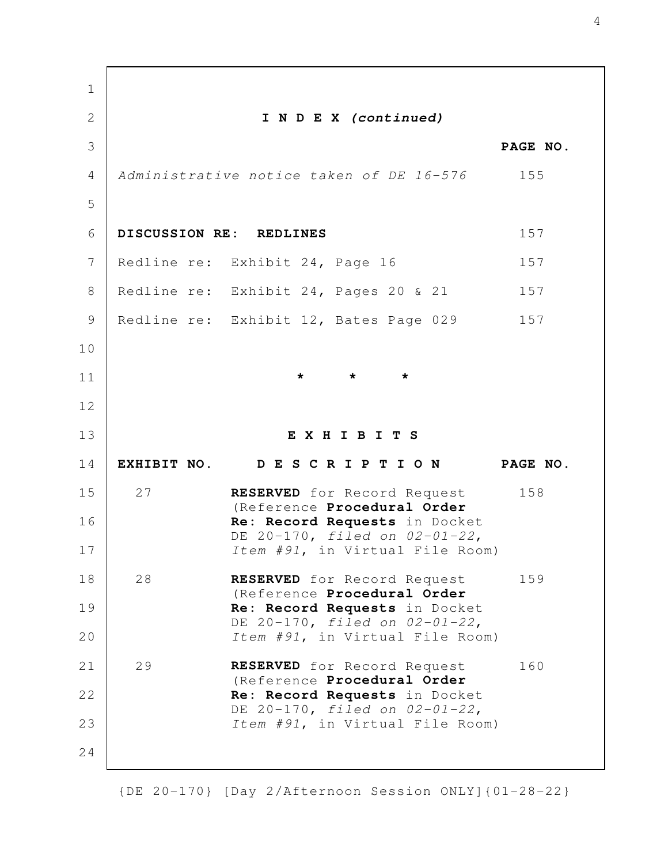**I N D E X** *(continued)* **PAGE NO.** *Administrative notice taken of DE 16-576* 155 **DISCUSSION RE: REDLINES** 157 Redline re: Exhibit 24, Page 16 157 Redline re: Exhibit 24, Pages 20 & 21 157 Redline re: Exhibit 12, Bates Page 029 157 **\* \* \* E X H I B I T S EXHIBIT NO. D E S C R I P T I O N PAGE NO.** 27 **RESERVED** for Record Request 158 (Reference **Procedural Order Re: Record Requests** in Docket DE 20-170, *filed on 02-01-22*, *Item #91*, in Virtual File Room) 28 **RESERVED** for Record Request 159 (Reference **Procedural Order Re: Record Requests** in Docket DE 20-170, *filed on 02-01-22*, *Item #91*, in Virtual File Room) 29 **RESERVED** for Record Request 160 (Reference **Procedural Order Re: Record Requests** in Docket DE 20-170, *filed on 02-01-22*, *Item #91*, in Virtual File Room) 1 2 3 4 5 6 7 8 9 10 11 12 13 14 15 16 17 18 19 20 21 22 23 24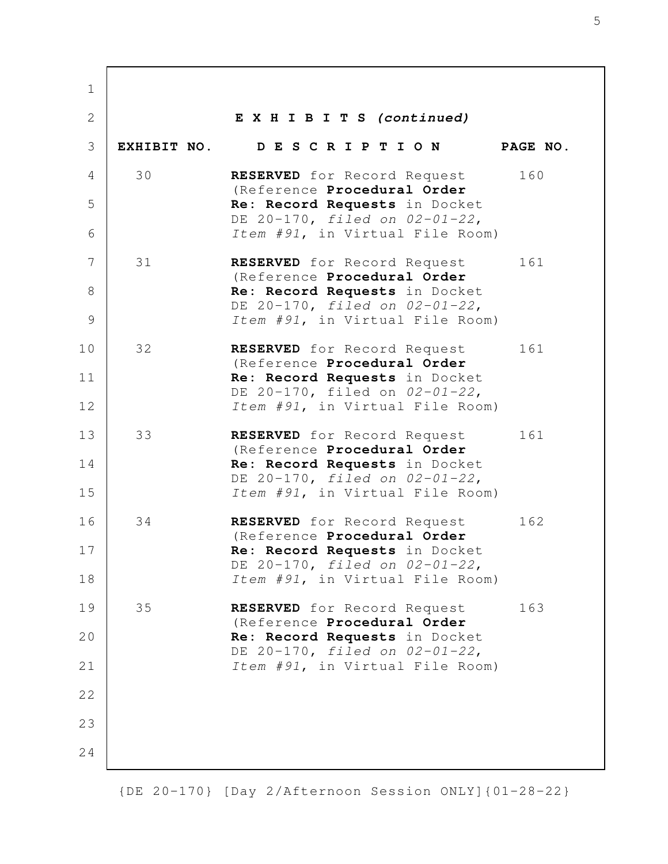**E X H I B I T S** *(continued)* **EXHIBIT NO. D E S C R I P T I O N PAGE NO.** 30 **RESERVED** for Record Request 160 (Reference **Procedural Order Re: Record Requests** in Docket DE 20-170, *filed on 02-01-22*, *Item #91*, in Virtual File Room) 31 **RESERVED** for Record Request 161 (Reference **Procedural Order Re: Record Requests** in Docket DE 20-170, *filed on 02-01-22*, *Item #91*, in Virtual File Room) 32 **RESERVED** for Record Request 161 (Reference **Procedural Order Re: Record Requests** in Docket DE 20-170, filed on *02-01-22*, *Item #91*, in Virtual File Room) 33 **RESERVED** for Record Request 161 (Reference **Procedural Order Re: Record Requests** in Docket DE 20-170, *filed on 02-01-22*, *Item #91*, in Virtual File Room) 34 **RESERVED** for Record Request 162 (Reference **Procedural Order Re: Record Requests** in Docket DE 20-170, *filed on 02-01-22*, *Item #91*, in Virtual File Room) 35 **RESERVED** for Record Request 163 (Reference **Procedural Order Re: Record Requests** in Docket DE 20-170, *filed on 02-01-22*, *Item #91*, in Virtual File Room) 1 2 3 4 5 6 7 8 9 10 11 12 13 14 15 16 17 18 19 20 21 22 23 24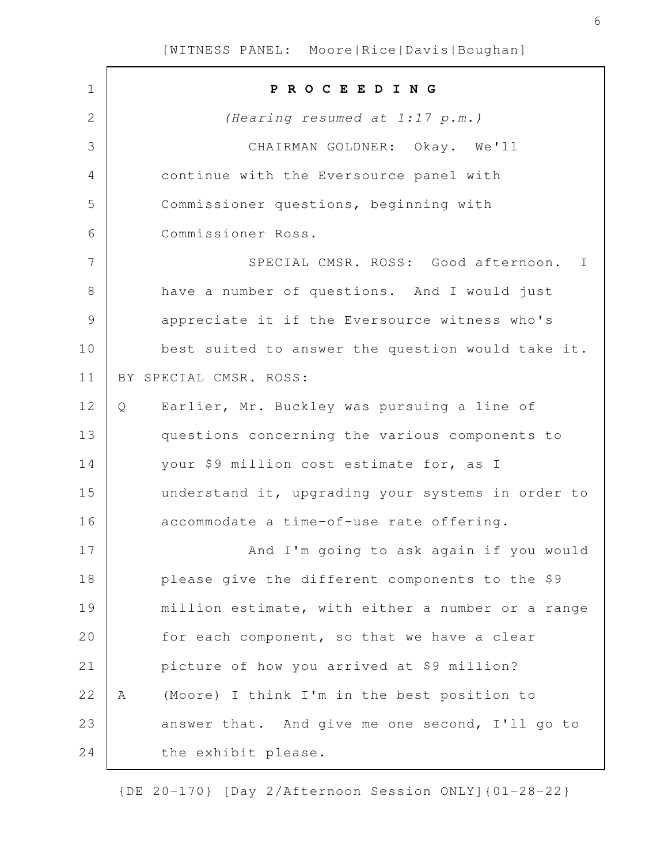| $\mathbf 1$  | PROCEEDING                                        |  |
|--------------|---------------------------------------------------|--|
| $\mathbf{2}$ | (Hearing resumed at 1:17 p.m.)                    |  |
| 3            | CHAIRMAN GOLDNER: Okay. We'll                     |  |
| 4            | continue with the Eversource panel with           |  |
| 5            | Commissioner questions, beginning with            |  |
| 6            | Commissioner Ross.                                |  |
| 7            | SPECIAL CMSR. ROSS: Good afternoon. I             |  |
| 8            | have a number of questions. And I would just      |  |
| 9            | appreciate it if the Eversource witness who's     |  |
| 10           | best suited to answer the question would take it. |  |
| 11           | BY SPECIAL CMSR. ROSS:                            |  |
| 12           | Earlier, Mr. Buckley was pursuing a line of<br>Q  |  |
| 13           | questions concerning the various components to    |  |
| 14           | your \$9 million cost estimate for, as I          |  |
| 15           | understand it, upgrading your systems in order to |  |
| 16           | accommodate a time-of-use rate offering.          |  |
| 17           | And I'm going to ask again if you would           |  |
| 18           | please give the different components to the \$9   |  |
| 19           | million estimate, with either a number or a range |  |
| 20           | for each component, so that we have a clear       |  |
| 21           | picture of how you arrived at \$9 million?        |  |
| 22           | (Moore) I think I'm in the best position to<br>Α  |  |
| 23           | answer that. And give me one second, I'll go to   |  |
| 24           | the exhibit please.                               |  |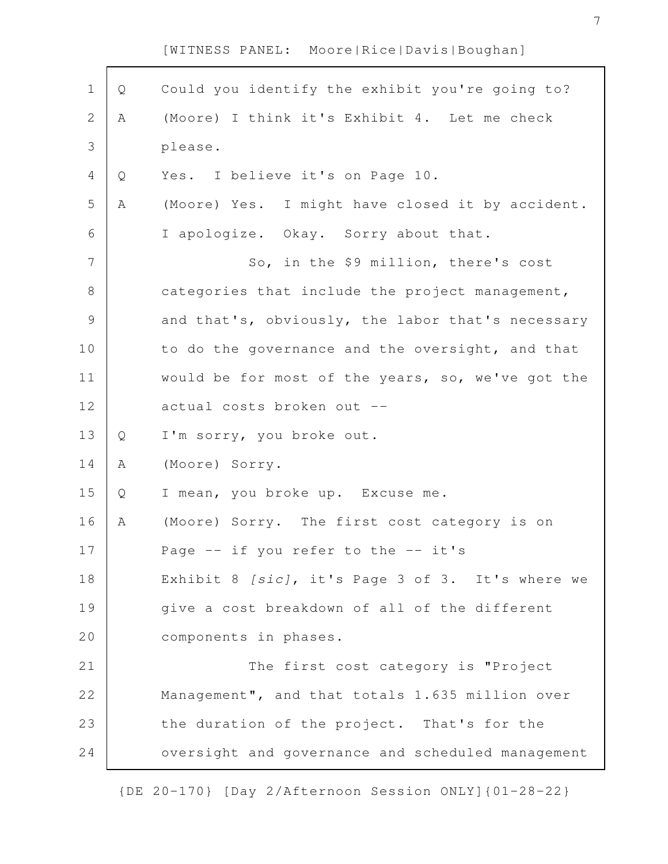| $\mathbf 1$    | Q | Could you identify the exhibit you're going to?   |
|----------------|---|---------------------------------------------------|
| $\mathbf{2}$   | Α | (Moore) I think it's Exhibit 4. Let me check      |
| 3              |   | please.                                           |
| 4              | Q | Yes. I believe it's on Page 10.                   |
| 5              | Α | (Moore) Yes. I might have closed it by accident.  |
| 6              |   | I apologize. Okay. Sorry about that.              |
| $\overline{7}$ |   | So, in the \$9 million, there's cost              |
| $\,8\,$        |   | categories that include the project management,   |
| $\mathsf 9$    |   | and that's, obviously, the labor that's necessary |
| 10             |   | to do the governance and the oversight, and that  |
| 11             |   | would be for most of the years, so, we've got the |
| 12             |   | actual costs broken out --                        |
| 13             | Q | I'm sorry, you broke out.                         |
| 14             | Α | (Moore) Sorry.                                    |
| 15             | Q | I mean, you broke up. Excuse me.                  |
| 16             | Α | (Moore) Sorry. The first cost category is on      |
| 17             |   | Page $-$ if you refer to the $-$ it's             |
| 18             |   | Exhibit 8 [sic], it's Page 3 of 3. It's where we  |
| 19             |   | give a cost breakdown of all of the different     |
| 20             |   | components in phases.                             |
| 21             |   | The first cost category is "Project               |
| 22             |   | Management", and that totals 1.635 million over   |
| 23             |   | the duration of the project. That's for the       |
| 24             |   | oversight and governance and scheduled management |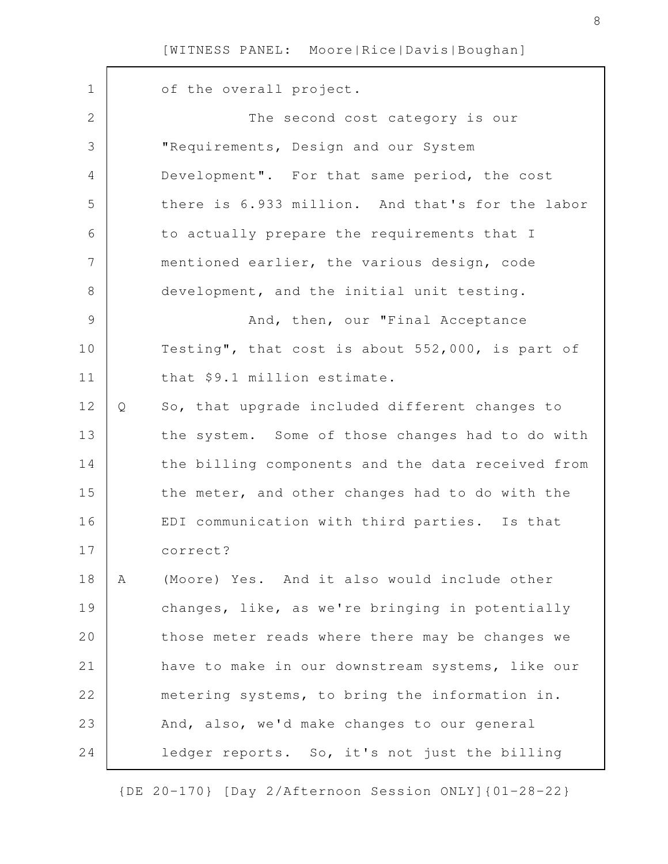of the overall project. The second cost category is our "Requirements, Design and our System Development". For that same period, the cost there is 6.933 million. And that's for the labor to actually prepare the requirements that I mentioned earlier, the various design, code development, and the initial unit testing. And, then, our "Final Acceptance Testing", that cost is about 552,000, is part of that \$9.1 million estimate. Q So, that upgrade included different changes to the system. Some of those changes had to do with the billing components and the data received from the meter, and other changes had to do with the EDI communication with third parties. Is that correct? A (Moore) Yes. And it also would include other changes, like, as we're bringing in potentially those meter reads where there may be changes we have to make in our downstream systems, like our metering systems, to bring the information in. And, also, we'd make changes to our general ledger reports. So, it's not just the billing 1 2 3 4 5 6 7 8 9 10 11 12 13 14 15 16 17 18 19 20 21 22 23 24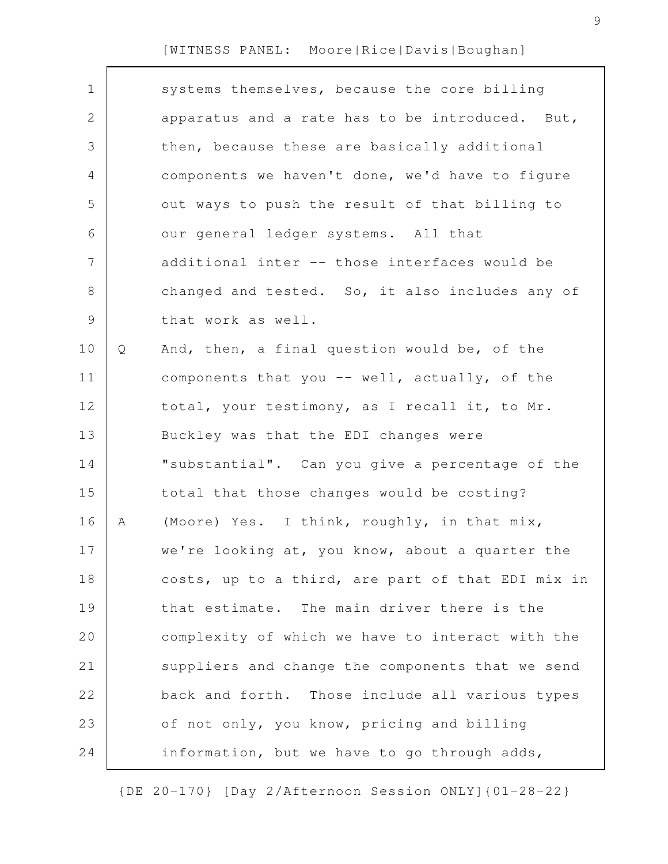| $\mathbf 1$    |   | systems themselves, because the core billing      |
|----------------|---|---------------------------------------------------|
| 2              |   | apparatus and a rate has to be introduced. But,   |
| 3              |   | then, because these are basically additional      |
| 4              |   | components we haven't done, we'd have to figure   |
| 5              |   | out ways to push the result of that billing to    |
| 6              |   | our general ledger systems. All that              |
| $\overline{7}$ |   | additional inter -- those interfaces would be     |
| $8\,$          |   | changed and tested. So, it also includes any of   |
| $\mathcal{G}$  |   | that work as well.                                |
| 10             | Q | And, then, a final question would be, of the      |
| 11             |   | components that you -- well, actually, of the     |
| 12             |   | total, your testimony, as I recall it, to Mr.     |
| 13             |   | Buckley was that the EDI changes were             |
| 14             |   | "substantial". Can you give a percentage of the   |
| 15             |   | total that those changes would be costing?        |
| 16             | Α | (Moore) Yes. I think, roughly, in that mix,       |
| 17             |   | we're looking at, you know, about a quarter the   |
| 18             |   | costs, up to a third, are part of that EDI mix in |
| 19             |   | that estimate. The main driver there is the       |
| 20             |   | complexity of which we have to interact with the  |
| 21             |   | suppliers and change the components that we send  |
| 22             |   | back and forth. Those include all various types   |
| 23             |   | of not only, you know, pricing and billing        |
| 24             |   | information, but we have to go through adds,      |
|                |   |                                                   |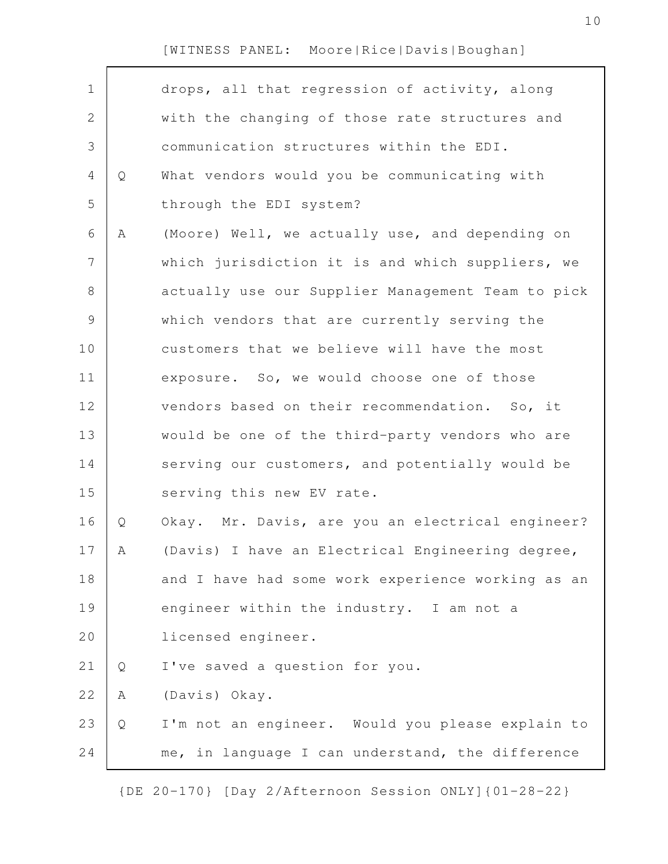| $\mathbf 1$<br>drops, all that regression of activity, along<br>$\mathbf{2}$<br>with the changing of those rate structures and<br>$\mathfrak{Z}$<br>communication structures within the EDI.<br>$\overline{4}$<br>What vendors would you be communicating with<br>Q<br>5<br>through the EDI system?<br>6<br>(Moore) Well, we actually use, and depending on<br>Α<br>$\overline{7}$<br>which jurisdiction it is and which suppliers, we<br>$8\,$<br>actually use our Supplier Management Team to pick<br>$\mathsf 9$<br>which vendors that are currently serving the<br>10<br>customers that we believe will have the most<br>11<br>exposure. So, we would choose one of those<br>12<br>vendors based on their recommendation. So, it<br>13<br>would be one of the third-party vendors who are<br>14<br>serving our customers, and potentially would be<br>15<br>serving this new EV rate.<br>16<br>Okay. Mr. Davis, are you an electrical engineer?<br>Q<br>17<br>(Davis) I have an Electrical Engineering degree,<br>А<br>18<br>and I have had some work experience working as an<br>19<br>engineer within the industry. I am not a<br>20<br>licensed engineer.<br>21<br>I've saved a question for you.<br>Q<br>22<br>(Davis) Okay.<br>Α<br>23<br>I'm not an engineer. Would you please explain to<br>Q<br>24<br>me, in language I can understand, the difference |  |  |
|--------------------------------------------------------------------------------------------------------------------------------------------------------------------------------------------------------------------------------------------------------------------------------------------------------------------------------------------------------------------------------------------------------------------------------------------------------------------------------------------------------------------------------------------------------------------------------------------------------------------------------------------------------------------------------------------------------------------------------------------------------------------------------------------------------------------------------------------------------------------------------------------------------------------------------------------------------------------------------------------------------------------------------------------------------------------------------------------------------------------------------------------------------------------------------------------------------------------------------------------------------------------------------------------------------------------------------------------------------------------|--|--|
|                                                                                                                                                                                                                                                                                                                                                                                                                                                                                                                                                                                                                                                                                                                                                                                                                                                                                                                                                                                                                                                                                                                                                                                                                                                                                                                                                                    |  |  |
|                                                                                                                                                                                                                                                                                                                                                                                                                                                                                                                                                                                                                                                                                                                                                                                                                                                                                                                                                                                                                                                                                                                                                                                                                                                                                                                                                                    |  |  |
|                                                                                                                                                                                                                                                                                                                                                                                                                                                                                                                                                                                                                                                                                                                                                                                                                                                                                                                                                                                                                                                                                                                                                                                                                                                                                                                                                                    |  |  |
|                                                                                                                                                                                                                                                                                                                                                                                                                                                                                                                                                                                                                                                                                                                                                                                                                                                                                                                                                                                                                                                                                                                                                                                                                                                                                                                                                                    |  |  |
|                                                                                                                                                                                                                                                                                                                                                                                                                                                                                                                                                                                                                                                                                                                                                                                                                                                                                                                                                                                                                                                                                                                                                                                                                                                                                                                                                                    |  |  |
|                                                                                                                                                                                                                                                                                                                                                                                                                                                                                                                                                                                                                                                                                                                                                                                                                                                                                                                                                                                                                                                                                                                                                                                                                                                                                                                                                                    |  |  |
|                                                                                                                                                                                                                                                                                                                                                                                                                                                                                                                                                                                                                                                                                                                                                                                                                                                                                                                                                                                                                                                                                                                                                                                                                                                                                                                                                                    |  |  |
|                                                                                                                                                                                                                                                                                                                                                                                                                                                                                                                                                                                                                                                                                                                                                                                                                                                                                                                                                                                                                                                                                                                                                                                                                                                                                                                                                                    |  |  |
|                                                                                                                                                                                                                                                                                                                                                                                                                                                                                                                                                                                                                                                                                                                                                                                                                                                                                                                                                                                                                                                                                                                                                                                                                                                                                                                                                                    |  |  |
|                                                                                                                                                                                                                                                                                                                                                                                                                                                                                                                                                                                                                                                                                                                                                                                                                                                                                                                                                                                                                                                                                                                                                                                                                                                                                                                                                                    |  |  |
|                                                                                                                                                                                                                                                                                                                                                                                                                                                                                                                                                                                                                                                                                                                                                                                                                                                                                                                                                                                                                                                                                                                                                                                                                                                                                                                                                                    |  |  |
|                                                                                                                                                                                                                                                                                                                                                                                                                                                                                                                                                                                                                                                                                                                                                                                                                                                                                                                                                                                                                                                                                                                                                                                                                                                                                                                                                                    |  |  |
|                                                                                                                                                                                                                                                                                                                                                                                                                                                                                                                                                                                                                                                                                                                                                                                                                                                                                                                                                                                                                                                                                                                                                                                                                                                                                                                                                                    |  |  |
|                                                                                                                                                                                                                                                                                                                                                                                                                                                                                                                                                                                                                                                                                                                                                                                                                                                                                                                                                                                                                                                                                                                                                                                                                                                                                                                                                                    |  |  |
|                                                                                                                                                                                                                                                                                                                                                                                                                                                                                                                                                                                                                                                                                                                                                                                                                                                                                                                                                                                                                                                                                                                                                                                                                                                                                                                                                                    |  |  |
|                                                                                                                                                                                                                                                                                                                                                                                                                                                                                                                                                                                                                                                                                                                                                                                                                                                                                                                                                                                                                                                                                                                                                                                                                                                                                                                                                                    |  |  |
|                                                                                                                                                                                                                                                                                                                                                                                                                                                                                                                                                                                                                                                                                                                                                                                                                                                                                                                                                                                                                                                                                                                                                                                                                                                                                                                                                                    |  |  |
|                                                                                                                                                                                                                                                                                                                                                                                                                                                                                                                                                                                                                                                                                                                                                                                                                                                                                                                                                                                                                                                                                                                                                                                                                                                                                                                                                                    |  |  |
|                                                                                                                                                                                                                                                                                                                                                                                                                                                                                                                                                                                                                                                                                                                                                                                                                                                                                                                                                                                                                                                                                                                                                                                                                                                                                                                                                                    |  |  |
|                                                                                                                                                                                                                                                                                                                                                                                                                                                                                                                                                                                                                                                                                                                                                                                                                                                                                                                                                                                                                                                                                                                                                                                                                                                                                                                                                                    |  |  |
|                                                                                                                                                                                                                                                                                                                                                                                                                                                                                                                                                                                                                                                                                                                                                                                                                                                                                                                                                                                                                                                                                                                                                                                                                                                                                                                                                                    |  |  |
|                                                                                                                                                                                                                                                                                                                                                                                                                                                                                                                                                                                                                                                                                                                                                                                                                                                                                                                                                                                                                                                                                                                                                                                                                                                                                                                                                                    |  |  |
|                                                                                                                                                                                                                                                                                                                                                                                                                                                                                                                                                                                                                                                                                                                                                                                                                                                                                                                                                                                                                                                                                                                                                                                                                                                                                                                                                                    |  |  |
|                                                                                                                                                                                                                                                                                                                                                                                                                                                                                                                                                                                                                                                                                                                                                                                                                                                                                                                                                                                                                                                                                                                                                                                                                                                                                                                                                                    |  |  |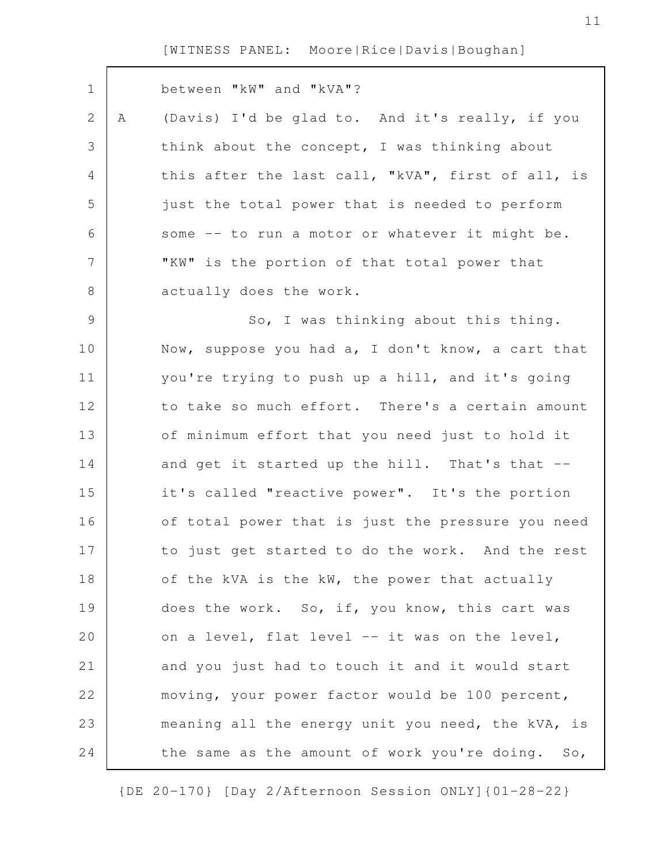Г

| $\mathbf 1$  |   | between "kW" and "kVA"?                           |
|--------------|---|---------------------------------------------------|
| $\mathbf{2}$ | Α | (Davis) I'd be glad to. And it's really, if you   |
| 3            |   | think about the concept, I was thinking about     |
| 4            |   | this after the last call, "kVA", first of all, is |
| 5            |   | just the total power that is needed to perform    |
| 6            |   | some -- to run a motor or whatever it might be.   |
| 7            |   | "KW" is the portion of that total power that      |
| $8\,$        |   | actually does the work.                           |
| 9            |   | So, I was thinking about this thing.              |
| 10           |   | Now, suppose you had a, I don't know, a cart that |
| 11           |   | you're trying to push up a hill, and it's going   |
| 12           |   | to take so much effort. There's a certain amount  |
| 13           |   | of minimum effort that you need just to hold it   |
| 14           |   | and get it started up the hill. That's that --    |
| 15           |   | it's called "reactive power". It's the portion    |
| 16           |   | of total power that is just the pressure you need |
| 17           |   | to just get started to do the work. And the rest  |
| 18           |   | of the kVA is the kW, the power that actually     |
| 19           |   | does the work. So, if, you know, this cart was    |
| 20           |   | on a level, flat level -- it was on the level,    |
| 21           |   | and you just had to touch it and it would start   |
| 22           |   | moving, your power factor would be 100 percent,   |
| 23           |   | meaning all the energy unit you need, the kVA, is |
| 24           |   | the same as the amount of work you're doing. So,  |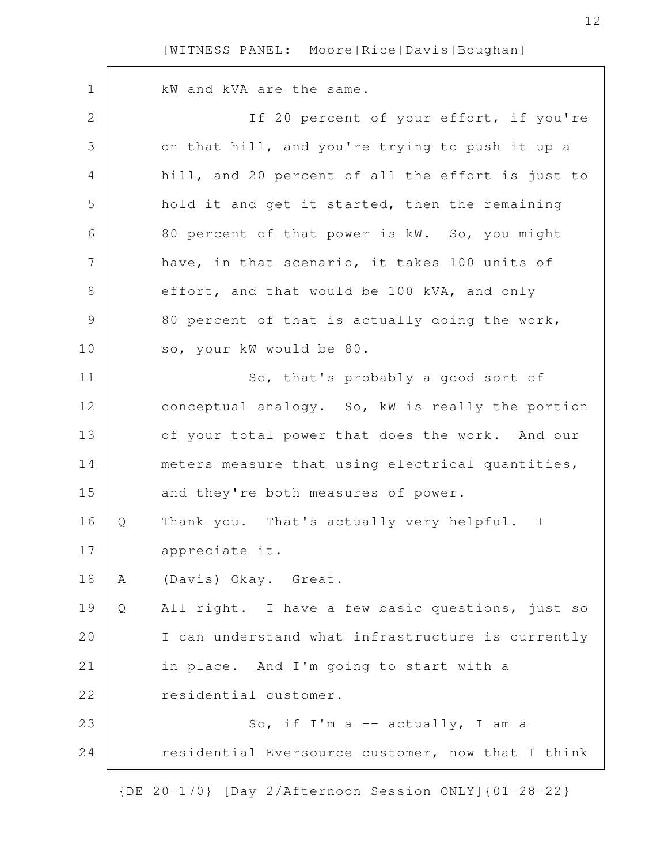kW and kVA are the same. If 20 percent of your effort, if you're on that hill, and you're trying to push it up a hill, and 20 percent of all the effort is just to hold it and get it started, then the remaining 80 percent of that power is kW. So, you might have, in that scenario, it takes 100 units of effort, and that would be 100 kVA, and only 80 percent of that is actually doing the work, so, your kW would be 80. So, that's probably a good sort of conceptual analogy. So, kW is really the portion of your total power that does the work. And our meters measure that using electrical quantities, and they're both measures of power. Q Thank you. That's actually very helpful. I appreciate it. A (Davis) Okay. Great. Q All right. I have a few basic questions, just so I can understand what infrastructure is currently in place. And I'm going to start with a residential customer. So, if I'm a -- actually, I am a residential Eversource customer, now that I think 1 2 3 4 5 6 7 8 9 10 11 12 13 14 15 16 17 18 19 20 21 22 23 24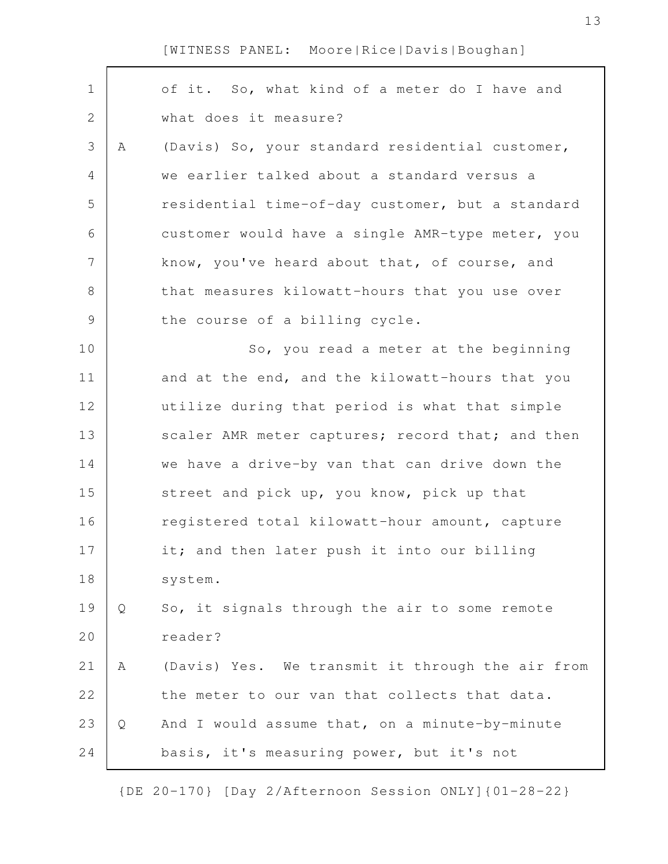| $\mathbf 1$    |   | of it. So, what kind of a meter do I have and    |
|----------------|---|--------------------------------------------------|
| $\overline{2}$ |   | what does it measure?                            |
| 3              | Α | (Davis) So, your standard residential customer,  |
| 4              |   | we earlier talked about a standard versus a      |
| 5              |   | residential time-of-day customer, but a standard |
| 6              |   | customer would have a single AMR-type meter, you |
| 7              |   | know, you've heard about that, of course, and    |
| 8              |   | that measures kilowatt-hours that you use over   |
| $\mathcal{G}$  |   | the course of a billing cycle.                   |
| 10             |   | So, you read a meter at the beginning            |
| 11             |   | and at the end, and the kilowatt-hours that you  |
| 12             |   | utilize during that period is what that simple   |
| 13             |   | scaler AMR meter captures; record that; and then |
| 14             |   | we have a drive-by van that can drive down the   |
| 15             |   | street and pick up, you know, pick up that       |
| 16             |   | registered total kilowatt-hour amount, capture   |
| 17             |   | it; and then later push it into our billing      |
| 18             |   | system.                                          |
| 19             | Q | So, it signals through the air to some remote    |
| 20             |   | reader?                                          |
| 21             | Α | (Davis) Yes. We transmit it through the air from |
| 22             |   | the meter to our van that collects that data.    |
| 23             | Q | And I would assume that, on a minute-by-minute   |
| 24             |   | basis, it's measuring power, but it's not        |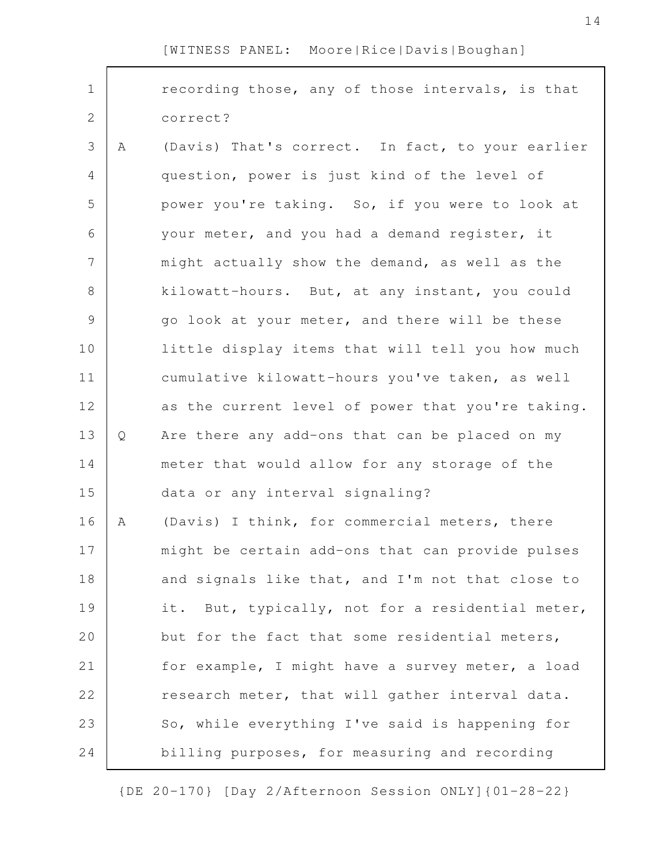| $\mathbf 1$    |   | recording those, any of those intervals, is that  |
|----------------|---|---------------------------------------------------|
| $\overline{2}$ |   | correct?                                          |
| 3              | A | (Davis) That's correct. In fact, to your earlier  |
| 4              |   | question, power is just kind of the level of      |
| 5              |   | power you're taking. So, if you were to look at   |
| 6              |   | your meter, and you had a demand register, it     |
| 7              |   | might actually show the demand, as well as the    |
| 8              |   | kilowatt-hours. But, at any instant, you could    |
| $\mathcal{G}$  |   | go look at your meter, and there will be these    |
| 10             |   | little display items that will tell you how much  |
| 11             |   | cumulative kilowatt-hours you've taken, as well   |
| 12             |   | as the current level of power that you're taking. |
| 13             | Q | Are there any add-ons that can be placed on my    |
| 14             |   | meter that would allow for any storage of the     |
| 15             |   | data or any interval signaling?                   |
| 16             | Α | (Davis) I think, for commercial meters, there     |
| 17             |   | might be certain add-ons that can provide pulses  |
| 18             |   | and signals like that, and I'm not that close to  |
| 19             |   | it. But, typically, not for a residential meter,  |
| 20             |   | but for the fact that some residential meters,    |
| 21             |   | for example, I might have a survey meter, a load  |
| 22             |   | research meter, that will gather interval data.   |
| 23             |   | So, while everything I've said is happening for   |
| 24             |   | billing purposes, for measuring and recording     |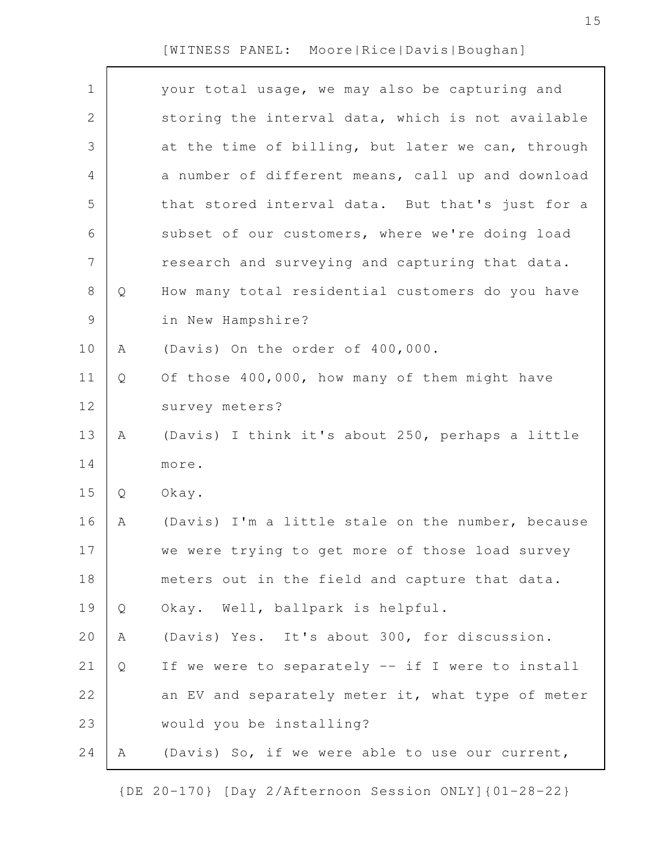$\Gamma$ 

| $\mathbf 1$   |   | your total usage, we may also be capturing and    |
|---------------|---|---------------------------------------------------|
| $\mathbf{2}$  |   | storing the interval data, which is not available |
| 3             |   | at the time of billing, but later we can, through |
| 4             |   | a number of different means, call up and download |
| 5             |   | that stored interval data. But that's just for a  |
| 6             |   | subset of our customers, where we're doing load   |
| 7             |   | research and surveying and capturing that data.   |
| 8             | Q | How many total residential customers do you have  |
| $\mathcal{G}$ |   | in New Hampshire?                                 |
| 10            | Α | (Davis) On the order of 400,000.                  |
| 11            | Q | Of those 400,000, how many of them might have     |
| 12            |   | survey meters?                                    |
| 13            | Α | (Davis) I think it's about 250, perhaps a little  |
| 14            |   | more.                                             |
| 15            | Q | Okay.                                             |
| 16            | Α | (Davis) I'm a little stale on the number, because |
| 17            |   | we were trying to get more of those load survey   |
| 18            |   | meters out in the field and capture that data.    |
| 19            | Q | Okay. Well, ballpark is helpful.                  |
| 20            | Α | (Davis) Yes. It's about 300, for discussion.      |
| 21            | Q | If we were to separately -- if I were to install  |
| 22            |   | an EV and separately meter it, what type of meter |
| 23            |   | would you be installing?                          |
| 24            | Α | (Davis) So, if we were able to use our current,   |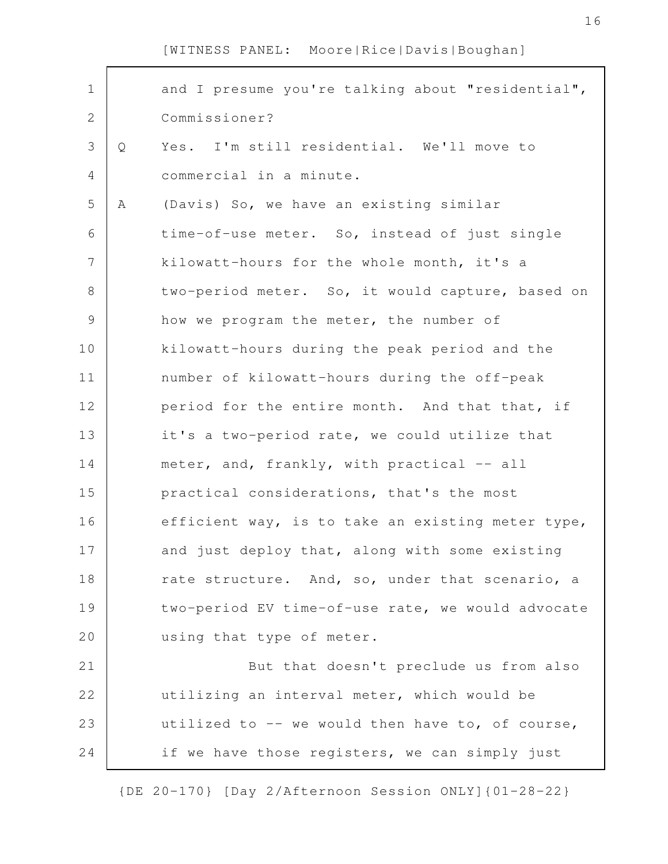| $\mathbf 1$     |   | and I presume you're talking about "residential", |
|-----------------|---|---------------------------------------------------|
| 2               |   | Commissioner?                                     |
| 3               | Q | Yes. I'm still residential. We'll move to         |
| 4               |   | commercial in a minute.                           |
| 5               | A | (Davis) So, we have an existing similar           |
| 6               |   | time-of-use meter. So, instead of just single     |
| $7\phantom{.0}$ |   | kilowatt-hours for the whole month, it's a        |
| 8               |   | two-period meter. So, it would capture, based on  |
| 9               |   | how we program the meter, the number of           |
| 10              |   | kilowatt-hours during the peak period and the     |
| 11              |   | number of kilowatt-hours during the off-peak      |
| 12              |   | period for the entire month. And that that, if    |
| 13              |   | it's a two-period rate, we could utilize that     |
| 14              |   | meter, and, frankly, with practical -- all        |
| 15              |   | practical considerations, that's the most         |
| 16              |   | efficient way, is to take an existing meter type, |
| 17              |   | and just deploy that, along with some existing    |
| 18              |   | rate structure. And, so, under that scenario, a   |
| 19              |   | two-period EV time-of-use rate, we would advocate |
| 20              |   | using that type of meter.                         |
| 21              |   | But that doesn't preclude us from also            |
| 22              |   | utilizing an interval meter, which would be       |
| 23              |   | utilized to -- we would then have to, of course,  |
| 24              |   | if we have those registers, we can simply just    |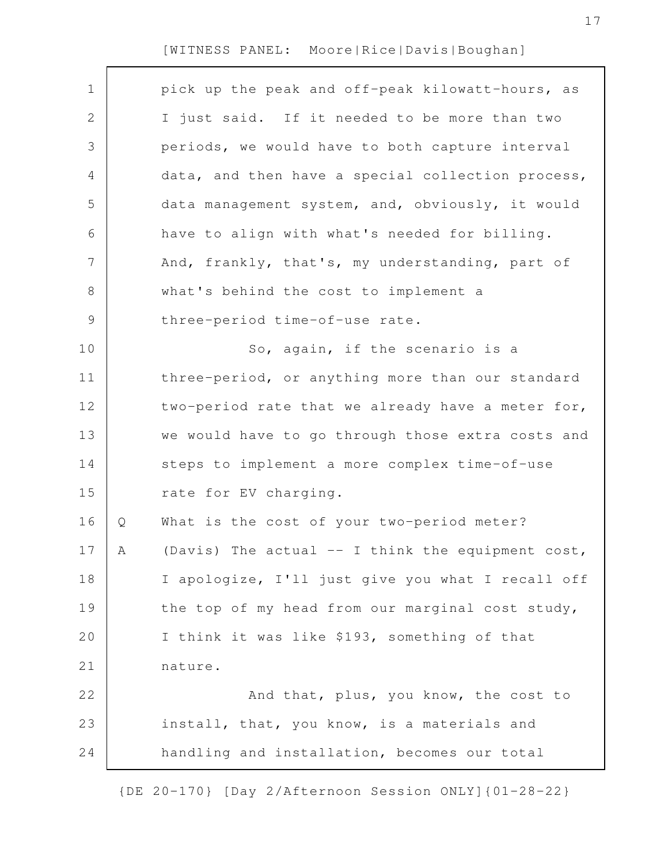| 1           |   | pick up the peak and off-peak kilowatt-hours, as    |
|-------------|---|-----------------------------------------------------|
| 2           |   | I just said. If it needed to be more than two       |
| 3           |   | periods, we would have to both capture interval     |
| 4           |   | data, and then have a special collection process,   |
| 5           |   | data management system, and, obviously, it would    |
| 6           |   | have to align with what's needed for billing.       |
| 7           |   | And, frankly, that's, my understanding, part of     |
| 8           |   | what's behind the cost to implement a               |
| $\mathsf 9$ |   | three-period time-of-use rate.                      |
| 10          |   | So, again, if the scenario is a                     |
| 11          |   | three-period, or anything more than our standard    |
| 12          |   | two-period rate that we already have a meter for,   |
| 13          |   | we would have to go through those extra costs and   |
| 14          |   | steps to implement a more complex time-of-use       |
| 15          |   | rate for EV charging.                               |
| 16          | Q | What is the cost of your two-period meter?          |
| 17          | A | (Davis) The actual $--$ I think the equipment cost, |
| 18          |   | I apologize, I'll just give you what I recall off   |
| 19          |   | the top of my head from our marginal cost study,    |
| 20          |   | I think it was like \$193, something of that        |
| 21          |   | nature.                                             |
| 22          |   | And that, plus, you know, the cost to               |
| 23          |   | install, that, you know, is a materials and         |
| 24          |   | handling and installation, becomes our total        |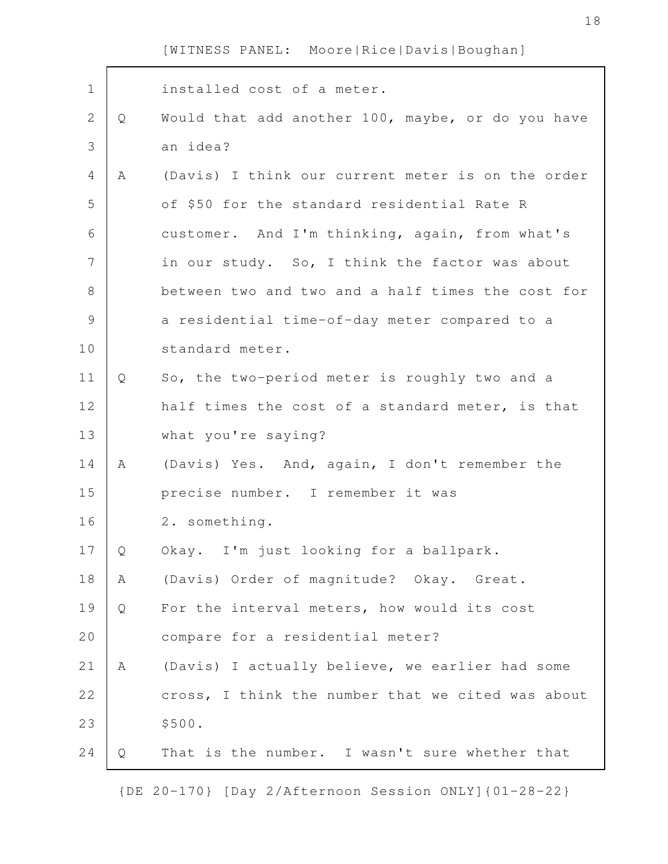| $\mathbf 1$   |   | installed cost of a meter.                        |
|---------------|---|---------------------------------------------------|
| $\mathbf{2}$  | Q | Would that add another 100, maybe, or do you have |
| 3             |   | an idea?                                          |
| 4             | A | (Davis) I think our current meter is on the order |
| 5             |   | of \$50 for the standard residential Rate R       |
| 6             |   | customer. And I'm thinking, again, from what's    |
| 7             |   | in our study. So, I think the factor was about    |
| $8\,$         |   | between two and two and a half times the cost for |
| $\mathcal{G}$ |   | a residential time-of-day meter compared to a     |
| 10            |   | standard meter.                                   |
| 11            | Q | So, the two-period meter is roughly two and a     |
| 12            |   | half times the cost of a standard meter, is that  |
| 13            |   | what you're saying?                               |
| 14            | Α | (Davis) Yes. And, again, I don't remember the     |
| 15            |   | precise number. I remember it was                 |
| 16            |   | 2. something.                                     |
| 17            | Q | Okay. I'm just looking for a ballpark.            |
| 18            | Α | (Davis) Order of magnitude? Okay. Great.          |
| 19            | Q | For the interval meters, how would its cost       |
| 20            |   | compare for a residential meter?                  |
| 21            | A | (Davis) I actually believe, we earlier had some   |
| 22            |   | cross, I think the number that we cited was about |
| 23            |   | \$500.                                            |
| 24            | Q | That is the number. I wasn't sure whether that    |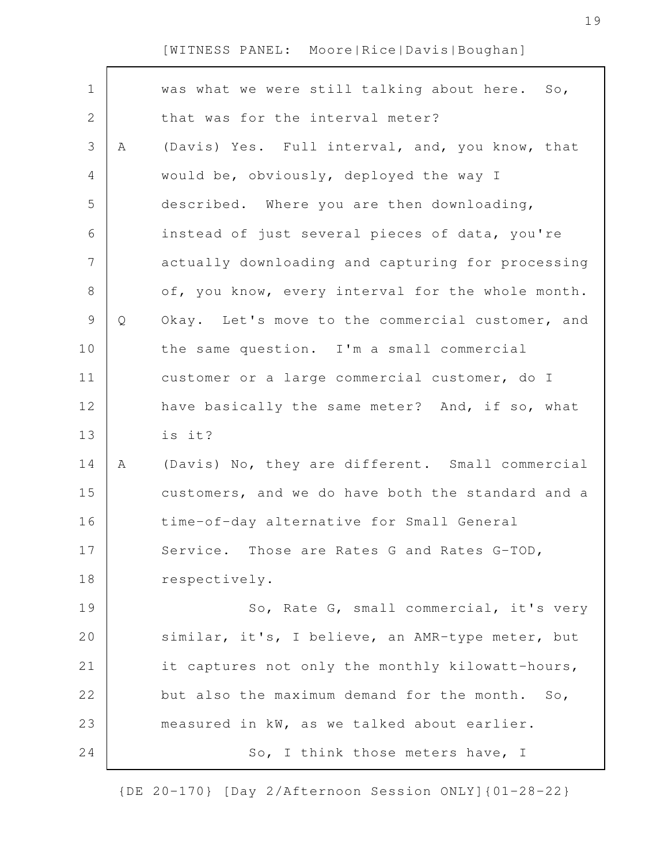| $\mathbf 1$<br>was what we were still talking about here.<br>So,<br>$\sqrt{2}$<br>that was for the interval meter?<br>3<br>(Davis) Yes. Full interval, and, you know, that<br>Α<br>$\overline{4}$<br>would be, obviously, deployed the way I<br>5<br>described. Where you are then downloading,<br>6<br>instead of just several pieces of data, you're<br>$\overline{7}$<br>actually downloading and capturing for processing<br>$\,8\,$<br>of, you know, every interval for the whole month.<br>$\mathsf 9$<br>Q<br>Okay. Let's move to the commercial customer, and<br>10<br>the same question. I'm a small commercial<br>11<br>customer or a large commercial customer, do I<br>12<br>have basically the same meter? And, if so, what<br>is it?<br>13<br>(Davis) No, they are different. Small commercial<br>14<br>Α<br>15<br>customers, and we do have both the standard and a<br>16<br>time-of-day alternative for Small General<br>17<br>Service. Those are Rates G and Rates G-TOD,<br>respectively.<br>18<br>19<br>So, Rate G, small commercial, it's very<br>20<br>similar, it's, I believe, an AMR-type meter, but<br>it captures not only the monthly kilowatt-hours,<br>21<br>22<br>but also the maximum demand for the month.<br>So,<br>23<br>measured in kW, as we talked about earlier.<br>So, I think those meters have, I<br>24 |  |  |
|--------------------------------------------------------------------------------------------------------------------------------------------------------------------------------------------------------------------------------------------------------------------------------------------------------------------------------------------------------------------------------------------------------------------------------------------------------------------------------------------------------------------------------------------------------------------------------------------------------------------------------------------------------------------------------------------------------------------------------------------------------------------------------------------------------------------------------------------------------------------------------------------------------------------------------------------------------------------------------------------------------------------------------------------------------------------------------------------------------------------------------------------------------------------------------------------------------------------------------------------------------------------------------------------------------------------------------------------------|--|--|
|                                                                                                                                                                                                                                                                                                                                                                                                                                                                                                                                                                                                                                                                                                                                                                                                                                                                                                                                                                                                                                                                                                                                                                                                                                                                                                                                                  |  |  |
|                                                                                                                                                                                                                                                                                                                                                                                                                                                                                                                                                                                                                                                                                                                                                                                                                                                                                                                                                                                                                                                                                                                                                                                                                                                                                                                                                  |  |  |
|                                                                                                                                                                                                                                                                                                                                                                                                                                                                                                                                                                                                                                                                                                                                                                                                                                                                                                                                                                                                                                                                                                                                                                                                                                                                                                                                                  |  |  |
|                                                                                                                                                                                                                                                                                                                                                                                                                                                                                                                                                                                                                                                                                                                                                                                                                                                                                                                                                                                                                                                                                                                                                                                                                                                                                                                                                  |  |  |
|                                                                                                                                                                                                                                                                                                                                                                                                                                                                                                                                                                                                                                                                                                                                                                                                                                                                                                                                                                                                                                                                                                                                                                                                                                                                                                                                                  |  |  |
|                                                                                                                                                                                                                                                                                                                                                                                                                                                                                                                                                                                                                                                                                                                                                                                                                                                                                                                                                                                                                                                                                                                                                                                                                                                                                                                                                  |  |  |
|                                                                                                                                                                                                                                                                                                                                                                                                                                                                                                                                                                                                                                                                                                                                                                                                                                                                                                                                                                                                                                                                                                                                                                                                                                                                                                                                                  |  |  |
|                                                                                                                                                                                                                                                                                                                                                                                                                                                                                                                                                                                                                                                                                                                                                                                                                                                                                                                                                                                                                                                                                                                                                                                                                                                                                                                                                  |  |  |
|                                                                                                                                                                                                                                                                                                                                                                                                                                                                                                                                                                                                                                                                                                                                                                                                                                                                                                                                                                                                                                                                                                                                                                                                                                                                                                                                                  |  |  |
|                                                                                                                                                                                                                                                                                                                                                                                                                                                                                                                                                                                                                                                                                                                                                                                                                                                                                                                                                                                                                                                                                                                                                                                                                                                                                                                                                  |  |  |
|                                                                                                                                                                                                                                                                                                                                                                                                                                                                                                                                                                                                                                                                                                                                                                                                                                                                                                                                                                                                                                                                                                                                                                                                                                                                                                                                                  |  |  |
|                                                                                                                                                                                                                                                                                                                                                                                                                                                                                                                                                                                                                                                                                                                                                                                                                                                                                                                                                                                                                                                                                                                                                                                                                                                                                                                                                  |  |  |
|                                                                                                                                                                                                                                                                                                                                                                                                                                                                                                                                                                                                                                                                                                                                                                                                                                                                                                                                                                                                                                                                                                                                                                                                                                                                                                                                                  |  |  |
|                                                                                                                                                                                                                                                                                                                                                                                                                                                                                                                                                                                                                                                                                                                                                                                                                                                                                                                                                                                                                                                                                                                                                                                                                                                                                                                                                  |  |  |
|                                                                                                                                                                                                                                                                                                                                                                                                                                                                                                                                                                                                                                                                                                                                                                                                                                                                                                                                                                                                                                                                                                                                                                                                                                                                                                                                                  |  |  |
|                                                                                                                                                                                                                                                                                                                                                                                                                                                                                                                                                                                                                                                                                                                                                                                                                                                                                                                                                                                                                                                                                                                                                                                                                                                                                                                                                  |  |  |
|                                                                                                                                                                                                                                                                                                                                                                                                                                                                                                                                                                                                                                                                                                                                                                                                                                                                                                                                                                                                                                                                                                                                                                                                                                                                                                                                                  |  |  |
|                                                                                                                                                                                                                                                                                                                                                                                                                                                                                                                                                                                                                                                                                                                                                                                                                                                                                                                                                                                                                                                                                                                                                                                                                                                                                                                                                  |  |  |
|                                                                                                                                                                                                                                                                                                                                                                                                                                                                                                                                                                                                                                                                                                                                                                                                                                                                                                                                                                                                                                                                                                                                                                                                                                                                                                                                                  |  |  |
|                                                                                                                                                                                                                                                                                                                                                                                                                                                                                                                                                                                                                                                                                                                                                                                                                                                                                                                                                                                                                                                                                                                                                                                                                                                                                                                                                  |  |  |
|                                                                                                                                                                                                                                                                                                                                                                                                                                                                                                                                                                                                                                                                                                                                                                                                                                                                                                                                                                                                                                                                                                                                                                                                                                                                                                                                                  |  |  |
|                                                                                                                                                                                                                                                                                                                                                                                                                                                                                                                                                                                                                                                                                                                                                                                                                                                                                                                                                                                                                                                                                                                                                                                                                                                                                                                                                  |  |  |
|                                                                                                                                                                                                                                                                                                                                                                                                                                                                                                                                                                                                                                                                                                                                                                                                                                                                                                                                                                                                                                                                                                                                                                                                                                                                                                                                                  |  |  |
|                                                                                                                                                                                                                                                                                                                                                                                                                                                                                                                                                                                                                                                                                                                                                                                                                                                                                                                                                                                                                                                                                                                                                                                                                                                                                                                                                  |  |  |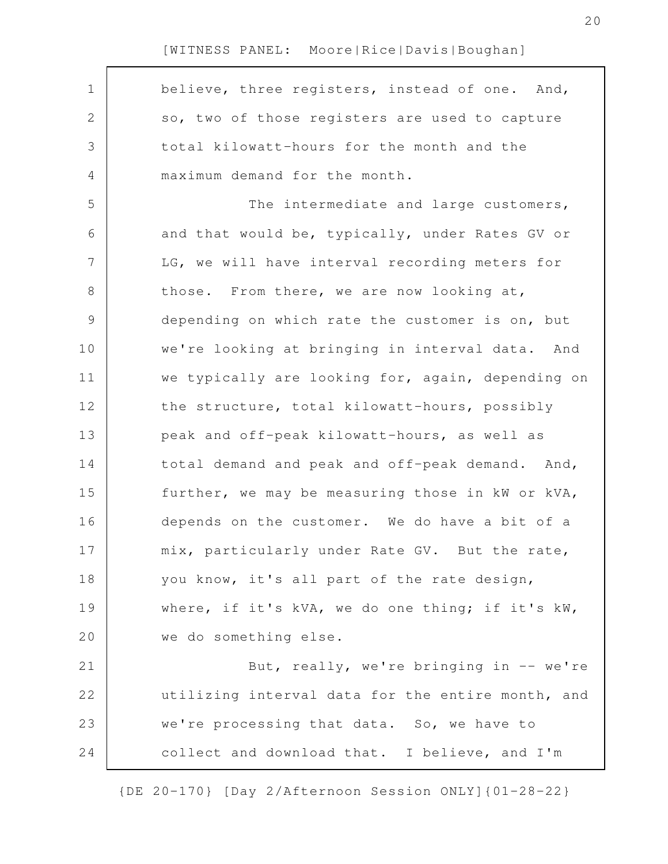believe, three registers, instead of one. And, so, two of those registers are used to capture total kilowatt-hours for the month and the maximum demand for the month. The intermediate and large customers, and that would be, typically, under Rates GV or LG, we will have interval recording meters for those. From there, we are now looking at, depending on which rate the customer is on, but we're looking at bringing in interval data. And we typically are looking for, again, depending on the structure, total kilowatt-hours, possibly peak and off-peak kilowatt-hours, as well as total demand and peak and off-peak demand. And, further, we may be measuring those in kW or kVA, depends on the customer. We do have a bit of a mix, particularly under Rate GV. But the rate, you know, it's all part of the rate design, where, if it's kVA, we do one thing; if it's kW, we do something else. But, really, we're bringing in  $-$  we're utilizing interval data for the entire month, and we're processing that data. So, we have to collect and download that. I believe, and I'm 1 2 3 4 5 6 7 8 9 10 11 12 13 14 15 16 17 18 19 20 21 22 23 24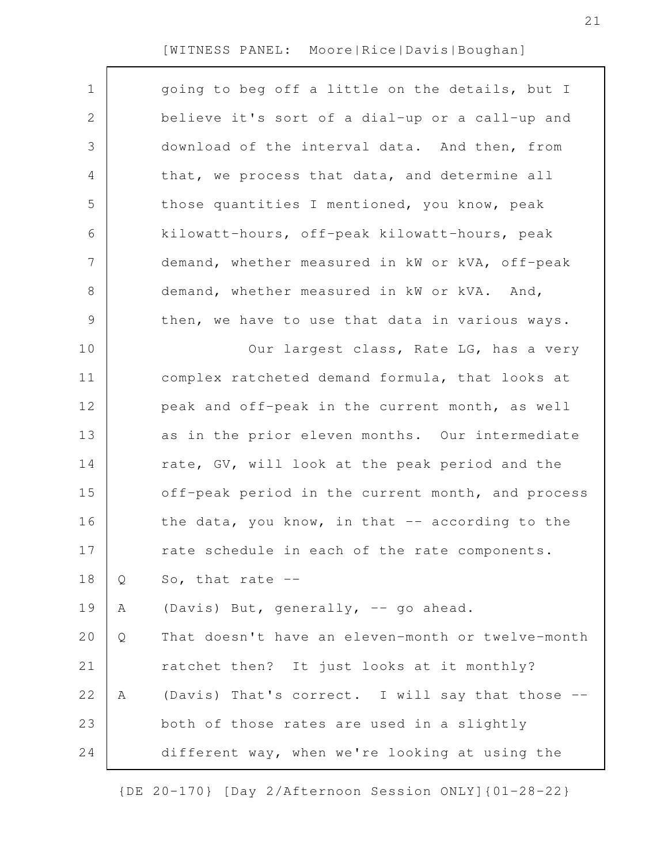| $\mathbf 1$    |   | going to beg off a little on the details, but I   |
|----------------|---|---------------------------------------------------|
| 2              |   | believe it's sort of a dial-up or a call-up and   |
| 3              |   | download of the interval data. And then, from     |
| 4              |   | that, we process that data, and determine all     |
| 5              |   | those quantities I mentioned, you know, peak      |
| 6              |   | kilowatt-hours, off-peak kilowatt-hours, peak     |
| $\overline{7}$ |   | demand, whether measured in kW or kVA, off-peak   |
| $8\,$          |   | demand, whether measured in kW or kVA. And,       |
| $\mathsf 9$    |   | then, we have to use that data in various ways.   |
| 10             |   | Our largest class, Rate LG, has a very            |
| 11             |   | complex ratcheted demand formula, that looks at   |
| 12             |   | peak and off-peak in the current month, as well   |
| 13             |   | as in the prior eleven months. Our intermediate   |
| 14             |   | rate, GV, will look at the peak period and the    |
| 15             |   | off-peak period in the current month, and process |
| 16             |   | the data, you know, in that -- according to the   |
| 17             |   | rate schedule in each of the rate components.     |
| 18             | Q | So, that rate $-$                                 |
| 19             | Α | (Davis) But, generally, -- go ahead.              |
| 20             | Q | That doesn't have an eleven-month or twelve-month |
| 21             |   | ratchet then? It just looks at it monthly?        |
| 22             | Α | (Davis) That's correct. I will say that those --  |
| 23             |   | both of those rates are used in a slightly        |
| 24             |   | different way, when we're looking at using the    |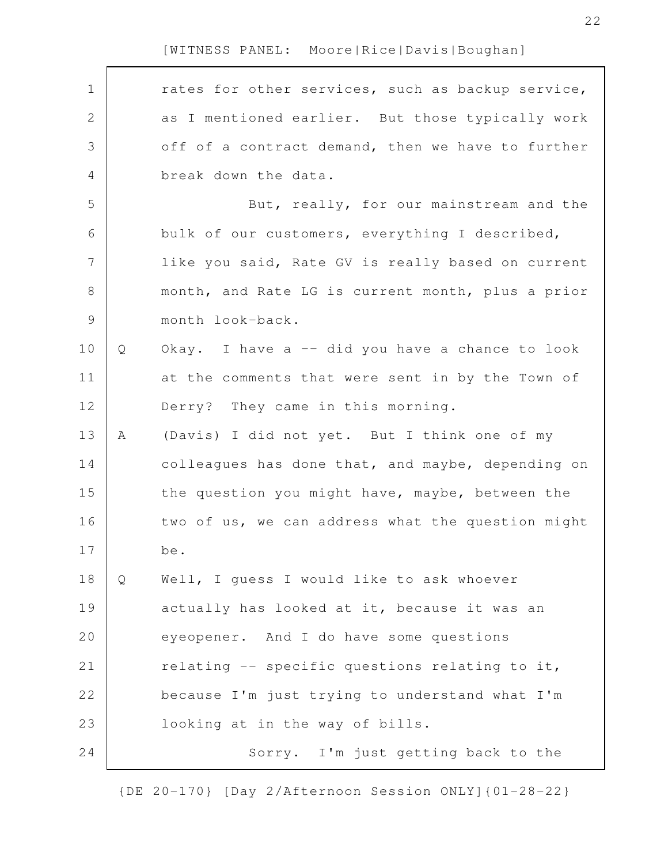Г

| $\mathbf 1$    |   | rates for other services, such as backup service, |
|----------------|---|---------------------------------------------------|
| $\mathbf{2}$   |   | as I mentioned earlier. But those typically work  |
| 3              |   | off of a contract demand, then we have to further |
| $\overline{4}$ |   | break down the data.                              |
| 5              |   | But, really, for our mainstream and the           |
| 6              |   | bulk of our customers, everything I described,    |
| 7              |   | like you said, Rate GV is really based on current |
| 8              |   | month, and Rate LG is current month, plus a prior |
| $\mathcal{G}$  |   | month look-back.                                  |
| 10             | Q | Okay. I have a -- did you have a chance to look   |
| 11             |   | at the comments that were sent in by the Town of  |
| 12             |   | Derry? They came in this morning.                 |
| 13             | Α | (Davis) I did not yet. But I think one of my      |
| 14             |   | colleagues has done that, and maybe, depending on |
| 15             |   | the question you might have, maybe, between the   |
| 16             |   | two of us, we can address what the question might |
| 17             |   | be.                                               |
| 18             | Q | Well, I quess I would like to ask whoever         |
| 19             |   | actually has looked at it, because it was an      |
| 20             |   | eyeopener. And I do have some questions           |
| 21             |   | relating -- specific questions relating to it,    |
| 22             |   | because I'm just trying to understand what I'm    |
| 23             |   | looking at in the way of bills.                   |
| 24             |   | Sorry. I'm just getting back to the               |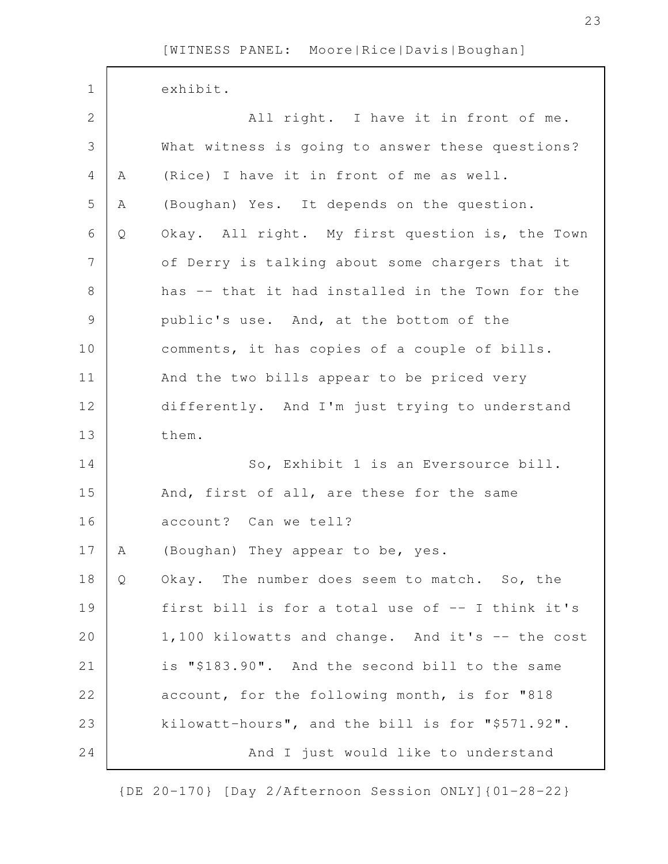| $\mathbf 1$  |   | exhibit.                                         |
|--------------|---|--------------------------------------------------|
| $\mathbf{2}$ |   | All right. I have it in front of me.             |
| 3            |   | What witness is going to answer these questions? |
| 4            | Α | (Rice) I have it in front of me as well.         |
| 5            | Α | (Boughan) Yes. It depends on the question.       |
| 6            | Q | Okay. All right. My first question is, the Town  |
| 7            |   | of Derry is talking about some chargers that it  |
| 8            |   | has -- that it had installed in the Town for the |
| $\mathsf 9$  |   | public's use. And, at the bottom of the          |
| 10           |   | comments, it has copies of a couple of bills.    |
| 11           |   | And the two bills appear to be priced very       |
| 12           |   | differently. And I'm just trying to understand   |
| 13           |   | them.                                            |
| 14           |   | So, Exhibit 1 is an Eversource bill.             |
| 15           |   | And, first of all, are these for the same        |
| 16           |   | account? Can we tell?                            |
| 17           | А | (Boughan) They appear to be, yes.                |
| 18           | Q | Okay. The number does seem to match. So, the     |
| 19           |   | first bill is for a total use of -- I think it's |
| 20           |   | 1,100 kilowatts and change. And it's -- the cost |
| 21           |   | is "\$183.90". And the second bill to the same   |
| 22           |   | account, for the following month, is for "818    |
| 23           |   | kilowatt-hours", and the bill is for "\$571.92". |
| 24           |   | And I just would like to understand              |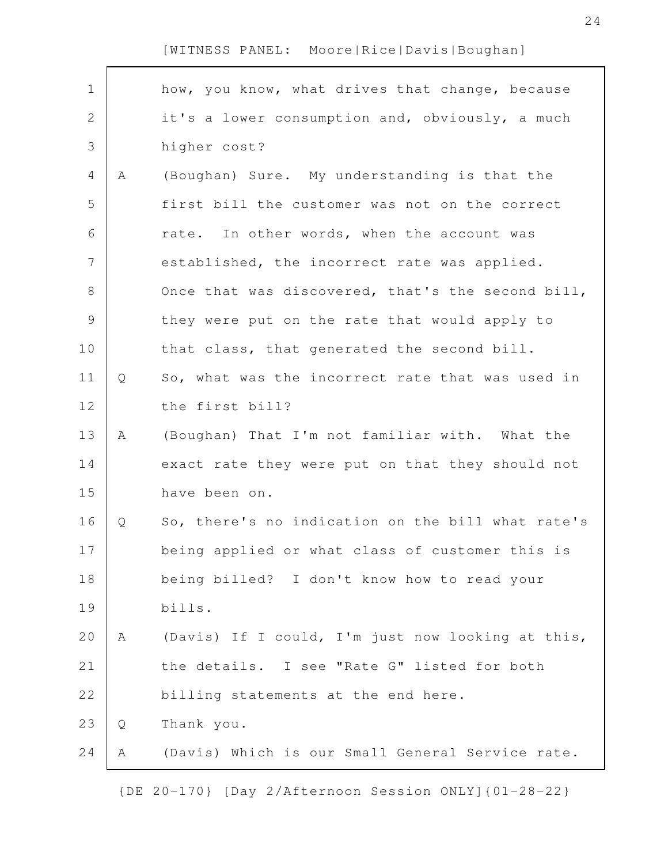| $\mathbf 1$    |             | how, you know, what drives that change, because   |
|----------------|-------------|---------------------------------------------------|
| $\mathbf{2}$   |             | it's a lower consumption and, obviously, a much   |
| 3              |             | higher cost?                                      |
| 4              | $\mathbb A$ | (Boughan) Sure. My understanding is that the      |
| 5              |             | first bill the customer was not on the correct    |
| 6              |             | rate. In other words, when the account was        |
| $\overline{7}$ |             | established, the incorrect rate was applied.      |
| $8\,$          |             | Once that was discovered, that's the second bill, |
| $\mathsf{S}$   |             | they were put on the rate that would apply to     |
| 10             |             | that class, that generated the second bill.       |
| 11             | Q           | So, what was the incorrect rate that was used in  |
| 12             |             | the first bill?                                   |
| 13             | A           | (Boughan) That I'm not familiar with. What the    |
| 14             |             | exact rate they were put on that they should not  |
| 15             |             | have been on.                                     |
| 16             | Q           | So, there's no indication on the bill what rate's |
| 17             |             | being applied or what class of customer this is   |
| 18             |             | being billed? I don't know how to read your       |
| 19             |             | bills.                                            |
| 20             | A           | (Davis) If I could, I'm just now looking at this, |
| 21             |             | the details. I see "Rate G" listed for both       |
| 22             |             | billing statements at the end here.               |
| 23             | Q           | Thank you.                                        |
| 24             | Α           | (Davis) Which is our Small General Service rate.  |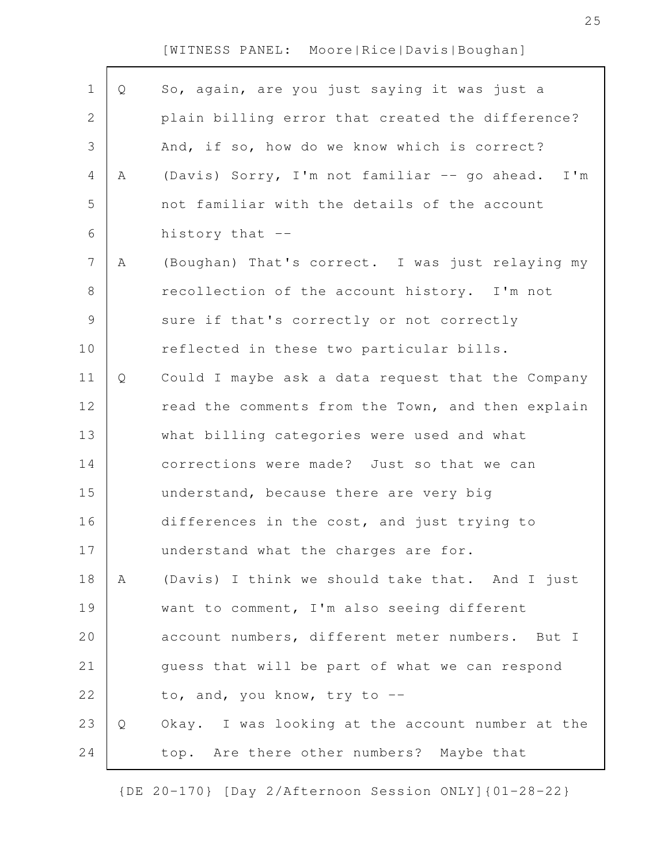Г

| $\mathbf 1$    | Q | So, again, are you just saying it was just a      |
|----------------|---|---------------------------------------------------|
| $\mathbf{2}$   |   | plain billing error that created the difference?  |
| 3              |   | And, if so, how do we know which is correct?      |
| $\overline{4}$ | Α | (Davis) Sorry, I'm not familiar -- go ahead. I'm  |
| 5              |   | not familiar with the details of the account      |
| 6              |   | history that --                                   |
| $\overline{7}$ | Α | (Boughan) That's correct. I was just relaying my  |
| $8\,$          |   | recollection of the account history. I'm not      |
| $\mathcal{G}$  |   | sure if that's correctly or not correctly         |
| 10             |   | reflected in these two particular bills.          |
| 11             | Q | Could I maybe ask a data request that the Company |
| 12             |   | read the comments from the Town, and then explain |
| 13             |   | what billing categories were used and what        |
| 14             |   | corrections were made? Just so that we can        |
| 15             |   | understand, because there are very big            |
| 16             |   | differences in the cost, and just trying to       |
| 17             |   | understand what the charges are for.              |
| 18             | Α | (Davis) I think we should take that. And I just   |
| 19             |   | want to comment, I'm also seeing different        |
| 20             |   | account numbers, different meter numbers. But I   |
| 21             |   | quess that will be part of what we can respond    |
| 22             |   | to, and, you know, try to --                      |
| 23             | Q | Okay. I was looking at the account number at the  |
| 24             |   | top. Are there other numbers? Maybe that          |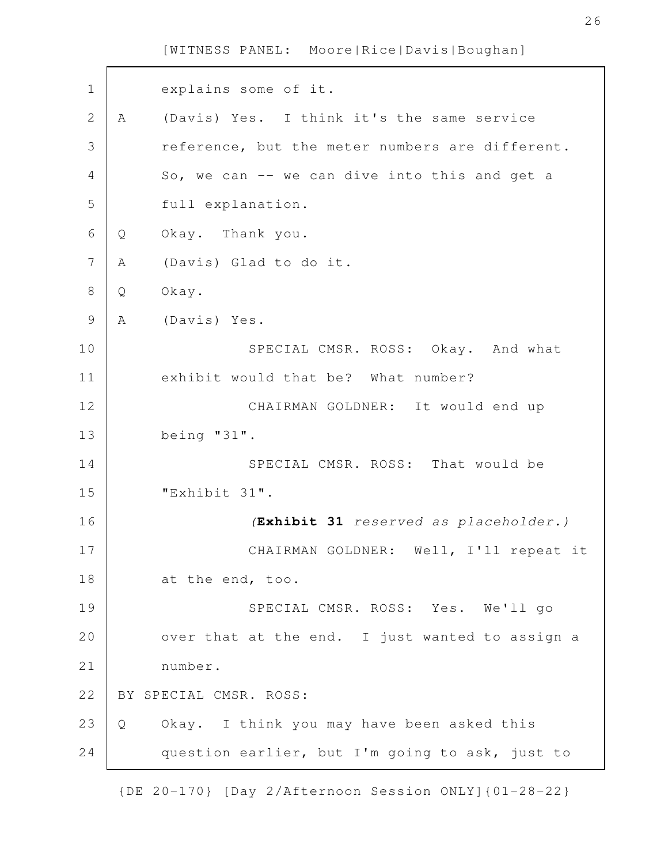| $\mathbf 1$    |   | explains some of it.                            |
|----------------|---|-------------------------------------------------|
| $\overline{2}$ | Α | (Davis) Yes. I think it's the same service      |
| 3              |   | reference, but the meter numbers are different. |
| 4              |   | So, we can -- we can dive into this and get a   |
| 5              |   | full explanation.                               |
| 6              | Q | Okay. Thank you.                                |
| 7              | Α | (Davis) Glad to do it.                          |
| 8              | Q | Okay.                                           |
| 9              | Α | (Davis) Yes.                                    |
| 10             |   | SPECIAL CMSR. ROSS: Okay. And what              |
| 11             |   | exhibit would that be? What number?             |
| 12             |   | CHAIRMAN GOLDNER: It would end up               |
| 13             |   | being $"31"$ .                                  |
| 14             |   | SPECIAL CMSR. ROSS: That would be               |
| 15             |   | "Exhibit 31".                                   |
| 16             |   | (Exhibit 31 reserved as placeholder.)           |
| 17             |   | CHAIRMAN GOLDNER:<br>Well, I'll repeat it       |
| 18             |   | at the end, too.                                |
| 19             |   | SPECIAL CMSR. ROSS: Yes. We'll go               |
| 20             |   | over that at the end. I just wanted to assign a |
| 21             |   | number.                                         |
| 22             |   | BY SPECIAL CMSR. ROSS:                          |
| 23             | Q | Okay. I think you may have been asked this      |
| 24             |   | question earlier, but I'm going to ask, just to |
|                |   |                                                 |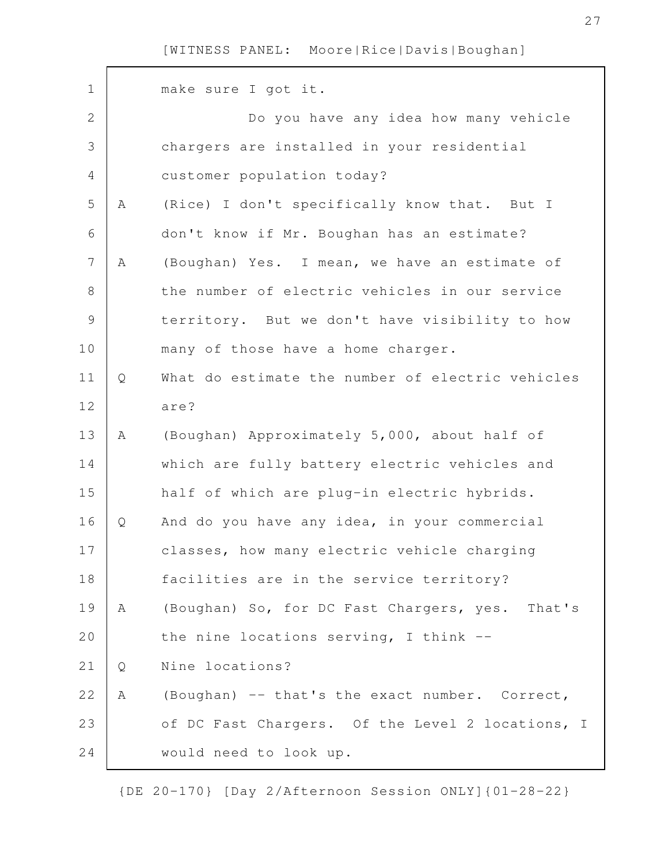| $\mathbf 1$    |   | make sure I got it.                              |
|----------------|---|--------------------------------------------------|
| 2              |   | Do you have any idea how many vehicle            |
|                |   |                                                  |
| 3              |   | chargers are installed in your residential       |
| 4              |   | customer population today?                       |
| 5              | Α | (Rice) I don't specifically know that. But I     |
| 6              |   | don't know if Mr. Boughan has an estimate?       |
| $\overline{7}$ | Α | (Boughan) Yes. I mean, we have an estimate of    |
| $8\,$          |   | the number of electric vehicles in our service   |
| $\mathcal{G}$  |   | territory. But we don't have visibility to how   |
| 10             |   | many of those have a home charger.               |
| 11             | Q | What do estimate the number of electric vehicles |
| 12             |   | are?                                             |
| 13             | Α | (Boughan) Approximately 5,000, about half of     |
| 14             |   | which are fully battery electric vehicles and    |
| 15             |   | half of which are plug-in electric hybrids.      |
| 16             | Q | And do you have any idea, in your commercial     |
| 17             |   | classes, how many electric vehicle charging      |
| 18             |   | facilities are in the service territory?         |
| 19             | Α | (Boughan) So, for DC Fast Chargers, yes. That's  |
| 20             |   | the nine locations serving, I think --           |
| 21             | Q | Nine locations?                                  |
| 22             | Α | (Boughan) -- that's the exact number. Correct,   |
| 23             |   | of DC Fast Chargers. Of the Level 2 locations, I |
| 24             |   | would need to look up.                           |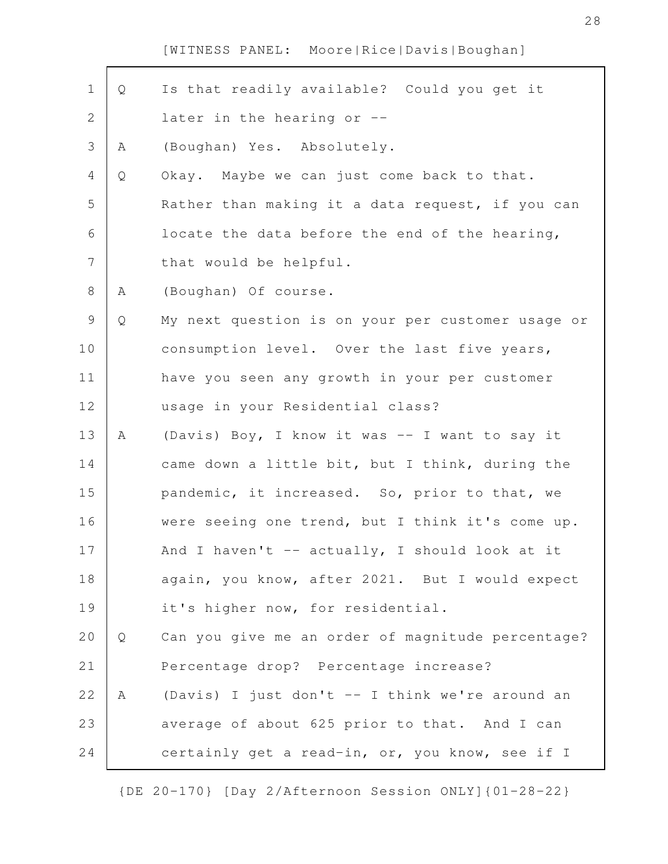| $\mathbf 1$    | Q | Is that readily available? Could you get it       |
|----------------|---|---------------------------------------------------|
| $\mathbf{2}$   |   | later in the hearing or --                        |
| 3              | Α | (Boughan) Yes. Absolutely.                        |
| $\overline{4}$ | Q | Okay. Maybe we can just come back to that.        |
| 5              |   | Rather than making it a data request, if you can  |
| 6              |   | locate the data before the end of the hearing,    |
| $\overline{7}$ |   | that would be helpful.                            |
| $8\,$          | A | (Boughan) Of course.                              |
| $\mathcal{G}$  | Q | My next question is on your per customer usage or |
| 10             |   | consumption level. Over the last five years,      |
| 11             |   | have you seen any growth in your per customer     |
| 12             |   | usage in your Residential class?                  |
| 13             | A | (Davis) Boy, I know it was -- I want to say it    |
| 14             |   | came down a little bit, but I think, during the   |
| 15             |   | pandemic, it increased. So, prior to that, we     |
| 16             |   | were seeing one trend, but I think it's come up.  |
| 17             |   | And I haven't $-$ actually, I should look at it   |
| 18             |   | again, you know, after 2021. But I would expect   |
| 19             |   | it's higher now, for residential.                 |
| 20             | Q | Can you give me an order of magnitude percentage? |
| 21             |   | Percentage drop? Percentage increase?             |
| 22             | A | (Davis) I just don't -- I think we're around an   |
| 23             |   | average of about 625 prior to that. And I can     |
| 24             |   | certainly get a read-in, or, you know, see if I   |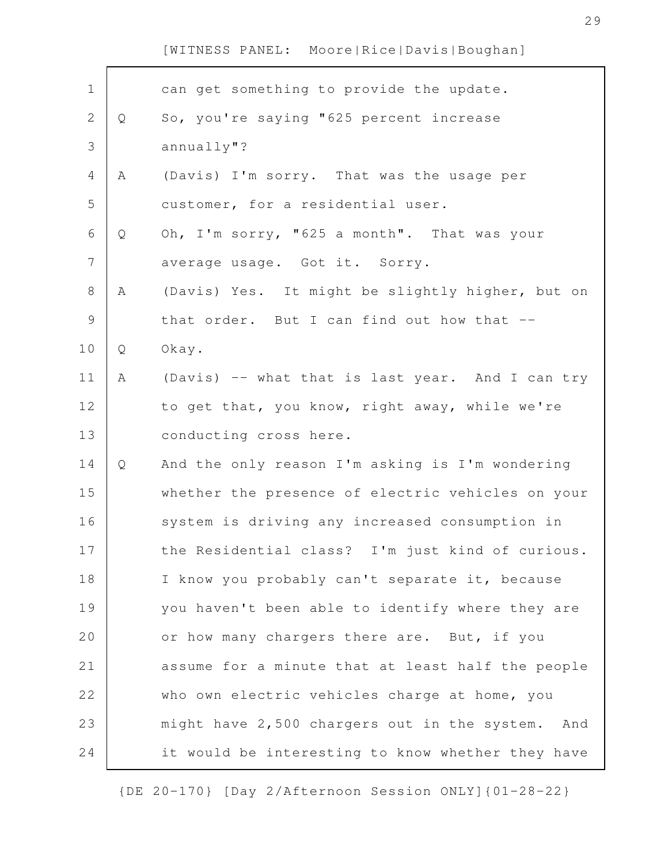| $\mathbf 1$    |   | can get something to provide the update.          |
|----------------|---|---------------------------------------------------|
| $\mathbf{2}$   | Q | So, you're saying "625 percent increase           |
| 3              |   | annually"?                                        |
| $\overline{4}$ | A | (Davis) I'm sorry. That was the usage per         |
| 5              |   | customer, for a residential user.                 |
| 6              | Q | Oh, I'm sorry, "625 a month". That was your       |
| $\overline{7}$ |   | average usage. Got it. Sorry.                     |
| $\,8\,$        | Α | (Davis) Yes. It might be slightly higher, but on  |
| $\mathcal{G}$  |   | that order. But I can find out how that --        |
| 10             | Q | Okay.                                             |
| 11             | Α | (Davis) -- what that is last year. And I can try  |
| 12             |   | to get that, you know, right away, while we're    |
| 13             |   | conducting cross here.                            |
| 14             | Q | And the only reason I'm asking is I'm wondering   |
| 15             |   | whether the presence of electric vehicles on your |
| 16             |   | system is driving any increased consumption in    |
| 17             |   | the Residential class? I'm just kind of curious.  |
| 18             |   | I know you probably can't separate it, because    |
| 19             |   | you haven't been able to identify where they are  |
| 20             |   | or how many chargers there are. But, if you       |
| 21             |   | assume for a minute that at least half the people |
| 22             |   | who own electric vehicles charge at home, you     |
| 23             |   | might have 2,500 chargers out in the system. And  |
|                |   |                                                   |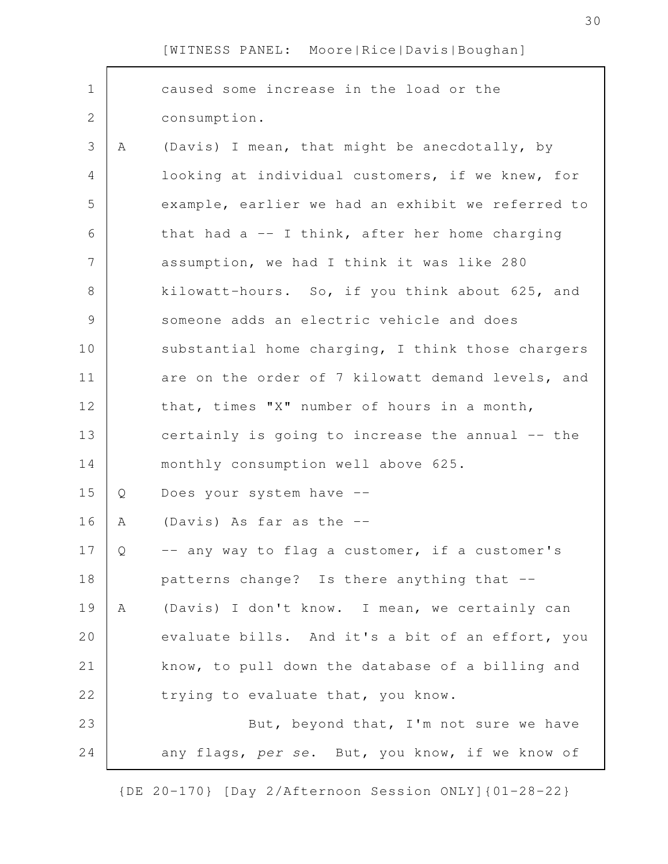| $\mathbf 1$   |   | caused some increase in the load or the           |
|---------------|---|---------------------------------------------------|
| $\mathbf{2}$  |   | consumption.                                      |
| 3             | A | (Davis) I mean, that might be anecdotally, by     |
| 4             |   | looking at individual customers, if we knew, for  |
| 5             |   | example, earlier we had an exhibit we referred to |
| 6             |   | that had $a - I$ think, after her home charging   |
| 7             |   | assumption, we had I think it was like 280        |
| $\,8\,$       |   | kilowatt-hours. So, if you think about 625, and   |
| $\mathcal{G}$ |   | someone adds an electric vehicle and does         |
| 10            |   | substantial home charging, I think those chargers |
| 11            |   | are on the order of 7 kilowatt demand levels, and |
| 12            |   | that, times "X" number of hours in a month,       |
| 13            |   | certainly is going to increase the annual -- the  |
| 14            |   | monthly consumption well above 625.               |
| 15            | Q | Does your system have --                          |
| 16            | A | (Davis) As far as the --                          |
| 17            | Q | -- any way to flag a customer, if a customer's    |
| 18            |   | patterns change? Is there anything that --        |
| 19            | Α | (Davis) I don't know. I mean, we certainly can    |
| 20            |   | evaluate bills. And it's a bit of an effort, you  |
| 21            |   | know, to pull down the database of a billing and  |
| 22            |   | trying to evaluate that, you know.                |
| 23            |   | But, beyond that, I'm not sure we have            |
| 24            |   | any flags, per se. But, you know, if we know of   |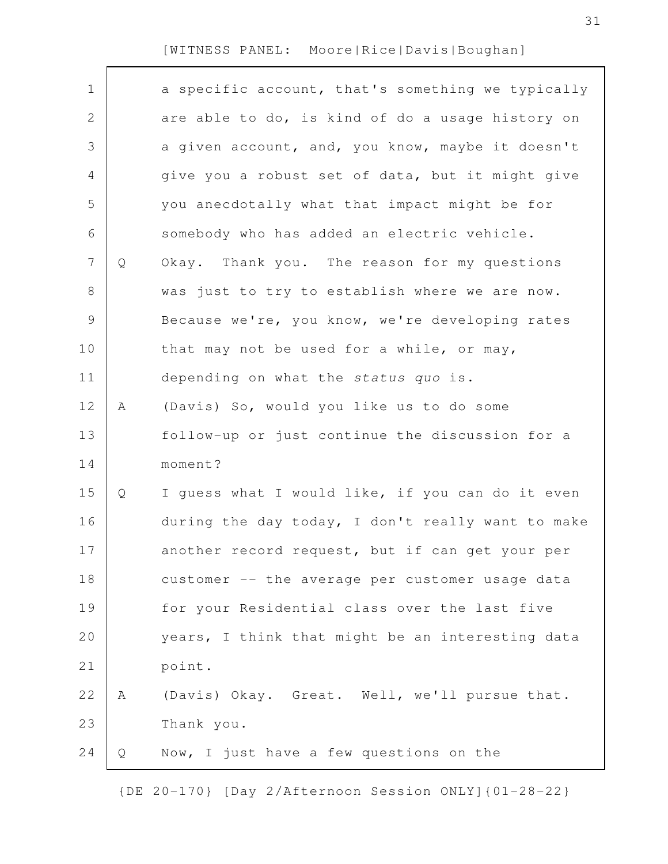| $\mathbf 1$    |   | a specific account, that's something we typically |
|----------------|---|---------------------------------------------------|
| 2              |   | are able to do, is kind of do a usage history on  |
| 3              |   | a given account, and, you know, maybe it doesn't  |
| 4              |   | give you a robust set of data, but it might give  |
| 5              |   | you anecdotally what that impact might be for     |
| 6              |   | somebody who has added an electric vehicle.       |
| $\overline{7}$ | Q | Okay. Thank you. The reason for my questions      |
| $8\,$          |   | was just to try to establish where we are now.    |
| $\mathsf 9$    |   | Because we're, you know, we're developing rates   |
| 10             |   | that may not be used for a while, or may,         |
| 11             |   | depending on what the status quo is.              |
| 12             | Α | (Davis) So, would you like us to do some          |
| 13             |   | follow-up or just continue the discussion for a   |
| 14             |   | moment?                                           |
| 15             | Q | I quess what I would like, if you can do it even  |
| 16             |   | during the day today, I don't really want to make |
| 17             |   | another record request, but if can get your per   |
| 18             |   | customer -- the average per customer usage data   |
| 19             |   | for your Residential class over the last five     |
| 20             |   | years, I think that might be an interesting data  |
| 21             |   | point.                                            |
| 22             | Α | (Davis) Okay. Great. Well, we'll pursue that.     |
| 23             |   | Thank you.                                        |
| 24             | Q | Now, I just have a few questions on the           |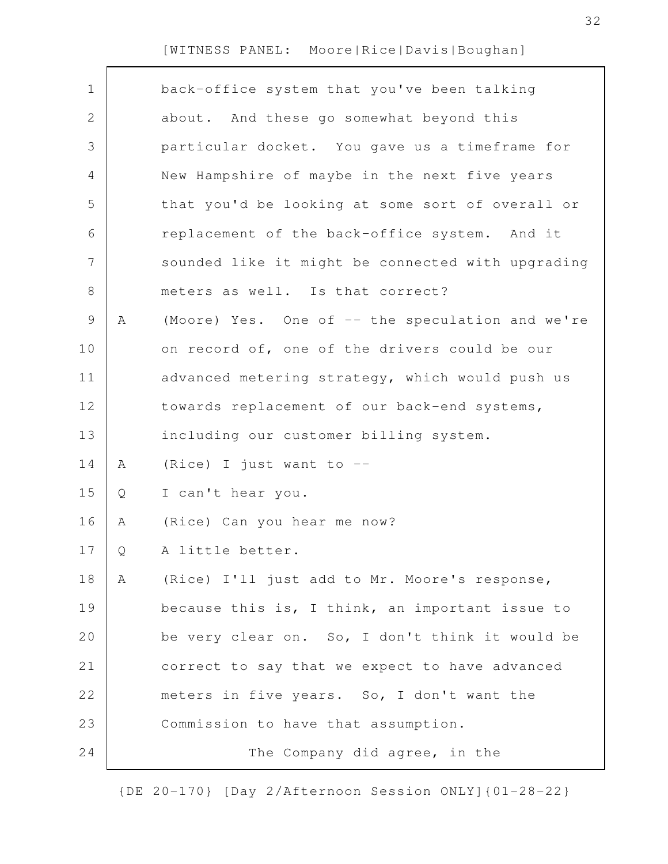| $\mathbf 1$    |   | back-office system that you've been talking       |
|----------------|---|---------------------------------------------------|
| $\overline{2}$ |   | about. And these go somewhat beyond this          |
| 3              |   | particular docket. You gave us a timeframe for    |
| 4              |   | New Hampshire of maybe in the next five years     |
| 5              |   | that you'd be looking at some sort of overall or  |
| 6              |   | replacement of the back-office system. And it     |
| 7              |   | sounded like it might be connected with upgrading |
| 8              |   | meters as well. Is that correct?                  |
| 9              | Α | (Moore) Yes. One of -- the speculation and we're  |
| 10             |   | on record of, one of the drivers could be our     |
| 11             |   | advanced metering strategy, which would push us   |
| 12             |   | towards replacement of our back-end systems,      |
| 13             |   | including our customer billing system.            |
| 14             | Α | (Rice) I just want to --                          |
| 15             | Q | I can't hear you.                                 |
| 16             | Α | (Rice) Can you hear me now?                       |
| 17             | Q | A little better.                                  |
| 18             | Α | (Rice) I'll just add to Mr. Moore's response,     |
| 19             |   | because this is, I think, an important issue to   |
| 20             |   | be very clear on. So, I don't think it would be   |
| 21             |   | correct to say that we expect to have advanced    |
| 22             |   | meters in five years. So, I don't want the        |
| 23             |   | Commission to have that assumption.               |
| 24             |   | The Company did agree, in the                     |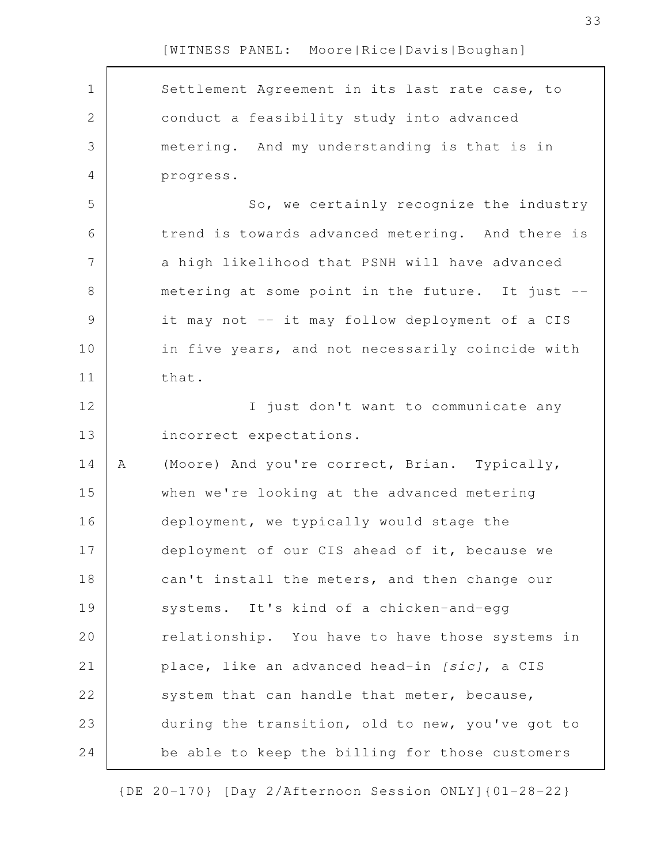| $\mathbf 1$    |   | Settlement Agreement in its last rate case, to   |
|----------------|---|--------------------------------------------------|
| $\overline{2}$ |   | conduct a feasibility study into advanced        |
| 3              |   | metering. And my understanding is that is in     |
| 4              |   | progress.                                        |
| 5              |   | So, we certainly recognize the industry          |
| 6              |   | trend is towards advanced metering. And there is |
| 7              |   | a high likelihood that PSNH will have advanced   |
| 8              |   | metering at some point in the future. It just -- |
| $\mathcal{G}$  |   | it may not -- it may follow deployment of a CIS  |
| 10             |   | in five years, and not necessarily coincide with |
| 11             |   | that.                                            |
| 12             |   | I just don't want to communicate any             |
| 13             |   | incorrect expectations.                          |
| 14             | Α | (Moore) And you're correct, Brian. Typically,    |
| 15             |   | when we're looking at the advanced metering      |
| 16             |   | deployment, we typically would stage the         |
| 17             |   | deployment of our CIS ahead of it, because we    |
| 18             |   | can't install the meters, and then change our    |
| 19             |   | systems. It's kind of a chicken-and-egg          |
| 20             |   | relationship. You have to have those systems in  |
| 21             |   | place, like an advanced head-in [sic], a CIS     |
| 22             |   | system that can handle that meter, because,      |
| 23             |   | during the transition, old to new, you've got to |
| 24             |   | be able to keep the billing for those customers  |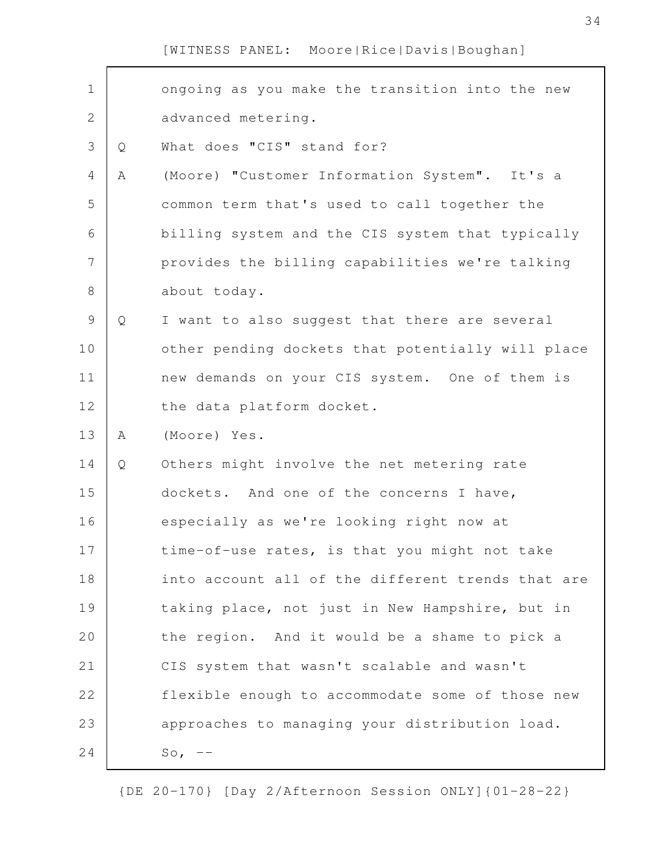| $\mathbf 1$    |   | ongoing as you make the transition into the new   |
|----------------|---|---------------------------------------------------|
| $\mathbf{2}$   |   | advanced metering.                                |
| $\mathcal{S}$  | Q | What does "CIS" stand for?                        |
| $\overline{4}$ | Α | (Moore) "Customer Information System". It's a     |
| 5              |   | common term that's used to call together the      |
| 6              |   | billing system and the CIS system that typically  |
| $\overline{7}$ |   | provides the billing capabilities we're talking   |
| 8              |   | about today.                                      |
| $\mathsf 9$    | Q | I want to also suggest that there are several     |
| 10             |   | other pending dockets that potentially will place |
| 11             |   | new demands on your CIS system. One of them is    |
| 12             |   | the data platform docket.                         |
| 13             | Α | (Moore) Yes.                                      |
| 14             | Q | Others might involve the net metering rate        |
| 15             |   | dockets. And one of the concerns I have,          |
| 16             |   | especially as we're looking right now at          |
| 17             |   | time-of-use rates, is that you might not take     |
| 18             |   | into account all of the different trends that are |
| 19             |   | taking place, not just in New Hampshire, but in   |
| 20             |   | the region. And it would be a shame to pick a     |
| 21             |   | CIS system that wasn't scalable and wasn't        |
| 22             |   | flexible enough to accommodate some of those new  |
| 23             |   | approaches to managing your distribution load.    |
| 24             |   | $So, --$                                          |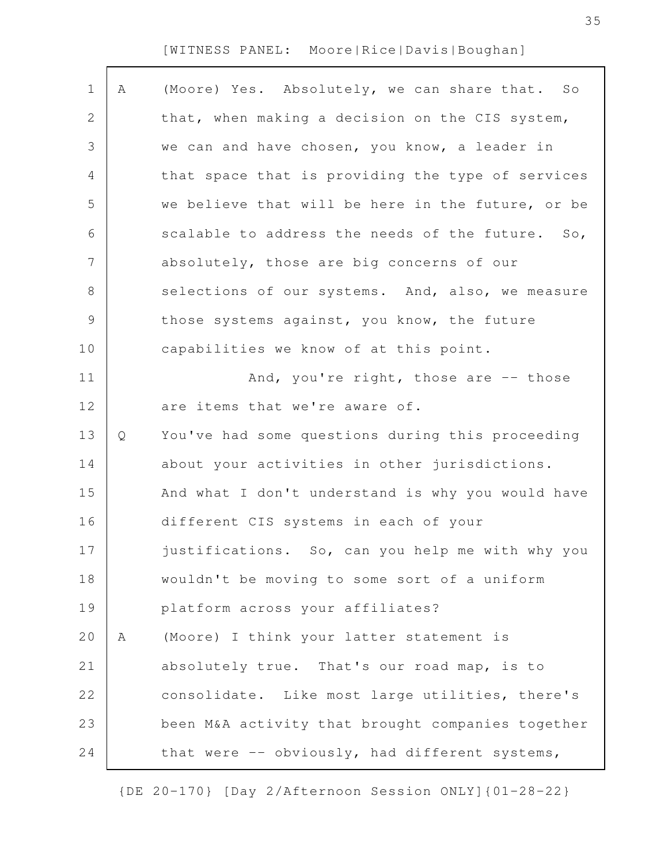| $\mathbf 1$   | Α | (Moore) Yes. Absolutely, we can share that. So              |
|---------------|---|-------------------------------------------------------------|
| 2             |   | that, when making a decision on the CIS system,             |
| 3             |   | we can and have chosen, you know, a leader in               |
| 4             |   | that space that is providing the type of services           |
| 5             |   | we believe that will be here in the future, or be           |
| 6             |   | scalable to address the needs of the future.<br>$S \circ$ , |
| 7             |   | absolutely, those are big concerns of our                   |
| $\,8\,$       |   | selections of our systems. And, also, we measure            |
| $\mathcal{G}$ |   | those systems against, you know, the future                 |
| 10            |   | capabilities we know of at this point.                      |
| 11            |   | And, you're right, those are -- those                       |
| 12            |   | are items that we're aware of.                              |
| 13            | Q | You've had some questions during this proceeding            |
| 14            |   | about your activities in other jurisdictions.               |
| 15            |   | And what I don't understand is why you would have           |
| 16            |   | different CIS systems in each of your                       |
| 17            |   | justifications. So, can you help me with why you            |
| 18            |   | wouldn't be moving to some sort of a uniform                |
| 19            |   | platform across your affiliates?                            |
| 20            | Α | (Moore) I think your latter statement is                    |
| 21            |   | absolutely true. That's our road map, is to                 |
| 22            |   | consolidate. Like most large utilities, there's             |
| 23            |   | been M&A activity that brought companies together           |
| 24            |   | that were -- obviously, had different systems,              |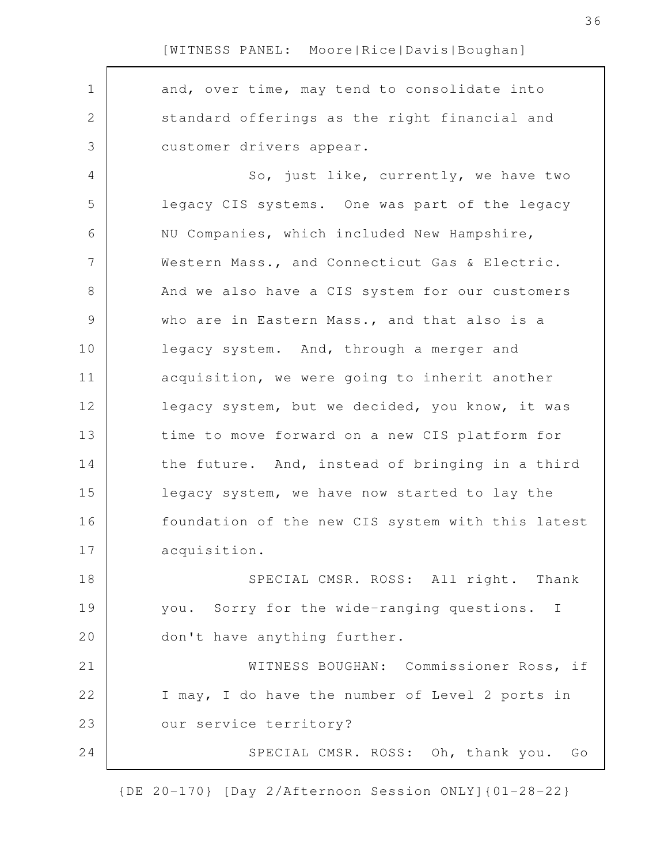and, over time, may tend to consolidate into standard offerings as the right financial and customer drivers appear. So, just like, currently, we have two legacy CIS systems. One was part of the legacy NU Companies, which included New Hampshire, Western Mass., and Connecticut Gas & Electric. And we also have a CIS system for our customers who are in Eastern Mass., and that also is a legacy system. And, through a merger and acquisition, we were going to inherit another legacy system, but we decided, you know, it was time to move forward on a new CIS platform for the future. And, instead of bringing in a third legacy system, we have now started to lay the foundation of the new CIS system with this latest acquisition. SPECIAL CMSR. ROSS: All right. Thank you. Sorry for the wide-ranging questions. I don't have anything further. WITNESS BOUGHAN: Commissioner Ross, if I may, I do have the number of Level 2 ports in our service territory? SPECIAL CMSR. ROSS: Oh, thank you. Go 1 2 3 4 5 6 7 8 9 10 11 12 13 14 15 16 17 18 19 20 21 22 23 24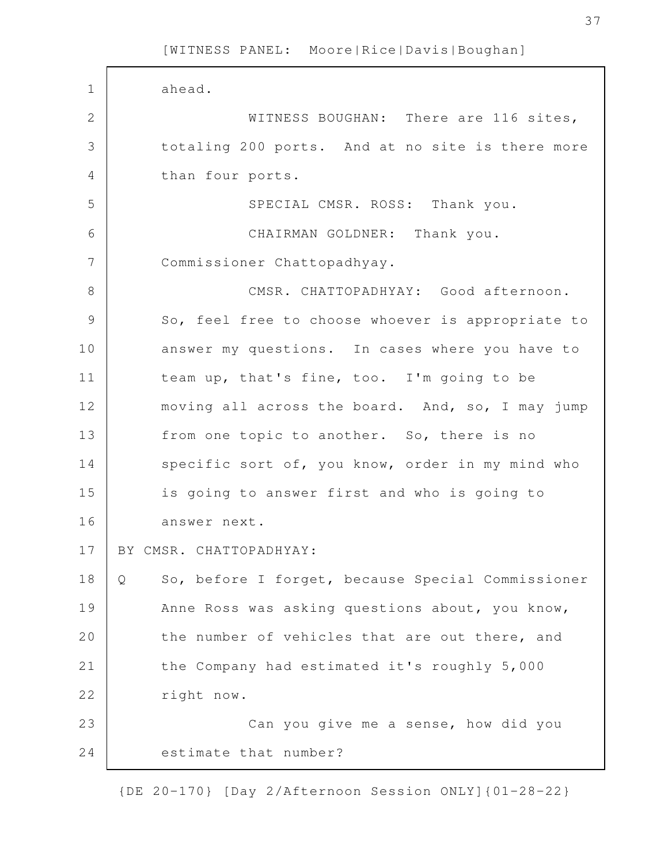ahead. WITNESS BOUGHAN: There are 116 sites, totaling 200 ports. And at no site is there more than four ports. SPECIAL CMSR. ROSS: Thank you. CHAIRMAN GOLDNER: Thank you. Commissioner Chattopadhyay. CMSR. CHATTOPADHYAY: Good afternoon. So, feel free to choose whoever is appropriate to answer my questions. In cases where you have to team up, that's fine, too. I'm going to be moving all across the board. And, so, I may jump from one topic to another. So, there is no specific sort of, you know, order in my mind who is going to answer first and who is going to answer next. BY CMSR. CHATTOPADHYAY: Q So, before I forget, because Special Commissioner Anne Ross was asking questions about, you know, the number of vehicles that are out there, and the Company had estimated it's roughly 5,000 right now. Can you give me a sense, how did you estimate that number? 1 2 3 4 5 6 7 8 9 10 11 12 13 14 15 16 17 18 19 20 21 22 23 24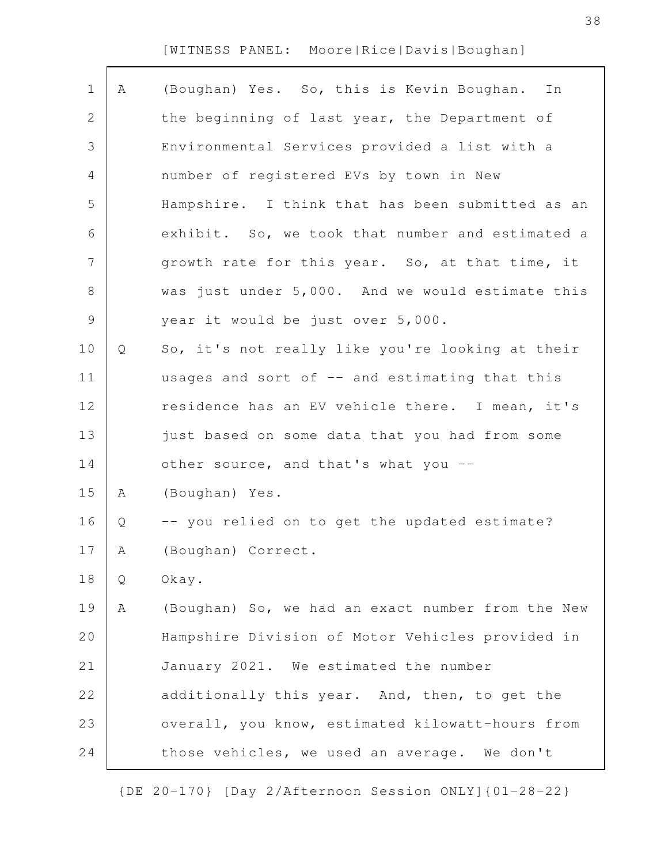| $\mathbf 1$    | Α | (Boughan) Yes. So, this is Kevin Boughan.<br>In   |
|----------------|---|---------------------------------------------------|
| $\mathbf{2}$   |   | the beginning of last year, the Department of     |
| $\mathfrak{Z}$ |   | Environmental Services provided a list with a     |
| 4              |   | number of registered EVs by town in New           |
| 5              |   | Hampshire. I think that has been submitted as an  |
| 6              |   | exhibit. So, we took that number and estimated a  |
| $\overline{7}$ |   | growth rate for this year. So, at that time, it   |
| $8\,$          |   | was just under 5,000. And we would estimate this  |
| $\mathsf 9$    |   | year it would be just over 5,000.                 |
| 10             | Q | So, it's not really like you're looking at their  |
| 11             |   | usages and sort of -- and estimating that this    |
| 12             |   | residence has an EV vehicle there. I mean, it's   |
| 13             |   | just based on some data that you had from some    |
| 14             |   | other source, and that's what you --              |
| 15             | A | (Boughan) Yes.                                    |
| 16             | Q | -- you relied on to get the updated estimate?     |
| 17             | А | (Boughan) Correct.                                |
| 18             | Q | Okay.                                             |
| 19             | Α | (Boughan) So, we had an exact number from the New |
| 20             |   | Hampshire Division of Motor Vehicles provided in  |
| 21             |   | January 2021. We estimated the number             |
| 22             |   | additionally this year. And, then, to get the     |
| 23             |   | overall, you know, estimated kilowatt-hours from  |
| 24             |   | those vehicles, we used an average. We don't      |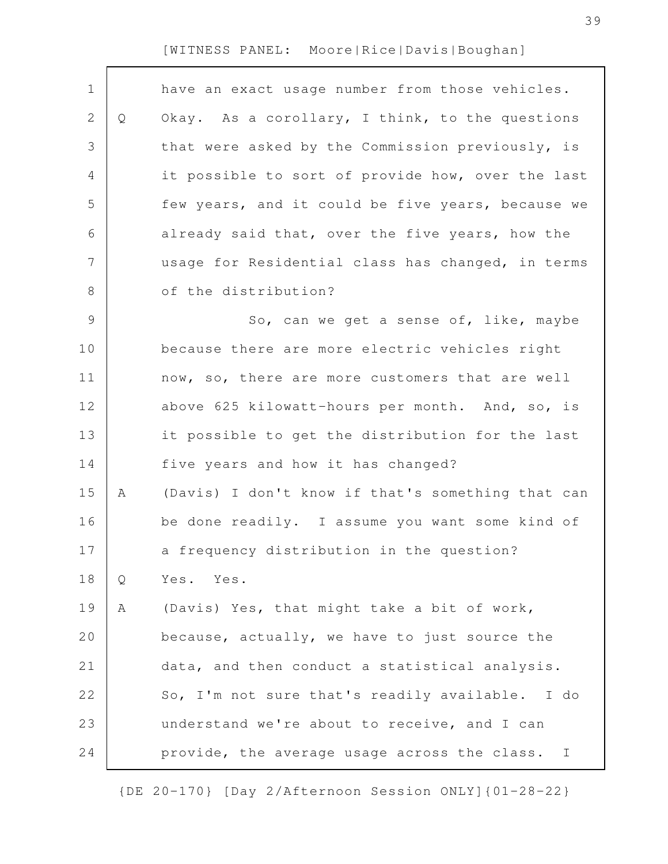| $\mathbf 1$    |   | have an exact usage number from those vehicles.              |
|----------------|---|--------------------------------------------------------------|
| $\mathbf{2}$   | Q | Okay. As a corollary, I think, to the questions              |
|                |   |                                                              |
| 3              |   | that were asked by the Commission previously, is             |
| 4              |   | it possible to sort of provide how, over the last            |
| 5              |   | few years, and it could be five years, because we            |
| 6              |   | already said that, over the five years, how the              |
| $\overline{7}$ |   | usage for Residential class has changed, in terms            |
| 8              |   | of the distribution?                                         |
| $\overline{9}$ |   | So, can we get a sense of, like, maybe                       |
| 10             |   | because there are more electric vehicles right               |
| 11             |   | now, so, there are more customers that are well              |
| 12             |   | above 625 kilowatt-hours per month. And, so, is              |
| 13             |   | it possible to get the distribution for the last             |
| 14             |   | five years and how it has changed?                           |
| 15             | Α | (Davis) I don't know if that's something that can            |
| 16             |   | be done readily. I assume you want some kind of              |
| 17             |   | a frequency distribution in the question?                    |
| 18             | Q | Yes. Yes.                                                    |
| 19             | Α | (Davis) Yes, that might take a bit of work,                  |
| 20             |   | because, actually, we have to just source the                |
| 21             |   | data, and then conduct a statistical analysis.               |
| 22             |   | So, I'm not sure that's readily available. I do              |
| 23             |   | understand we're about to receive, and I can                 |
| 24             |   | provide, the average usage across the class.<br>$\mathbb{I}$ |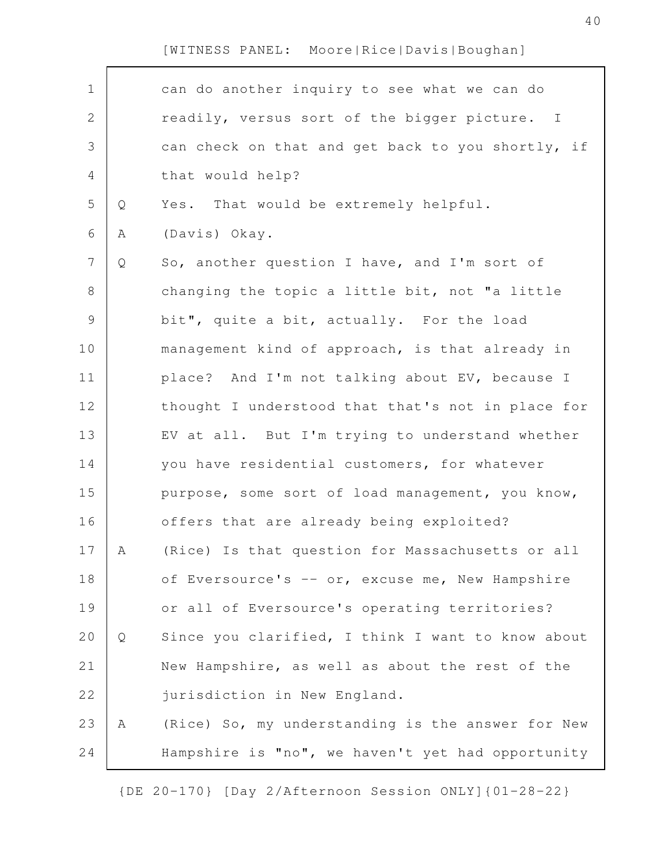| $\mathbf 1$    |   | can do another inquiry to see what we can do      |
|----------------|---|---------------------------------------------------|
| $\mathbf{2}$   |   | readily, versus sort of the bigger picture. I     |
| $\mathfrak{Z}$ |   | can check on that and get back to you shortly, if |
| 4              |   | that would help?                                  |
| 5              | Q | Yes. That would be extremely helpful.             |
| 6              | Α | (Davis) Okay.                                     |
| $\overline{7}$ | Q | So, another question I have, and I'm sort of      |
| $8\,$          |   | changing the topic a little bit, not "a little    |
| $\mathcal{G}$  |   | bit", quite a bit, actually. For the load         |
| 10             |   | management kind of approach, is that already in   |
| 11             |   | place? And I'm not talking about EV, because I    |
| 12             |   | thought I understood that that's not in place for |
| 13             |   | EV at all. But I'm trying to understand whether   |
| 14             |   | you have residential customers, for whatever      |
| 15             |   | purpose, some sort of load management, you know,  |
| 16             |   | offers that are already being exploited?          |
| 17             | A | (Rice) Is that question for Massachusetts or all  |
| 18             |   | of Eversource's -- or, excuse me, New Hampshire   |
| 19             |   | or all of Eversource's operating territories?     |
| 20             | Q | Since you clarified, I think I want to know about |
| 21             |   | New Hampshire, as well as about the rest of the   |
| 22             |   | jurisdiction in New England.                      |
| 23             | Α | (Rice) So, my understanding is the answer for New |
| 24             |   | Hampshire is "no", we haven't yet had opportunity |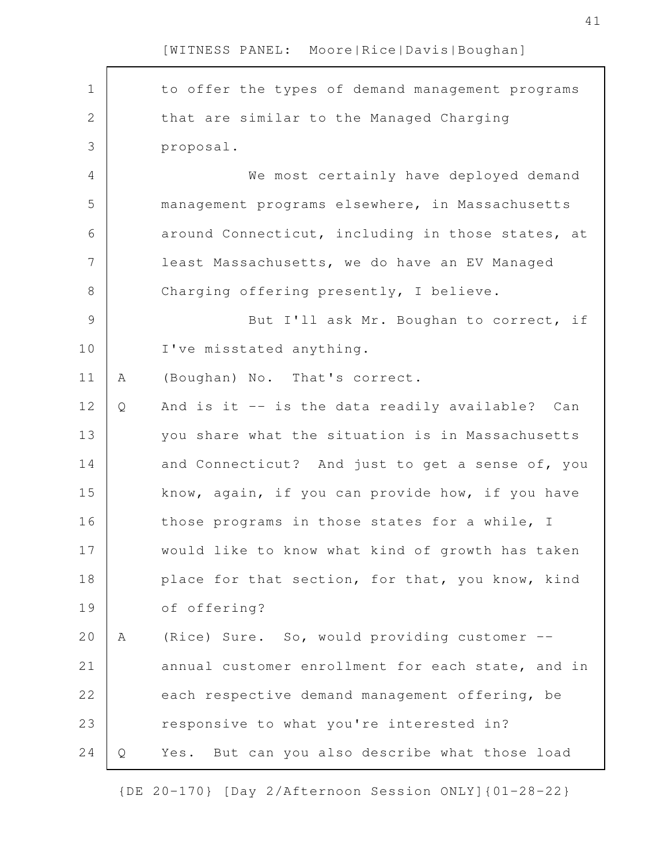to offer the types of demand management programs that are similar to the Managed Charging proposal. We most certainly have deployed demand management programs elsewhere, in Massachusetts around Connecticut, including in those states, at least Massachusetts, we do have an EV Managed Charging offering presently, I believe. But I'll ask Mr. Boughan to correct, if I've misstated anything. A (Boughan) No. That's correct. Q And is it -- is the data readily available? Can you share what the situation is in Massachusetts and Connecticut? And just to get a sense of, you know, again, if you can provide how, if you have those programs in those states for a while, I would like to know what kind of growth has taken place for that section, for that, you know, kind of offering? A (Rice) Sure. So, would providing customer - annual customer enrollment for each state, and in each respective demand management offering, be responsive to what you're interested in? Q Yes. But can you also describe what those load 1 2 3 4 5 6 7 8 9 10 11 12 13 14 15 16 17 18 19 20 21 22 23 24

[WITNESS PANEL: Moore|Rice|Davis|Boughan]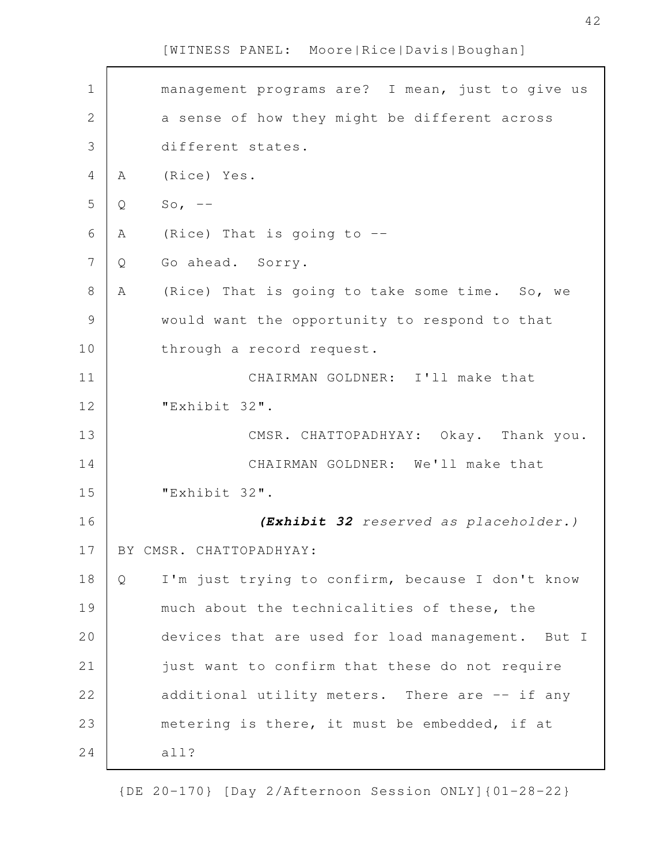| $\mathbf 1$   |   | management programs are? I mean, just to give us |
|---------------|---|--------------------------------------------------|
| $\mathbf{2}$  |   | a sense of how they might be different across    |
| 3             |   | different states.                                |
| 4             | A | (Rice) Yes.                                      |
| 5             | Q | So, $--$                                         |
| 6             | Α | (Rice) That is going to $-$ -                    |
| 7             | Q | Go ahead. Sorry.                                 |
| 8             | A | (Rice) That is going to take some time. So, we   |
| $\mathcal{G}$ |   | would want the opportunity to respond to that    |
| 10            |   | through a record request.                        |
| 11            |   | CHAIRMAN GOLDNER: I'll make that                 |
| 12            |   | "Exhibit 32".                                    |
| 13            |   | CMSR. CHATTOPADHYAY: Okay. Thank you.            |
|               |   |                                                  |
| 14            |   | CHAIRMAN GOLDNER: We'll make that                |
| 15            |   | "Exhibit 32".                                    |
| 16            |   | (Exhibit 32 reserved as placeholder.)            |
| 17            |   | BY CMSR. CHATTOPADHYAY:                          |
| 18            | Q | I'm just trying to confirm, because I don't know |
| 19            |   | much about the technicalities of these, the      |
| 20            |   | devices that are used for load management. But I |
| 21            |   | just want to confirm that these do not require   |
| 22            |   | additional utility meters. There are -- if any   |
| 23            |   | metering is there, it must be embedded, if at    |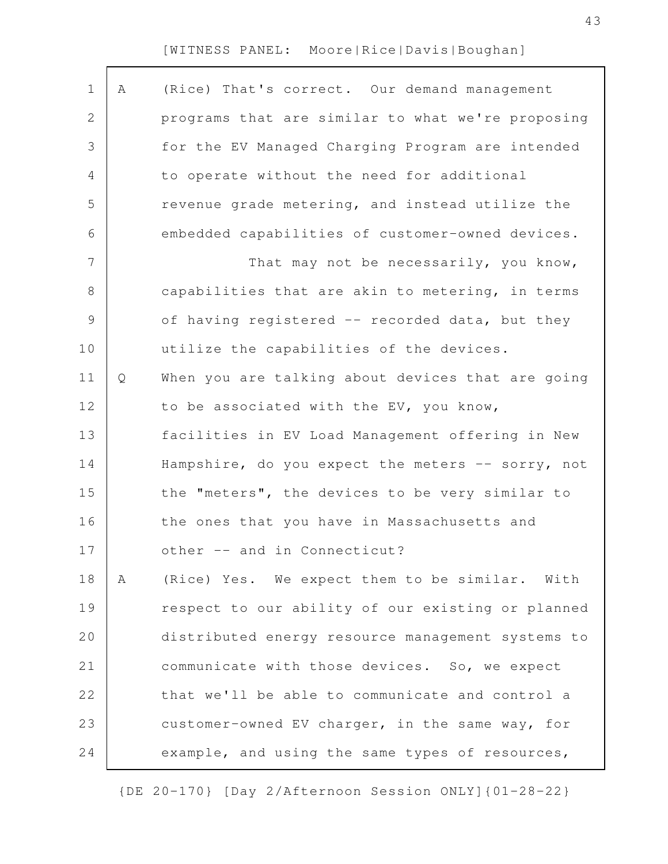| $\mathbf 1$ | A | (Rice) That's correct. Our demand management      |
|-------------|---|---------------------------------------------------|
| 2           |   | programs that are similar to what we're proposing |
| 3           |   | for the EV Managed Charging Program are intended  |
| 4           |   | to operate without the need for additional        |
| 5           |   | revenue grade metering, and instead utilize the   |
| 6           |   | embedded capabilities of customer-owned devices.  |
| 7           |   | That may not be necessarily, you know,            |
| 8           |   | capabilities that are akin to metering, in terms  |
| 9           |   | of having registered -- recorded data, but they   |
| 10          |   | utilize the capabilities of the devices.          |
| 11          | Q | When you are talking about devices that are going |
| 12          |   | to be associated with the EV, you know,           |
| 13          |   | facilities in EV Load Management offering in New  |
| 14          |   | Hampshire, do you expect the meters -- sorry, not |
| 15          |   | the "meters", the devices to be very similar to   |
| 16          |   | the ones that you have in Massachusetts and       |
| 17          |   | other -- and in Connecticut?                      |
| 18          | A | (Rice) Yes. We expect them to be similar. With    |
| 19          |   | respect to our ability of our existing or planned |
| 20          |   | distributed energy resource management systems to |
| 21          |   | communicate with those devices. So, we expect     |
| 22          |   | that we'll be able to communicate and control a   |
| 23          |   | customer-owned EV charger, in the same way, for   |
| 24          |   | example, and using the same types of resources,   |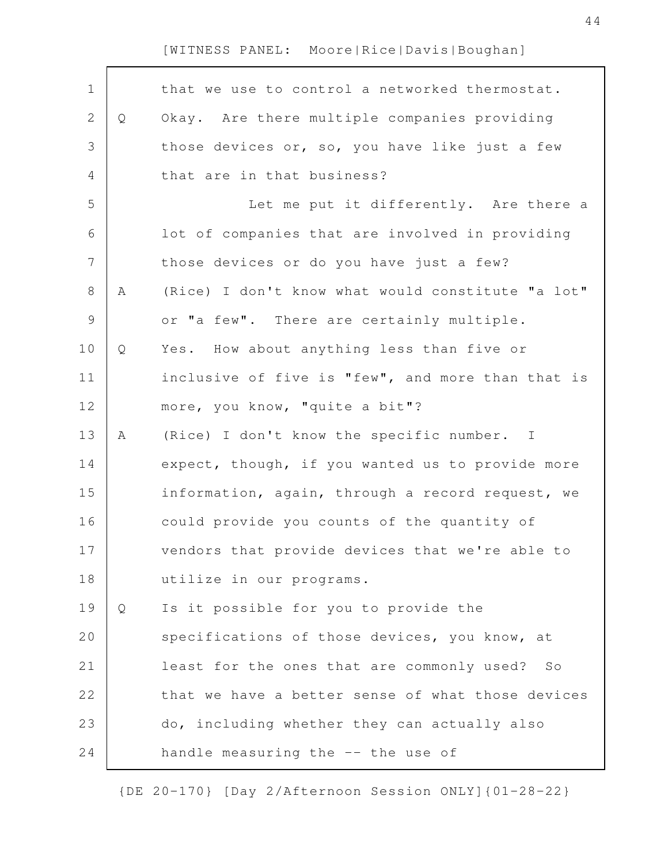| $\mathbf 1$    |              | that we use to control a networked thermostat.    |
|----------------|--------------|---------------------------------------------------|
| $\mathbf{2}$   | $\mathsf{Q}$ | Okay. Are there multiple companies providing      |
| 3              |              | those devices or, so, you have like just a few    |
| 4              |              | that are in that business?                        |
| 5              |              | Let me put it differently. Are there a            |
| 6              |              | lot of companies that are involved in providing   |
| $\overline{7}$ |              | those devices or do you have just a few?          |
| 8              | Α            | (Rice) I don't know what would constitute "a lot" |
| 9              |              | or "a few". There are certainly multiple.         |
| 10             | Q            | Yes. How about anything less than five or         |
| 11             |              | inclusive of five is "few", and more than that is |
| 12             |              | more, you know, "quite a bit"?                    |
| 13             | Α            | (Rice) I don't know the specific number. I        |
| 14             |              | expect, though, if you wanted us to provide more  |
| 15             |              | information, again, through a record request, we  |
| 16             |              | could provide you counts of the quantity of       |
| 17             |              | vendors that provide devices that we're able to   |
| 18             |              | utilize in our programs.                          |
| 19             | Q            | Is it possible for you to provide the             |
| 20             |              | specifications of those devices, you know, at     |
| 21             |              | least for the ones that are commonly used? So     |
| 22             |              | that we have a better sense of what those devices |
| 23             |              | do, including whether they can actually also      |
| 24             |              | handle measuring the -- the use of                |
|                |              |                                                   |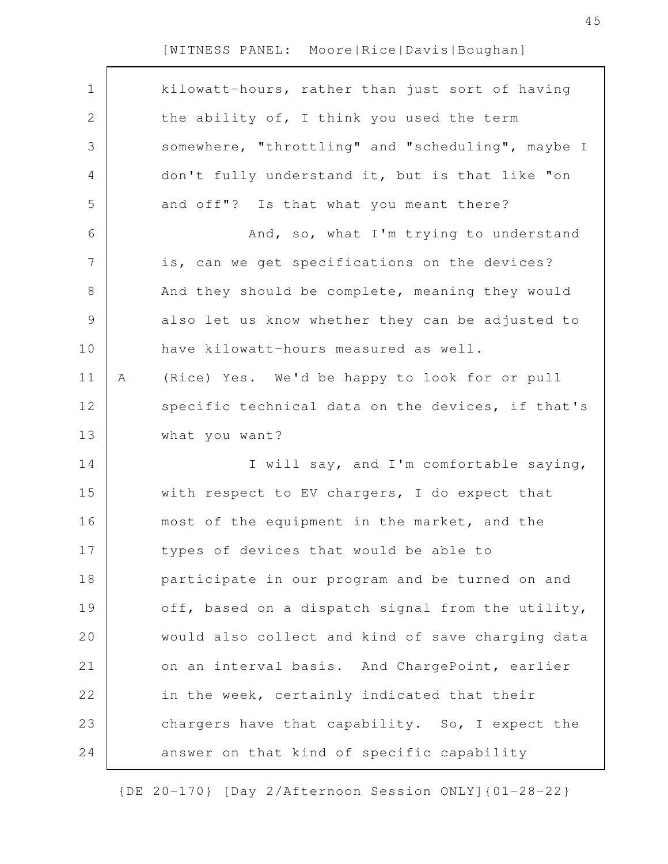| $\mathbf 1$ |   | kilowatt-hours, rather than just sort of having   |
|-------------|---|---------------------------------------------------|
| 2           |   | the ability of, I think you used the term         |
| 3           |   | somewhere, "throttling" and "scheduling", maybe I |
| 4           |   | don't fully understand it, but is that like "on   |
| 5           |   | and off"? Is that what you meant there?           |
| 6           |   | And, so, what I'm trying to understand            |
| 7           |   | is, can we get specifications on the devices?     |
| $\,8\,$     |   | And they should be complete, meaning they would   |
| $\mathsf 9$ |   | also let us know whether they can be adjusted to  |
| 10          |   | have kilowatt-hours measured as well.             |
| 11          | Α | (Rice) Yes. We'd be happy to look for or pull     |
| 12          |   | specific technical data on the devices, if that's |
| 13          |   | what you want?                                    |
| 14          |   | I will say, and I'm comfortable saying,           |
| 15          |   | with respect to EV chargers, I do expect that     |
| 16          |   | most of the equipment in the market, and the      |
| 17          |   | types of devices that would be able to            |
| 18          |   | participate in our program and be turned on and   |
| 19          |   | off, based on a dispatch signal from the utility, |
| 20          |   | would also collect and kind of save charging data |
| 21          |   | on an interval basis. And ChargePoint, earlier    |
| 22          |   | in the week, certainly indicated that their       |
| 23          |   | chargers have that capability. So, I expect the   |
| 24          |   | answer on that kind of specific capability        |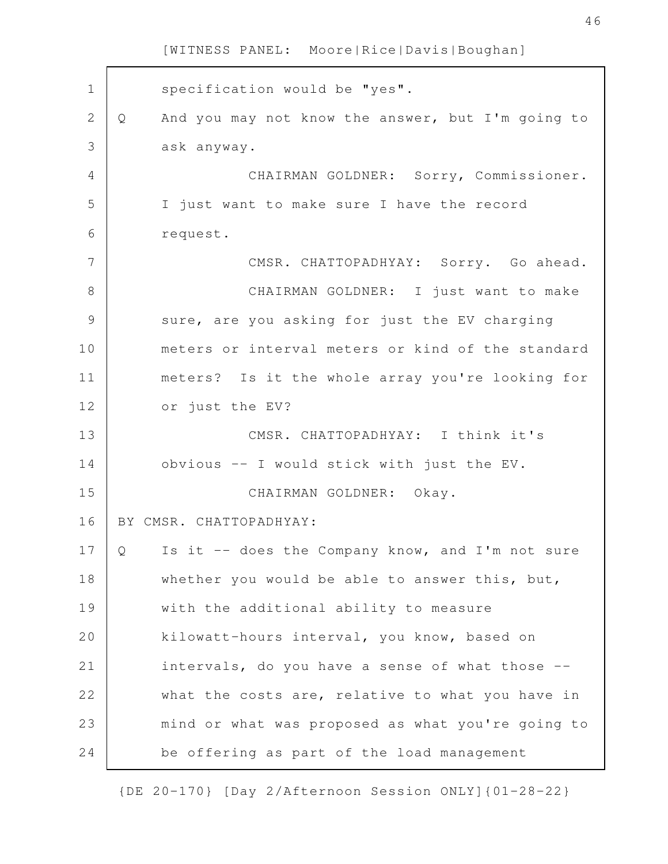specification would be "yes". Q And you may not know the answer, but I'm going to ask anyway. CHAIRMAN GOLDNER: Sorry, Commissioner. I just want to make sure I have the record request. CMSR. CHATTOPADHYAY: Sorry. Go ahead. CHAIRMAN GOLDNER: I just want to make sure, are you asking for just the EV charging meters or interval meters or kind of the standard meters? Is it the whole array you're looking for or just the EV? CMSR. CHATTOPADHYAY: I think it's obvious -- I would stick with just the EV. CHAIRMAN GOLDNER: Okay. BY CMSR. CHATTOPADHYAY: Q Is it -- does the Company know, and I'm not sure whether you would be able to answer this, but, with the additional ability to measure kilowatt-hours interval, you know, based on intervals, do you have a sense of what those - what the costs are, relative to what you have in mind or what was proposed as what you're going to be offering as part of the load management 1 2 3 4 5 6 7 8 9 10 11 12 13 14 15 16 17 18 19 20 21 22 23 24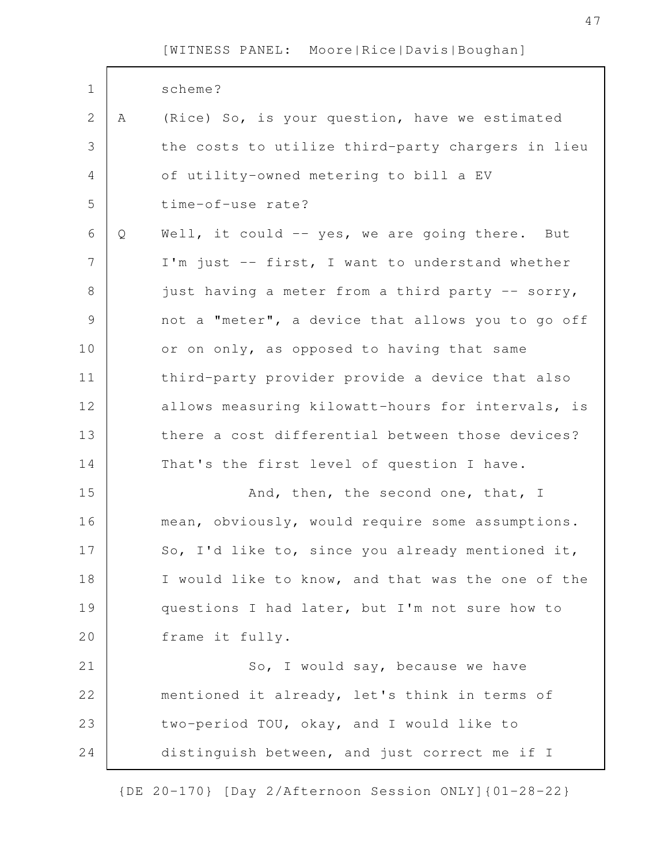| $\mathbf 1$    |   | scheme?                                           |
|----------------|---|---------------------------------------------------|
| 2              | Α | (Rice) So, is your question, have we estimated    |
| 3              |   | the costs to utilize third-party chargers in lieu |
| 4              |   | of utility-owned metering to bill a EV            |
| 5              |   | time-of-use rate?                                 |
| 6              | Q | Well, it could -- yes, we are going there. But    |
| $\overline{7}$ |   | I'm just -- first, I want to understand whether   |
| $\,8\,$        |   | just having a meter from a third party -- sorry,  |
| $\mathcal{G}$  |   | not a "meter", a device that allows you to go off |
| 10             |   | or on only, as opposed to having that same        |
| 11             |   | third-party provider provide a device that also   |
| 12             |   | allows measuring kilowatt-hours for intervals, is |
| 13             |   | there a cost differential between those devices?  |
| 14             |   | That's the first level of question I have.        |
| 15             |   | And, then, the second one, that, I                |
| 16             |   | mean, obviously, would require some assumptions.  |
| 17             |   | So, I'd like to, since you already mentioned it,  |
| 18             |   | I would like to know, and that was the one of the |
| 19             |   | questions I had later, but I'm not sure how to    |
| 20             |   | frame it fully.                                   |
| 21             |   | So, I would say, because we have                  |
| 22             |   | mentioned it already, let's think in terms of     |
| 23             |   | two-period TOU, okay, and I would like to         |
| 24             |   | distinguish between, and just correct me if I     |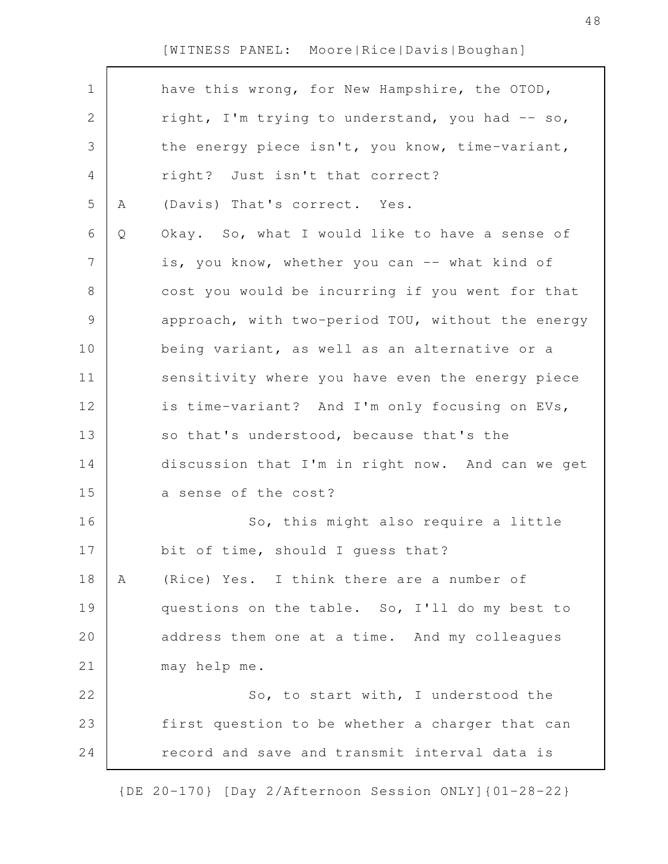| $\mathbf 1$    |   | have this wrong, for New Hampshire, the OTOD,     |
|----------------|---|---------------------------------------------------|
| $\mathbf{2}$   |   | right, I'm trying to understand, you had -- so,   |
| $\mathfrak{Z}$ |   | the energy piece isn't, you know, time-variant,   |
| 4              |   | right? Just isn't that correct?                   |
| 5              | Α | (Davis) That's correct. Yes.                      |
| 6              | Q | Okay. So, what I would like to have a sense of    |
| $\overline{7}$ |   | is, you know, whether you can -- what kind of     |
| $8\,$          |   | cost you would be incurring if you went for that  |
| $\mathcal{G}$  |   | approach, with two-period TOU, without the energy |
| 10             |   | being variant, as well as an alternative or a     |
| 11             |   | sensitivity where you have even the energy piece  |
| 12             |   | is time-variant? And I'm only focusing on EVs,    |
| 13             |   | so that's understood, because that's the          |
| 14             |   | discussion that I'm in right now. And can we get  |
| 15             |   | a sense of the cost?                              |
| 16             |   | So, this might also require a little              |
| 17             |   | bit of time, should I guess that?                 |
| 18             | Α | (Rice) Yes. I think there are a number of         |
| 19             |   | questions on the table. So, I'll do my best to    |
| 20             |   | address them one at a time. And my colleagues     |
| 21             |   | may help me.                                      |
| 22             |   | So, to start with, I understood the               |
| 23             |   | first question to be whether a charger that can   |
| 24             |   | record and save and transmit interval data is     |
|                |   |                                                   |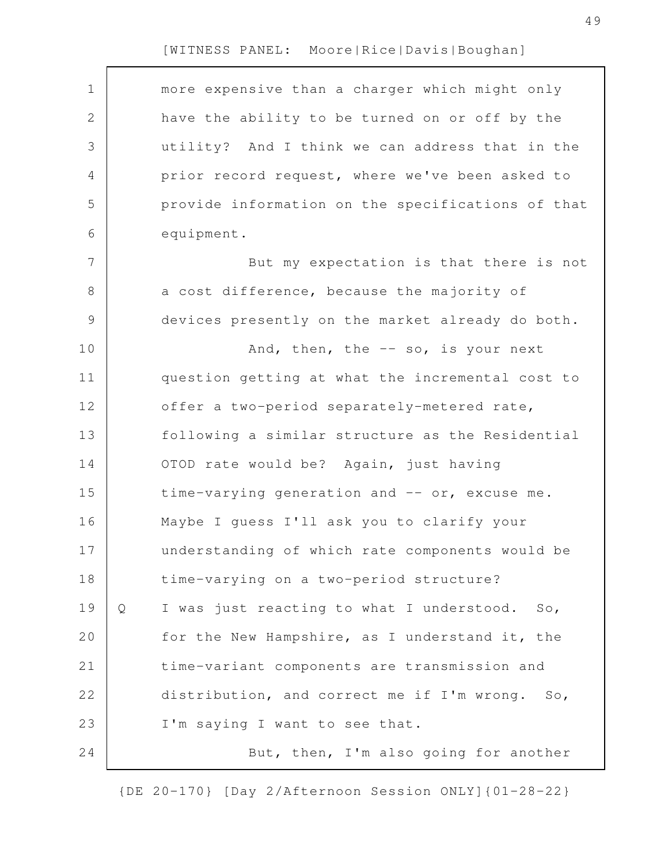| $\mathbf 1$ |   | more expensive than a charger which might only    |
|-------------|---|---------------------------------------------------|
| 2           |   | have the ability to be turned on or off by the    |
| 3           |   | utility? And I think we can address that in the   |
| 4           |   | prior record request, where we've been asked to   |
|             |   |                                                   |
| 5           |   | provide information on the specifications of that |
| 6           |   | equipment.                                        |
| 7           |   | But my expectation is that there is not           |
| 8           |   | a cost difference, because the majority of        |
| $\mathsf 9$ |   | devices presently on the market already do both.  |
| 10          |   | And, then, the -- so, is your next                |
| 11          |   | question getting at what the incremental cost to  |
| 12          |   | offer a two-period separately-metered rate,       |
| 13          |   | following a similar structure as the Residential  |
| 14          |   | OTOD rate would be? Again, just having            |
| 15          |   | time-varying generation and -- or, excuse me.     |
| 16          |   | Maybe I guess I'll ask you to clarify your        |
| 17          |   | understanding of which rate components would be   |
| 18          |   | time-varying on a two-period structure?           |
| 19          | Q | I was just reacting to what I understood. So,     |
| 20          |   | for the New Hampshire, as I understand it, the    |
| 21          |   | time-variant components are transmission and      |
| 22          |   | distribution, and correct me if I'm wrong. So,    |
| 23          |   | I'm saying I want to see that.                    |
| 24          |   | But, then, I'm also going for another             |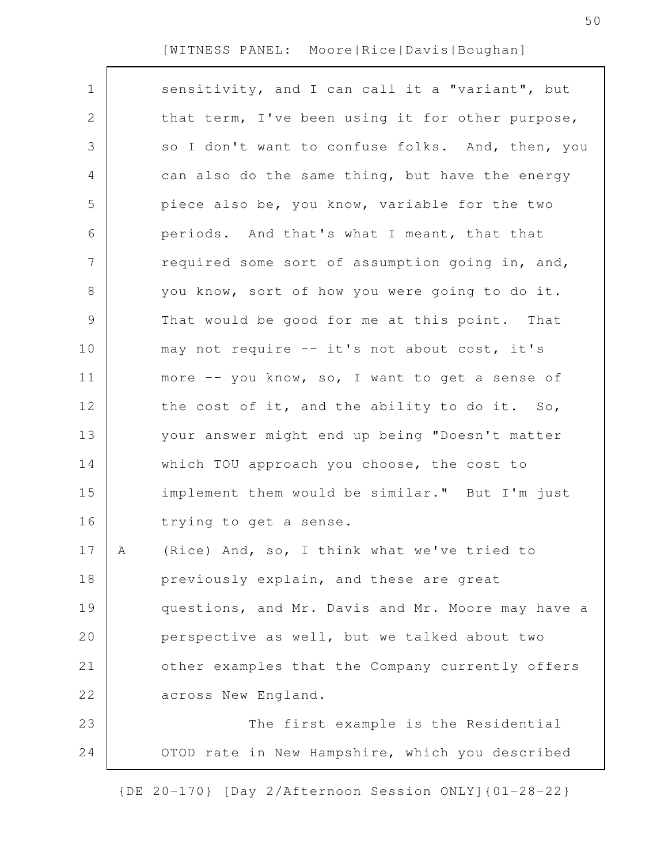| $\mathbf 1$ |   | sensitivity, and I can call it a "variant", but   |
|-------------|---|---------------------------------------------------|
| 2           |   | that term, I've been using it for other purpose,  |
|             |   |                                                   |
| 3           |   | so I don't want to confuse folks. And, then, you  |
| 4           |   | can also do the same thing, but have the energy   |
| 5           |   | piece also be, you know, variable for the two     |
| 6           |   | periods. And that's what I meant, that that       |
| 7           |   | required some sort of assumption going in, and,   |
| 8           |   | you know, sort of how you were going to do it.    |
| 9           |   | That would be good for me at this point. That     |
| 10          |   | may not require -- it's not about cost, it's      |
| 11          |   | more -- you know, so, I want to get a sense of    |
| 12          |   | the cost of it, and the ability to do it. So,     |
| 13          |   | your answer might end up being "Doesn't matter    |
| 14          |   | which TOU approach you choose, the cost to        |
| 15          |   | implement them would be similar." But I'm just    |
| 16          |   | trying to get a sense.                            |
| 17          | A | (Rice) And, so, I think what we've tried to       |
| 18          |   | previously explain, and these are great           |
| 19          |   | questions, and Mr. Davis and Mr. Moore may have a |
| 20          |   | perspective as well, but we talked about two      |
| 21          |   | other examples that the Company currently offers  |
| 22          |   | across New England.                               |
| 23          |   | The first example is the Residential              |
| 24          |   | OTOD rate in New Hampshire, which you described   |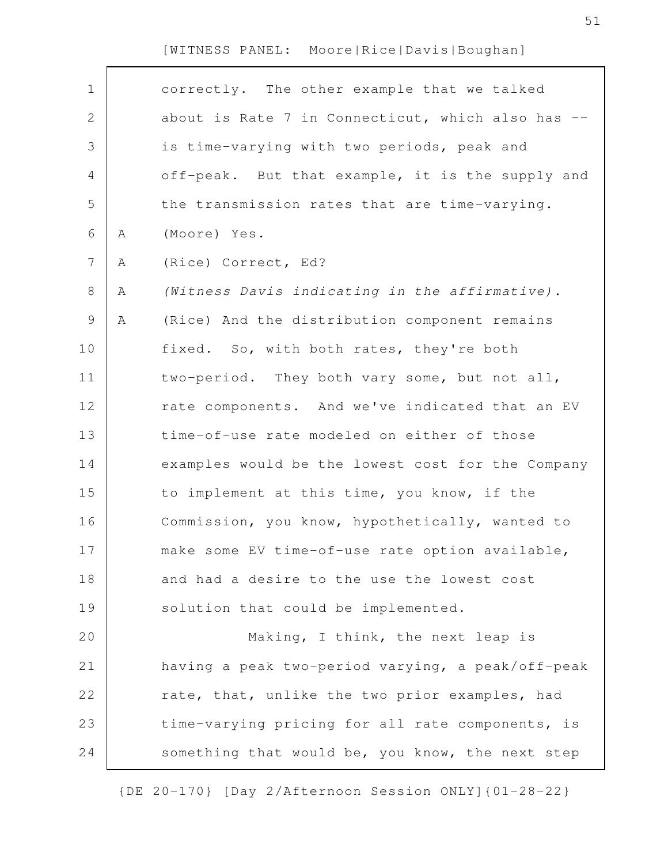| $\mathbf 1$    |   | correctly. The other example that we talked       |
|----------------|---|---------------------------------------------------|
| $\mathbf{2}$   |   | about is Rate 7 in Connecticut, which also has -- |
| 3              |   | is time-varying with two periods, peak and        |
| 4              |   | off-peak. But that example, it is the supply and  |
| 5              |   | the transmission rates that are time-varying.     |
| 6              | A | (Moore) Yes.                                      |
| $7\phantom{.}$ | Α | (Rice) Correct, Ed?                               |
| 8              | Α | (Witness Davis indicating in the affirmative).    |
| $\mathsf 9$    | A | (Rice) And the distribution component remains     |
| 10             |   | fixed. So, with both rates, they're both          |
| 11             |   | two-period. They both vary some, but not all,     |
| 12             |   | rate components. And we've indicated that an EV   |
| 13             |   | time-of-use rate modeled on either of those       |
| 14             |   | examples would be the lowest cost for the Company |
| 15             |   | to implement at this time, you know, if the       |
| 16             |   | Commission, you know, hypothetically, wanted to   |
| 17             |   | make some EV time-of-use rate option available,   |
| 18             |   | and had a desire to the use the lowest cost       |
| 19             |   | solution that could be implemented.               |
| 20             |   | Making, I think, the next leap is                 |
| 21             |   | having a peak two-period varying, a peak/off-peak |
| 22             |   | rate, that, unlike the two prior examples, had    |
| 23             |   | time-varying pricing for all rate components, is  |
| 24             |   | something that would be, you know, the next step  |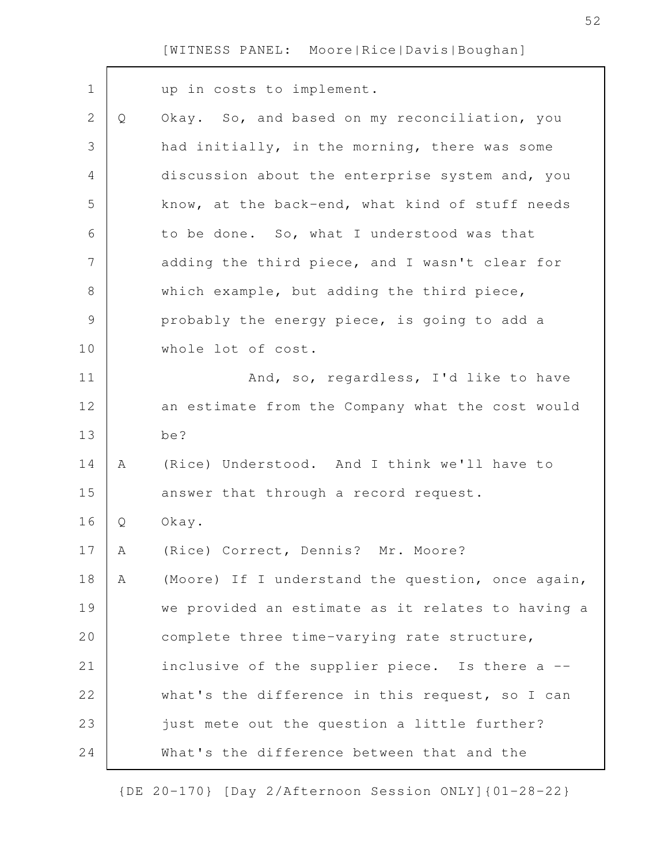| $\mathbf 1$    |   | up in costs to implement.                         |
|----------------|---|---------------------------------------------------|
| $\mathbf 2$    | Q | Okay. So, and based on my reconciliation, you     |
| 3              |   | had initially, in the morning, there was some     |
| $\overline{4}$ |   | discussion about the enterprise system and, you   |
| 5              |   | know, at the back-end, what kind of stuff needs   |
| 6              |   | to be done. So, what I understood was that        |
| 7              |   | adding the third piece, and I wasn't clear for    |
| $\,8\,$        |   | which example, but adding the third piece,        |
| $\mathcal{G}$  |   | probably the energy piece, is going to add a      |
| 10             |   | whole lot of cost.                                |
| 11             |   | And, so, regardless, I'd like to have             |
| 12             |   | an estimate from the Company what the cost would  |
| 13             |   | be?                                               |
| 14             | A | (Rice) Understood. And I think we'll have to      |
| 15             |   | answer that through a record request.             |
| 16             | Q | Okay.                                             |
| 17             | Α | (Rice) Correct, Dennis? Mr. Moore?                |
| 18             | Α | (Moore) If I understand the question, once again, |
| 19             |   | we provided an estimate as it relates to having a |
| 20             |   | complete three time-varying rate structure,       |
| 21             |   | inclusive of the supplier piece. Is there a --    |
| 22             |   | what's the difference in this request, so I can   |
| 23             |   | just mete out the question a little further?      |
| 24             |   | What's the difference between that and the        |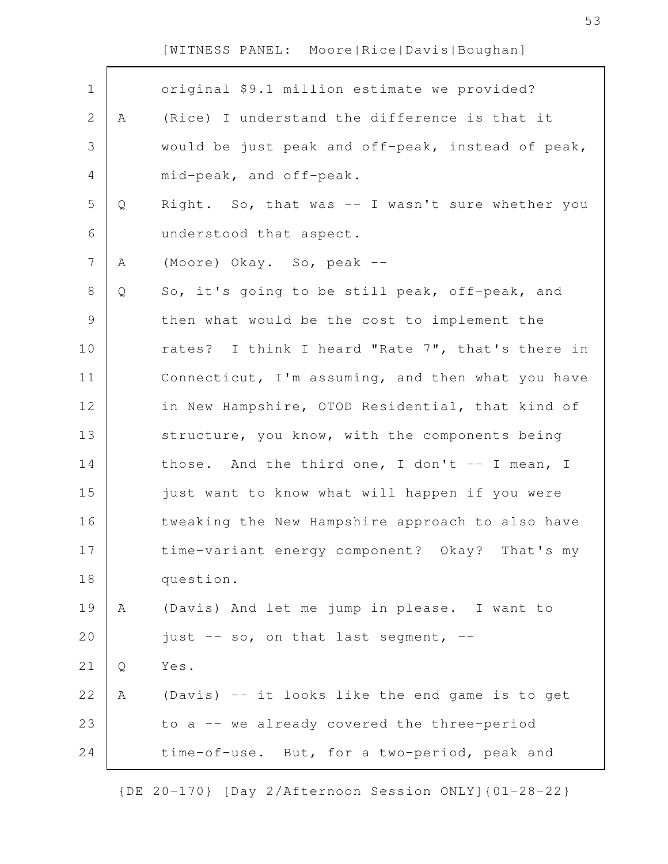| $\mathbf 1$    |   | original \$9.1 million estimate we provided?      |
|----------------|---|---------------------------------------------------|
| $\mathbf{2}$   | Α | (Rice) I understand the difference is that it     |
| 3              |   | would be just peak and off-peak, instead of peak, |
| 4              |   | mid-peak, and off-peak.                           |
| 5              | Q | Right. So, that was -- I wasn't sure whether you  |
| 6              |   | understood that aspect.                           |
| $\overline{7}$ | A | (Moore) Okay. So, peak --                         |
| $8\,$          | Q | So, it's going to be still peak, off-peak, and    |
| $\mathsf 9$    |   | then what would be the cost to implement the      |
| 10             |   | rates? I think I heard "Rate 7", that's there in  |
| 11             |   | Connecticut, I'm assuming, and then what you have |
| 12             |   | in New Hampshire, OTOD Residential, that kind of  |
| 13             |   | structure, you know, with the components being    |
| 14             |   | those. And the third one, I don't -- I mean, I    |
| 15             |   | just want to know what will happen if you were    |
| 16             |   | tweaking the New Hampshire approach to also have  |
| 17             |   | time-variant energy component? Okay? That's my    |
| 18             |   | question.                                         |
| 19             | Α | (Davis) And let me jump in please. I want to      |
| 20             |   | just $--$ so, on that last segment, $--$          |
| 21             | Q | Yes.                                              |
| 22             | Α | (Davis) -- it looks like the end game is to get   |
| 23             |   | to a -- we already covered the three-period       |
| 24             |   | time-of-use. But, for a two-period, peak and      |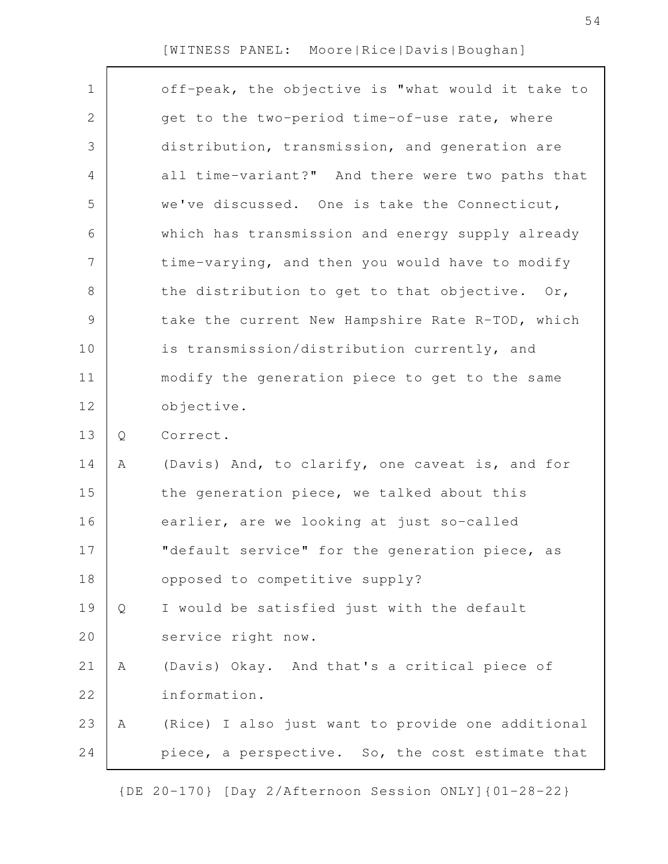| $\mathbf 1$  |   | off-peak, the objective is "what would it take to |
|--------------|---|---------------------------------------------------|
| $\mathbf{2}$ |   | get to the two-period time-of-use rate, where     |
| 3            |   | distribution, transmission, and generation are    |
| 4            |   | all time-variant?" And there were two paths that  |
| 5            |   | we've discussed. One is take the Connecticut,     |
| 6            |   | which has transmission and energy supply already  |
| 7            |   | time-varying, and then you would have to modify   |
| $\,8\,$      |   | the distribution to get to that objective. Or,    |
| $\mathsf 9$  |   | take the current New Hampshire Rate R-TOD, which  |
| 10           |   | is transmission/distribution currently, and       |
| 11           |   | modify the generation piece to get to the same    |
| 12           |   | objective.                                        |
| 13           | Q | Correct.                                          |
| 14           | Α | (Davis) And, to clarify, one caveat is, and for   |
| 15           |   | the generation piece, we talked about this        |
| 16           |   | earlier, are we looking at just so-called         |
| 17           |   | "default service" for the generation piece, as    |
| 18           |   | opposed to competitive supply?                    |
| 19           | Q | I would be satisfied just with the default        |
| 20           |   | service right now.                                |
| 21           | Α | (Davis) Okay. And that's a critical piece of      |
| 22           |   | information.                                      |
| 23           | Α | (Rice) I also just want to provide one additional |
| 24           |   | piece, a perspective. So, the cost estimate that  |
|              |   |                                                   |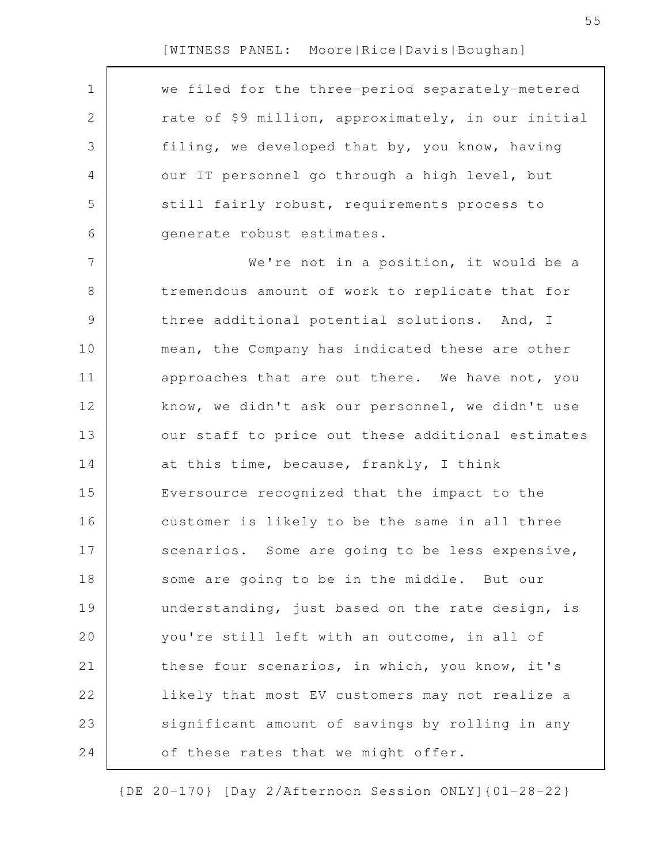$\Gamma$ 

| $\mathbf 1$   | we filed for the three-period separately-metered   |
|---------------|----------------------------------------------------|
| 2             | rate of \$9 million, approximately, in our initial |
| 3             | filing, we developed that by, you know, having     |
| 4             | our IT personnel go through a high level, but      |
| 5             | still fairly robust, requirements process to       |
| 6             | generate robust estimates.                         |
| 7             | We're not in a position, it would be a             |
| 8             | tremendous amount of work to replicate that for    |
| $\mathcal{G}$ | three additional potential solutions. And, I       |
| 10            | mean, the Company has indicated these are other    |
| 11            | approaches that are out there. We have not, you    |
| 12            | know, we didn't ask our personnel, we didn't use   |
| 13            | our staff to price out these additional estimates  |
| 14            | at this time, because, frankly, I think            |
| 15            | Eversource recognized that the impact to the       |
| 16            | customer is likely to be the same in all three     |
| 17            | scenarios. Some are going to be less expensive,    |
| 18            | some are going to be in the middle. But our        |
| 19            | understanding, just based on the rate design, is   |
| 20            | you're still left with an outcome, in all of       |
| 21            | these four scenarios, in which, you know, it's     |
| 22            | likely that most EV customers may not realize a    |
| 23            | significant amount of savings by rolling in any    |
| 24            | of these rates that we might offer.                |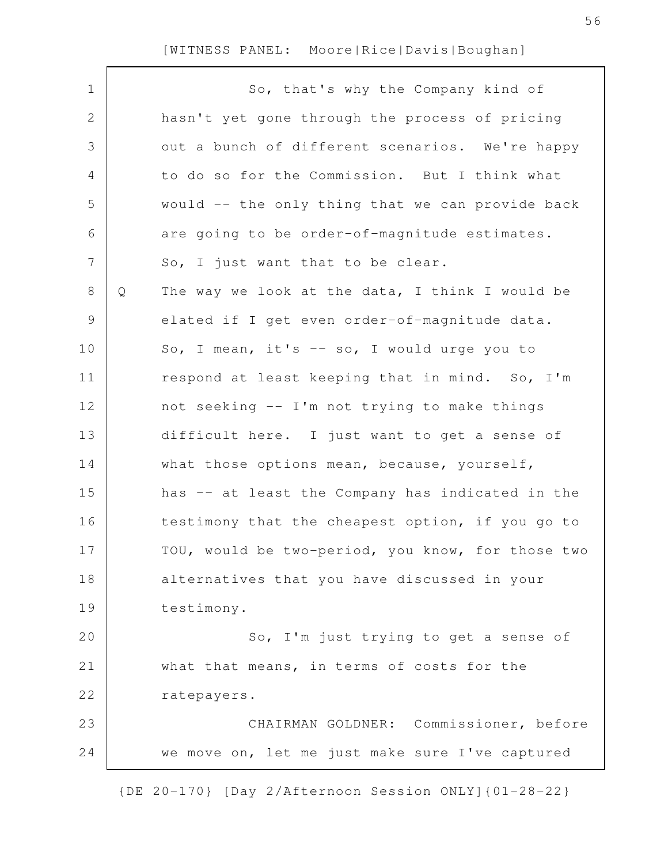$\Gamma$ 

| $\mathbf 1$    |   | So, that's why the Company kind of                |
|----------------|---|---------------------------------------------------|
| $\mathbf{2}$   |   | hasn't yet gone through the process of pricing    |
| 3              |   | out a bunch of different scenarios. We're happy   |
| 4              |   | to do so for the Commission. But I think what     |
| 5              |   | would -- the only thing that we can provide back  |
| 6              |   | are going to be order-of-magnitude estimates.     |
| $\overline{7}$ |   | So, I just want that to be clear.                 |
| $8\,$          | Q | The way we look at the data, I think I would be   |
| 9              |   | elated if I get even order-of-magnitude data.     |
| 10             |   | So, I mean, it's -- so, I would urge you to       |
| 11             |   | respond at least keeping that in mind. So, I'm    |
| 12             |   | not seeking -- I'm not trying to make things      |
| 13             |   | difficult here. I just want to get a sense of     |
| 14             |   | what those options mean, because, yourself,       |
| 15             |   | has -- at least the Company has indicated in the  |
| 16             |   | testimony that the cheapest option, if you go to  |
| 17             |   | TOU, would be two-period, you know, for those two |
| 18             |   | alternatives that you have discussed in your      |
| 19             |   | testimony.                                        |
| 20             |   | So, I'm just trying to get a sense of             |
| 21             |   | what that means, in terms of costs for the        |
| 22             |   | ratepayers.                                       |
| 23             |   | CHAIRMAN GOLDNER: Commissioner, before            |
| 24             |   | we move on, let me just make sure I've captured   |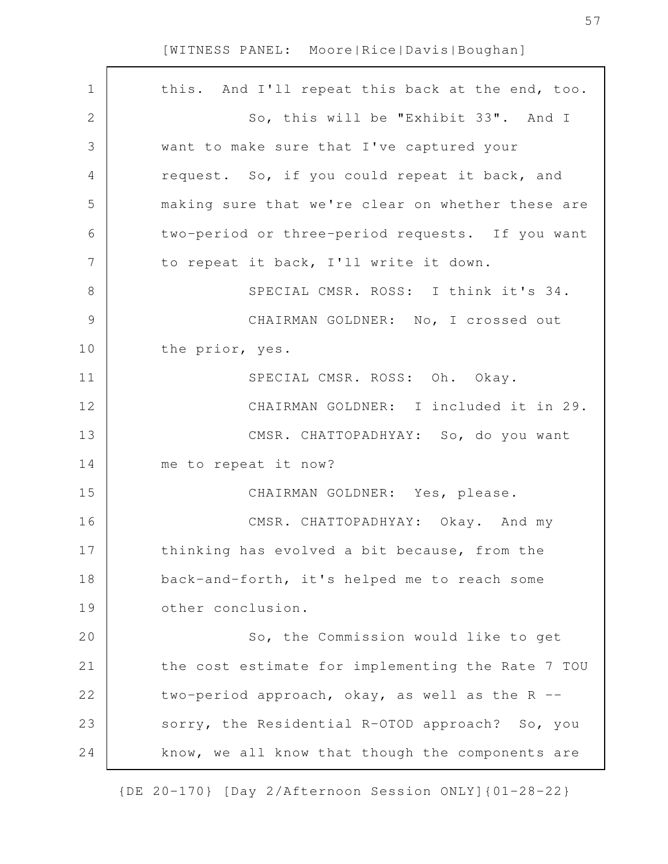| $\mathbf 1$   | this. And I'll repeat this back at the end, too.  |
|---------------|---------------------------------------------------|
| $\mathbf{2}$  | So, this will be "Exhibit 33". And I              |
| 3             | want to make sure that I've captured your         |
| 4             | request. So, if you could repeat it back, and     |
| 5             | making sure that we're clear on whether these are |
| 6             | two-period or three-period requests. If you want  |
| 7             | to repeat it back, I'll write it down.            |
| $8\,$         | SPECIAL CMSR. ROSS: I think it's 34.              |
| $\mathcal{G}$ | CHAIRMAN GOLDNER: No, I crossed out               |
| 10            | the prior, yes.                                   |
| 11            | SPECIAL CMSR. ROSS: Oh. Okay.                     |
| 12            | CHAIRMAN GOLDNER: I included it in 29.            |
| 13            | CMSR. CHATTOPADHYAY: So, do you want              |
| 14            | me to repeat it now?                              |
| 15            | CHAIRMAN GOLDNER: Yes, please.                    |
| 16            | CMSR. CHATTOPADHYAY: Okay. And my                 |
| 17            | thinking has evolved a bit because, from the      |
| 18            | back-and-forth, it's helped me to reach some      |
| 19            | other conclusion.                                 |
| 20            | So, the Commission would like to get              |
| 21            | the cost estimate for implementing the Rate 7 TOU |
| 22            | two-period approach, okay, as well as the R --    |
| 23            | sorry, the Residential R-OTOD approach? So, you   |
| 24            | know, we all know that though the components are  |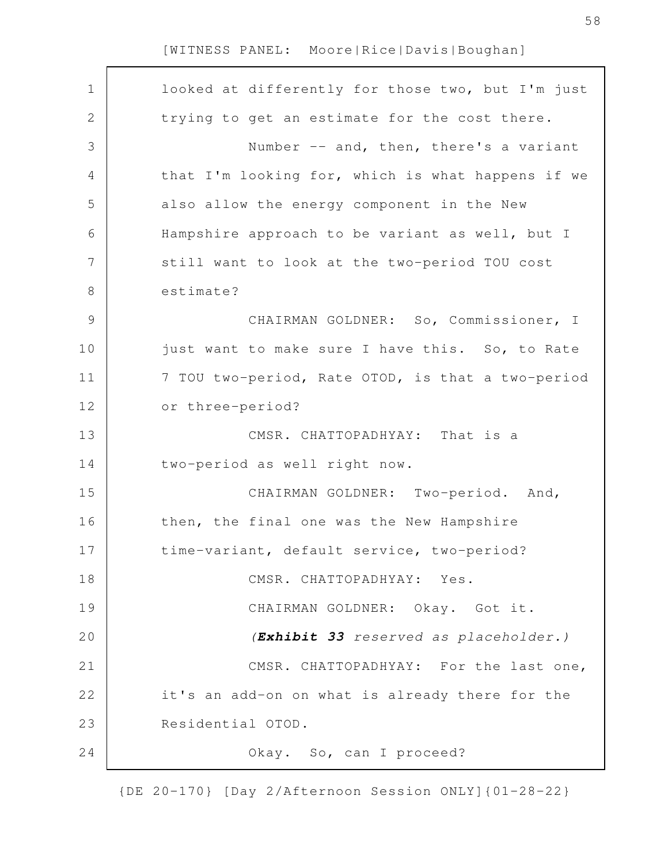| $\mathbf 1$   | looked at differently for those two, but I'm just |
|---------------|---------------------------------------------------|
| $\mathbf{2}$  | trying to get an estimate for the cost there.     |
| 3             | Number -- and, then, there's a variant            |
| 4             | that I'm looking for, which is what happens if we |
| 5             | also allow the energy component in the New        |
| 6             | Hampshire approach to be variant as well, but I   |
| 7             | still want to look at the two-period TOU cost     |
| $8\,$         | estimate?                                         |
| $\mathcal{G}$ | CHAIRMAN GOLDNER: So, Commissioner, I             |
| 10            | just want to make sure I have this. So, to Rate   |
| 11            | 7 TOU two-period, Rate OTOD, is that a two-period |
| 12            | or three-period?                                  |
| 13            | CMSR. CHATTOPADHYAY: That is a                    |
| 14            | two-period as well right now.                     |
| 15            | CHAIRMAN GOLDNER: Two-period. And,                |
| 16            | then, the final one was the New Hampshire         |
| 17            | time-variant, default service, two-period?        |
| 18            | CMSR. CHATTOPADHYAY: Yes.                         |
| 19            | CHAIRMAN GOLDNER: Okay. Got it.                   |
| 20            | (Exhibit 33 reserved as placeholder.)             |
| 21            | CMSR. CHATTOPADHYAY: For the last one,            |
| 22            | it's an add-on on what is already there for the   |
| 23            | Residential OTOD.                                 |
| 24            | Okay. So, can I proceed?                          |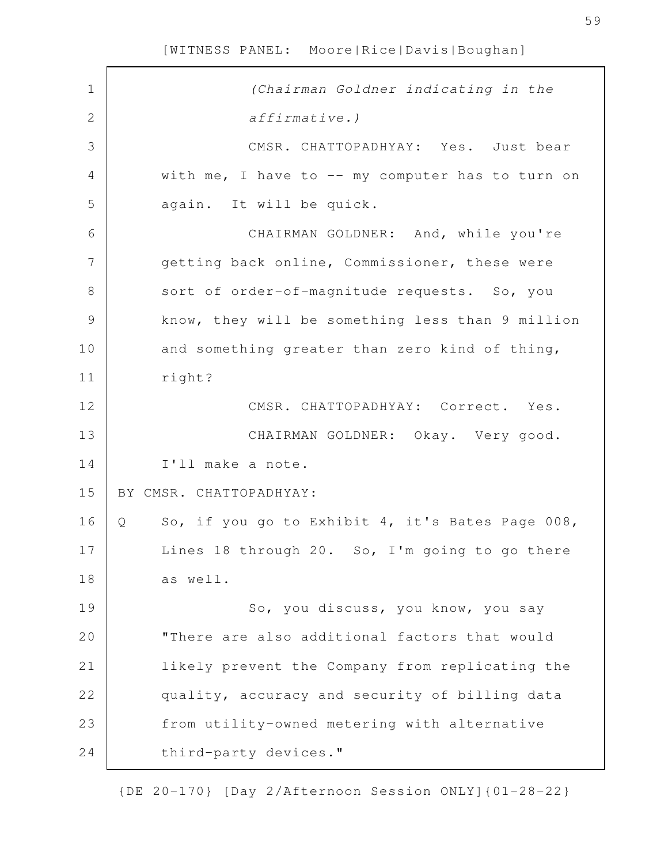| $\mathbf 1$    | (Chairman Goldner indicating in the                                |
|----------------|--------------------------------------------------------------------|
| $\sqrt{2}$     | $affirmative.$ )                                                   |
| 3              | CMSR. CHATTOPADHYAY: Yes. Just bear                                |
| $\overline{4}$ | with me, I have to -- my computer has to turn on                   |
| 5              | again. It will be quick.                                           |
| 6              | CHAIRMAN GOLDNER: And, while you're                                |
| 7              | getting back online, Commissioner, these were                      |
| $\,8\,$        | sort of order-of-magnitude requests. So, you                       |
| $\mathcal{G}$  | know, they will be something less than 9 million                   |
| 10             | and something greater than zero kind of thing,                     |
| 11             | right?                                                             |
| 12             | CMSR. CHATTOPADHYAY: Correct. Yes.                                 |
| 13             | CHAIRMAN GOLDNER: Okay. Very good.                                 |
| 14             | I'll make a note.                                                  |
| 15             | BY CMSR. CHATTOPADHYAY:                                            |
| 16             | So, if you go to Exhibit 4, it's Bates Page 008,<br>$\overline{Q}$ |
| 17             | Lines 18 through 20. So, I'm going to go there                     |
| 18             | as well.                                                           |
| 19             | So, you discuss, you know, you say                                 |
| 20             | "There are also additional factors that would                      |
| 21             | likely prevent the Company from replicating the                    |
| 22             | quality, accuracy and security of billing data                     |
| 23             | from utility-owned metering with alternative                       |
| 24             | third-party devices."                                              |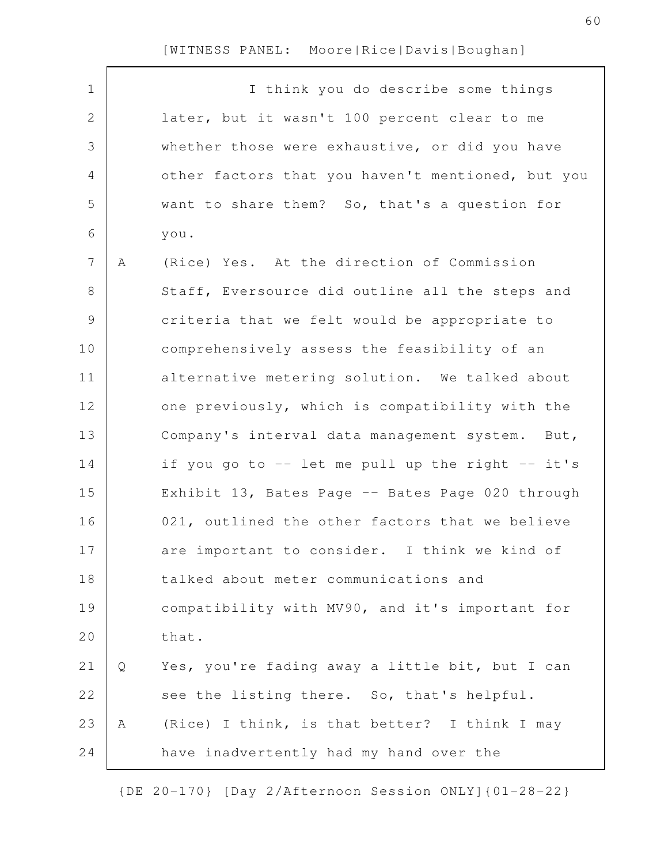$\Gamma$ 

| $\mathbf 1$     |   | I think you do describe some things               |
|-----------------|---|---------------------------------------------------|
| $\mathbf{2}$    |   | later, but it wasn't 100 percent clear to me      |
| 3               |   | whether those were exhaustive, or did you have    |
| 4               |   | other factors that you haven't mentioned, but you |
| 5               |   | want to share them? So, that's a question for     |
| 6               |   | you.                                              |
| $7\phantom{.0}$ | A | (Rice) Yes. At the direction of Commission        |
| 8               |   | Staff, Eversource did outline all the steps and   |
| $\mathcal{G}$   |   | criteria that we felt would be appropriate to     |
| 10              |   | comprehensively assess the feasibility of an      |
| 11              |   | alternative metering solution. We talked about    |
| 12              |   | one previously, which is compatibility with the   |
| 13              |   | Company's interval data management system. But,   |
| 14              |   | if you go to -- let me pull up the right -- it's  |
| 15              |   | Exhibit 13, Bates Page -- Bates Page 020 through  |
| 16              |   | 021, outlined the other factors that we believe   |
| 17              |   | are important to consider. I think we kind of     |
| 18              |   | talked about meter communications and             |
| 19              |   | compatibility with MV90, and it's important for   |
| 20              |   | that.                                             |
| 21              | Q | Yes, you're fading away a little bit, but I can   |
| 22              |   | see the listing there. So, that's helpful.        |
| 23              | Α | (Rice) I think, is that better? I think I may     |
| 24              |   | have inadvertently had my hand over the           |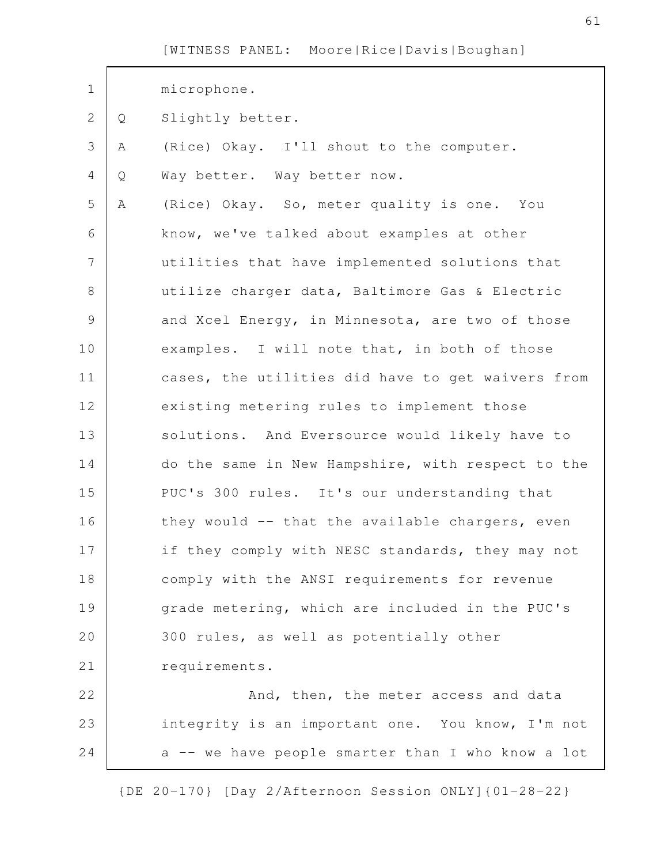| $\mathbf 1$    |   | microphone.                                       |
|----------------|---|---------------------------------------------------|
| $\mathbf{2}$   | Q | Slightly better.                                  |
| 3              | Α | (Rice) Okay. I'll shout to the computer.          |
| $\overline{4}$ | Q | Way better. Way better now.                       |
| 5              | Α | (Rice) Okay. So, meter quality is one. You        |
| 6              |   | know, we've talked about examples at other        |
| $\overline{7}$ |   | utilities that have implemented solutions that    |
| 8              |   | utilize charger data, Baltimore Gas & Electric    |
| $\mathsf{S}$   |   | and Xcel Energy, in Minnesota, are two of those   |
| 10             |   | examples. I will note that, in both of those      |
| 11             |   | cases, the utilities did have to get waivers from |
| 12             |   | existing metering rules to implement those        |
| 13             |   | solutions. And Eversource would likely have to    |
| 14             |   | do the same in New Hampshire, with respect to the |
| 15             |   | PUC's 300 rules. It's our understanding that      |
| 16             |   | they would -- that the available chargers, even   |
| 17             |   | if they comply with NESC standards, they may not  |
| 18             |   | comply with the ANSI requirements for revenue     |
| 19             |   | grade metering, which are included in the PUC's   |
| 20             |   | 300 rules, as well as potentially other           |
| 21             |   | requirements.                                     |
| 22             |   | And, then, the meter access and data              |
| 23             |   | integrity is an important one. You know, I'm not  |
| 24             |   | a -- we have people smarter than I who know a lot |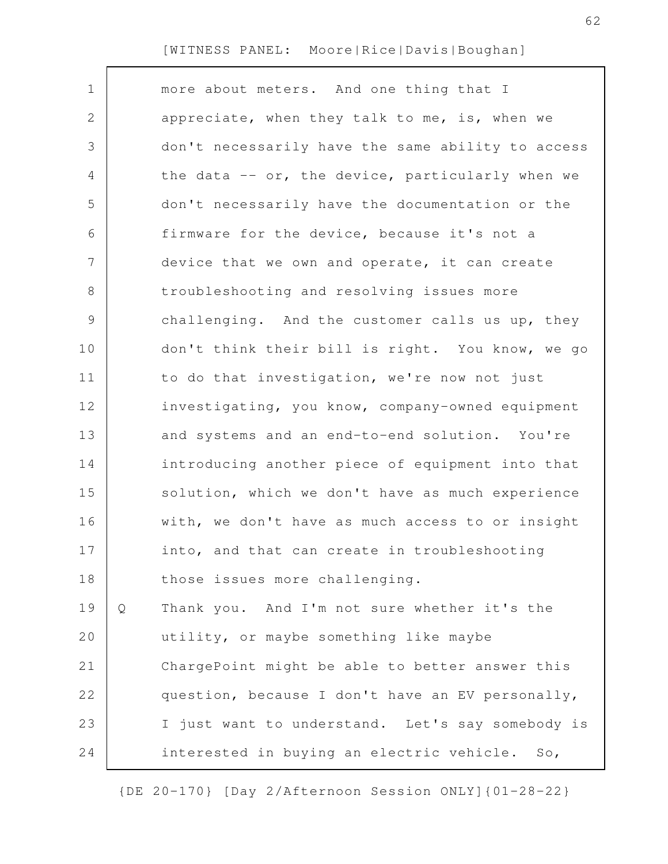| $\mathbf 1$    |   | more about meters. And one thing that I           |
|----------------|---|---------------------------------------------------|
| 2              |   | appreciate, when they talk to me, is, when we     |
| 3              |   | don't necessarily have the same ability to access |
| 4              |   | the data -- or, the device, particularly when we  |
| 5              |   | don't necessarily have the documentation or the   |
| 6              |   | firmware for the device, because it's not a       |
| $\overline{7}$ |   | device that we own and operate, it can create     |
| 8              |   | troubleshooting and resolving issues more         |
| 9              |   | challenging. And the customer calls us up, they   |
| 10             |   | don't think their bill is right. You know, we go  |
| 11             |   | to do that investigation, we're now not just      |
| 12             |   | investigating, you know, company-owned equipment  |
| 13             |   | and systems and an end-to-end solution. You're    |
| 14             |   | introducing another piece of equipment into that  |
| 15             |   | solution, which we don't have as much experience  |
| 16             |   | with, we don't have as much access to or insight  |
| 17             |   | into, and that can create in troubleshooting      |
| 18             |   | those issues more challenging.                    |
| 19             | Q | Thank you. And I'm not sure whether it's the      |
| 20             |   | utility, or maybe something like maybe            |
| 21             |   | ChargePoint might be able to better answer this   |
| 22             |   | question, because I don't have an EV personally,  |
| 23             |   | I just want to understand. Let's say somebody is  |
| 24             |   | interested in buying an electric vehicle.<br>So,  |
|                |   |                                                   |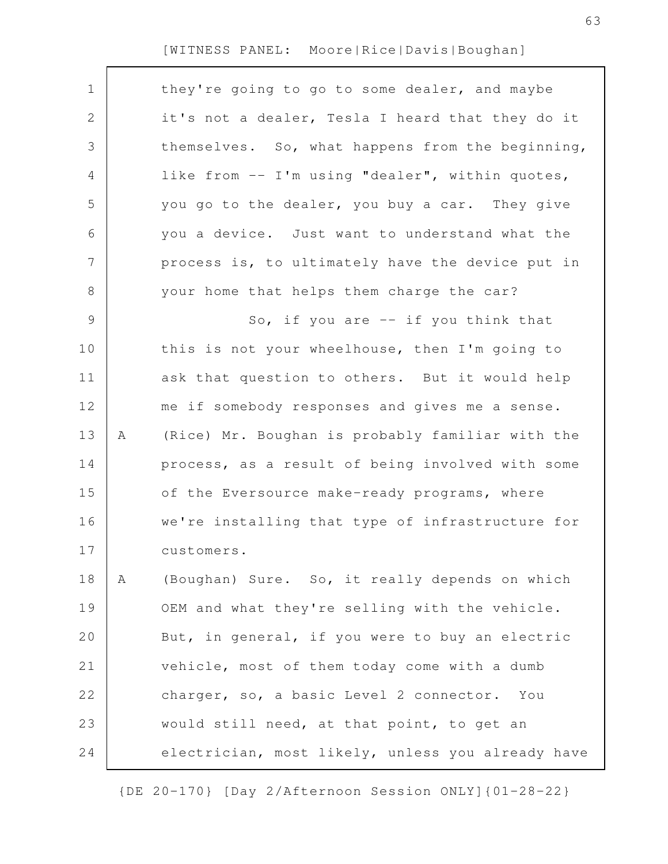| $\mathbf 1$   |   | they're going to go to some dealer, and maybe     |
|---------------|---|---------------------------------------------------|
| 2             |   | it's not a dealer, Tesla I heard that they do it  |
| 3             |   | themselves. So, what happens from the beginning,  |
| 4             |   | like from -- I'm using "dealer", within quotes,   |
| 5             |   | you go to the dealer, you buy a car. They give    |
| 6             |   | you a device. Just want to understand what the    |
| 7             |   | process is, to ultimately have the device put in  |
| 8             |   | your home that helps them charge the car?         |
| $\mathcal{G}$ |   | So, if you are $-$ if you think that              |
| 10            |   | this is not your wheelhouse, then I'm going to    |
| 11            |   | ask that question to others. But it would help    |
| 12            |   | me if somebody responses and gives me a sense.    |
| 13            | Α | (Rice) Mr. Boughan is probably familiar with the  |
| 14            |   | process, as a result of being involved with some  |
| 15            |   | of the Eversource make-ready programs, where      |
| 16            |   | we're installing that type of infrastructure for  |
| 17            |   | customers.                                        |
| 18            | Α | (Boughan) Sure. So, it really depends on which    |
| 19            |   | OEM and what they're selling with the vehicle.    |
| 20            |   | But, in general, if you were to buy an electric   |
| 21            |   | vehicle, most of them today come with a dumb      |
| 22            |   | charger, so, a basic Level 2 connector. You       |
| 23            |   | would still need, at that point, to get an        |
| 24            |   | electrician, most likely, unless you already have |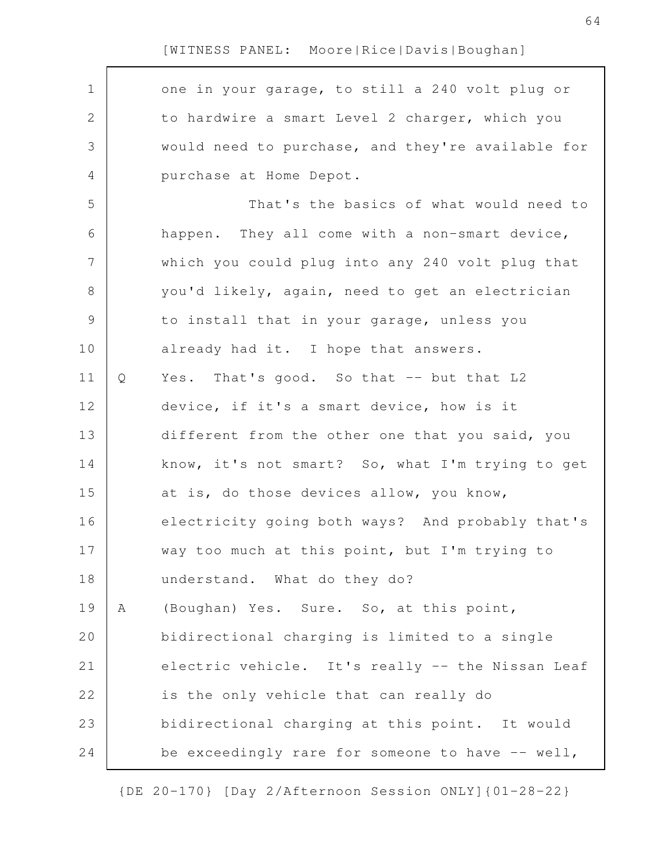one in your garage, to still a 240 volt plug or to hardwire a smart Level 2 charger, which you would need to purchase, and they're available for purchase at Home Depot. That's the basics of what would need to happen. They all come with a non-smart device, which you could plug into any 240 volt plug that you'd likely, again, need to get an electrician to install that in your garage, unless you already had it. I hope that answers. Q Yes. That's good. So that -- but that L2 device, if it's a smart device, how is it different from the other one that you said, you know, it's not smart? So, what I'm trying to get at is, do those devices allow, you know, electricity going both ways? And probably that's way too much at this point, but I'm trying to understand. What do they do? A (Boughan) Yes. Sure. So, at this point, bidirectional charging is limited to a single electric vehicle. It's really -- the Nissan Leaf is the only vehicle that can really do bidirectional charging at this point. It would be exceedingly rare for someone to have -- well, 1 2 3 4 5 6 7 8 9 10 11 12 13 14 15 16 17 18 19 20 21 22 23 24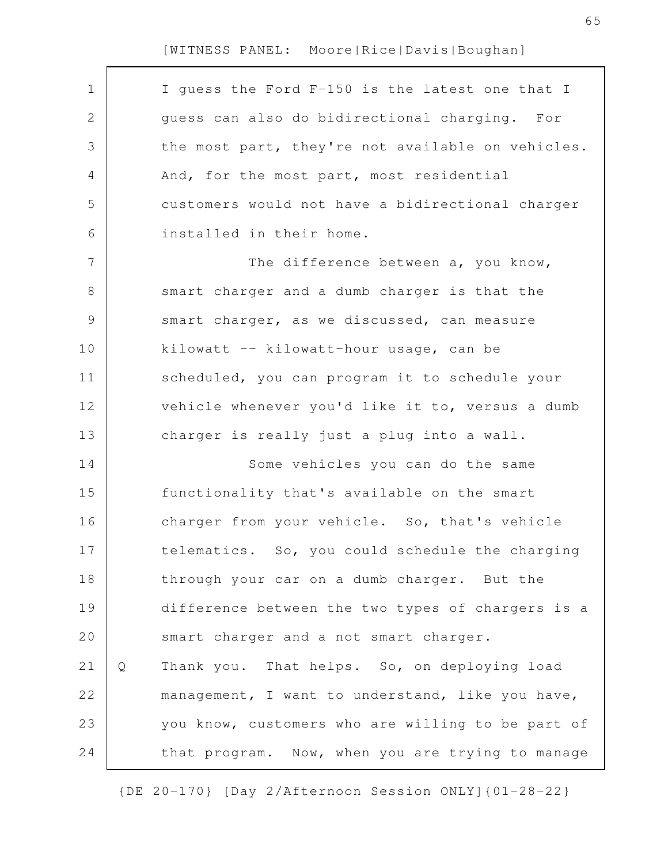$\Gamma$ 

| $\mathbf 1$   |   | I guess the Ford F-150 is the latest one that I   |
|---------------|---|---------------------------------------------------|
| 2             |   | guess can also do bidirectional charging. For     |
| 3             |   | the most part, they're not available on vehicles. |
| 4             |   | And, for the most part, most residential          |
| 5             |   | customers would not have a bidirectional charger  |
| 6             |   | installed in their home.                          |
| 7             |   | The difference between a, you know,               |
| 8             |   | smart charger and a dumb charger is that the      |
| $\mathcal{G}$ |   | smart charger, as we discussed, can measure       |
| 10            |   | kilowatt -- kilowatt-hour usage, can be           |
| 11            |   | scheduled, you can program it to schedule your    |
| 12            |   | vehicle whenever you'd like it to, versus a dumb  |
| 13            |   | charger is really just a plug into a wall.        |
| 14            |   | Some vehicles you can do the same                 |
| 15            |   | functionality that's available on the smart       |
| 16            |   | charger from your vehicle. So, that's vehicle     |
| 17            |   | telematics. So, you could schedule the charging   |
| 18            |   | through your car on a dumb charger. But the       |
| 19            |   | difference between the two types of chargers is a |
| 20            |   | smart charger and a not smart charger.            |
| 21            | Q | Thank you. That helps. So, on deploying load      |
| 22            |   | management, I want to understand, like you have,  |
| 23            |   | you know, customers who are willing to be part of |
| 24            |   | that program. Now, when you are trying to manage  |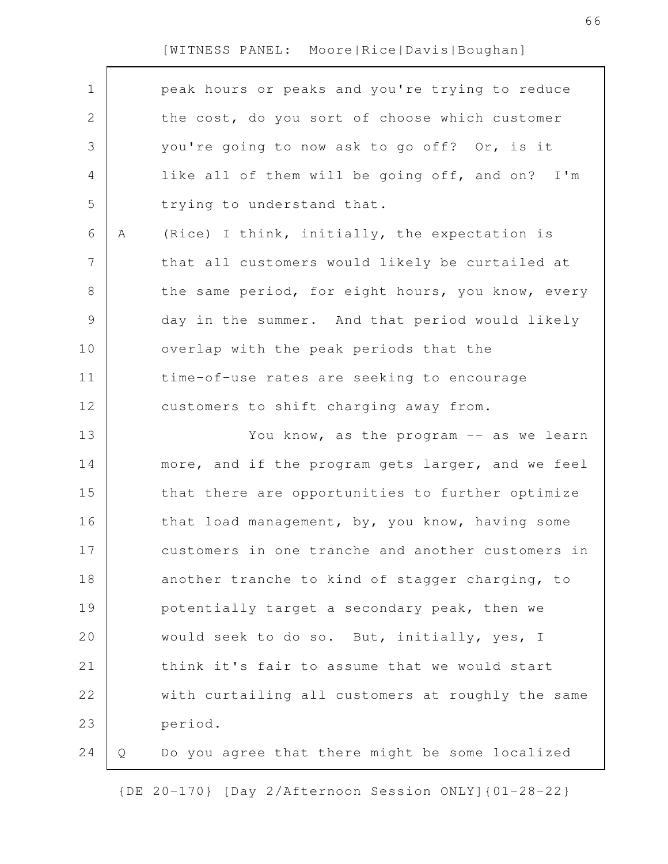Г

| $\mathbf 1$    |   | peak hours or peaks and you're trying to reduce   |
|----------------|---|---------------------------------------------------|
| $\mathbf{2}$   |   | the cost, do you sort of choose which customer    |
| 3              |   | you're going to now ask to go off? Or, is it      |
| 4              |   | like all of them will be going off, and on? I'm   |
| 5              |   | trying to understand that.                        |
| 6              | A | (Rice) I think, initially, the expectation is     |
| $\overline{7}$ |   | that all customers would likely be curtailed at   |
| 8              |   | the same period, for eight hours, you know, every |
| $\mathsf 9$    |   | day in the summer. And that period would likely   |
| 10             |   | overlap with the peak periods that the            |
| 11             |   | time-of-use rates are seeking to encourage        |
| 12             |   | customers to shift charging away from.            |
| 13             |   | You know, as the program -- as we learn           |
|                |   | more, and if the program gets larger, and we feel |
| 14             |   |                                                   |
| 15             |   | that there are opportunities to further optimize  |
| 16             |   | that load management, by, you know, having some   |
| 17             |   | customers in one tranche and another customers in |
| 18             |   | another tranche to kind of stagger charging, to   |
| 19             |   | potentially target a secondary peak, then we      |
| 20             |   | would seek to do so. But, initially, yes, I       |
| 21             |   | think it's fair to assume that we would start     |
| 22             |   | with curtailing all customers at roughly the same |
| 23             |   | period.                                           |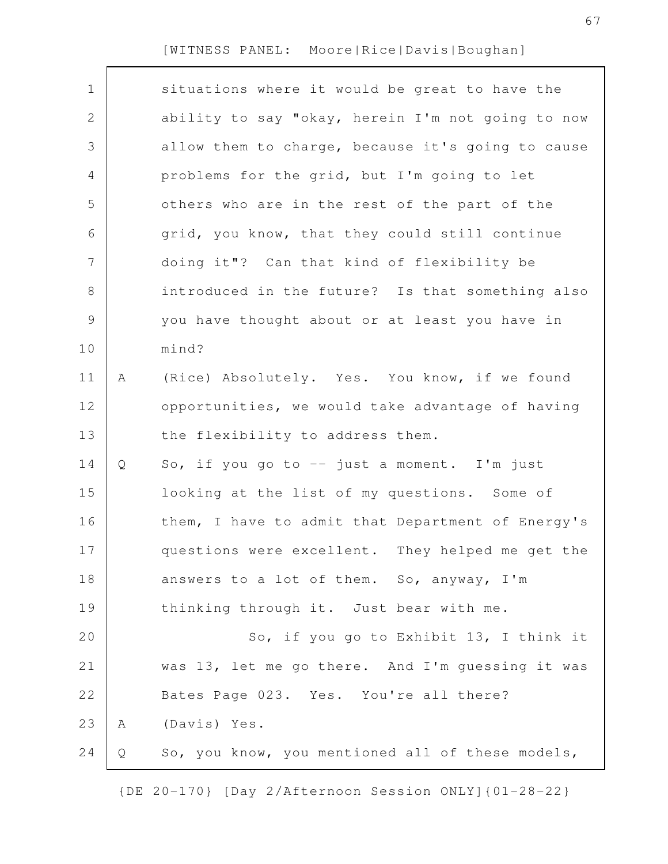| $\mathbf 1$  |   | situations where it would be great to have the    |
|--------------|---|---------------------------------------------------|
| $\mathbf{2}$ |   | ability to say "okay, herein I'm not going to now |
| 3            |   | allow them to charge, because it's going to cause |
| 4            |   | problems for the grid, but I'm going to let       |
| 5            |   | others who are in the rest of the part of the     |
| 6            |   | grid, you know, that they could still continue    |
| 7            |   | doing it"? Can that kind of flexibility be        |
| $8\,$        |   | introduced in the future? Is that something also  |
| 9            |   | you have thought about or at least you have in    |
| 10           |   | mind?                                             |
| 11           | Α | (Rice) Absolutely. Yes. You know, if we found     |
| 12           |   | opportunities, we would take advantage of having  |
| 13           |   | the flexibility to address them.                  |
| 14           | Q | So, if you go to -- just a moment. I'm just       |
| 15           |   | looking at the list of my questions. Some of      |
| 16           |   | them, I have to admit that Department of Energy's |
| 17           |   | questions were excellent. They helped me get the  |
| 18           |   | answers to a lot of them. So, anyway, I'm         |
| 19           |   | thinking through it. Just bear with me.           |
| 20           |   | So, if you go to Exhibit 13, I think it           |
| 21           |   | was 13, let me go there. And I'm guessing it was  |
| 22           |   | Bates Page 023. Yes. You're all there?            |
| 23           | Α | (Davis) Yes.                                      |
| 24           | Q | So, you know, you mentioned all of these models,  |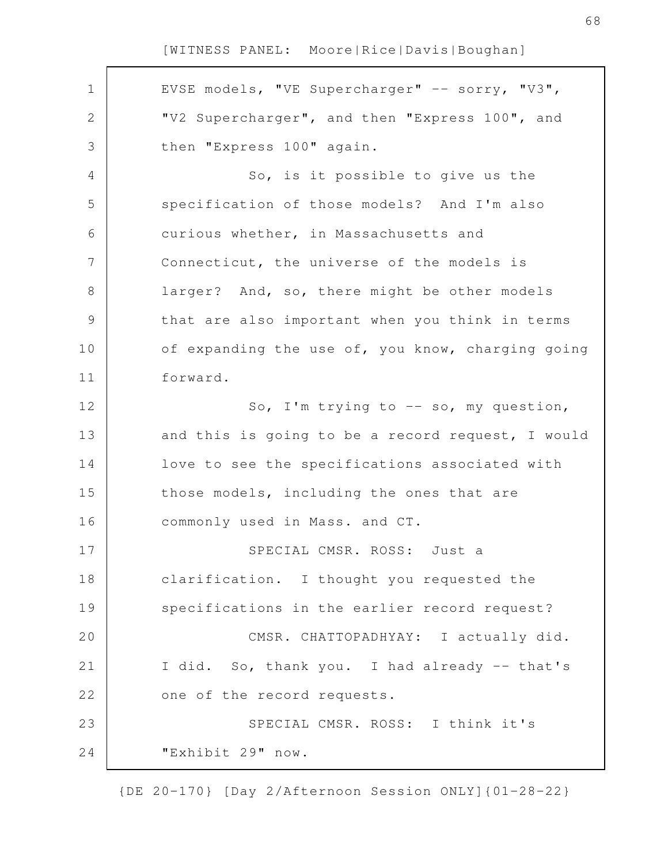EVSE models, "VE Supercharger" -- sorry, "V3", "V2 Supercharger", and then "Express 100", and then "Express 100" again. So, is it possible to give us the specification of those models? And I'm also curious whether, in Massachusetts and Connecticut, the universe of the models is larger? And, so, there might be other models that are also important when you think in terms of expanding the use of, you know, charging going forward. So, I'm trying to  $-$  so, my question, and this is going to be a record request, I would love to see the specifications associated with those models, including the ones that are commonly used in Mass. and CT. SPECIAL CMSR. ROSS: Just a clarification. I thought you requested the specifications in the earlier record request? CMSR. CHATTOPADHYAY: I actually did. I did. So, thank you. I had already -- that's one of the record requests. SPECIAL CMSR. ROSS: I think it's "Exhibit 29" now. 1 2 3 4 5 6 7 8 9 10 11 12 13 14 15 16 17 18 19 20 21 22 23 24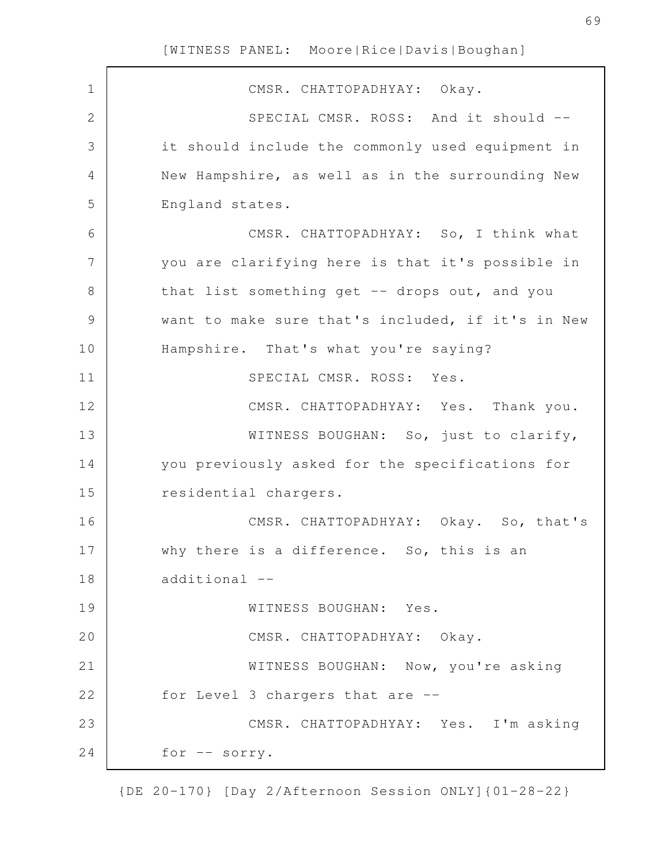CMSR. CHATTOPADHYAY: Okay. SPECIAL CMSR. ROSS: And it should -it should include the commonly used equipment in New Hampshire, as well as in the surrounding New England states. CMSR. CHATTOPADHYAY: So, I think what you are clarifying here is that it's possible in that list something get  $-$ - drops out, and you want to make sure that's included, if it's in New Hampshire. That's what you're saying? SPECIAL CMSR. ROSS: Yes. CMSR. CHATTOPADHYAY: Yes. Thank you. WITNESS BOUGHAN: So, just to clarify, you previously asked for the specifications for residential chargers. CMSR. CHATTOPADHYAY: Okay. So, that's why there is a difference. So, this is an additional -- WITNESS BOUGHAN: Yes. CMSR. CHATTOPADHYAY: Okay. WITNESS BOUGHAN: Now, you're asking for Level 3 chargers that are -- CMSR. CHATTOPADHYAY: Yes. I'm asking for -- sorry. 1 2 3 4 5 6 7 8 9 10 11 12 13 14 15 16 17 18 19 20 21 22 23 24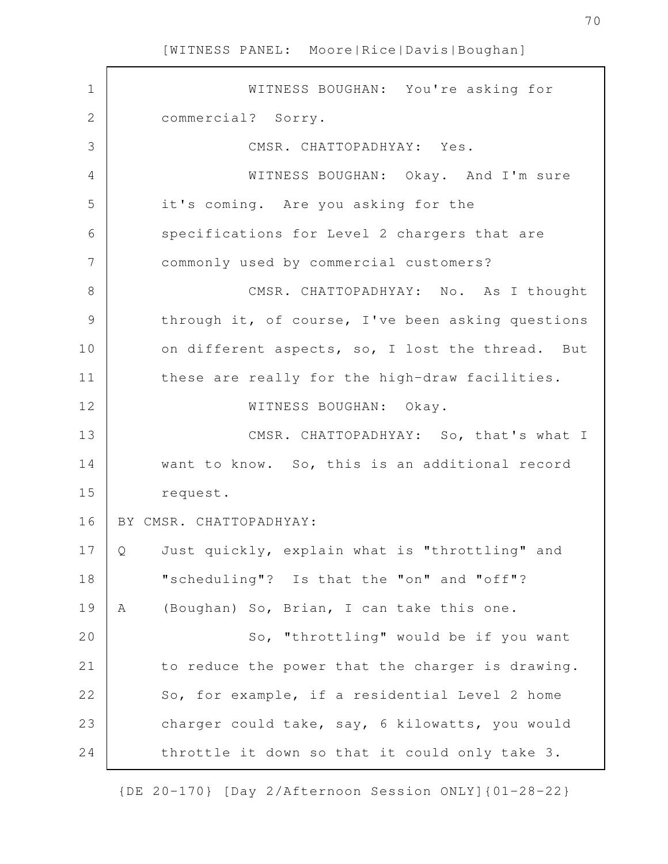$\mathsf{r}$ 

| $\mathbf 1$   | WITNESS BOUGHAN: You're asking for                  |
|---------------|-----------------------------------------------------|
| $\mathbf{2}$  | commercial? Sorry.                                  |
| 3             | CMSR. CHATTOPADHYAY: Yes.                           |
| 4             | WITNESS BOUGHAN: Okay. And I'm sure                 |
| 5             | it's coming. Are you asking for the                 |
| 6             | specifications for Level 2 chargers that are        |
| 7             | commonly used by commercial customers?              |
| $8\,$         | CMSR. CHATTOPADHYAY: No. As I thought               |
| $\mathcal{G}$ | through it, of course, I've been asking questions   |
| 10            | on different aspects, so, I lost the thread. But    |
| 11            | these are really for the high-draw facilities.      |
| 12            | WITNESS BOUGHAN: Okay.                              |
| 13            | CMSR. CHATTOPADHYAY: So, that's what I              |
| 14            | want to know. So, this is an additional record      |
| 15            | request.                                            |
| 16            | BY CMSR. CHATTOPADHYAY:                             |
| 17            | Just quickly, explain what is "throttling" and<br>Q |
| 18            | "scheduling"? Is that the "on" and "off"?           |
| 19            | (Boughan) So, Brian, I can take this one.<br>Α      |
| 20            | So, "throttling" would be if you want               |
| 21            | to reduce the power that the charger is drawing.    |
| 22            | So, for example, if a residential Level 2 home      |
| 23            | charger could take, say, 6 kilowatts, you would     |
| 24            | throttle it down so that it could only take 3.      |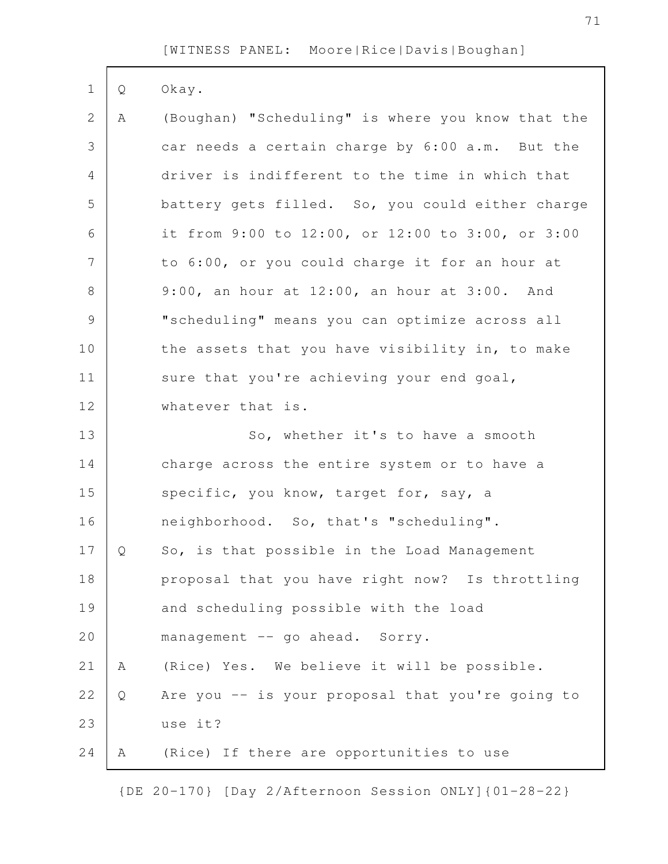| $\mathbf 1$   | Q | Okay.                                             |
|---------------|---|---------------------------------------------------|
| $\mathbf{2}$  | Α | (Boughan) "Scheduling" is where you know that the |
| 3             |   | car needs a certain charge by 6:00 a.m. But the   |
| 4             |   | driver is indifferent to the time in which that   |
| 5             |   | battery gets filled. So, you could either charge  |
| 6             |   | it from 9:00 to 12:00, or 12:00 to 3:00, or 3:00  |
| 7             |   | to 6:00, or you could charge it for an hour at    |
| 8             |   | 9:00, an hour at 12:00, an hour at 3:00. And      |
| $\mathcal{G}$ |   | "scheduling" means you can optimize across all    |
| 10            |   | the assets that you have visibility in, to make   |
| 11            |   | sure that you're achieving your end goal,         |
| 12            |   | whatever that is.                                 |
| 13            |   | So, whether it's to have a smooth                 |
| 14            |   | charge across the entire system or to have a      |
| 15            |   | specific, you know, target for, say, a            |
| 16            |   | neighborhood. So, that's "scheduling".            |
| 17            | Q | So, is that possible in the Load Management       |
| 18            |   | proposal that you have right now? Is throttling   |
| 19            |   | and scheduling possible with the load             |
| 20            |   | management -- go ahead. Sorry.                    |
| 21            | Α | (Rice) Yes. We believe it will be possible.       |
| 22            | Q | Are you -- is your proposal that you're going to  |
| 23            |   | use it?                                           |
| 24            | Α | (Rice) If there are opportunities to use          |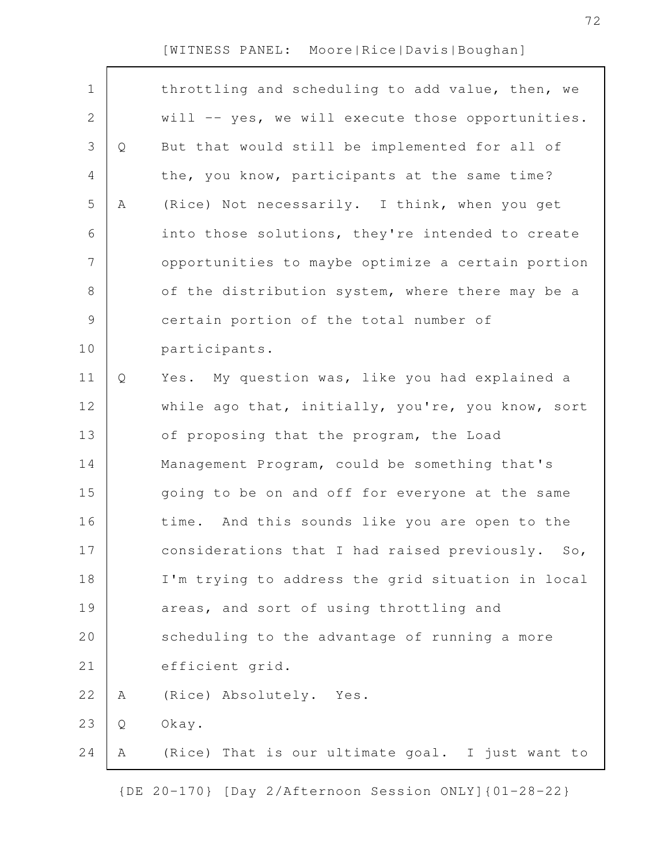| $\mathbf 1$    |   | throttling and scheduling to add value, then, we  |
|----------------|---|---------------------------------------------------|
| $\mathbf{2}$   |   | will -- yes, we will execute those opportunities. |
| 3              | Q | But that would still be implemented for all of    |
| 4              |   | the, you know, participants at the same time?     |
| 5              | Α | (Rice) Not necessarily. I think, when you get     |
| 6              |   | into those solutions, they're intended to create  |
| $\overline{7}$ |   | opportunities to maybe optimize a certain portion |
| $8\,$          |   | of the distribution system, where there may be a  |
| 9              |   | certain portion of the total number of            |
| 10             |   | participants.                                     |
| 11             | Q | Yes. My question was, like you had explained a    |
| 12             |   | while ago that, initially, you're, you know, sort |
| 13             |   | of proposing that the program, the Load           |
| 14             |   | Management Program, could be something that's     |
| 15             |   | going to be on and off for everyone at the same   |
| 16             |   | time. And this sounds like you are open to the    |
| 17             |   | considerations that I had raised previously. So,  |
| 18             |   | I'm trying to address the grid situation in local |
| 19             |   | areas, and sort of using throttling and           |
| 20             |   | scheduling to the advantage of running a more     |
| 21             |   | efficient grid.                                   |
| 22             | Α | (Rice) Absolutely. Yes.                           |
| 23             | Q | Okay.                                             |
| 24             | Α | (Rice) That is our ultimate goal. I just want to  |
|                |   |                                                   |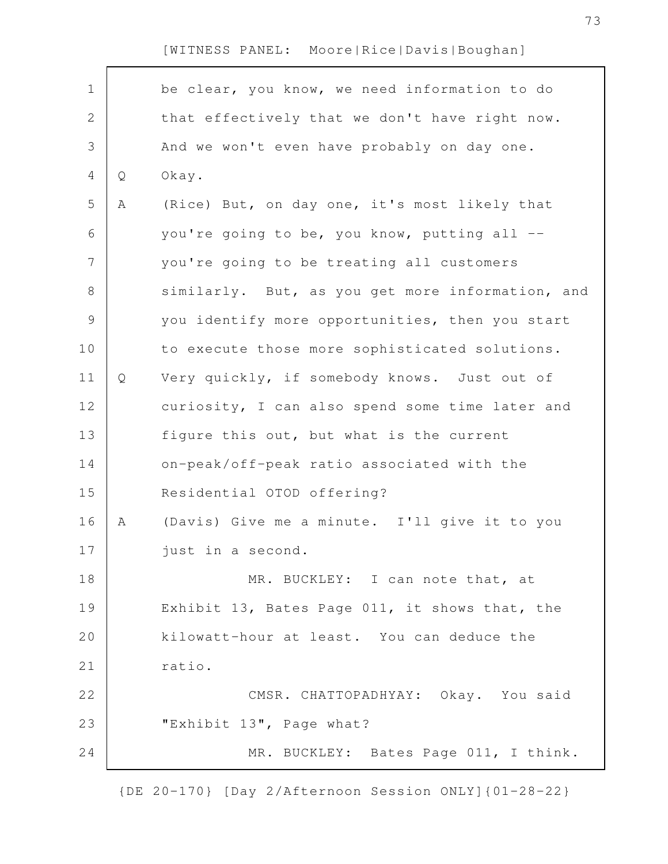| $\mathbf 1$    |   | be clear, you know, we need information to do    |
|----------------|---|--------------------------------------------------|
| $\mathbf{2}$   |   | that effectively that we don't have right now.   |
| 3              |   | And we won't even have probably on day one.      |
| $\overline{4}$ | Q | Okay.                                            |
| 5              | Α | (Rice) But, on day one, it's most likely that    |
| 6              |   | you're going to be, you know, putting all --     |
| $\overline{7}$ |   | you're going to be treating all customers        |
| 8              |   | similarly. But, as you get more information, and |
| $\mathcal{G}$  |   | you identify more opportunities, then you start  |
| 10             |   | to execute those more sophisticated solutions.   |
| 11             | Q | Very quickly, if somebody knows. Just out of     |
| 12             |   | curiosity, I can also spend some time later and  |
| 13             |   | figure this out, but what is the current         |
| 14             |   | on-peak/off-peak ratio associated with the       |
| 15             |   | Residential OTOD offering?                       |
| 16             | Α | (Davis) Give me a minute. I'll give it to you    |
| 17             |   | just in a second.                                |
| 18             |   | MR. BUCKLEY: I can note that, at                 |
| 19             |   | Exhibit 13, Bates Page 011, it shows that, the   |
| 20             |   | kilowatt-hour at least. You can deduce the       |
| 21             |   | ratio.                                           |
| 22             |   | CMSR. CHATTOPADHYAY: Okay. You said              |
| 23             |   | "Exhibit 13", Page what?                         |
| 24             |   | MR. BUCKLEY: Bates Page 011, I think.            |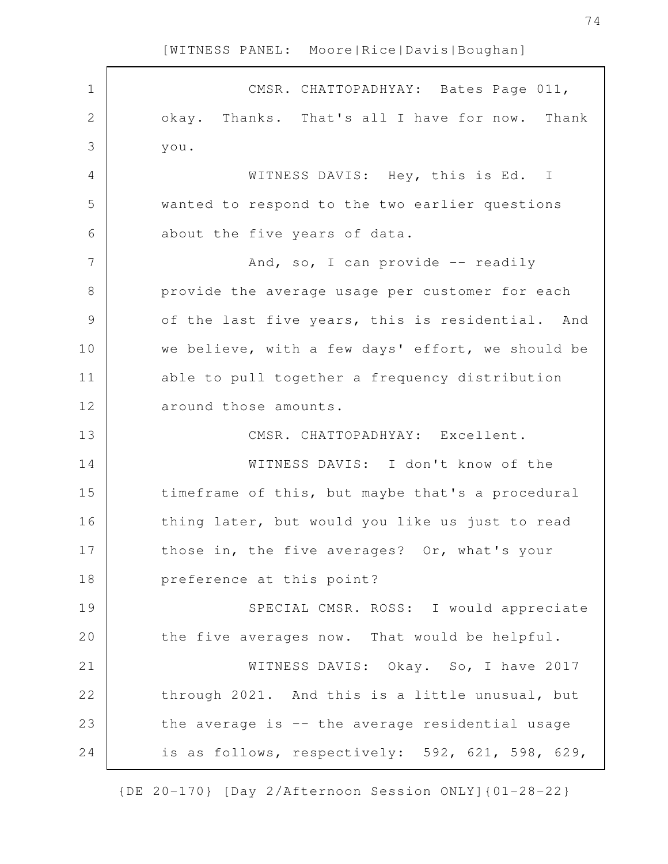CMSR. CHATTOPADHYAY: Bates Page 011, okay. Thanks. That's all I have for now. Thank you. WITNESS DAVIS: Hey, this is Ed. I wanted to respond to the two earlier questions about the five years of data. And, so, I can provide  $-$  readily provide the average usage per customer for each of the last five years, this is residential. And we believe, with a few days' effort, we should be able to pull together a frequency distribution around those amounts. CMSR. CHATTOPADHYAY: Excellent. WITNESS DAVIS: I don't know of the timeframe of this, but maybe that's a procedural thing later, but would you like us just to read those in, the five averages? Or, what's your preference at this point? SPECIAL CMSR. ROSS: I would appreciate the five averages now. That would be helpful. WITNESS DAVIS: Okay. So, I have 2017 through 2021. And this is a little unusual, but the average is -- the average residential usage is as follows, respectively: 592, 621, 598, 629, 1 2 3 4 5 6 7 8 9 10 11 12 13 14 15 16 17 18 19 20 21 22 23 24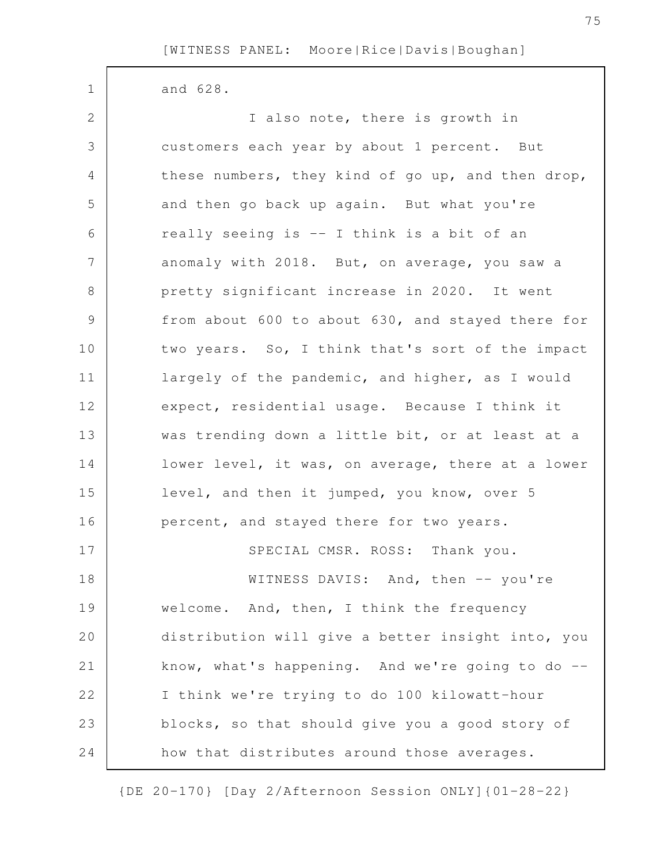and 628. I also note, there is growth in customers each year by about 1 percent. But these numbers, they kind of go up, and then drop, and then go back up again. But what you're really seeing is -- I think is a bit of an anomaly with 2018. But, on average, you saw a pretty significant increase in 2020. It went from about 600 to about 630, and stayed there for two years. So, I think that's sort of the impact largely of the pandemic, and higher, as I would expect, residential usage. Because I think it was trending down a little bit, or at least at a lower level, it was, on average, there at a lower level, and then it jumped, you know, over 5 percent, and stayed there for two years. SPECIAL CMSR. ROSS: Thank you. 1 2 3 4 5 6 7 8 9 10 11 12 13 14 15 16 17

WITNESS DAVIS: And, then -- you're welcome. And, then, I think the frequency distribution will give a better insight into, you know, what's happening. And we're going to do  $-$ I think we're trying to do 100 kilowatt-hour blocks, so that should give you a good story of how that distributes around those averages. 18 19 20 21 22 23 24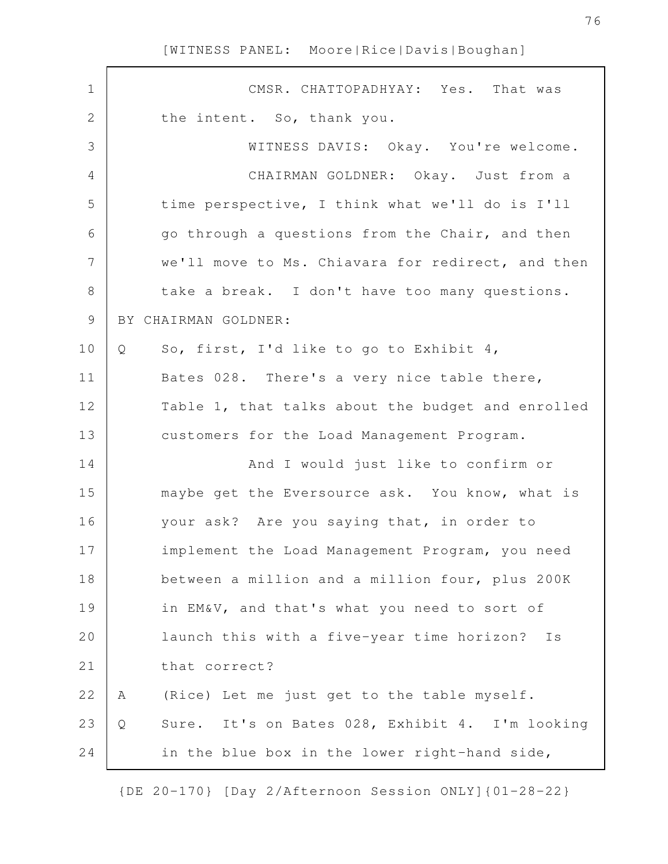| $\mathbf 1$    | CMSR. CHATTOPADHYAY: Yes.<br>That was                |
|----------------|------------------------------------------------------|
| $\mathbf 2$    | the intent. So, thank you.                           |
| 3              | WITNESS DAVIS: Okay. You're welcome.                 |
| 4              | CHAIRMAN GOLDNER: Okay. Just from a                  |
| 5              | time perspective, I think what we'll do is I'll      |
| 6              | go through a questions from the Chair, and then      |
| $\overline{7}$ | we'll move to Ms. Chiavara for redirect, and then    |
| $8\,$          | take a break. I don't have too many questions.       |
| $\mathsf 9$    | BY CHAIRMAN GOLDNER:                                 |
| 10             | So, first, I'd like to go to Exhibit 4,<br>Q         |
| 11             | Bates 028. There's a very nice table there,          |
| 12             | Table 1, that talks about the budget and enrolled    |
| 13             | customers for the Load Management Program.           |
| 14             | And I would just like to confirm or                  |
| 15             | maybe get the Eversource ask. You know, what is      |
| 16             | your ask? Are you saying that, in order to           |
| 17             | implement the Load Management Program, you need      |
| 18             | between a million and a million four, plus 200K      |
| 19             | in EM&V, and that's what you need to sort of         |
| 20             | launch this with a five-year time horizon?<br>Is     |
| 21             | that correct?                                        |
| 22             | (Rice) Let me just get to the table myself.<br>Α     |
| 23             | Sure. It's on Bates 028, Exhibit 4. I'm looking<br>Q |
| 24             | in the blue box in the lower right-hand side,        |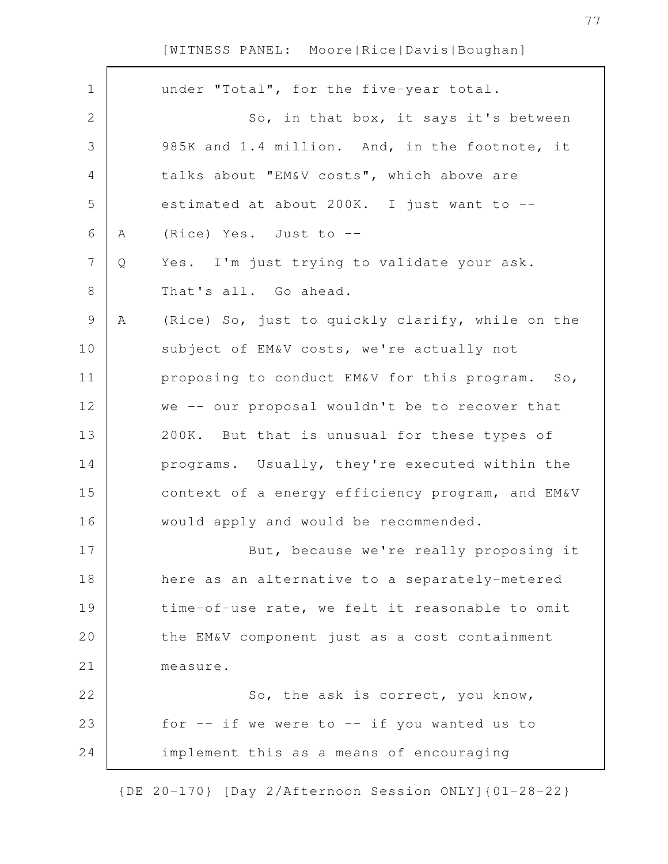| under "Total", for the five-year total.<br>$\mathbf 1$<br>2<br>So, in that box, it says it's between<br>3<br>985K and 1.4 million. And, in the footnote, it<br>4<br>talks about "EM&V costs", which above are<br>5<br>estimated at about 200K. I just want to --<br>6<br>(Rice) Yes. Just to --<br>Α<br>$\overline{7}$<br>Yes. I'm just trying to validate your ask.<br>Q<br>8<br>That's all. Go ahead.<br>9<br>Α<br>(Rice) So, just to quickly clarify, while on the<br>10<br>subject of EM&V costs, we're actually not<br>11<br>proposing to conduct EM&V for this program. So,<br>12<br>we -- our proposal wouldn't be to recover that<br>13<br>200K. But that is unusual for these types of<br>14<br>programs. Usually, they're executed within the<br>15<br>context of a energy efficiency program, and EM&V<br>16<br>would apply and would be recommended.<br>17<br>But, because we're really proposing it<br>18<br>here as an alternative to a separately-metered<br>time-of-use rate, we felt it reasonable to omit<br>19<br>20<br>the EM&V component just as a cost containment<br>21<br>measure.<br>22<br>So, the ask is correct, you know,<br>23<br>for $--$ if we were to $--$ if you wanted us to<br>24<br>implement this as a means of encouraging |  |  |
|------------------------------------------------------------------------------------------------------------------------------------------------------------------------------------------------------------------------------------------------------------------------------------------------------------------------------------------------------------------------------------------------------------------------------------------------------------------------------------------------------------------------------------------------------------------------------------------------------------------------------------------------------------------------------------------------------------------------------------------------------------------------------------------------------------------------------------------------------------------------------------------------------------------------------------------------------------------------------------------------------------------------------------------------------------------------------------------------------------------------------------------------------------------------------------------------------------------------------------------------------------------|--|--|
|                                                                                                                                                                                                                                                                                                                                                                                                                                                                                                                                                                                                                                                                                                                                                                                                                                                                                                                                                                                                                                                                                                                                                                                                                                                                  |  |  |
|                                                                                                                                                                                                                                                                                                                                                                                                                                                                                                                                                                                                                                                                                                                                                                                                                                                                                                                                                                                                                                                                                                                                                                                                                                                                  |  |  |
|                                                                                                                                                                                                                                                                                                                                                                                                                                                                                                                                                                                                                                                                                                                                                                                                                                                                                                                                                                                                                                                                                                                                                                                                                                                                  |  |  |
|                                                                                                                                                                                                                                                                                                                                                                                                                                                                                                                                                                                                                                                                                                                                                                                                                                                                                                                                                                                                                                                                                                                                                                                                                                                                  |  |  |
|                                                                                                                                                                                                                                                                                                                                                                                                                                                                                                                                                                                                                                                                                                                                                                                                                                                                                                                                                                                                                                                                                                                                                                                                                                                                  |  |  |
|                                                                                                                                                                                                                                                                                                                                                                                                                                                                                                                                                                                                                                                                                                                                                                                                                                                                                                                                                                                                                                                                                                                                                                                                                                                                  |  |  |
|                                                                                                                                                                                                                                                                                                                                                                                                                                                                                                                                                                                                                                                                                                                                                                                                                                                                                                                                                                                                                                                                                                                                                                                                                                                                  |  |  |
|                                                                                                                                                                                                                                                                                                                                                                                                                                                                                                                                                                                                                                                                                                                                                                                                                                                                                                                                                                                                                                                                                                                                                                                                                                                                  |  |  |
|                                                                                                                                                                                                                                                                                                                                                                                                                                                                                                                                                                                                                                                                                                                                                                                                                                                                                                                                                                                                                                                                                                                                                                                                                                                                  |  |  |
|                                                                                                                                                                                                                                                                                                                                                                                                                                                                                                                                                                                                                                                                                                                                                                                                                                                                                                                                                                                                                                                                                                                                                                                                                                                                  |  |  |
|                                                                                                                                                                                                                                                                                                                                                                                                                                                                                                                                                                                                                                                                                                                                                                                                                                                                                                                                                                                                                                                                                                                                                                                                                                                                  |  |  |
|                                                                                                                                                                                                                                                                                                                                                                                                                                                                                                                                                                                                                                                                                                                                                                                                                                                                                                                                                                                                                                                                                                                                                                                                                                                                  |  |  |
|                                                                                                                                                                                                                                                                                                                                                                                                                                                                                                                                                                                                                                                                                                                                                                                                                                                                                                                                                                                                                                                                                                                                                                                                                                                                  |  |  |
|                                                                                                                                                                                                                                                                                                                                                                                                                                                                                                                                                                                                                                                                                                                                                                                                                                                                                                                                                                                                                                                                                                                                                                                                                                                                  |  |  |
|                                                                                                                                                                                                                                                                                                                                                                                                                                                                                                                                                                                                                                                                                                                                                                                                                                                                                                                                                                                                                                                                                                                                                                                                                                                                  |  |  |
|                                                                                                                                                                                                                                                                                                                                                                                                                                                                                                                                                                                                                                                                                                                                                                                                                                                                                                                                                                                                                                                                                                                                                                                                                                                                  |  |  |
|                                                                                                                                                                                                                                                                                                                                                                                                                                                                                                                                                                                                                                                                                                                                                                                                                                                                                                                                                                                                                                                                                                                                                                                                                                                                  |  |  |
|                                                                                                                                                                                                                                                                                                                                                                                                                                                                                                                                                                                                                                                                                                                                                                                                                                                                                                                                                                                                                                                                                                                                                                                                                                                                  |  |  |
|                                                                                                                                                                                                                                                                                                                                                                                                                                                                                                                                                                                                                                                                                                                                                                                                                                                                                                                                                                                                                                                                                                                                                                                                                                                                  |  |  |
|                                                                                                                                                                                                                                                                                                                                                                                                                                                                                                                                                                                                                                                                                                                                                                                                                                                                                                                                                                                                                                                                                                                                                                                                                                                                  |  |  |
|                                                                                                                                                                                                                                                                                                                                                                                                                                                                                                                                                                                                                                                                                                                                                                                                                                                                                                                                                                                                                                                                                                                                                                                                                                                                  |  |  |
|                                                                                                                                                                                                                                                                                                                                                                                                                                                                                                                                                                                                                                                                                                                                                                                                                                                                                                                                                                                                                                                                                                                                                                                                                                                                  |  |  |
|                                                                                                                                                                                                                                                                                                                                                                                                                                                                                                                                                                                                                                                                                                                                                                                                                                                                                                                                                                                                                                                                                                                                                                                                                                                                  |  |  |
|                                                                                                                                                                                                                                                                                                                                                                                                                                                                                                                                                                                                                                                                                                                                                                                                                                                                                                                                                                                                                                                                                                                                                                                                                                                                  |  |  |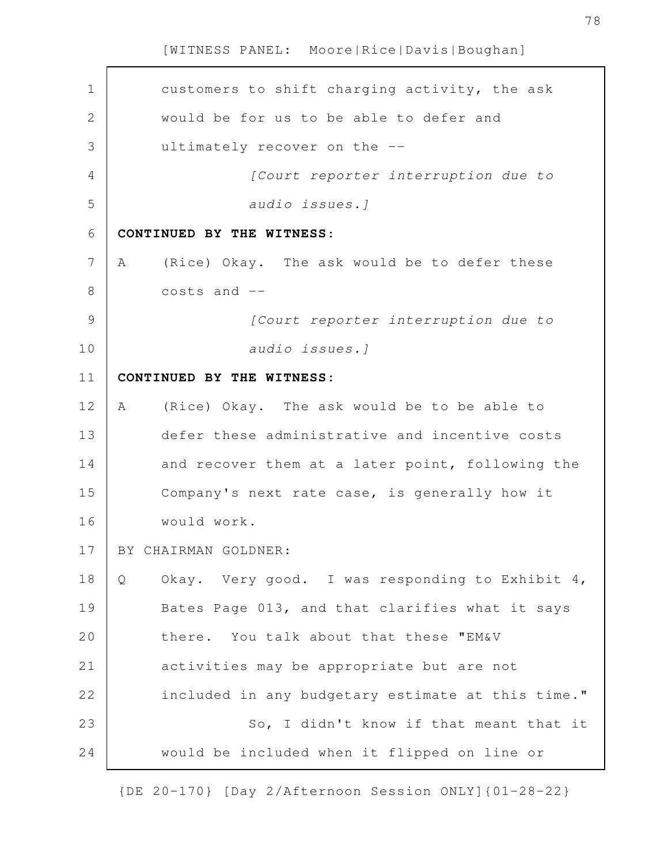| $\mathbf 1$    |   | customers to shift charging activity, the ask     |
|----------------|---|---------------------------------------------------|
| $\overline{2}$ |   | would be for us to be able to defer and           |
| 3              |   | ultimately recover on the --                      |
| $\overline{4}$ |   | [Court reporter interruption due to               |
| 5              |   | audio issues. ]                                   |
| 6              |   | CONTINUED BY THE WITNESS:                         |
| 7              | A | (Rice) Okay. The ask would be to defer these      |
| 8              |   | $costs$ and $--$                                  |
| 9              |   | [Court reporter interruption due to               |
| 10             |   | audio issues.]                                    |
| 11             |   | CONTINUED BY THE WITNESS:                         |
| 12             | A | (Rice) Okay. The ask would be to be able to       |
| 13             |   | defer these administrative and incentive costs    |
| 14             |   | and recover them at a later point, following the  |
| 15             |   | Company's next rate case, is generally how it     |
| 16             |   | would work.                                       |
| 17             |   | BY CHAIRMAN GOLDNER:                              |
| 18             | Q | Okay. Very good. I was responding to Exhibit 4,   |
| 19             |   | Bates Page 013, and that clarifies what it says   |
| 20             |   | there. You talk about that these "EM&V            |
| 21             |   | activities may be appropriate but are not         |
| 22             |   | included in any budgetary estimate at this time." |
| 23             |   | So, I didn't know if that meant that it           |
| 24             |   | would be included when it flipped on line or      |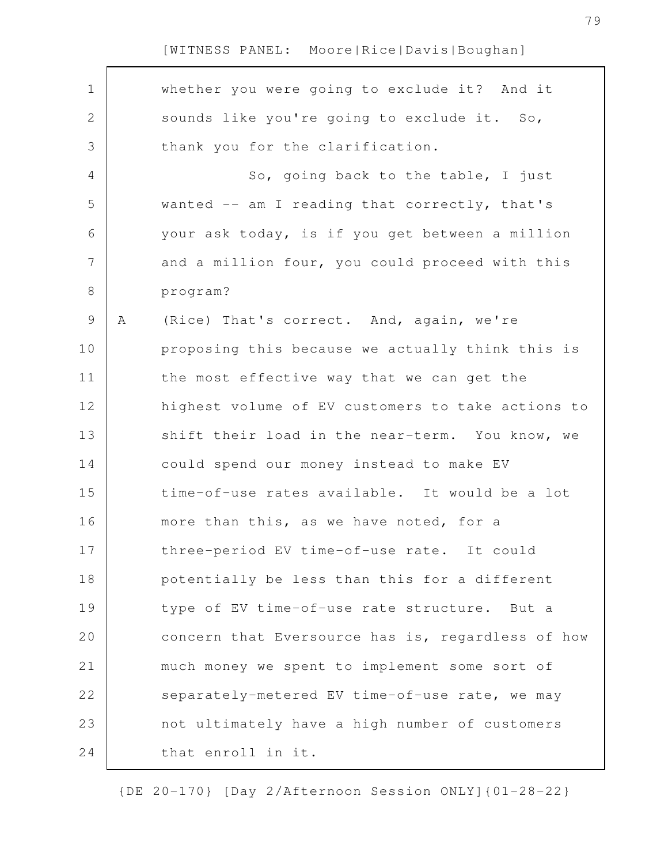$\Gamma$ 

| $\mathbf 1$   |   | whether you were going to exclude it? And it      |
|---------------|---|---------------------------------------------------|
| 2             |   | sounds like you're going to exclude it. So,       |
| 3             |   | thank you for the clarification.                  |
| 4             |   | So, going back to the table, I just               |
| 5             |   | wanted $--$ am I reading that correctly, that's   |
| 6             |   | your ask today, is if you get between a million   |
| 7             |   | and a million four, you could proceed with this   |
| 8             |   | program?                                          |
| $\mathcal{G}$ | Α | (Rice) That's correct. And, again, we're          |
| 10            |   | proposing this because we actually think this is  |
| 11            |   | the most effective way that we can get the        |
| 12            |   | highest volume of EV customers to take actions to |
| 13            |   | shift their load in the near-term. You know, we   |
| 14            |   | could spend our money instead to make EV          |
| 15            |   | time-of-use rates available. It would be a lot    |
| 16            |   | more than this, as we have noted, for a           |
| 17            |   | three-period EV time-of-use rate. It could        |
| 18            |   | potentially be less than this for a different     |
| 19            |   | type of EV time-of-use rate structure. But a      |
| 20            |   | concern that Eversource has is, regardless of how |
| 21            |   | much money we spent to implement some sort of     |
| 22            |   | separately-metered EV time-of-use rate, we may    |
| 23            |   | not ultimately have a high number of customers    |
| 24            |   | that enroll in it.                                |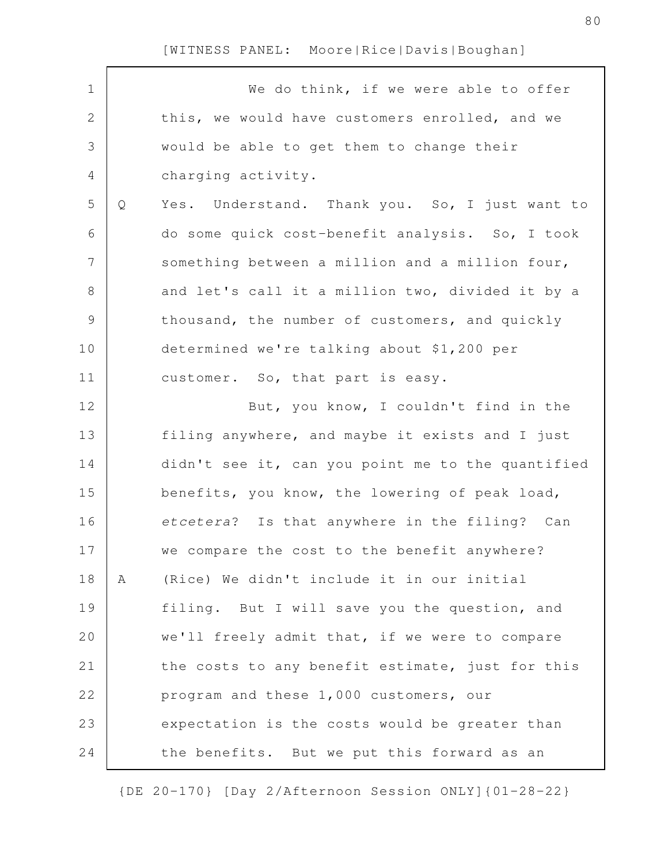| $\mathbf 1$    |   | We do think, if we were able to offer             |
|----------------|---|---------------------------------------------------|
| $\mathbf{2}$   |   | this, we would have customers enrolled, and we    |
| 3              |   | would be able to get them to change their         |
| 4              |   | charging activity.                                |
| 5              | Q | Yes. Understand. Thank you. So, I just want to    |
| 6              |   | do some quick cost-benefit analysis. So, I took   |
| $\overline{7}$ |   | something between a million and a million four,   |
| $\,8\,$        |   | and let's call it a million two, divided it by a  |
| $\mathsf 9$    |   | thousand, the number of customers, and quickly    |
| 10             |   | determined we're talking about \$1,200 per        |
| 11             |   | customer. So, that part is easy.                  |
| 12             |   | But, you know, I couldn't find in the             |
| 13             |   | filing anywhere, and maybe it exists and I just   |
| 14             |   | didn't see it, can you point me to the quantified |
| 15             |   | benefits, you know, the lowering of peak load,    |
| 16             |   | etcetera? Is that anywhere in the filing? Can     |
| 17             |   | we compare the cost to the benefit anywhere?      |
| 18             | Α | (Rice) We didn't include it in our initial        |
| 19             |   | filing. But I will save you the question, and     |
| 20             |   | we'll freely admit that, if we were to compare    |
| 21             |   | the costs to any benefit estimate, just for this  |
| 22             |   | program and these 1,000 customers, our            |
| 23             |   | expectation is the costs would be greater than    |
| 24             |   | the benefits. But we put this forward as an       |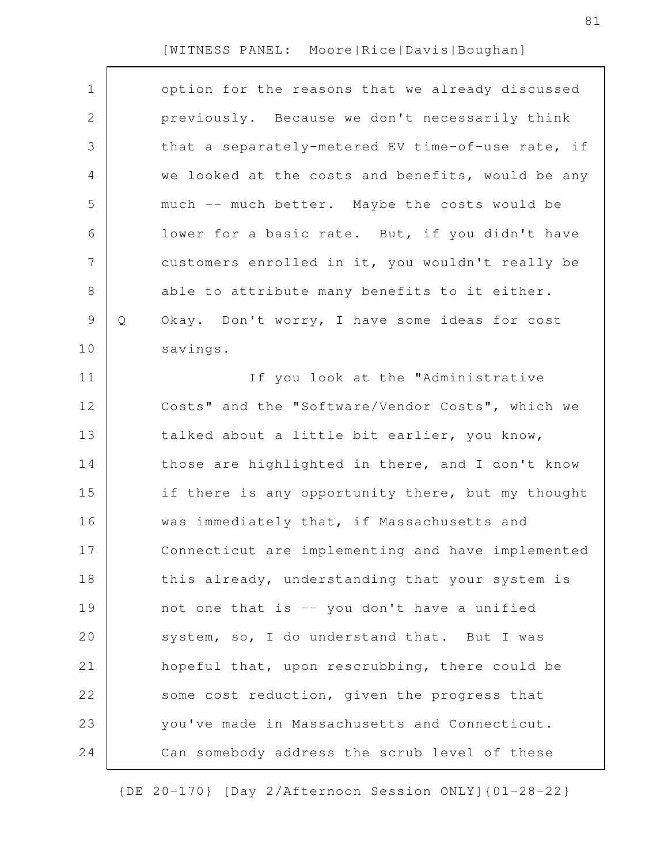| $\mathbf 1$    |   | option for the reasons that we already discussed  |
|----------------|---|---------------------------------------------------|
| $\mathbf{2}$   |   | previously. Because we don't necessarily think    |
| 3              |   | that a separately-metered EV time-of-use rate, if |
| 4              |   | we looked at the costs and benefits, would be any |
| 5              |   | much -- much better. Maybe the costs would be     |
| 6              |   | lower for a basic rate. But, if you didn't have   |
| $\overline{7}$ |   | customers enrolled in it, you wouldn't really be  |
| $\,8\,$        |   | able to attribute many benefits to it either.     |
| $\mathsf 9$    | Q | Okay. Don't worry, I have some ideas for cost     |
| 10             |   | savings.                                          |
| 11             |   | If you look at the "Administrative                |
| 12             |   | Costs" and the "Software/Vendor Costs", which we  |
| 13             |   | talked about a little bit earlier, you know,      |
| 14             |   | those are highlighted in there, and I don't know  |
|                |   |                                                   |
| 15             |   | if there is any opportunity there, but my thought |
| 16             |   | was immediately that, if Massachusetts and        |
| 17             |   | Connecticut are implementing and have implemented |
| 18             |   | this already, understanding that your system is   |
| 19             |   | not one that is -- you don't have a unified       |
| 20             |   | system, so, I do understand that. But I was       |
| 21             |   | hopeful that, upon rescrubbing, there could be    |
| 22             |   | some cost reduction, given the progress that      |
| 23             |   | you've made in Massachusetts and Connecticut.     |
| 24             |   | Can somebody address the scrub level of these     |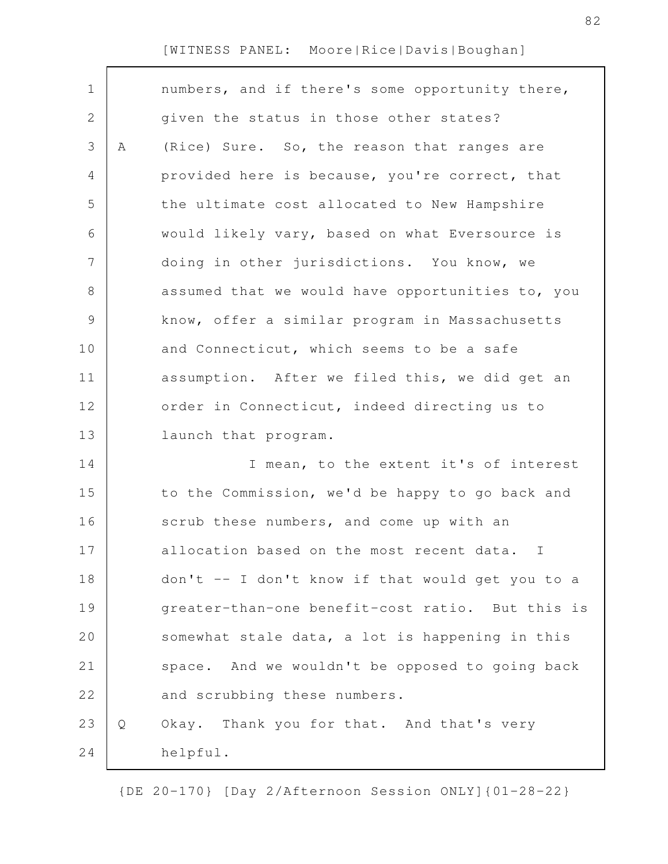| $\mathbf 1$ |   | numbers, and if there's some opportunity there,  |
|-------------|---|--------------------------------------------------|
| 2           |   | given the status in those other states?          |
| 3           | Α | (Rice) Sure. So, the reason that ranges are      |
| 4           |   | provided here is because, you're correct, that   |
| 5           |   | the ultimate cost allocated to New Hampshire     |
| 6           |   | would likely vary, based on what Eversource is   |
| 7           |   | doing in other jurisdictions. You know, we       |
| 8           |   | assumed that we would have opportunities to, you |
| 9           |   | know, offer a similar program in Massachusetts   |
| 10          |   | and Connecticut, which seems to be a safe        |
| 11          |   | assumption. After we filed this, we did get an   |
| 12          |   | order in Connecticut, indeed directing us to     |
| 13          |   | launch that program.                             |
| 14          |   | I mean, to the extent it's of interest           |
| 15          |   | to the Commission, we'd be happy to go back and  |
| 16          |   | scrub these numbers, and come up with an         |
| 17          |   | allocation based on the most recent data. I      |
| 18          |   | don't -- I don't know if that would get you to a |
| 19          |   | greater-than-one benefit-cost ratio. But this is |
| 20          |   | somewhat stale data, a lot is happening in this  |
| 21          |   | space. And we wouldn't be opposed to going back  |
| 22          |   | and scrubbing these numbers.                     |
| 23          | Q | Okay. Thank you for that. And that's very        |
| 24          |   | helpful.                                         |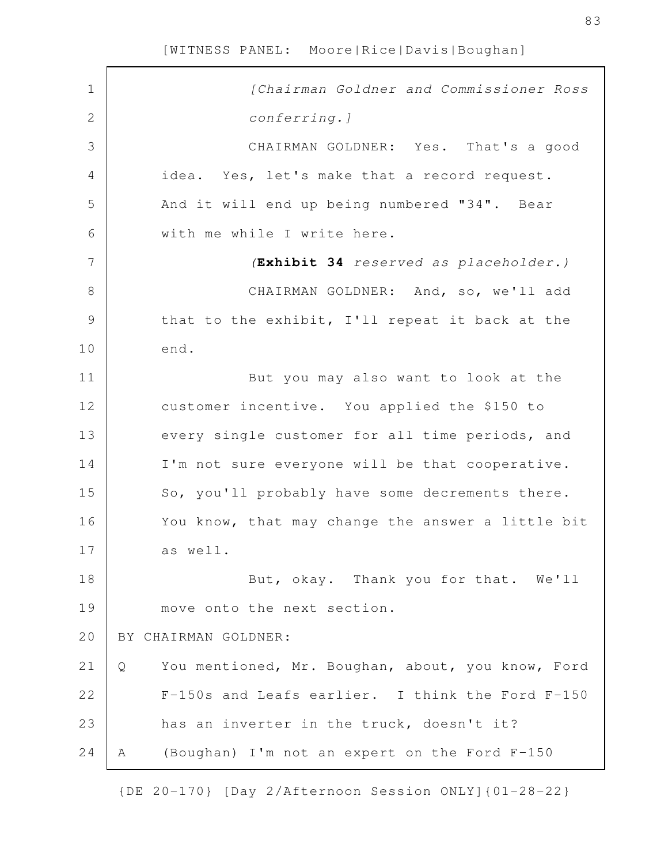| $\mathbf 1$    | [Chairman Goldner and Commissioner Ross                |
|----------------|--------------------------------------------------------|
| $\overline{2}$ | conferring. ]                                          |
| 3              | CHAIRMAN GOLDNER: Yes. That's a good                   |
| 4              | idea. Yes, let's make that a record request.           |
| 5              | And it will end up being numbered "34". Bear           |
| 6              | with me while I write here.                            |
| 7              | (Exhibit 34 reserved as placeholder.)                  |
| 8              | CHAIRMAN GOLDNER: And, so, we'll add                   |
| $\mathcal{G}$  | that to the exhibit, I'll repeat it back at the        |
| 10             | end.                                                   |
| 11             | But you may also want to look at the                   |
| 12             | customer incentive. You applied the \$150 to           |
| 13             | every single customer for all time periods, and        |
| 14             | I'm not sure everyone will be that cooperative.        |
| 15             | So, you'll probably have some decrements there.        |
| 16             | You know, that may change the answer a little bit      |
| 17             | as well.                                               |
| 18             | But, okay. Thank you for that. We'll                   |
| 19             | move onto the next section.                            |
| 20             | BY CHAIRMAN GOLDNER:                                   |
| 21             | You mentioned, Mr. Boughan, about, you know, Ford<br>Q |
| 22             | F-150s and Leafs earlier. I think the Ford F-150       |
| 23             | has an inverter in the truck, doesn't it?              |
| 24             | (Boughan) I'm not an expert on the Ford F-150<br>A     |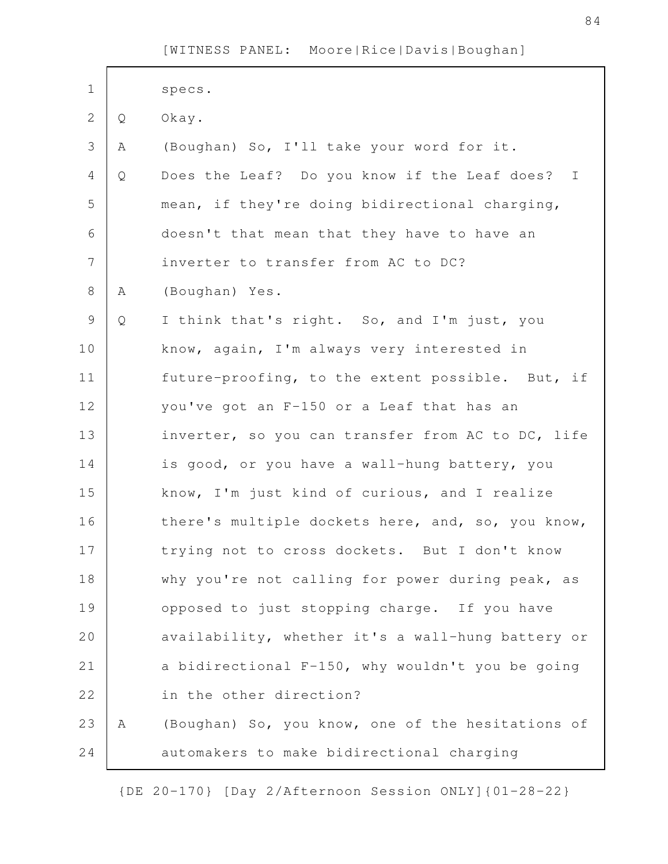| $\mathbf 1$    |              | specs.                                            |
|----------------|--------------|---------------------------------------------------|
| $\mathbf{2}$   | Q            | Okay.                                             |
| 3              | Α            | (Boughan) So, I'll take your word for it.         |
| $\overline{4}$ | Q            | Does the Leaf? Do you know if the Leaf does? I    |
| 5              |              | mean, if they're doing bidirectional charging,    |
| 6              |              | doesn't that mean that they have to have an       |
| $\overline{7}$ |              | inverter to transfer from AC to DC?               |
| $8\,$          | Α            | (Boughan) Yes.                                    |
| $\mathsf 9$    | $\mathsf{Q}$ | I think that's right. So, and I'm just, you       |
| 10             |              | know, again, I'm always very interested in        |
| 11             |              | future-proofing, to the extent possible. But, if  |
| 12             |              | you've got an F-150 or a Leaf that has an         |
| 13             |              | inverter, so you can transfer from AC to DC, life |
| 14             |              | is good, or you have a wall-hung battery, you     |
| 15             |              | know, I'm just kind of curious, and I realize     |
| 16             |              | there's multiple dockets here, and, so, you know, |
| 17             |              | trying not to cross dockets. But I don't know     |
| 18             |              | why you're not calling for power during peak, as  |
| 19             |              | opposed to just stopping charge. If you have      |
| 20             |              | availability, whether it's a wall-hung battery or |
| 21             |              | a bidirectional F-150, why wouldn't you be going  |
| 22             |              | in the other direction?                           |
| 23             | Α            | (Boughan) So, you know, one of the hesitations of |
| 24             |              | automakers to make bidirectional charging         |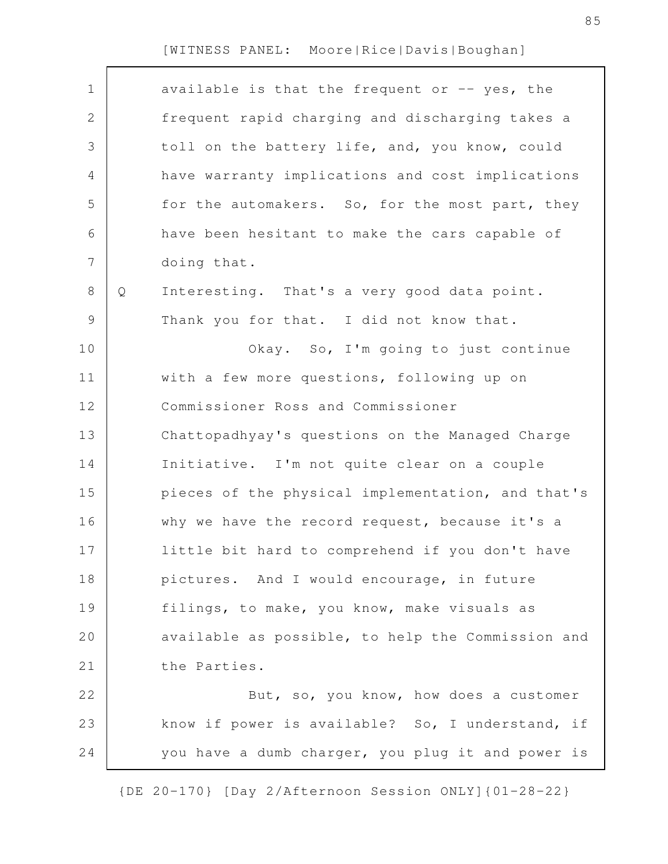| $\mathbf 1$<br>2 |   | available is that the frequent or $-$ yes, the    |
|------------------|---|---------------------------------------------------|
|                  |   |                                                   |
|                  |   | frequent rapid charging and discharging takes a   |
| 3                |   | toll on the battery life, and, you know, could    |
| 4                |   | have warranty implications and cost implications  |
| 5                |   | for the automakers. So, for the most part, they   |
| 6                |   | have been hesitant to make the cars capable of    |
| $\overline{7}$   |   | doing that.                                       |
| 8                | Q | Interesting. That's a very good data point.       |
| $\mathsf 9$      |   | Thank you for that. I did not know that.          |
| 10               |   | Okay. So, I'm going to just continue              |
| 11               |   | with a few more questions, following up on        |
| 12               |   | Commissioner Ross and Commissioner                |
| 13               |   | Chattopadhyay's questions on the Managed Charge   |
| 14               |   | Initiative. I'm not quite clear on a couple       |
| 15               |   | pieces of the physical implementation, and that's |
| 16               |   | why we have the record request, because it's a    |
| 17               |   | little bit hard to comprehend if you don't have   |
| 18               |   | pictures. And I would encourage, in future        |
| 19               |   | filings, to make, you know, make visuals as       |
| 20               |   | available as possible, to help the Commission and |
| 21               |   | the Parties.                                      |
| 22               |   | But, so, you know, how does a customer            |
| 23               |   | know if power is available? So, I understand, if  |
| 24               |   | you have a dumb charger, you plug it and power is |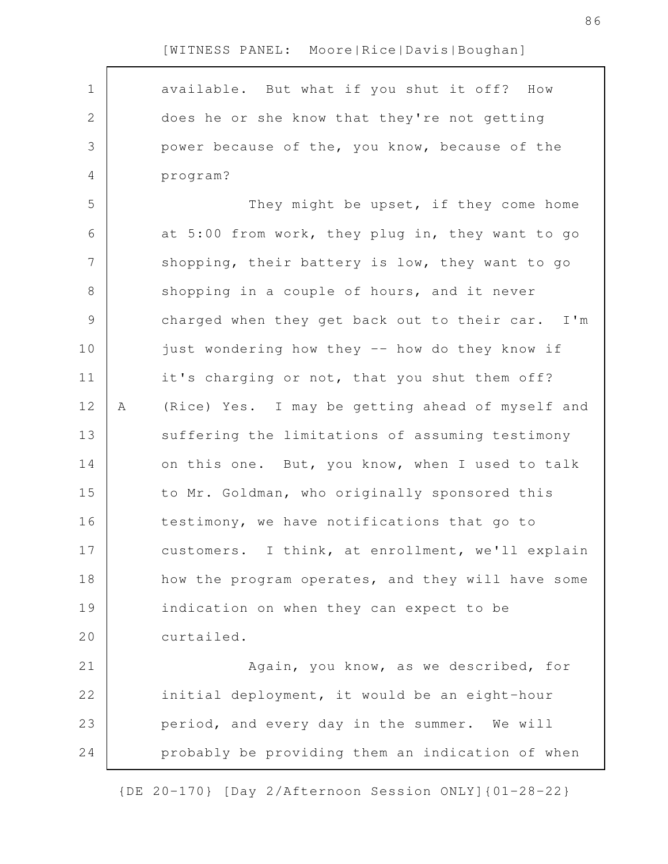| available. But what if you shut it off? How<br>$\mathbf 1$<br>$\mathbf{2}$<br>does he or she know that they're not getting<br>3<br>power because of the, you know, because of the<br>program?<br>4<br>5<br>They might be upset, if they come home<br>6<br>at 5:00 from work, they plug in, they want to go<br>$\overline{7}$<br>shopping, their battery is low, they want to go<br>8<br>shopping in a couple of hours, and it never<br>9<br>charged when they get back out to their car. I'm<br>10<br>just wondering how they -- how do they know if<br>11<br>it's charging or not, that you shut them off?<br>12<br>(Rice) Yes. I may be getting ahead of myself and<br>Α<br>13<br>suffering the limitations of assuming testimony<br>on this one. But, you know, when I used to talk<br>14<br>15<br>to Mr. Goldman, who originally sponsored this<br>16<br>testimony, we have notifications that go to<br>17<br>customers. I think, at enrollment, we'll explain<br>18<br>how the program operates, and they will have some<br>19<br>indication on when they can expect to be<br>20<br>curtailed.<br>21<br>Again, you know, as we described, for<br>22<br>initial deployment, it would be an eight-hour<br>23<br>period, and every day in the summer. We will<br>probably be providing them an indication of when<br>24 |  |  |
|---------------------------------------------------------------------------------------------------------------------------------------------------------------------------------------------------------------------------------------------------------------------------------------------------------------------------------------------------------------------------------------------------------------------------------------------------------------------------------------------------------------------------------------------------------------------------------------------------------------------------------------------------------------------------------------------------------------------------------------------------------------------------------------------------------------------------------------------------------------------------------------------------------------------------------------------------------------------------------------------------------------------------------------------------------------------------------------------------------------------------------------------------------------------------------------------------------------------------------------------------------------------------------------------------------------------------|--|--|
|                                                                                                                                                                                                                                                                                                                                                                                                                                                                                                                                                                                                                                                                                                                                                                                                                                                                                                                                                                                                                                                                                                                                                                                                                                                                                                                           |  |  |
|                                                                                                                                                                                                                                                                                                                                                                                                                                                                                                                                                                                                                                                                                                                                                                                                                                                                                                                                                                                                                                                                                                                                                                                                                                                                                                                           |  |  |
|                                                                                                                                                                                                                                                                                                                                                                                                                                                                                                                                                                                                                                                                                                                                                                                                                                                                                                                                                                                                                                                                                                                                                                                                                                                                                                                           |  |  |
|                                                                                                                                                                                                                                                                                                                                                                                                                                                                                                                                                                                                                                                                                                                                                                                                                                                                                                                                                                                                                                                                                                                                                                                                                                                                                                                           |  |  |
|                                                                                                                                                                                                                                                                                                                                                                                                                                                                                                                                                                                                                                                                                                                                                                                                                                                                                                                                                                                                                                                                                                                                                                                                                                                                                                                           |  |  |
|                                                                                                                                                                                                                                                                                                                                                                                                                                                                                                                                                                                                                                                                                                                                                                                                                                                                                                                                                                                                                                                                                                                                                                                                                                                                                                                           |  |  |
|                                                                                                                                                                                                                                                                                                                                                                                                                                                                                                                                                                                                                                                                                                                                                                                                                                                                                                                                                                                                                                                                                                                                                                                                                                                                                                                           |  |  |
|                                                                                                                                                                                                                                                                                                                                                                                                                                                                                                                                                                                                                                                                                                                                                                                                                                                                                                                                                                                                                                                                                                                                                                                                                                                                                                                           |  |  |
|                                                                                                                                                                                                                                                                                                                                                                                                                                                                                                                                                                                                                                                                                                                                                                                                                                                                                                                                                                                                                                                                                                                                                                                                                                                                                                                           |  |  |
|                                                                                                                                                                                                                                                                                                                                                                                                                                                                                                                                                                                                                                                                                                                                                                                                                                                                                                                                                                                                                                                                                                                                                                                                                                                                                                                           |  |  |
|                                                                                                                                                                                                                                                                                                                                                                                                                                                                                                                                                                                                                                                                                                                                                                                                                                                                                                                                                                                                                                                                                                                                                                                                                                                                                                                           |  |  |
|                                                                                                                                                                                                                                                                                                                                                                                                                                                                                                                                                                                                                                                                                                                                                                                                                                                                                                                                                                                                                                                                                                                                                                                                                                                                                                                           |  |  |
|                                                                                                                                                                                                                                                                                                                                                                                                                                                                                                                                                                                                                                                                                                                                                                                                                                                                                                                                                                                                                                                                                                                                                                                                                                                                                                                           |  |  |
|                                                                                                                                                                                                                                                                                                                                                                                                                                                                                                                                                                                                                                                                                                                                                                                                                                                                                                                                                                                                                                                                                                                                                                                                                                                                                                                           |  |  |
|                                                                                                                                                                                                                                                                                                                                                                                                                                                                                                                                                                                                                                                                                                                                                                                                                                                                                                                                                                                                                                                                                                                                                                                                                                                                                                                           |  |  |
|                                                                                                                                                                                                                                                                                                                                                                                                                                                                                                                                                                                                                                                                                                                                                                                                                                                                                                                                                                                                                                                                                                                                                                                                                                                                                                                           |  |  |
|                                                                                                                                                                                                                                                                                                                                                                                                                                                                                                                                                                                                                                                                                                                                                                                                                                                                                                                                                                                                                                                                                                                                                                                                                                                                                                                           |  |  |
|                                                                                                                                                                                                                                                                                                                                                                                                                                                                                                                                                                                                                                                                                                                                                                                                                                                                                                                                                                                                                                                                                                                                                                                                                                                                                                                           |  |  |
|                                                                                                                                                                                                                                                                                                                                                                                                                                                                                                                                                                                                                                                                                                                                                                                                                                                                                                                                                                                                                                                                                                                                                                                                                                                                                                                           |  |  |
|                                                                                                                                                                                                                                                                                                                                                                                                                                                                                                                                                                                                                                                                                                                                                                                                                                                                                                                                                                                                                                                                                                                                                                                                                                                                                                                           |  |  |
|                                                                                                                                                                                                                                                                                                                                                                                                                                                                                                                                                                                                                                                                                                                                                                                                                                                                                                                                                                                                                                                                                                                                                                                                                                                                                                                           |  |  |
|                                                                                                                                                                                                                                                                                                                                                                                                                                                                                                                                                                                                                                                                                                                                                                                                                                                                                                                                                                                                                                                                                                                                                                                                                                                                                                                           |  |  |
|                                                                                                                                                                                                                                                                                                                                                                                                                                                                                                                                                                                                                                                                                                                                                                                                                                                                                                                                                                                                                                                                                                                                                                                                                                                                                                                           |  |  |
|                                                                                                                                                                                                                                                                                                                                                                                                                                                                                                                                                                                                                                                                                                                                                                                                                                                                                                                                                                                                                                                                                                                                                                                                                                                                                                                           |  |  |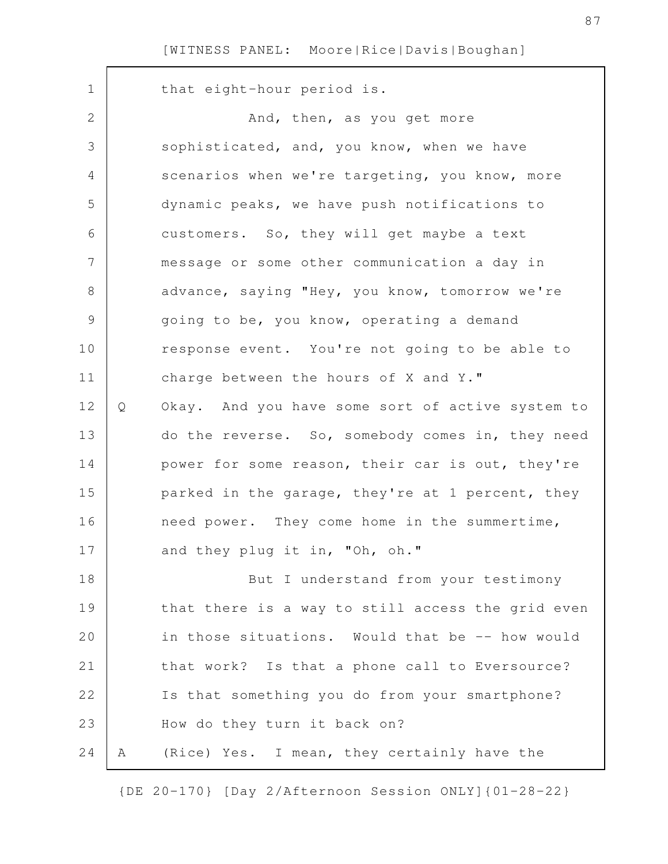| $\mathbf 1$  |   | that eight-hour period is.                        |
|--------------|---|---------------------------------------------------|
| $\mathbf{2}$ |   | And, then, as you get more                        |
| 3            |   | sophisticated, and, you know, when we have        |
| 4            |   | scenarios when we're targeting, you know, more    |
| 5            |   | dynamic peaks, we have push notifications to      |
| 6            |   | customers. So, they will get maybe a text         |
| 7            |   | message or some other communication a day in      |
| 8            |   | advance, saying "Hey, you know, tomorrow we're    |
| 9            |   | going to be, you know, operating a demand         |
| 10           |   | response event. You're not going to be able to    |
| 11           |   | charge between the hours of X and Y."             |
| 12           | Q | Okay. And you have some sort of active system to  |
| 13           |   | do the reverse. So, somebody comes in, they need  |
| 14           |   | power for some reason, their car is out, they're  |
| 15           |   | parked in the garage, they're at 1 percent, they  |
| 16           |   | need power. They come home in the summertime,     |
| 17           |   | and they plug it in, "Oh, oh."                    |
| 18           |   | But I understand from your testimony              |
| 19           |   | that there is a way to still access the grid even |
| 20           |   | in those situations. Would that be -- how would   |
| 21           |   | that work? Is that a phone call to Eversource?    |
| 22           |   | Is that something you do from your smartphone?    |
| 23           |   | How do they turn it back on?                      |
| 24           | A | (Rice) Yes. I mean, they certainly have the       |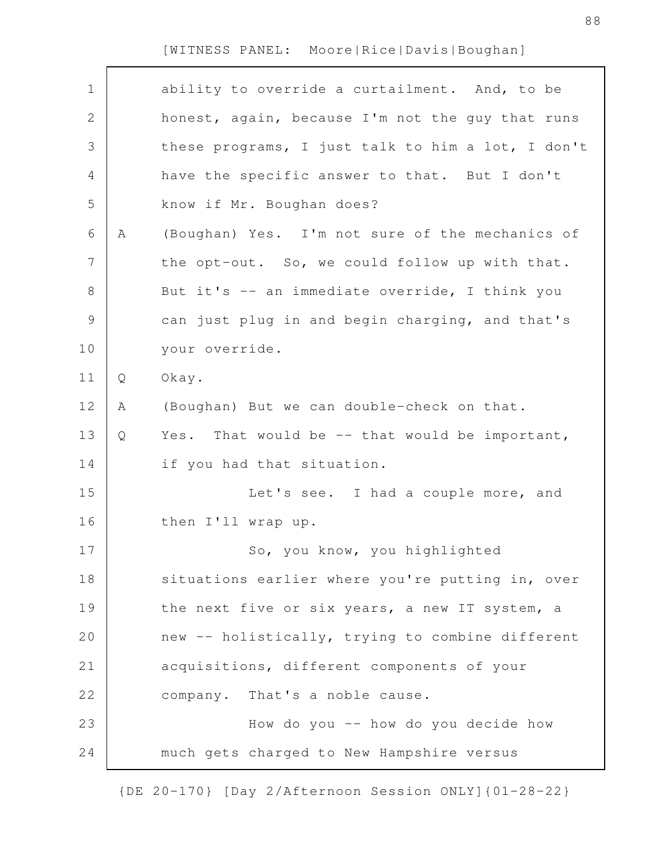| $\mathbf 1$    |   | ability to override a curtailment. And, to be     |
|----------------|---|---------------------------------------------------|
| 2              |   | honest, again, because I'm not the guy that runs  |
| 3              |   | these programs, I just talk to him a lot, I don't |
| 4              |   | have the specific answer to that. But I don't     |
| 5              |   | know if Mr. Boughan does?                         |
| 6              | Α | (Boughan) Yes. I'm not sure of the mechanics of   |
| $\overline{7}$ |   | the opt-out. So, we could follow up with that.    |
| $8\,$          |   | But it's -- an immediate override, I think you    |
| $\mathcal{G}$  |   | can just plug in and begin charging, and that's   |
| 10             |   | your override.                                    |
| 11             | Q | Okay.                                             |
| 12             | Α | (Boughan) But we can double-check on that.        |
| 13             | Q | Yes. That would be $-$ that would be important,   |
| 14             |   | if you had that situation.                        |
| 15             |   | Let's see. I had a couple more, and               |
| 16             |   | then I'll wrap up.                                |
| 17             |   | So, you know, you highlighted                     |
| 18             |   | situations earlier where you're putting in, over  |
| 19             |   | the next five or six years, a new IT system, a    |
| 20             |   | new -- holistically, trying to combine different  |
| 21             |   | acquisitions, different components of your        |
| 22             |   | company. That's a noble cause.                    |
| 23             |   | How do you -- how do you decide how               |
| 24             |   | much gets charged to New Hampshire versus         |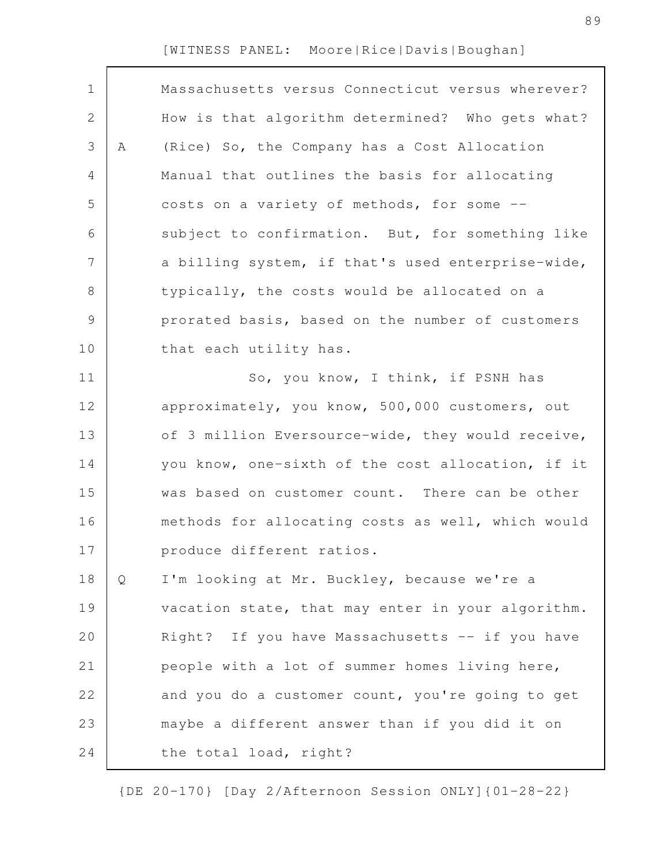| $\mathbf 1$  |   | Massachusetts versus Connecticut versus wherever? |
|--------------|---|---------------------------------------------------|
| $\mathbf{2}$ |   | How is that algorithm determined? Who gets what?  |
| 3            | Α | (Rice) So, the Company has a Cost Allocation      |
| 4            |   | Manual that outlines the basis for allocating     |
| 5            |   | costs on a variety of methods, for some --        |
| 6            |   | subject to confirmation. But, for something like  |
| 7            |   | a billing system, if that's used enterprise-wide, |
| $\,8\,$      |   | typically, the costs would be allocated on a      |
| $\mathsf 9$  |   | prorated basis, based on the number of customers  |
| 10           |   | that each utility has.                            |
| 11           |   | So, you know, I think, if PSNH has                |
| 12           |   | approximately, you know, 500,000 customers, out   |
| 13           |   | of 3 million Eversource-wide, they would receive, |
| 14           |   | you know, one-sixth of the cost allocation, if it |
| 15           |   | was based on customer count. There can be other   |
| 16           |   | methods for allocating costs as well, which would |
| 17           |   | produce different ratios.                         |
| 18           | Q | I'm looking at Mr. Buckley, because we're a       |
| 19           |   | vacation state, that may enter in your algorithm. |
| 20           |   | Right? If you have Massachusetts -- if you have   |
| 21           |   | people with a lot of summer homes living here,    |
| 22           |   | and you do a customer count, you're going to get  |
| 23           |   | maybe a different answer than if you did it on    |
| 24           |   | the total load, right?                            |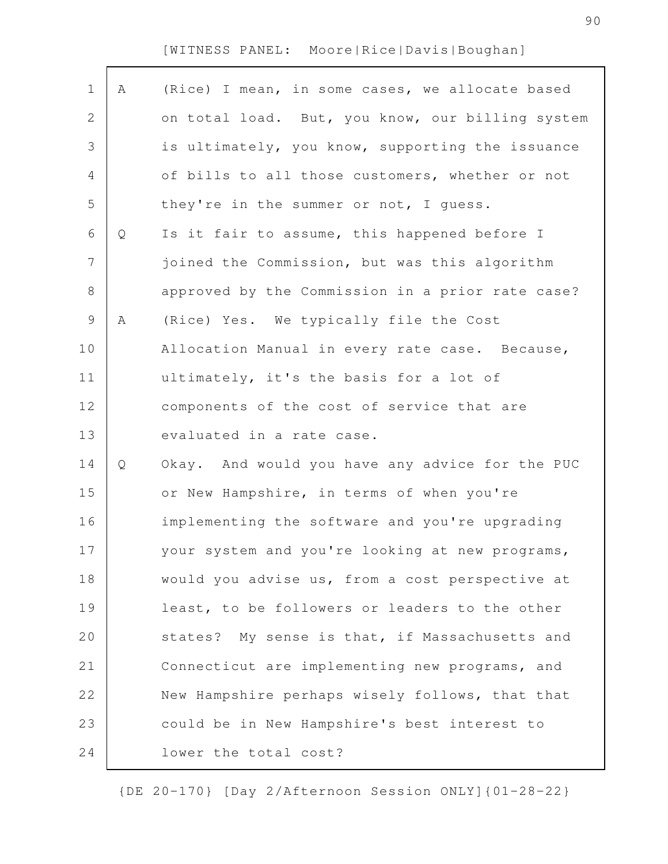$\Gamma$ 

| $\mathbf 1$    | Α | (Rice) I mean, in some cases, we allocate based  |
|----------------|---|--------------------------------------------------|
| $\overline{2}$ |   | on total load. But, you know, our billing system |
| 3              |   | is ultimately, you know, supporting the issuance |
| 4              |   | of bills to all those customers, whether or not  |
| 5              |   | they're in the summer or not, I quess.           |
| 6              | Q | Is it fair to assume, this happened before I     |
| 7              |   | joined the Commission, but was this algorithm    |
| 8              |   | approved by the Commission in a prior rate case? |
| 9              | Α | (Rice) Yes. We typically file the Cost           |
| 10             |   | Allocation Manual in every rate case. Because,   |
| 11             |   | ultimately, it's the basis for a lot of          |
| 12             |   | components of the cost of service that are       |
| 13             |   | evaluated in a rate case.                        |
| 14             | Q | Okay. And would you have any advice for the PUC  |
| 15             |   | or New Hampshire, in terms of when you're        |
| 16             |   | implementing the software and you're upgrading   |
| 17             |   | your system and you're looking at new programs,  |
| 18             |   | would you advise us, from a cost perspective at  |
| 19             |   | least, to be followers or leaders to the other   |
| 20             |   | states? My sense is that, if Massachusetts and   |
| 21             |   | Connecticut are implementing new programs, and   |
| 22             |   | New Hampshire perhaps wisely follows, that that  |
| 23             |   | could be in New Hampshire's best interest to     |
| 24             |   | lower the total cost?                            |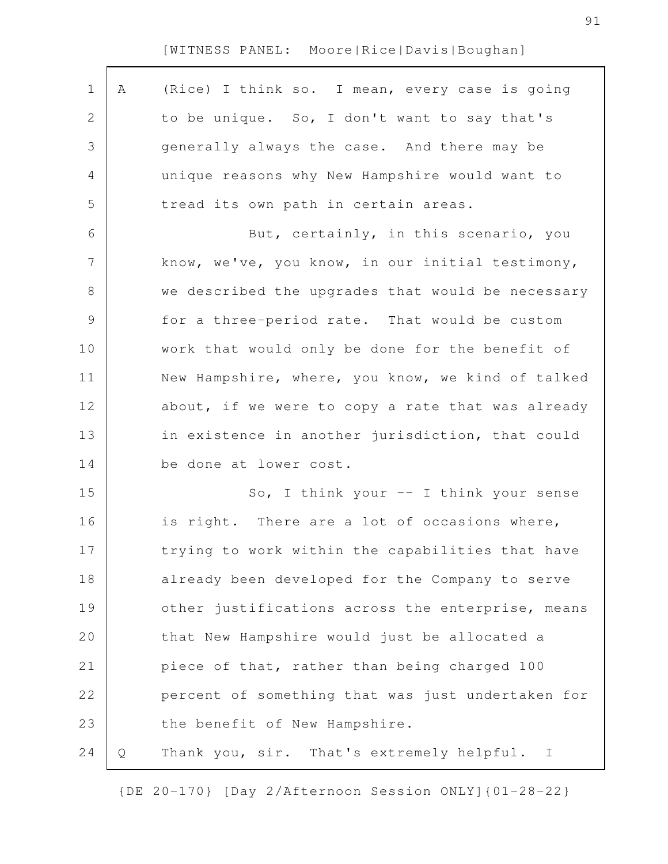| $\mathbf 1$    | Α | (Rice) I think so. I mean, every case is going            |
|----------------|---|-----------------------------------------------------------|
| $\mathbf{2}$   |   | to be unique. So, I don't want to say that's              |
| 3              |   | generally always the case. And there may be               |
| $\overline{4}$ |   | unique reasons why New Hampshire would want to            |
| 5              |   | tread its own path in certain areas.                      |
| 6              |   | But, certainly, in this scenario, you                     |
| $\overline{7}$ |   | know, we've, you know, in our initial testimony,          |
| $8\,$          |   | we described the upgrades that would be necessary         |
| $\mathcal{G}$  |   | for a three-period rate. That would be custom             |
| 10             |   | work that would only be done for the benefit of           |
| 11             |   | New Hampshire, where, you know, we kind of talked         |
| 12             |   | about, if we were to copy a rate that was already         |
| 13             |   | in existence in another jurisdiction, that could          |
| 14             |   | be done at lower cost.                                    |
| 15             |   | So, I think your $--$ I think your sense                  |
| 16             |   | is right. There are a lot of occasions where,             |
| 17             |   | trying to work within the capabilities that have          |
| 18             |   | already been developed for the Company to serve           |
| 19             |   | other justifications across the enterprise, means         |
| 20             |   | that New Hampshire would just be allocated a              |
| 21             |   | piece of that, rather than being charged 100              |
| 22             |   | percent of something that was just undertaken for         |
| 23             |   | the benefit of New Hampshire.                             |
| 24             | Q | Thank you, sir. That's extremely helpful.<br>$\mathbf{I}$ |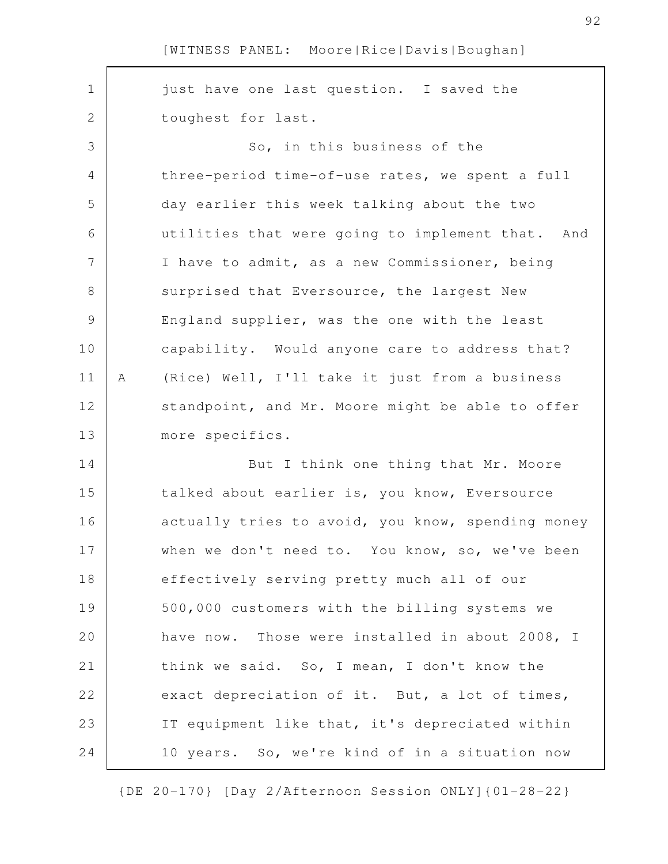| $\mathbf 1$    |   | just have one last question. I saved the          |
|----------------|---|---------------------------------------------------|
| $\mathbf{2}$   |   | toughest for last.                                |
| 3              |   | So, in this business of the                       |
| $\overline{4}$ |   | three-period time-of-use rates, we spent a full   |
| 5              |   | day earlier this week talking about the two       |
| 6              |   | utilities that were going to implement that. And  |
| 7              |   | I have to admit, as a new Commissioner, being     |
| 8              |   | surprised that Eversource, the largest New        |
| $\mathsf 9$    |   | England supplier, was the one with the least      |
| 10             |   | capability. Would anyone care to address that?    |
| 11             | Α | (Rice) Well, I'll take it just from a business    |
| 12             |   | standpoint, and Mr. Moore might be able to offer  |
| 13             |   | more specifics.                                   |
| 14             |   | But I think one thing that Mr. Moore              |
|                |   |                                                   |
| 15             |   | talked about earlier is, you know, Eversource     |
| 16             |   | actually tries to avoid, you know, spending money |
| 17             |   | when we don't need to. You know, so, we've been   |
| 18             |   | effectively serving pretty much all of our        |
| 19             |   | 500,000 customers with the billing systems we     |
| 20             |   | have now. Those were installed in about 2008, I   |
| 21             |   | think we said. So, I mean, I don't know the       |
| 22             |   | exact depreciation of it. But, a lot of times,    |
| 23             |   | IT equipment like that, it's depreciated within   |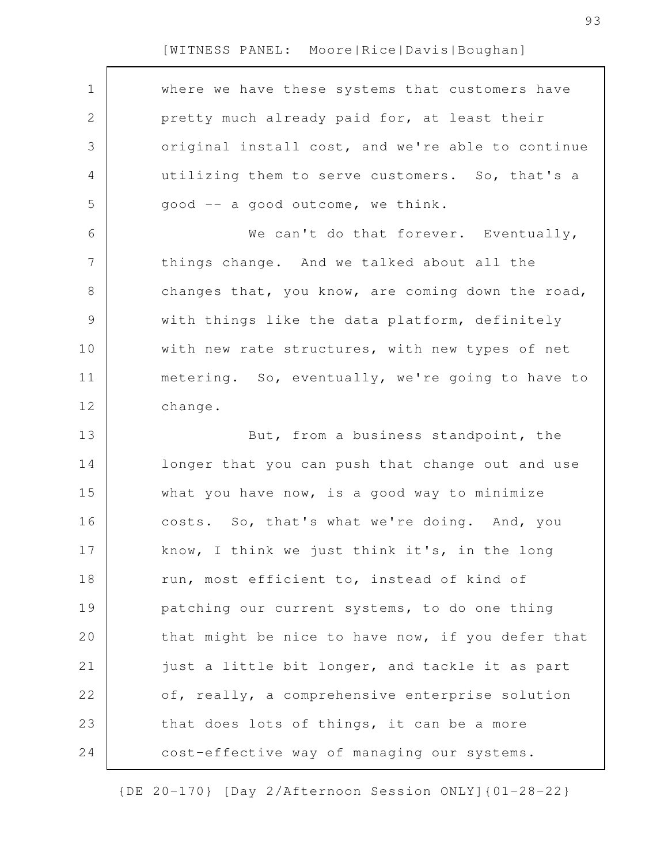| $\mathbf 1$    | where we have these systems that customers have   |
|----------------|---------------------------------------------------|
| $\mathbf{2}$   | pretty much already paid for, at least their      |
| $\mathfrak{Z}$ | original install cost, and we're able to continue |
| 4              | utilizing them to serve customers. So, that's a   |
| 5              | good -- a good outcome, we think.                 |
| 6              | We can't do that forever. Eventually,             |
| $\overline{7}$ | things change. And we talked about all the        |
| $\,8\,$        | changes that, you know, are coming down the road, |
| $\mathsf 9$    | with things like the data platform, definitely    |
| 10             | with new rate structures, with new types of net   |
| 11             | metering. So, eventually, we're going to have to  |
| 12             | change.                                           |
| 13             | But, from a business standpoint, the              |
| 14             | longer that you can push that change out and use  |
| 15             | what you have now, is a good way to minimize      |
| 16             | costs. So, that's what we're doing. And, you      |
| 17             | know, I think we just think it's, in the long     |
| 18             | run, most efficient to, instead of kind of        |
| 19             | patching our current systems, to do one thing     |
| 20             | that might be nice to have now, if you defer that |
| 21             | just a little bit longer, and tackle it as part   |
| 22             | of, really, a comprehensive enterprise solution   |
| 23             | that does lots of things, it can be a more        |
| 24             | cost-effective way of managing our systems.       |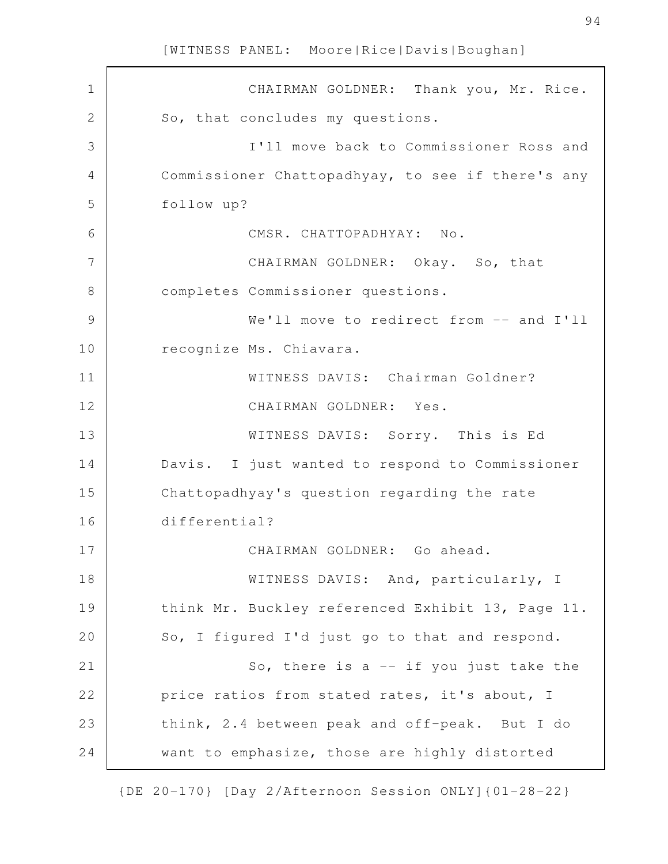| $\mathbf 1$  | CHAIRMAN GOLDNER: Thank you, Mr. Rice.            |
|--------------|---------------------------------------------------|
| $\mathbf{2}$ | So, that concludes my questions.                  |
| 3            | I'll move back to Commissioner Ross and           |
| 4            | Commissioner Chattopadhyay, to see if there's any |
| 5            | follow up?                                        |
| 6            | CMSR. CHATTOPADHYAY: No.                          |
| 7            | CHAIRMAN GOLDNER: Okay. So, that                  |
| 8            | completes Commissioner questions.                 |
| 9            | We'll move to redirect from -- and I'll           |
| 10           | recognize Ms. Chiavara.                           |
| 11           | WITNESS DAVIS: Chairman Goldner?                  |
| 12           | CHAIRMAN GOLDNER: Yes.                            |
| 13           | WITNESS DAVIS: Sorry. This is Ed                  |
| 14           | Davis. I just wanted to respond to Commissioner   |
| 15           | Chattopadhyay's question regarding the rate       |
| 16           | differential?                                     |
| 17           | CHAIRMAN GOLDNER: Go ahead.                       |
| 18           | WITNESS DAVIS: And, particularly, I               |
| 19           | think Mr. Buckley referenced Exhibit 13, Page 11. |
| 20           | So, I figured I'd just go to that and respond.    |
| 21           | So, there is a $-$ if you just take the           |
| 22           | price ratios from stated rates, it's about, I     |
| 23           | think, 2.4 between peak and off-peak. But I do    |
| 24           | want to emphasize, those are highly distorted     |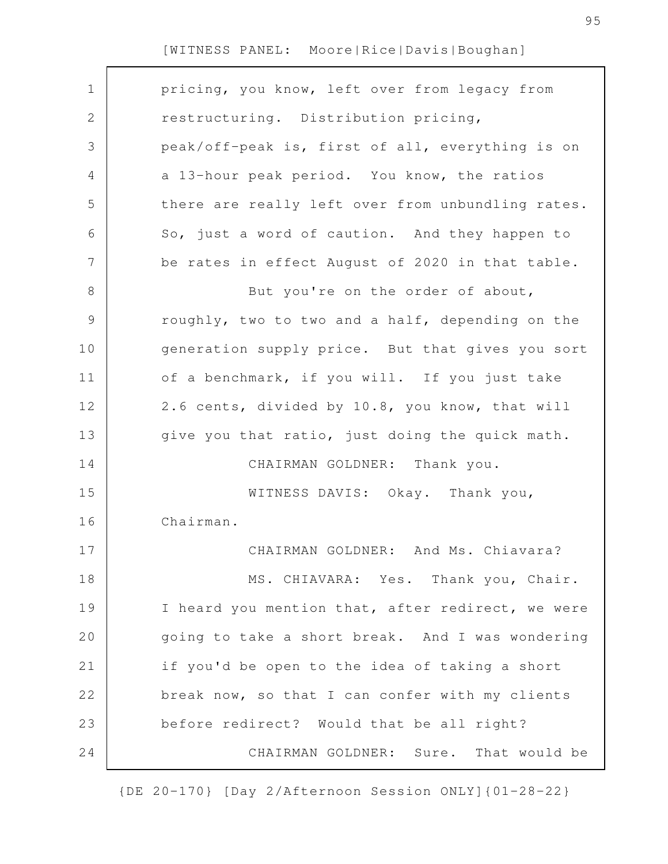| $\mathbf 1$    | pricing, you know, left over from legacy from     |
|----------------|---------------------------------------------------|
| 2              | restructuring. Distribution pricing,              |
| 3              | peak/off-peak is, first of all, everything is on  |
| 4              | a 13-hour peak period. You know, the ratios       |
| 5              | there are really left over from unbundling rates. |
| 6              | So, just a word of caution. And they happen to    |
| $\overline{7}$ | be rates in effect August of 2020 in that table.  |
| 8              | But you're on the order of about,                 |
| $\mathcal{G}$  | roughly, two to two and a half, depending on the  |
| 10             | generation supply price. But that gives you sort  |
| 11             | of a benchmark, if you will. If you just take     |
| 12             | 2.6 cents, divided by 10.8, you know, that will   |
| 13             | give you that ratio, just doing the quick math.   |
| 14             | CHAIRMAN GOLDNER: Thank you.                      |
| 15             | WITNESS DAVIS: Okay. Thank you,                   |
| 16             | Chairman.                                         |
| 17             | CHAIRMAN GOLDNER: And Ms. Chiavara?               |
| 18             | MS. CHIAVARA: Yes. Thank you, Chair.              |
| 19             | I heard you mention that, after redirect, we were |
| 20             | going to take a short break. And I was wondering  |
| 21             | if you'd be open to the idea of taking a short    |
| 22             | break now, so that I can confer with my clients   |
| 23             | before redirect? Would that be all right?         |
| 24             | CHAIRMAN GOLDNER: Sure. That would be             |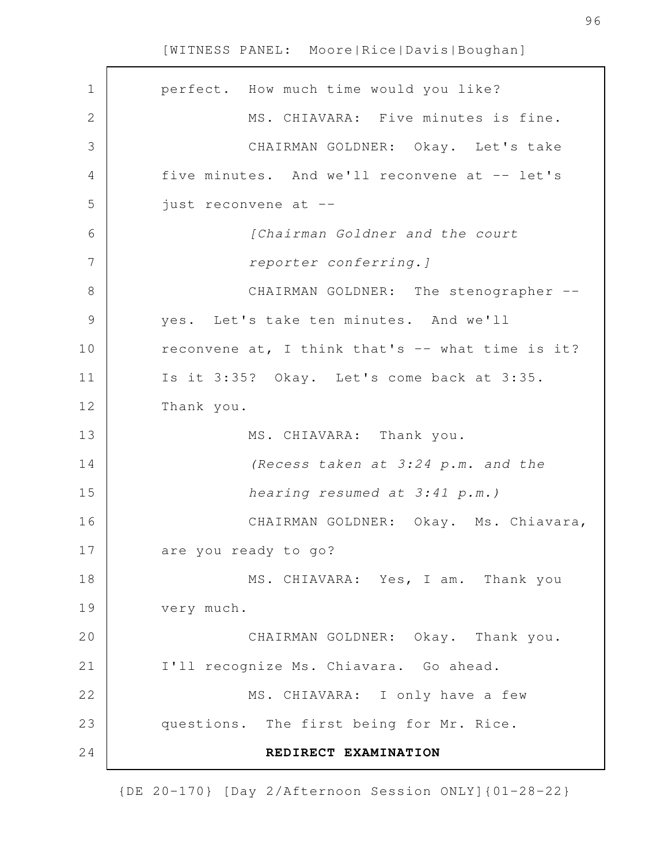| perfect. How much time would you like?           |
|--------------------------------------------------|
| MS. CHIAVARA: Five minutes is fine.              |
| CHAIRMAN GOLDNER: Okay. Let's take               |
| five minutes. And we'll reconvene at -- let's    |
| just reconvene at --                             |
| [Chairman Goldner and the court                  |
| reporter conferring.]                            |
| CHAIRMAN GOLDNER: The stenographer --            |
| yes. Let's take ten minutes. And we'll           |
| reconvene at, I think that's -- what time is it? |
| Is it 3:35? Okay. Let's come back at 3:35.       |
| Thank you.                                       |
| MS. CHIAVARA: Thank you.                         |
| (Recess taken at 3:24 p.m. and the               |
| hearing resumed at 3:41 p.m.)                    |
| CHAIRMAN GOLDNER: Okay. Ms. Chiavara,            |
| are you ready to go?                             |
| MS. CHIAVARA: Yes, I am. Thank you               |
| very much.                                       |
| CHAIRMAN GOLDNER: Okay. Thank you.               |
| I'll recognize Ms. Chiavara. Go ahead.           |
| MS. CHIAVARA: I only have a few                  |
| questions. The first being for Mr. Rice.         |
| REDIRECT EXAMINATION                             |
|                                                  |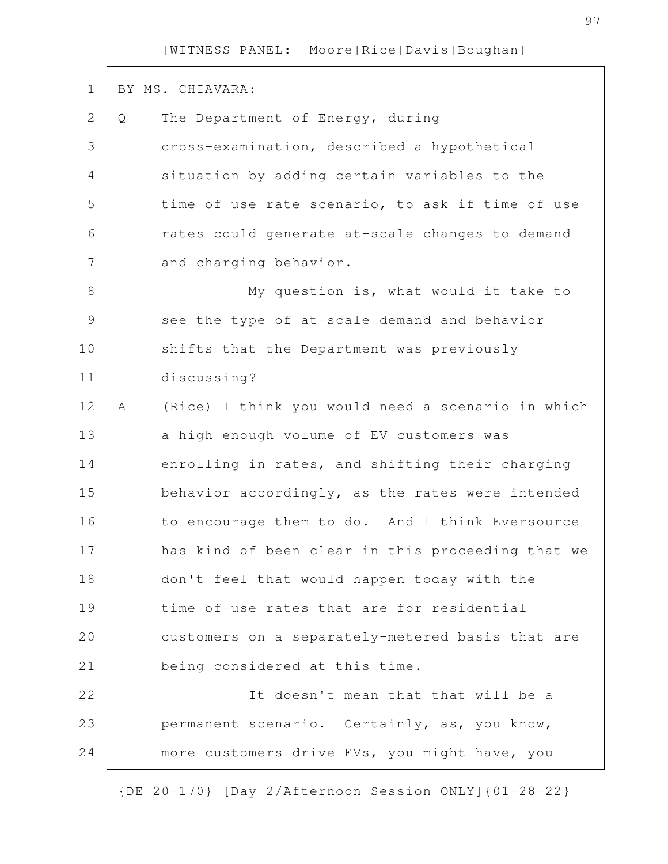| $\mathbf 1$   |   | BY MS. CHIAVARA:                                  |
|---------------|---|---------------------------------------------------|
| 2             | Q | The Department of Energy, during                  |
| 3             |   | cross-examination, described a hypothetical       |
| 4             |   | situation by adding certain variables to the      |
| 5             |   | time-of-use rate scenario, to ask if time-of-use  |
| 6             |   | rates could generate at-scale changes to demand   |
| 7             |   | and charging behavior.                            |
| $8\,$         |   | My question is, what would it take to             |
| $\mathcal{G}$ |   | see the type of at-scale demand and behavior      |
| 10            |   | shifts that the Department was previously         |
| 11            |   | discussing?                                       |
| 12            | Α | (Rice) I think you would need a scenario in which |
| 13            |   | a high enough volume of EV customers was          |
| 14            |   | enrolling in rates, and shifting their charging   |
| 15            |   | behavior accordingly, as the rates were intended  |
| 16            |   | to encourage them to do. And I think Eversource   |
| 17            |   | has kind of been clear in this proceeding that we |
| 18            |   | don't feel that would happen today with the       |
| 19            |   | time-of-use rates that are for residential        |
| 20            |   | customers on a separately-metered basis that are  |
| 21            |   | being considered at this time.                    |
| 22            |   | It doesn't mean that that will be a               |
| 23            |   | permanent scenario. Certainly, as, you know,      |
| 24            |   | more customers drive EVs, you might have, you     |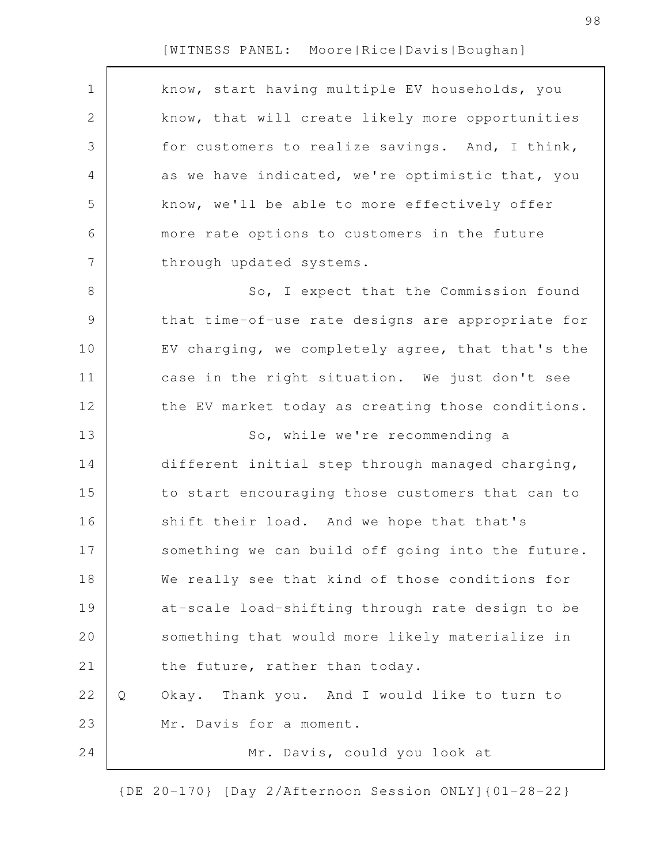$\Gamma$ 

| $\mathbf 1$   | know, start having multiple EV households, you    |
|---------------|---------------------------------------------------|
| $\mathbf{2}$  | know, that will create likely more opportunities  |
| 3             | for customers to realize savings. And, I think,   |
| 4             | as we have indicated, we're optimistic that, you  |
| 5             | know, we'll be able to more effectively offer     |
| 6             | more rate options to customers in the future      |
| 7             | through updated systems.                          |
| $\,8\,$       | So, I expect that the Commission found            |
| $\mathcal{G}$ | that time-of-use rate designs are appropriate for |
| 10            | EV charging, we completely agree, that that's the |
| 11            | case in the right situation. We just don't see    |
| 12            | the EV market today as creating those conditions. |
|               |                                                   |
| 13            | So, while we're recommending a                    |
| 14            | different initial step through managed charging,  |
| 15            | to start encouraging those customers that can to  |
| 16            | shift their load. And we hope that that's         |
| 17            | something we can build off going into the future. |
| 18            | We really see that kind of those conditions for   |
| 19            | at-scale load-shifting through rate design to be  |
| 20            | something that would more likely materialize in   |
| 21            | the future, rather than today.                    |
| 22            | Okay. Thank you. And I would like to turn to<br>Q |
| 23            | Mr. Davis for a moment.                           |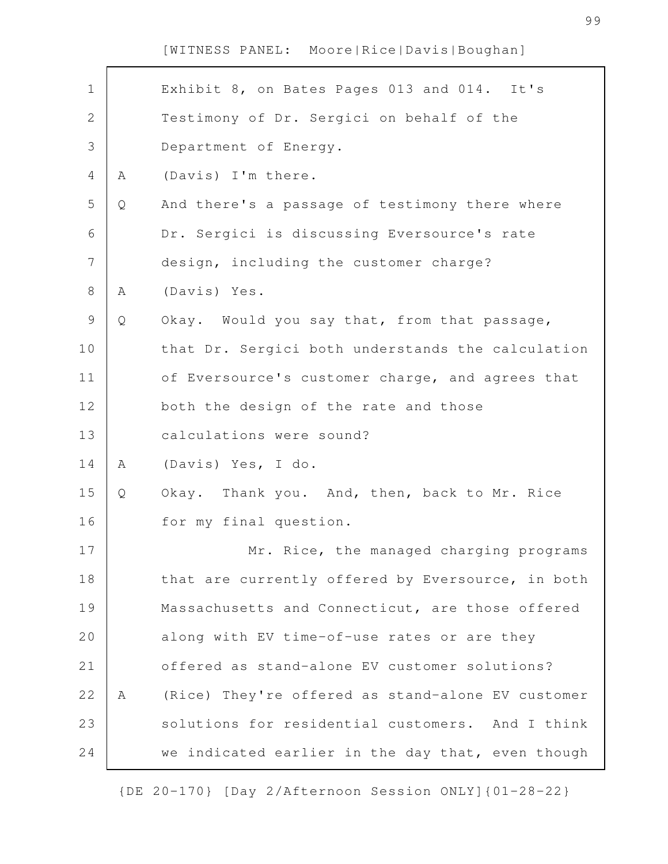| $\mathbf 1$    |   | Exhibit 8, on Bates Pages 013 and 014. It's       |
|----------------|---|---------------------------------------------------|
| $\mathbf{2}$   |   | Testimony of Dr. Sergici on behalf of the         |
| 3              |   | Department of Energy.                             |
| $\overline{4}$ | Α | (Davis) I'm there.                                |
| 5              | Q | And there's a passage of testimony there where    |
| 6              |   | Dr. Sergici is discussing Eversource's rate       |
| $\overline{7}$ |   | design, including the customer charge?            |
| $8\,$          | Α | (Davis) Yes.                                      |
| $\mathcal{G}$  | Q | Okay. Would you say that, from that passage,      |
| 10             |   | that Dr. Sergici both understands the calculation |
| 11             |   | of Eversource's customer charge, and agrees that  |
| 12             |   | both the design of the rate and those             |
| 13             |   | calculations were sound?                          |
| 14             | Α | (Davis) Yes, I do.                                |
| 15             | Q | Okay. Thank you. And, then, back to Mr. Rice      |
| 16             |   | for my final question.                            |
| 17             |   | Mr. Rice, the managed charging programs           |
| 18             |   | that are currently offered by Eversource, in both |
| 19             |   | Massachusetts and Connecticut, are those offered  |
| 20             |   | along with EV time-of-use rates or are they       |
| 21             |   | offered as stand-alone EV customer solutions?     |
| 22             | Α | (Rice) They're offered as stand-alone EV customer |
| 23             |   | solutions for residential customers. And I think  |
| 24             |   | we indicated earlier in the day that, even though |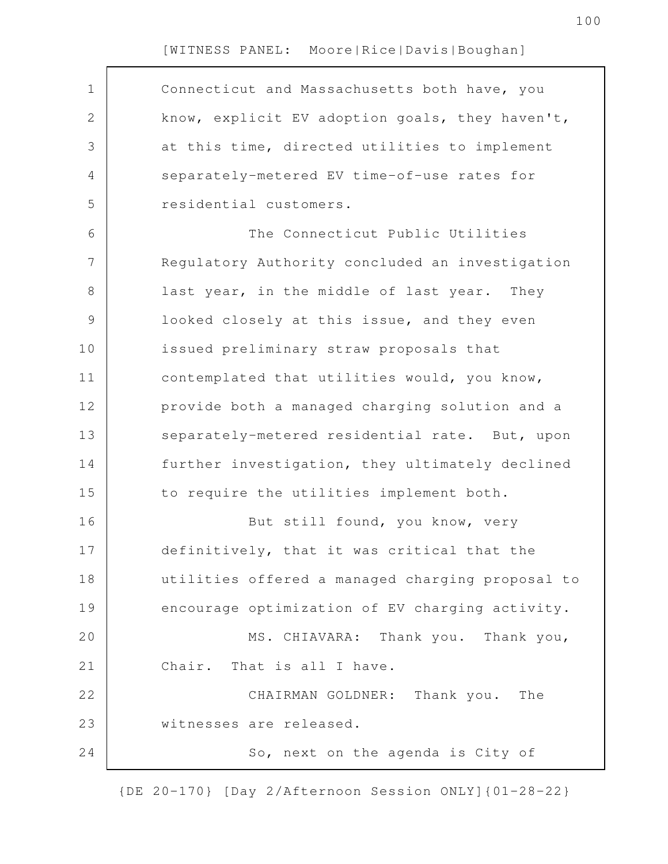| $\mathbf 1$   | Connecticut and Massachusetts both have, you     |
|---------------|--------------------------------------------------|
| 2             | know, explicit EV adoption goals, they haven't,  |
| 3             | at this time, directed utilities to implement    |
| 4             | separately-metered EV time-of-use rates for      |
| 5             | residential customers.                           |
| 6             | The Connecticut Public Utilities                 |
| 7             | Regulatory Authority concluded an investigation  |
| 8             | last year, in the middle of last year. They      |
| $\mathcal{G}$ | looked closely at this issue, and they even      |
| 10            | issued preliminary straw proposals that          |
| 11            | contemplated that utilities would, you know,     |
| 12            | provide both a managed charging solution and a   |
| 13            | separately-metered residential rate. But, upon   |
| 14            | further investigation, they ultimately declined  |
| 15            | to require the utilities implement both.         |
| 16            | But still found, you know, very                  |
| 17            | definitively, that it was critical that the      |
| 18            | utilities offered a managed charging proposal to |
| 19            | encourage optimization of EV charging activity.  |
| 20            | MS. CHIAVARA: Thank you. Thank you,              |
| 21            | Chair. That is all I have.                       |
| 22            | CHAIRMAN GOLDNER: Thank you. The                 |
| 23            | witnesses are released.                          |
| 24            | So, next on the agenda is City of                |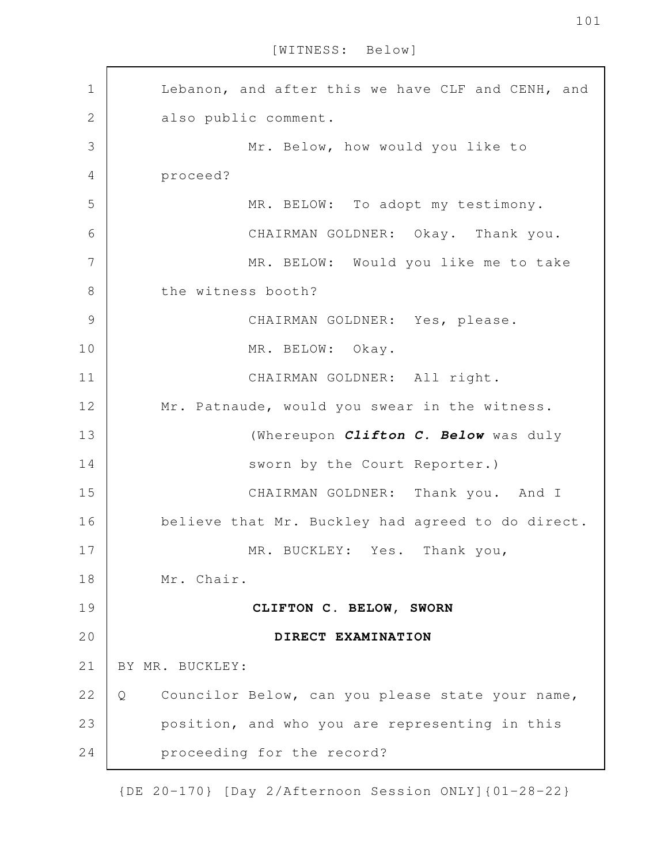[WITNESS: Below]

Lebanon, and after this we have CLF and CENH, and also public comment. Mr. Below, how would you like to proceed? MR. BELOW: To adopt my testimony. CHAIRMAN GOLDNER: Okay. Thank you. MR. BELOW: Would you like me to take the witness booth? CHAIRMAN GOLDNER: Yes, please. MR. BELOW: Okay. CHAIRMAN GOLDNER: All right. Mr. Patnaude, would you swear in the witness. (Whereupon *Clifton C. Below* was duly sworn by the Court Reporter.) CHAIRMAN GOLDNER: Thank you. And I believe that Mr. Buckley had agreed to do direct. MR. BUCKLEY: Yes. Thank you, Mr. Chair. **CLIFTON C. BELOW, SWORN DIRECT EXAMINATION** BY MR. BUCKLEY: Q Councilor Below, can you please state your name, position, and who you are representing in this proceeding for the record? 1 2 3 4 5 6 7 8 9 10 11 12 13 14 15 16 17 18 19 20 21 22 23 24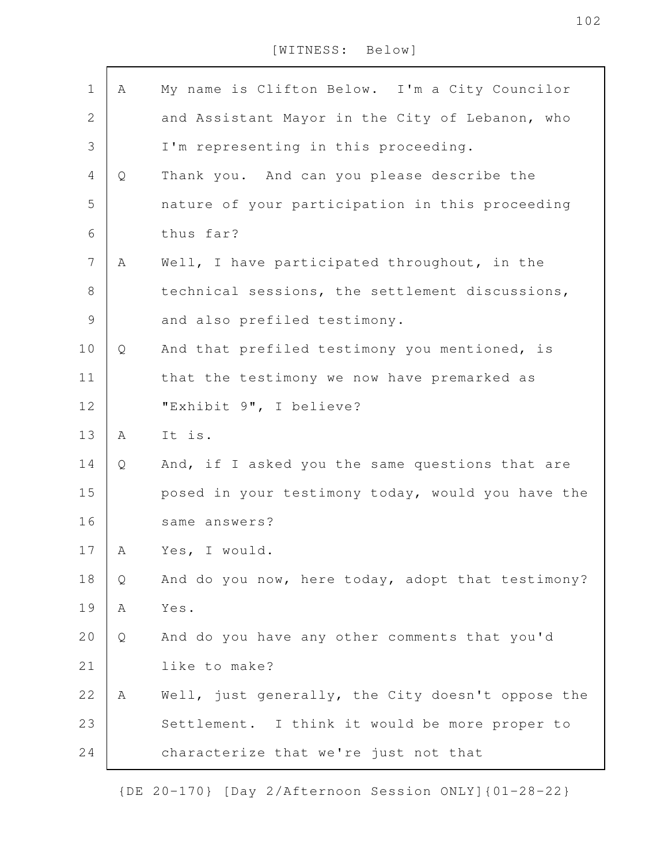[WITNESS: Below]

| $1\,$          | Α | My name is Clifton Below. I'm a City Councilor    |
|----------------|---|---------------------------------------------------|
| $\mathbf{2}$   |   | and Assistant Mayor in the City of Lebanon, who   |
| 3              |   | I'm representing in this proceeding.              |
| 4              | Q | Thank you. And can you please describe the        |
| 5              |   | nature of your participation in this proceeding   |
| 6              |   | thus far?                                         |
| $\overline{7}$ | Α | Well, I have participated throughout, in the      |
| 8              |   | technical sessions, the settlement discussions,   |
| 9              |   | and also prefiled testimony.                      |
| 10             | Q | And that prefiled testimony you mentioned, is     |
| 11             |   | that the testimony we now have premarked as       |
| 12             |   | "Exhibit 9", I believe?                           |
| 13             | Α | It is.                                            |
| 14             | Q | And, if I asked you the same questions that are   |
| 15             |   | posed in your testimony today, would you have the |
| 16             |   | same answers?                                     |
| 17             | A | Yes, I would.                                     |
| 18             | Q | And do you now, here today, adopt that testimony? |
| 19             | Α | Yes.                                              |
| 20             | Q | And do you have any other comments that you'd     |
| 21             |   | like to make?                                     |
| 22             | A | Well, just generally, the City doesn't oppose the |
| 23             |   | Settlement. I think it would be more proper to    |
| 24             |   | characterize that we're just not that             |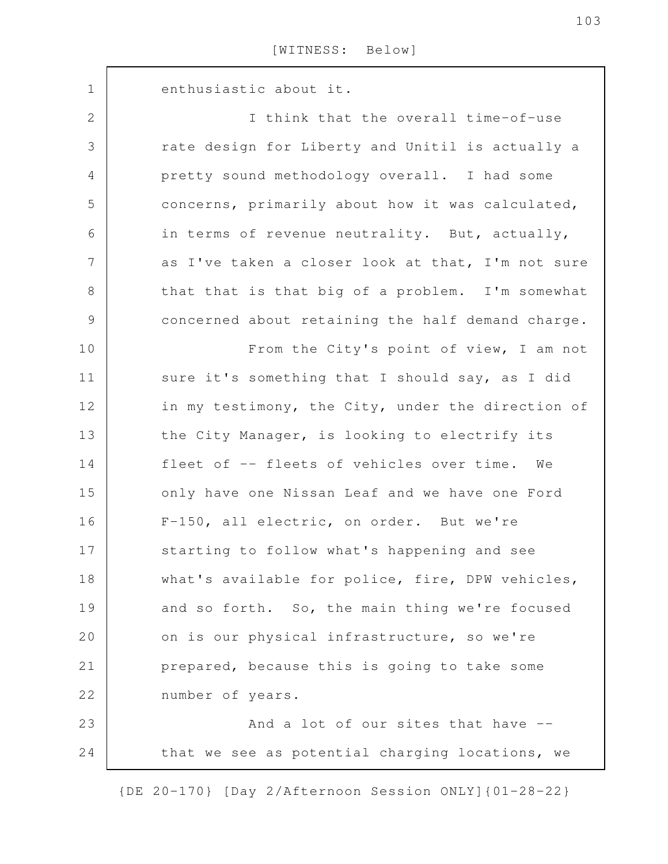| $\mathbf 1$    | enthusiastic about it.                            |
|----------------|---------------------------------------------------|
| 2              | I think that the overall time-of-use              |
| 3              | rate design for Liberty and Unitil is actually a  |
| 4              | pretty sound methodology overall. I had some      |
| 5              | concerns, primarily about how it was calculated,  |
| 6              | in terms of revenue neutrality. But, actually,    |
| $7\phantom{.}$ | as I've taken a closer look at that, I'm not sure |
| $8\,$          | that that is that big of a problem. I'm somewhat  |
| $\mathsf 9$    | concerned about retaining the half demand charge. |
| 10             | From the City's point of view, I am not           |
| 11             | sure it's something that I should say, as I did   |
| 12             | in my testimony, the City, under the direction of |
| 13             | the City Manager, is looking to electrify its     |
| 14             | fleet of -- fleets of vehicles over time. We      |
| 15             | only have one Nissan Leaf and we have one Ford    |
| 16             | F-150, all electric, on order. But we're          |
| 17             | starting to follow what's happening and see       |
| 18             | what's available for police, fire, DPW vehicles,  |
| 19             | and so forth. So, the main thing we're focused    |
| 20             | on is our physical infrastructure, so we're       |
| 21             | prepared, because this is going to take some      |
| 22             | number of years.                                  |
| 23             | And a lot of our sites that have --               |
| 24             | that we see as potential charging locations, we   |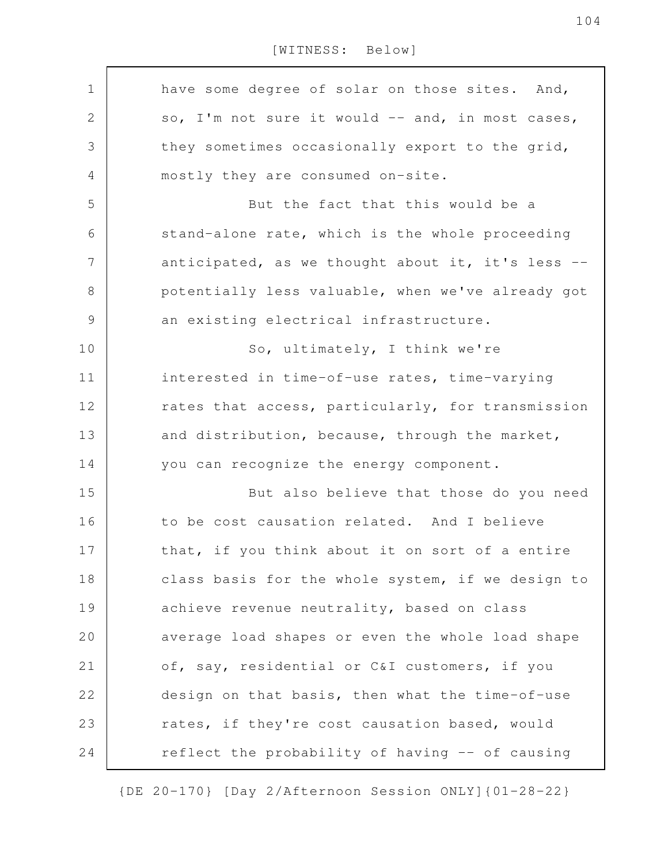[WITNESS: Below]

| $\mathbf 1$    | have some degree of solar on those sites. And,    |
|----------------|---------------------------------------------------|
| $\sqrt{2}$     | so, I'm not sure it would -- and, in most cases,  |
| 3              | they sometimes occasionally export to the grid,   |
| 4              | mostly they are consumed on-site.                 |
| 5              | But the fact that this would be a                 |
| 6              | stand-alone rate, which is the whole proceeding   |
| $\overline{7}$ | anticipated, as we thought about it, it's less -- |
| $8\,$          | potentially less valuable, when we've already got |
| $\mathsf 9$    | an existing electrical infrastructure.            |
| 10             | So, ultimately, I think we're                     |
| 11             | interested in time-of-use rates, time-varying     |
| 12             | rates that access, particularly, for transmission |
| 13             | and distribution, because, through the market,    |
| 14             | you can recognize the energy component.           |
| 15             | But also believe that those do you need           |
| 16             | to be cost causation related. And I believe       |
| 17             | that, if you think about it on sort of a entire   |
| 18             | class basis for the whole system, if we design to |
| 19             | achieve revenue neutrality, based on class        |
| 20             | average load shapes or even the whole load shape  |
| 21             | of, say, residential or C&I customers, if you     |
| 22             | design on that basis, then what the time-of-use   |
| 23             | rates, if they're cost causation based, would     |
| 24             | reflect the probability of having -- of causing   |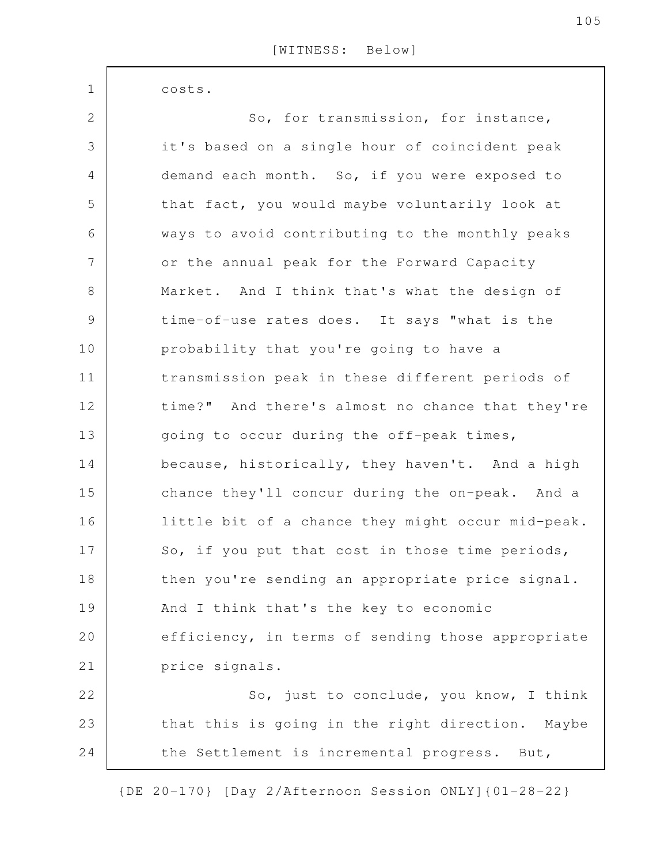costs.

1

| $\overline{2}$ | So, for transmission, for instance,               |
|----------------|---------------------------------------------------|
| 3              | it's based on a single hour of coincident peak    |
| $\overline{4}$ | demand each month. So, if you were exposed to     |
| 5              | that fact, you would maybe voluntarily look at    |
| 6              | ways to avoid contributing to the monthly peaks   |
| $\overline{7}$ | or the annual peak for the Forward Capacity       |
| $8\,$          | Market. And I think that's what the design of     |
| $\mathcal{G}$  | time-of-use rates does. It says "what is the      |
| 10             | probability that you're going to have a           |
| 11             | transmission peak in these different periods of   |
| 12             | time?" And there's almost no chance that they're  |
| 13             | going to occur during the off-peak times,         |
| 14             | because, historically, they haven't. And a high   |
| 15             | chance they'll concur during the on-peak. And a   |
| 16             | little bit of a chance they might occur mid-peak. |
| 17             | So, if you put that cost in those time periods,   |
| 18             | then you're sending an appropriate price signal.  |
| 19             | And I think that's the key to economic            |
| 20             | efficiency, in terms of sending those appropriate |
| 21             | price signals.                                    |
| 22             | So, just to conclude, you know, I think           |
| 23             | that this is going in the right direction. Maybe  |
| 24             | the Settlement is incremental progress. But,      |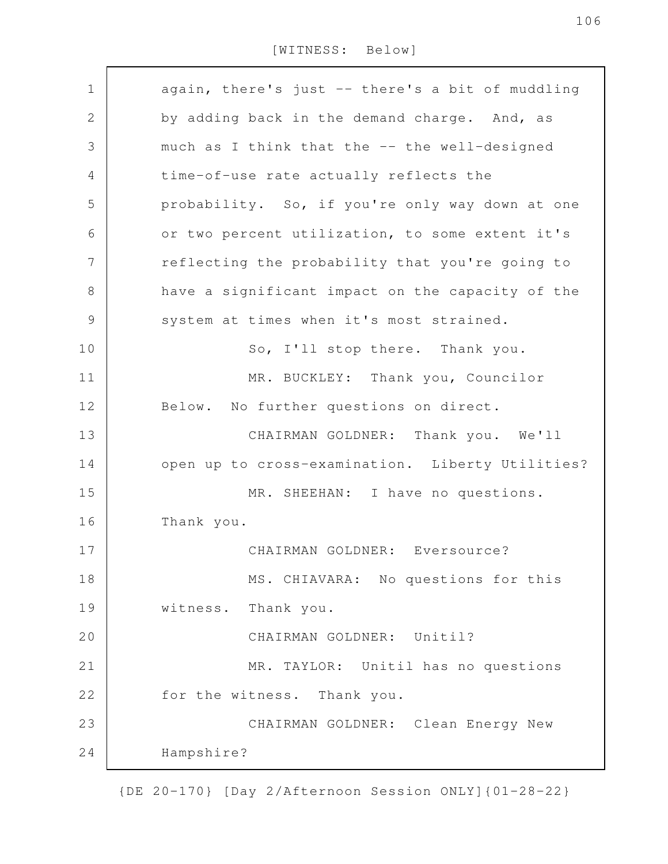### [WITNESS: Below]

| $\mathbf 1$    | again, there's just -- there's a bit of muddling |
|----------------|--------------------------------------------------|
| $\mathbf{2}$   | by adding back in the demand charge. And, as     |
| 3              | much as I think that the -- the well-designed    |
| $\overline{4}$ | time-of-use rate actually reflects the           |
| 5              | probability. So, if you're only way down at one  |
| 6              | or two percent utilization, to some extent it's  |
| 7              | reflecting the probability that you're going to  |
| 8              | have a significant impact on the capacity of the |
| $\mathcal{G}$  | system at times when it's most strained.         |
| 10             | So, I'll stop there. Thank you.                  |
| 11             | MR. BUCKLEY: Thank you, Councilor                |
| 12             | Below. No further questions on direct.           |
| 13             | CHAIRMAN GOLDNER: Thank you. We'll               |
| 14             | open up to cross-examination. Liberty Utilities? |
| 15             | MR. SHEEHAN: I have no questions.                |
| 16             | Thank you.                                       |
| 17             | CHAIRMAN GOLDNER: Eversource?                    |
| 18             | MS. CHIAVARA: No questions for this              |
| 19             | witness. Thank you.                              |
| 20             | CHAIRMAN GOLDNER: Unitil?                        |
| 21             | MR. TAYLOR: Unitil has no questions              |
| 22             | for the witness. Thank you.                      |
| 23             | CHAIRMAN GOLDNER: Clean Energy New               |
| 24             | Hampshire?                                       |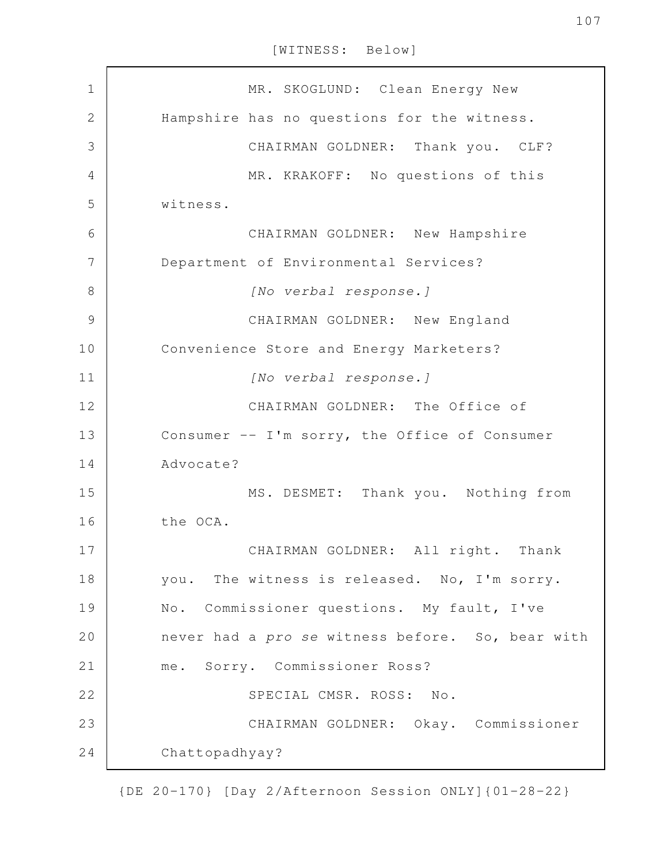[WITNESS: Below]

| $\mathbf 1$    | MR. SKOGLUND: Clean Energy New                   |
|----------------|--------------------------------------------------|
| $\overline{2}$ | Hampshire has no questions for the witness.      |
| 3              | CHAIRMAN GOLDNER: Thank you. CLF?                |
| 4              | MR. KRAKOFF: No questions of this                |
| 5              | witness.                                         |
| 6              | CHAIRMAN GOLDNER: New Hampshire                  |
| 7              | Department of Environmental Services?            |
| 8              | [No verbal response.]                            |
| 9              | CHAIRMAN GOLDNER: New England                    |
| 10             | Convenience Store and Energy Marketers?          |
| 11             | [No verbal response.]                            |
| 12             | CHAIRMAN GOLDNER: The Office of                  |
| 13             | Consumer -- I'm sorry, the Office of Consumer    |
| 14             | Advocate?                                        |
| 15             | MS. DESMET: Thank you. Nothing from              |
| 16             | the OCA.                                         |
| 17             | CHAIRMAN GOLDNER: All right. Thank               |
| 18             | you. The witness is released. No, I'm sorry.     |
| 19             | No. Commissioner questions. My fault, I've       |
| 20             | never had a pro se witness before. So, bear with |
| 21             | me. Sorry. Commissioner Ross?                    |
| 22             | SPECIAL CMSR. ROSS: No.                          |
| 23             | CHAIRMAN GOLDNER: Okay. Commissioner             |
| 24             | Chattopadhyay?                                   |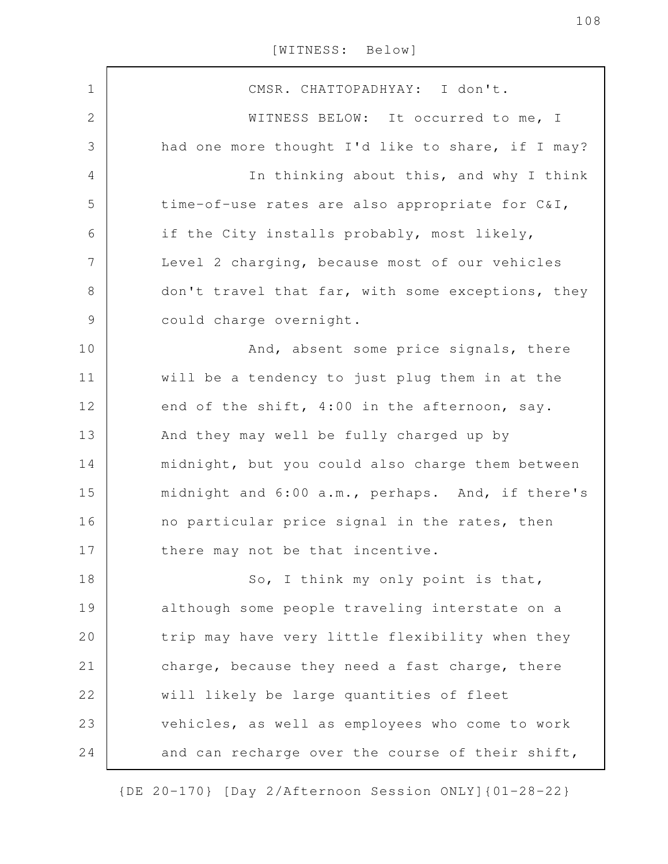| $\mathbf 1$<br>CMSR. CHATTOPADHYAY: I don't.<br>$\mathbf 2$<br>WITNESS BELOW: It occurred to me, I<br>3<br>had one more thought I'd like to share, if I may?<br>In thinking about this, and why I think<br>4<br>5<br>time-of-use rates are also appropriate for C&I,<br>6<br>if the City installs probably, most likely,<br>7<br>Level 2 charging, because most of our vehicles<br>8<br>don't travel that far, with some exceptions, they<br>$\mathsf 9$<br>could charge overnight.<br>10<br>And, absent some price signals, there<br>11<br>will be a tendency to just plug them in at the<br>12<br>end of the shift, 4:00 in the afternoon, say.<br>13<br>And they may well be fully charged up by<br>midnight, but you could also charge them between<br>14 |  |
|---------------------------------------------------------------------------------------------------------------------------------------------------------------------------------------------------------------------------------------------------------------------------------------------------------------------------------------------------------------------------------------------------------------------------------------------------------------------------------------------------------------------------------------------------------------------------------------------------------------------------------------------------------------------------------------------------------------------------------------------------------------|--|
|                                                                                                                                                                                                                                                                                                                                                                                                                                                                                                                                                                                                                                                                                                                                                               |  |
|                                                                                                                                                                                                                                                                                                                                                                                                                                                                                                                                                                                                                                                                                                                                                               |  |
|                                                                                                                                                                                                                                                                                                                                                                                                                                                                                                                                                                                                                                                                                                                                                               |  |
|                                                                                                                                                                                                                                                                                                                                                                                                                                                                                                                                                                                                                                                                                                                                                               |  |
|                                                                                                                                                                                                                                                                                                                                                                                                                                                                                                                                                                                                                                                                                                                                                               |  |
|                                                                                                                                                                                                                                                                                                                                                                                                                                                                                                                                                                                                                                                                                                                                                               |  |
|                                                                                                                                                                                                                                                                                                                                                                                                                                                                                                                                                                                                                                                                                                                                                               |  |
|                                                                                                                                                                                                                                                                                                                                                                                                                                                                                                                                                                                                                                                                                                                                                               |  |
|                                                                                                                                                                                                                                                                                                                                                                                                                                                                                                                                                                                                                                                                                                                                                               |  |
|                                                                                                                                                                                                                                                                                                                                                                                                                                                                                                                                                                                                                                                                                                                                                               |  |
|                                                                                                                                                                                                                                                                                                                                                                                                                                                                                                                                                                                                                                                                                                                                                               |  |
|                                                                                                                                                                                                                                                                                                                                                                                                                                                                                                                                                                                                                                                                                                                                                               |  |
|                                                                                                                                                                                                                                                                                                                                                                                                                                                                                                                                                                                                                                                                                                                                                               |  |
|                                                                                                                                                                                                                                                                                                                                                                                                                                                                                                                                                                                                                                                                                                                                                               |  |
| 15<br>midnight and 6:00 a.m., perhaps. And, if there's                                                                                                                                                                                                                                                                                                                                                                                                                                                                                                                                                                                                                                                                                                        |  |
| no particular price signal in the rates, then<br>16                                                                                                                                                                                                                                                                                                                                                                                                                                                                                                                                                                                                                                                                                                           |  |
| 17<br>there may not be that incentive.                                                                                                                                                                                                                                                                                                                                                                                                                                                                                                                                                                                                                                                                                                                        |  |
| So, I think my only point is that,<br>18                                                                                                                                                                                                                                                                                                                                                                                                                                                                                                                                                                                                                                                                                                                      |  |
| 19<br>although some people traveling interstate on a                                                                                                                                                                                                                                                                                                                                                                                                                                                                                                                                                                                                                                                                                                          |  |
| 20<br>trip may have very little flexibility when they                                                                                                                                                                                                                                                                                                                                                                                                                                                                                                                                                                                                                                                                                                         |  |
| 21<br>charge, because they need a fast charge, there                                                                                                                                                                                                                                                                                                                                                                                                                                                                                                                                                                                                                                                                                                          |  |
| 22<br>will likely be large quantities of fleet                                                                                                                                                                                                                                                                                                                                                                                                                                                                                                                                                                                                                                                                                                                |  |
| 23<br>vehicles, as well as employees who come to work                                                                                                                                                                                                                                                                                                                                                                                                                                                                                                                                                                                                                                                                                                         |  |
| 24<br>and can recharge over the course of their shift,                                                                                                                                                                                                                                                                                                                                                                                                                                                                                                                                                                                                                                                                                                        |  |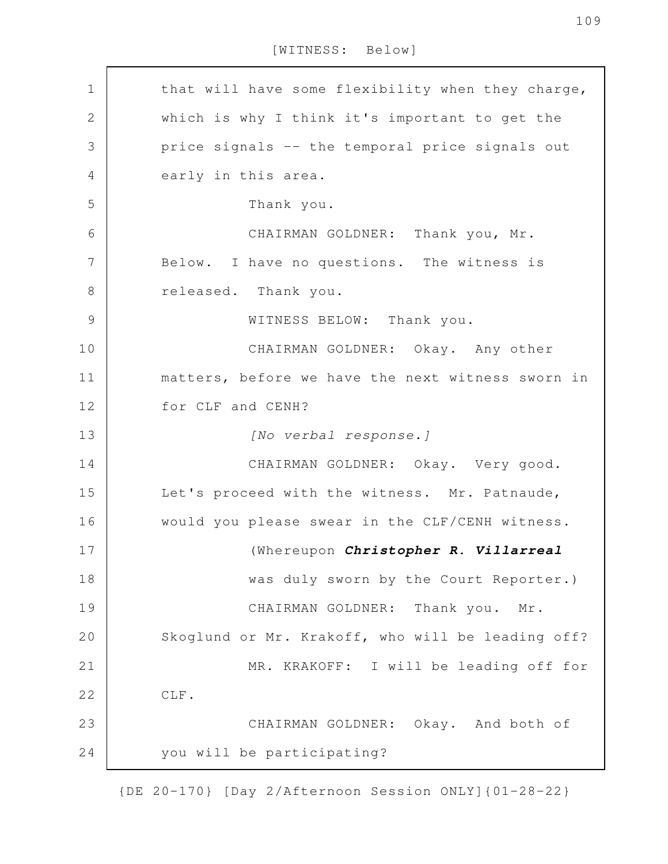[WITNESS: Below]

that will have some flexibility when they charge, which is why I think it's important to get the price signals -- the temporal price signals out early in this area. Thank you. CHAIRMAN GOLDNER: Thank you, Mr. Below. I have no questions. The witness is released. Thank you. WITNESS BELOW: Thank you. CHAIRMAN GOLDNER: Okay. Any other matters, before we have the next witness sworn in for CLF and CENH? *[No verbal response.]* CHAIRMAN GOLDNER: Okay. Very good. Let's proceed with the witness. Mr. Patnaude, would you please swear in the CLF/CENH witness. (Whereupon *Christopher R. Villarreal* was duly sworn by the Court Reporter.) CHAIRMAN GOLDNER: Thank you. Mr. Skoglund or Mr. Krakoff, who will be leading off? MR. KRAKOFF: I will be leading off for CLF. CHAIRMAN GOLDNER: Okay. And both of you will be participating? 1 2 3 4 5 6 7 8 9 10 11 12 13 14 15 16 17 18 19 20 21 22 23 24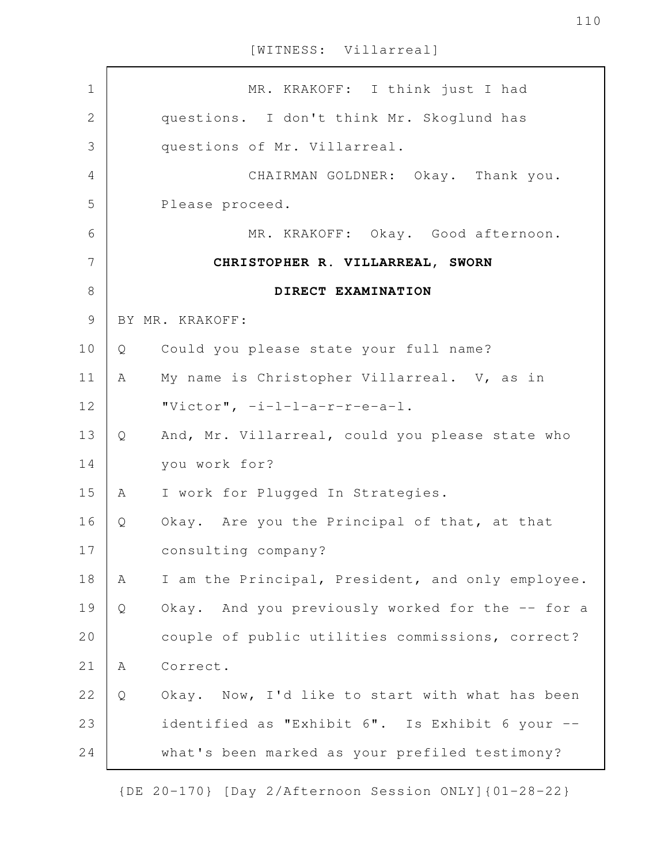| $\mathbf 1$    |   | MR. KRAKOFF: I think just I had                   |
|----------------|---|---------------------------------------------------|
| $\overline{2}$ |   | questions. I don't think Mr. Skoglund has         |
| 3              |   | questions of Mr. Villarreal.                      |
| 4              |   | CHAIRMAN GOLDNER: Okay. Thank you.                |
| 5              |   | Please proceed.                                   |
| 6              |   | MR. KRAKOFF: Okay. Good afternoon.                |
| 7              |   | CHRISTOPHER R. VILLARREAL, SWORN                  |
| 8              |   | DIRECT EXAMINATION                                |
| $\mathcal{G}$  |   | BY MR. KRAKOFF:                                   |
| 10             | Q | Could you please state your full name?            |
| 11             | A | My name is Christopher Villarreal. V, as in       |
| 12             |   | "Victor", $-i-l-a-r-r-e-a-1$ .                    |
| 13             | Q | And, Mr. Villarreal, could you please state who   |
| 14             |   | you work for?                                     |
| 15             | A | I work for Plugged In Strategies.                 |
| 16             | Q | Okay. Are you the Principal of that, at that      |
| 17             |   | consulting company?                               |
| 18             | Α | I am the Principal, President, and only employee. |
| 19             | Q | Okay. And you previously worked for the -- for a  |
| 20             |   | couple of public utilities commissions, correct?  |
| 21             | Α | Correct.                                          |
| 22             | Q | Okay. Now, I'd like to start with what has been   |
| 23             |   | identified as "Exhibit 6". Is Exhibit 6 your --   |
| 24             |   | what's been marked as your prefiled testimony?    |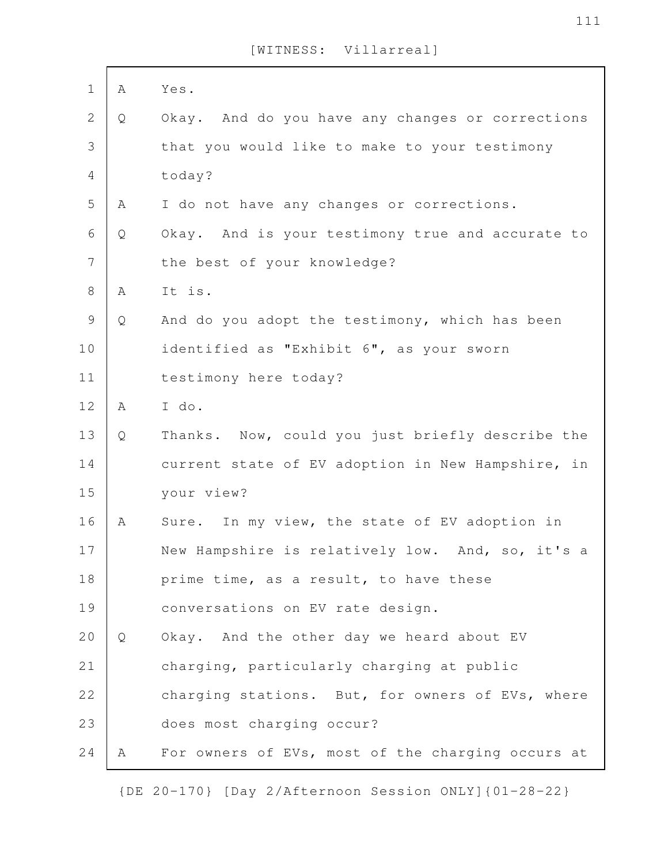| $\mathbf 1$    | Α | Yes.                                              |
|----------------|---|---------------------------------------------------|
| $\mathbf{2}$   | Q | Okay. And do you have any changes or corrections  |
| 3              |   | that you would like to make to your testimony     |
| $\overline{4}$ |   | today?                                            |
| 5              | Α | I do not have any changes or corrections.         |
| 6              | Q | Okay. And is your testimony true and accurate to  |
| $\overline{7}$ |   | the best of your knowledge?                       |
| $8\,$          | Α | It is.                                            |
| $\mathcal{G}$  | Q | And do you adopt the testimony, which has been    |
|                |   |                                                   |
| 10             |   | identified as "Exhibit 6", as your sworn          |
| 11             |   | testimony here today?                             |
| 12             | Α | I do.                                             |
| 13             | Q | Thanks. Now, could you just briefly describe the  |
| 14             |   | current state of EV adoption in New Hampshire, in |
| 15             |   | your view?                                        |
| 16             | Α | Sure. In my view, the state of EV adoption in     |
| 17             |   | New Hampshire is relatively low. And, so, it's a  |
| 18             |   | prime time, as a result, to have these            |
| 19             |   | conversations on EV rate design.                  |
| 20             | Q | Okay. And the other day we heard about EV         |
| 21             |   | charging, particularly charging at public         |
| 22             |   | charging stations. But, for owners of EVs, where  |
| 23             |   | does most charging occur?                         |
| 24             | A | For owners of EVs, most of the charging occurs at |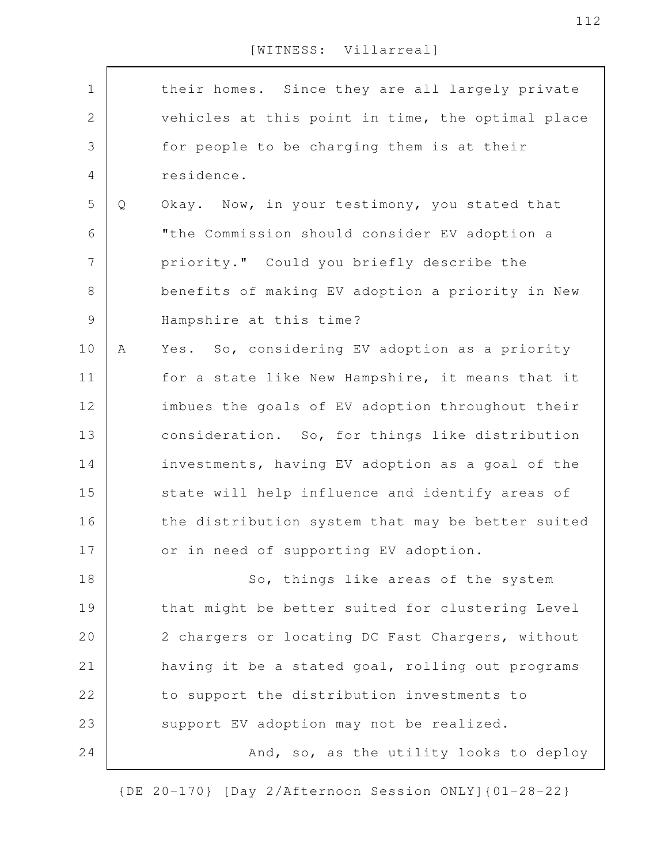| $\mathbf 1$    |   | their homes. Since they are all largely private   |
|----------------|---|---------------------------------------------------|
| $\mathbf{2}$   |   | vehicles at this point in time, the optimal place |
| 3              |   | for people to be charging them is at their        |
| 4              |   | residence.                                        |
| 5              | Q | Okay. Now, in your testimony, you stated that     |
| 6              |   | "the Commission should consider EV adoption a     |
| $\overline{7}$ |   | priority." Could you briefly describe the         |
| $8\,$          |   | benefits of making EV adoption a priority in New  |
| 9              |   | Hampshire at this time?                           |
| 10             | Α | Yes. So, considering EV adoption as a priority    |
| 11             |   | for a state like New Hampshire, it means that it  |
| 12             |   | imbues the goals of EV adoption throughout their  |
| 13             |   | consideration. So, for things like distribution   |
| 14             |   | investments, having EV adoption as a goal of the  |
| 15             |   | state will help influence and identify areas of   |
| 16             |   | the distribution system that may be better suited |
| 17             |   | or in need of supporting EV adoption.             |
| 18             |   | So, things like areas of the system               |
| 19             |   | that might be better suited for clustering Level  |
| 20             |   | 2 chargers or locating DC Fast Chargers, without  |
| 21             |   | having it be a stated goal, rolling out programs  |
| 22             |   | to support the distribution investments to        |
|                |   |                                                   |
| 23             |   | support EV adoption may not be realized.          |
| 24             |   | And, so, as the utility looks to deploy           |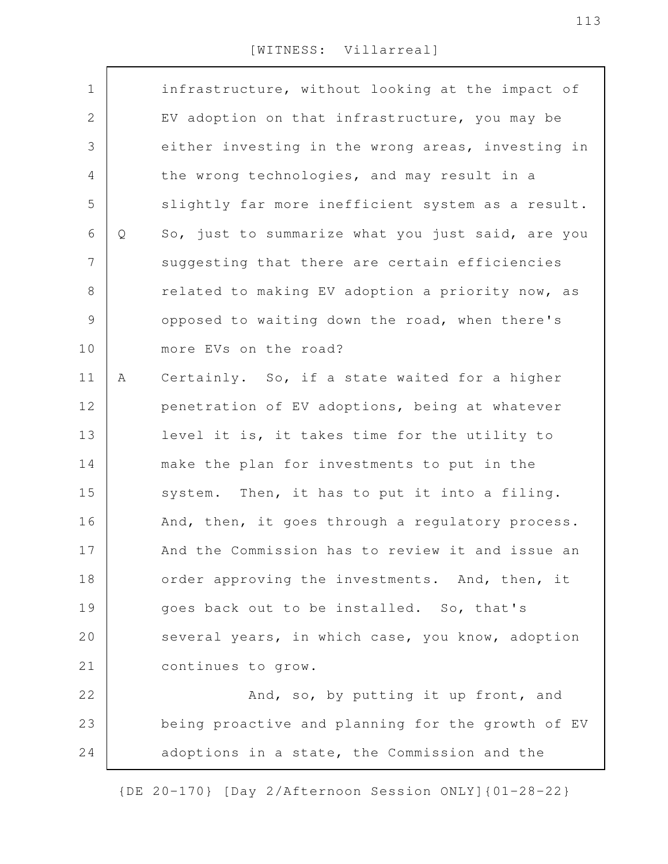| $\mathbf 1$   |   | infrastructure, without looking at the impact of  |
|---------------|---|---------------------------------------------------|
| $\mathbf{2}$  |   | EV adoption on that infrastructure, you may be    |
| 3             |   | either investing in the wrong areas, investing in |
| 4             |   | the wrong technologies, and may result in a       |
| 5             |   | slightly far more inefficient system as a result. |
| 6             | Q | So, just to summarize what you just said, are you |
| 7             |   | suggesting that there are certain efficiencies    |
| $8\,$         |   | related to making EV adoption a priority now, as  |
| $\mathcal{G}$ |   | opposed to waiting down the road, when there's    |
| 10            |   | more EVs on the road?                             |
| 11            | Α | Certainly. So, if a state waited for a higher     |
| 12            |   | penetration of EV adoptions, being at whatever    |
| 13            |   | level it is, it takes time for the utility to     |
| 14            |   | make the plan for investments to put in the       |
| 15            |   | system. Then, it has to put it into a filing.     |
| 16            |   | And, then, it goes through a regulatory process.  |
| 17            |   | And the Commission has to review it and issue an  |
| 18            |   | order approving the investments. And, then, it    |
| 19            |   | goes back out to be installed. So, that's         |
| 20            |   | several years, in which case, you know, adoption  |
| 21            |   | continues to grow.                                |
| 22            |   | And, so, by putting it up front, and              |
| 23            |   | being proactive and planning for the growth of EV |
| 24            |   | adoptions in a state, the Commission and the      |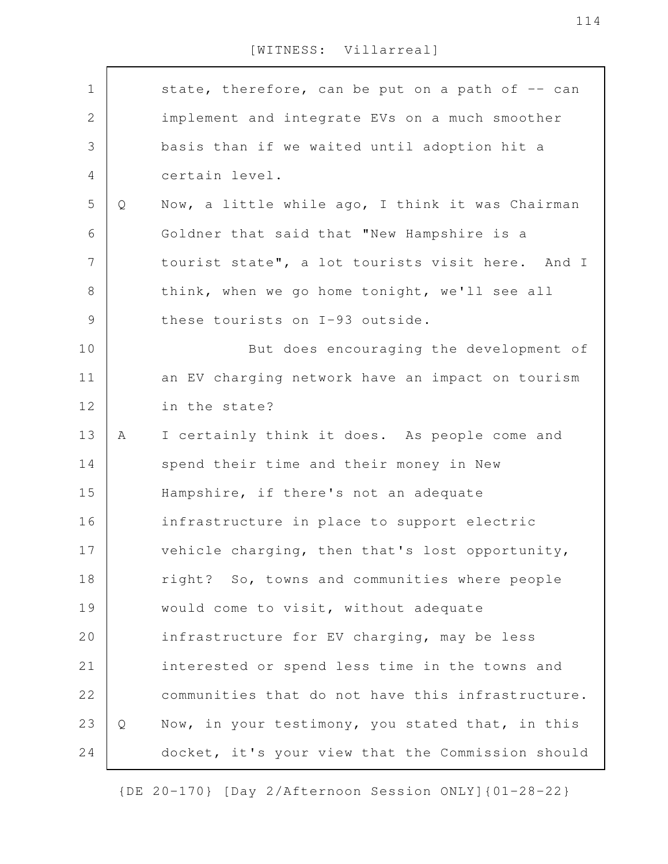| $\mathbf 1$    |   | state, therefore, can be put on a path of -- can  |
|----------------|---|---------------------------------------------------|
| $\mathbf{2}$   |   | implement and integrate EVs on a much smoother    |
| 3              |   | basis than if we waited until adoption hit a      |
| $\overline{4}$ |   | certain level.                                    |
| 5              | Q | Now, a little while ago, I think it was Chairman  |
| 6              |   | Goldner that said that "New Hampshire is a        |
| $\overline{7}$ |   | tourist state", a lot tourists visit here. And I  |
| 8              |   | think, when we go home tonight, we'll see all     |
| $\mathcal{G}$  |   | these tourists on I-93 outside.                   |
| 10             |   | But does encouraging the development of           |
| 11             |   | an EV charging network have an impact on tourism  |
| 12             |   | in the state?                                     |
| 13             | A | I certainly think it does. As people come and     |
| 14             |   | spend their time and their money in New           |
| 15             |   | Hampshire, if there's not an adequate             |
| 16             |   | infrastructure in place to support electric       |
| 17             |   | vehicle charging, then that's lost opportunity,   |
| 18             |   | right? So, towns and communities where people     |
| 19             |   | would come to visit, without adequate             |
| 20             |   | infrastructure for EV charging, may be less       |
| 21             |   | interested or spend less time in the towns and    |
| 22             |   | communities that do not have this infrastructure. |
| 23             | Q | Now, in your testimony, you stated that, in this  |
| 24             |   | docket, it's your view that the Commission should |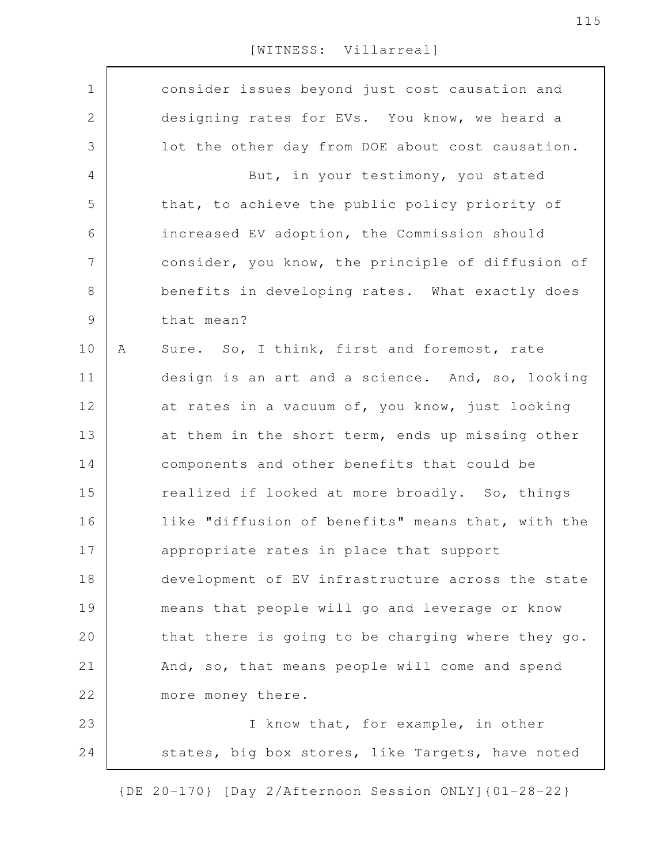consider issues beyond just cost causation and designing rates for EVs. You know, we heard a lot the other day from DOE about cost causation. But, in your testimony, you stated that, to achieve the public policy priority of increased EV adoption, the Commission should consider, you know, the principle of diffusion of benefits in developing rates. What exactly does that mean? A Sure. So, I think, first and foremost, rate design is an art and a science. And, so, looking at rates in a vacuum of, you know, just looking at them in the short term, ends up missing other components and other benefits that could be realized if looked at more broadly. So, things like "diffusion of benefits" means that, with the appropriate rates in place that support development of EV infrastructure across the state means that people will go and leverage or know that there is going to be charging where they go. And, so, that means people will come and spend more money there. I know that, for example, in other states, big box stores, like Targets, have noted 1 2 3 4 5 6 7 8 9 10 11 12 13 14 15 16 17 18 19 20 21 22 23 24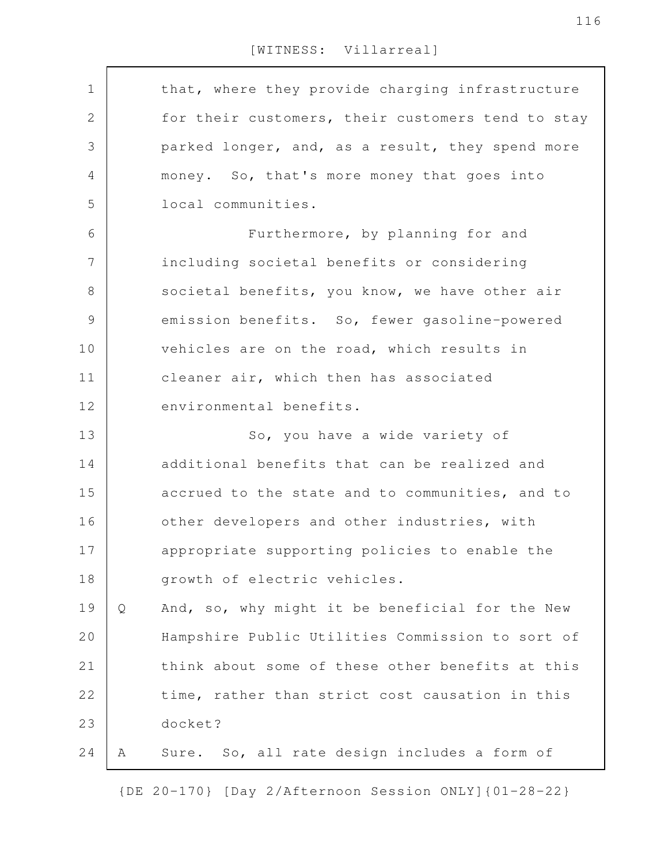| $\mathbf 1$   |   | that, where they provide charging infrastructure  |
|---------------|---|---------------------------------------------------|
| $\sqrt{2}$    |   | for their customers, their customers tend to stay |
| 3             |   | parked longer, and, as a result, they spend more  |
| 4             |   | money. So, that's more money that goes into       |
| 5             |   | local communities.                                |
| 6             |   | Furthermore, by planning for and                  |
| 7             |   | including societal benefits or considering        |
| 8             |   | societal benefits, you know, we have other air    |
| $\mathcal{G}$ |   | emission benefits. So, fewer gasoline-powered     |
| 10            |   | vehicles are on the road, which results in        |
| 11            |   | cleaner air, which then has associated            |
| 12            |   | environmental benefits.                           |
|               |   |                                                   |
| 13            |   | So, you have a wide variety of                    |
| 14            |   | additional benefits that can be realized and      |
| 15            |   | accrued to the state and to communities, and to   |
| 16            |   | other developers and other industries, with       |
| 17            |   | appropriate supporting policies to enable the     |
| 18            |   | growth of electric vehicles.                      |
| 19            | Q | And, so, why might it be beneficial for the New   |
| 20            |   | Hampshire Public Utilities Commission to sort of  |
| 21            |   | think about some of these other benefits at this  |
| 22            |   | time, rather than strict cost causation in this   |
| 23            |   | docket?                                           |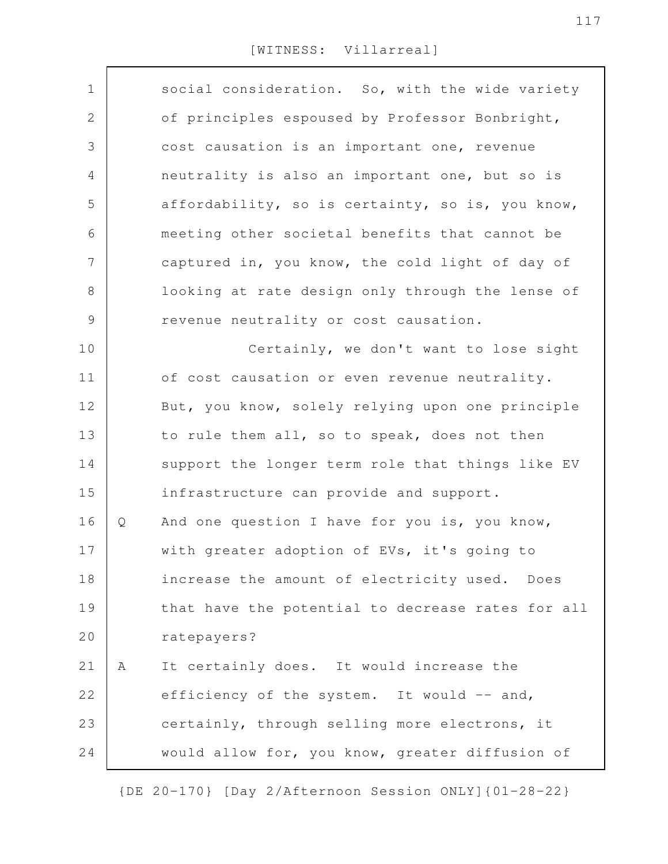| $\mathbf 1$    |   | social consideration. So, with the wide variety   |
|----------------|---|---------------------------------------------------|
| $\mathbf{2}$   |   | of principles espoused by Professor Bonbright,    |
| 3              |   | cost causation is an important one, revenue       |
| $\overline{4}$ |   | neutrality is also an important one, but so is    |
| 5              |   | affordability, so is certainty, so is, you know,  |
| 6              |   | meeting other societal benefits that cannot be    |
| 7              |   | captured in, you know, the cold light of day of   |
| 8              |   | looking at rate design only through the lense of  |
| $\mathcal{G}$  |   | revenue neutrality or cost causation.             |
| 10             |   | Certainly, we don't want to lose sight            |
| 11             |   | of cost causation or even revenue neutrality.     |
| 12             |   | But, you know, solely relying upon one principle  |
| 13             |   | to rule them all, so to speak, does not then      |
| 14             |   | support the longer term role that things like EV  |
| 15             |   | infrastructure can provide and support.           |
| 16             | Q | And one question I have for you is, you know,     |
| 17             |   | with greater adoption of EVs, it's going to       |
| 18             |   | increase the amount of electricity used. Does     |
| 19             |   | that have the potential to decrease rates for all |
| 20             |   | ratepayers?                                       |
| 21             | Α | It certainly does. It would increase the          |
| 22             |   | efficiency of the system. It would -- and,        |
| 23             |   | certainly, through selling more electrons, it     |
| 24             |   | would allow for, you know, greater diffusion of   |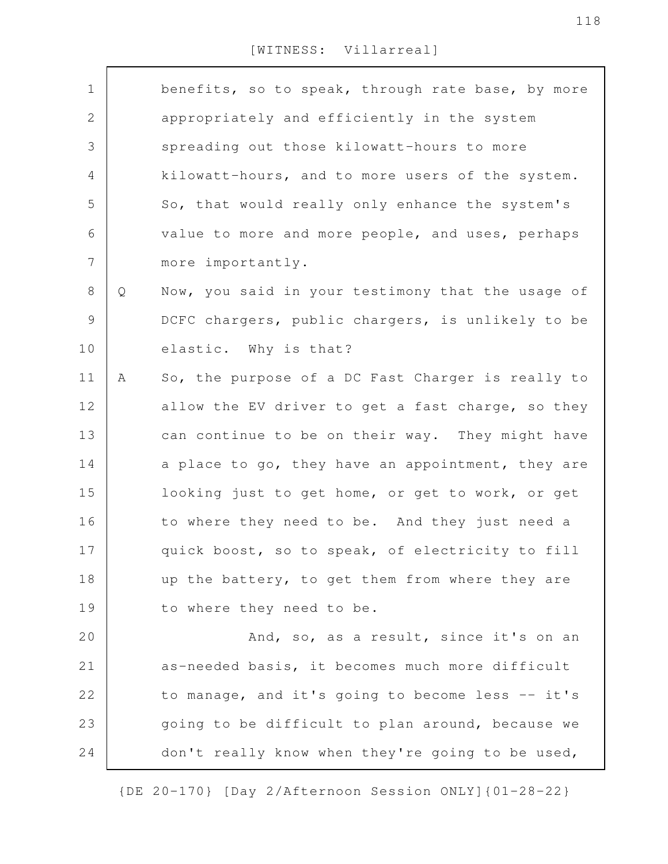| $\mathbf 1$    |   | benefits, so to speak, through rate base, by more |
|----------------|---|---------------------------------------------------|
| $\mathbf{2}$   |   | appropriately and efficiently in the system       |
| $\mathfrak{Z}$ |   | spreading out those kilowatt-hours to more        |
| 4              |   | kilowatt-hours, and to more users of the system.  |
| 5              |   | So, that would really only enhance the system's   |
| 6              |   | value to more and more people, and uses, perhaps  |
| $\overline{7}$ |   | more importantly.                                 |
| $8\,$          | Q | Now, you said in your testimony that the usage of |
| $\mathcal{G}$  |   | DCFC chargers, public chargers, is unlikely to be |
| 10             |   | elastic. Why is that?                             |
| 11             | A | So, the purpose of a DC Fast Charger is really to |
| 12             |   | allow the EV driver to get a fast charge, so they |
| 13             |   | can continue to be on their way. They might have  |
| 14             |   | a place to go, they have an appointment, they are |
| 15             |   | looking just to get home, or get to work, or get  |
| 16             |   | to where they need to be. And they just need a    |
| 17             |   | quick boost, so to speak, of electricity to fill  |
| 18             |   | up the battery, to get them from where they are   |
| 19             |   | to where they need to be.                         |
| 20             |   | And, so, as a result, since it's on an            |
| 21             |   | as-needed basis, it becomes much more difficult   |
| 22             |   | to manage, and it's going to become less -- it's  |
| 23             |   | going to be difficult to plan around, because we  |
| 24             |   | don't really know when they're going to be used,  |
|                |   |                                                   |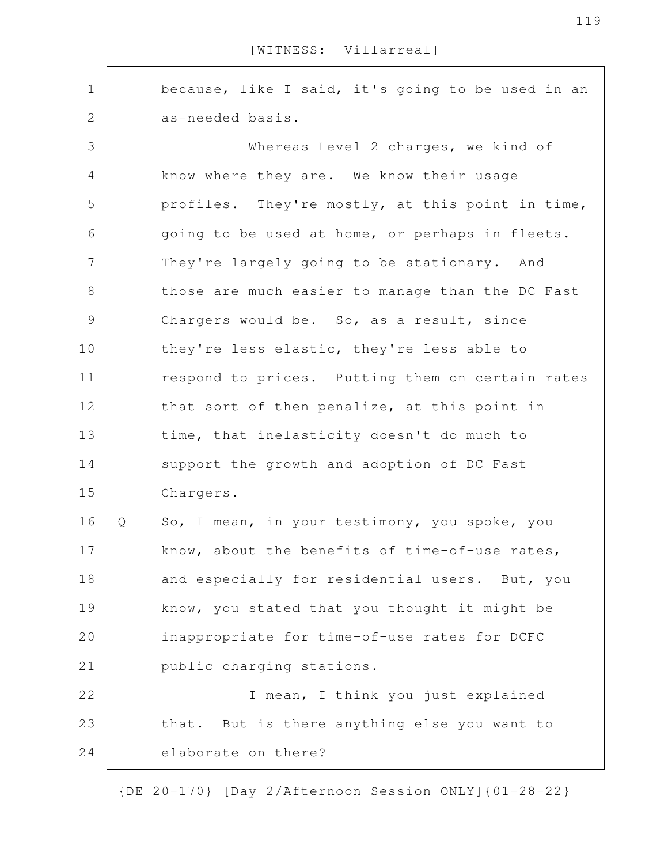because, like I said, it's going to be used in an as-needed basis. Whereas Level 2 charges, we kind of know where they are. We know their usage profiles. They're mostly, at this point in time, going to be used at home, or perhaps in fleets. They're largely going to be stationary. And those are much easier to manage than the DC Fast Chargers would be. So, as a result, since they're less elastic, they're less able to respond to prices. Putting them on certain rates that sort of then penalize, at this point in time, that inelasticity doesn't do much to support the growth and adoption of DC Fast Chargers. Q So, I mean, in your testimony, you spoke, you know, about the benefits of time-of-use rates, and especially for residential users. But, you know, you stated that you thought it might be inappropriate for time-of-use rates for DCFC public charging stations. I mean, I think you just explained that. But is there anything else you want to elaborate on there? 1 2 3 4 5 6 7 8 9 10 11 12 13 14 15 16 17 18 19 20 21 22 23 24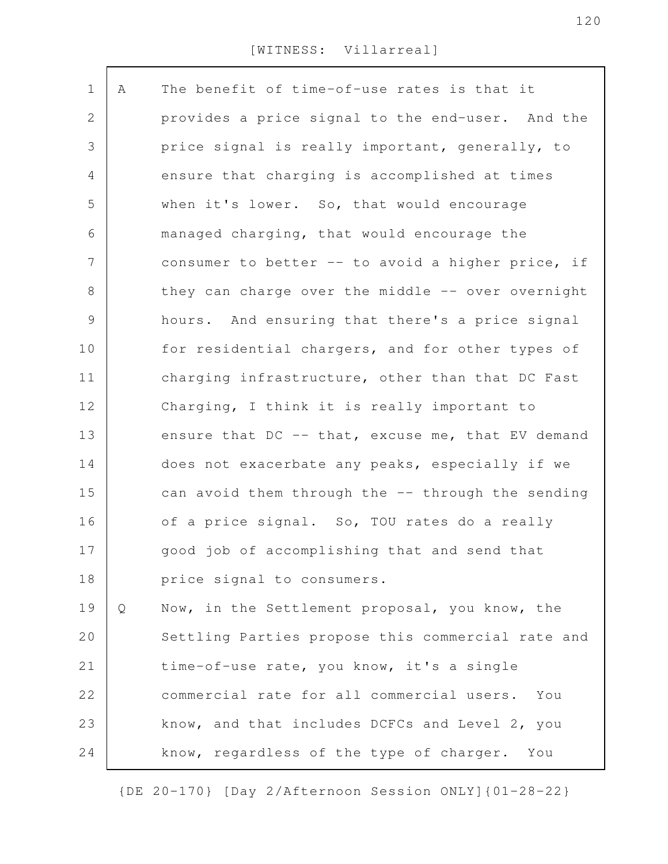| $\mathbf 1$    | Α | The benefit of time-of-use rates is that it       |
|----------------|---|---------------------------------------------------|
| 2              |   | provides a price signal to the end-user. And the  |
| 3              |   | price signal is really important, generally, to   |
| 4              |   | ensure that charging is accomplished at times     |
| 5              |   | when it's lower. So, that would encourage         |
| 6              |   | managed charging, that would encourage the        |
| $\overline{7}$ |   | consumer to better -- to avoid a higher price, if |
| $8\,$          |   | they can charge over the middle -- over overnight |
| 9              |   | hours. And ensuring that there's a price signal   |
| 10             |   | for residential chargers, and for other types of  |
| 11             |   | charging infrastructure, other than that DC Fast  |
| 12             |   | Charging, I think it is really important to       |
| 13             |   | ensure that DC -- that, excuse me, that EV demand |
| 14             |   | does not exacerbate any peaks, especially if we   |
| 15             |   | can avoid them through the -- through the sending |
| 16             |   | of a price signal. So, TOU rates do a really      |
| 17             |   | good job of accomplishing that and send that      |
| 18             |   | price signal to consumers.                        |
| 19             | Q | Now, in the Settlement proposal, you know, the    |
| 20             |   | Settling Parties propose this commercial rate and |
| 21             |   | time-of-use rate, you know, it's a single         |
| 22             |   | commercial rate for all commercial users.<br>You  |
| 23             |   | know, and that includes DCFCs and Level 2, you    |
| 24             |   | know, regardless of the type of charger. You      |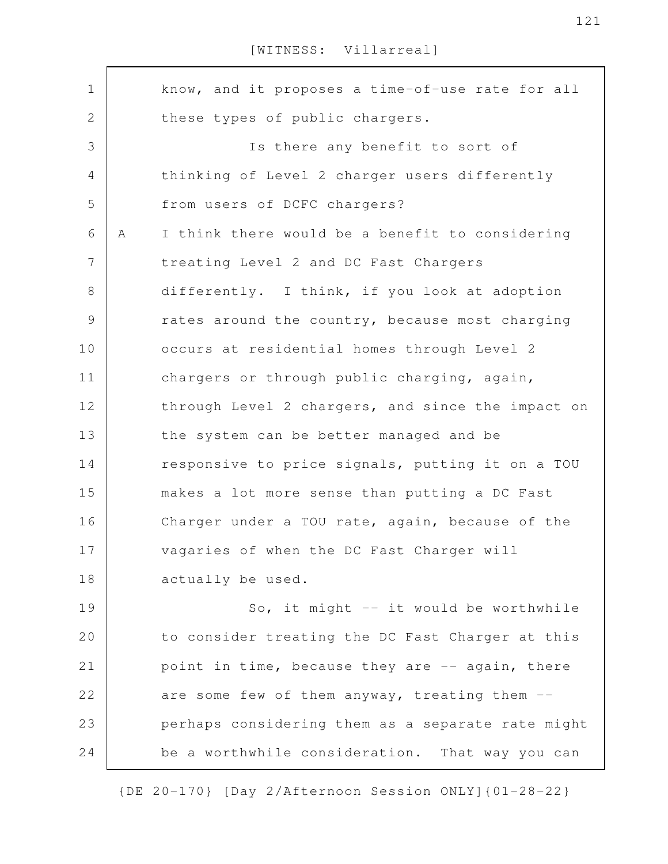| $\mathbf 1$   |   | know, and it proposes a time-of-use rate for all  |
|---------------|---|---------------------------------------------------|
| 2             |   | these types of public chargers.                   |
| 3             |   | Is there any benefit to sort of                   |
| 4             |   | thinking of Level 2 charger users differently     |
| 5             |   | from users of DCFC chargers?                      |
| 6             | Α | I think there would be a benefit to considering   |
| 7             |   | treating Level 2 and DC Fast Chargers             |
| 8             |   | differently. I think, if you look at adoption     |
| $\mathcal{G}$ |   | rates around the country, because most charging   |
| 10            |   | occurs at residential homes through Level 2       |
| 11            |   | chargers or through public charging, again,       |
| 12            |   | through Level 2 chargers, and since the impact on |
| 13            |   | the system can be better managed and be           |
| 14            |   | responsive to price signals, putting it on a TOU  |
| 15            |   | makes a lot more sense than putting a DC Fast     |
| 16            |   | Charger under a TOU rate, again, because of the   |
| 17            |   | vagaries of when the DC Fast Charger will         |
| 18            |   | actually be used.                                 |
| 19            |   | So, it might -- it would be worthwhile            |
| 20            |   | to consider treating the DC Fast Charger at this  |
| 21            |   | point in time, because they are -- again, there   |
| 22            |   | are some few of them anyway, treating them --     |
| 23            |   | perhaps considering them as a separate rate might |
| 24            |   | be a worthwhile consideration. That way you can   |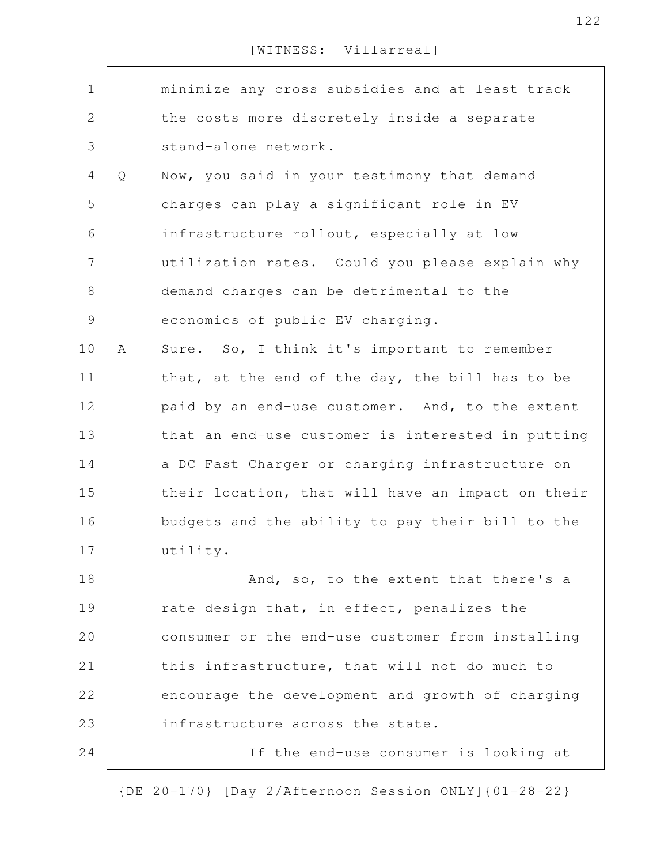| $\mathbf 1$  |   | minimize any cross subsidies and at least track   |
|--------------|---|---------------------------------------------------|
| $\mathbf{2}$ |   | the costs more discretely inside a separate       |
| 3            |   | stand-alone network.                              |
| 4            | Q | Now, you said in your testimony that demand       |
| 5            |   | charges can play a significant role in EV         |
| 6            |   | infrastructure rollout, especially at low         |
| 7            |   | utilization rates. Could you please explain why   |
| $8\,$        |   | demand charges can be detrimental to the          |
| $\mathsf 9$  |   | economics of public EV charging.                  |
| 10           | Α | Sure. So, I think it's important to remember      |
| 11           |   | that, at the end of the day, the bill has to be   |
| 12           |   | paid by an end-use customer. And, to the extent   |
| 13           |   | that an end-use customer is interested in putting |
| 14           |   | a DC Fast Charger or charging infrastructure on   |
| 15           |   | their location, that will have an impact on their |
| 16           |   | budgets and the ability to pay their bill to the  |
| 17           |   | utility.                                          |
| 18           |   | And, so, to the extent that there's a             |
| 19           |   | rate design that, in effect, penalizes the        |
| 20           |   | consumer or the end-use customer from installing  |
| 21           |   | this infrastructure, that will not do much to     |
| 22           |   | encourage the development and growth of charging  |
| 23           |   | infrastructure across the state.                  |
| 24           |   | If the end-use consumer is looking at             |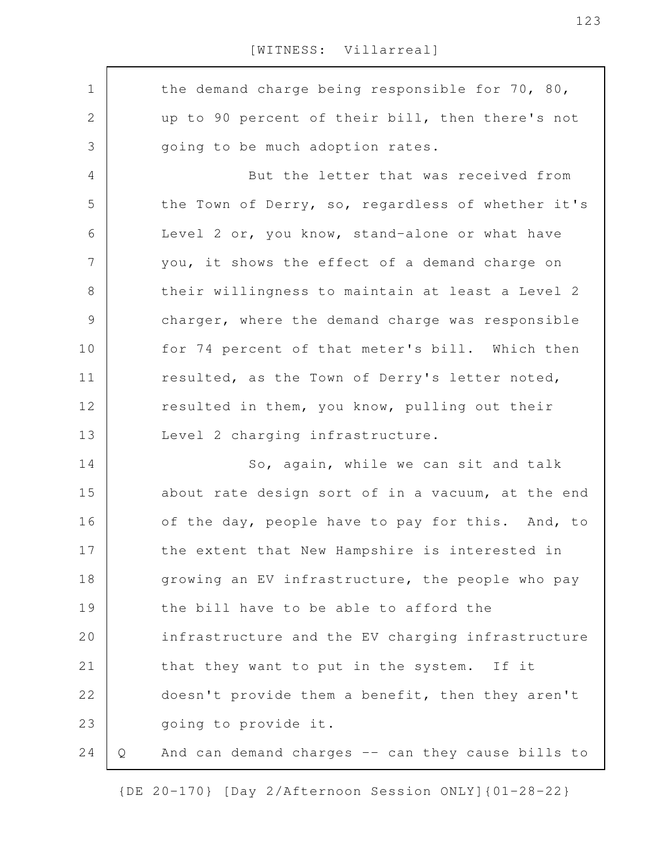the demand charge being responsible for 70, 80, up to 90 percent of their bill, then there's not going to be much adoption rates. But the letter that was received from the Town of Derry, so, regardless of whether it's Level 2 or, you know, stand-alone or what have you, it shows the effect of a demand charge on their willingness to maintain at least a Level 2 charger, where the demand charge was responsible for 74 percent of that meter's bill. Which then resulted, as the Town of Derry's letter noted, resulted in them, you know, pulling out their Level 2 charging infrastructure. So, again, while we can sit and talk about rate design sort of in a vacuum, at the end of the day, people have to pay for this. And, to the extent that New Hampshire is interested in growing an EV infrastructure, the people who pay the bill have to be able to afford the infrastructure and the EV charging infrastructure that they want to put in the system. If it doesn't provide them a benefit, then they aren't going to provide it. Q And can demand charges -- can they cause bills to 1 2 3 4 5 6 7 8 9 10 11 12 13 14 15 16 17 18 19 20 21 22 23 24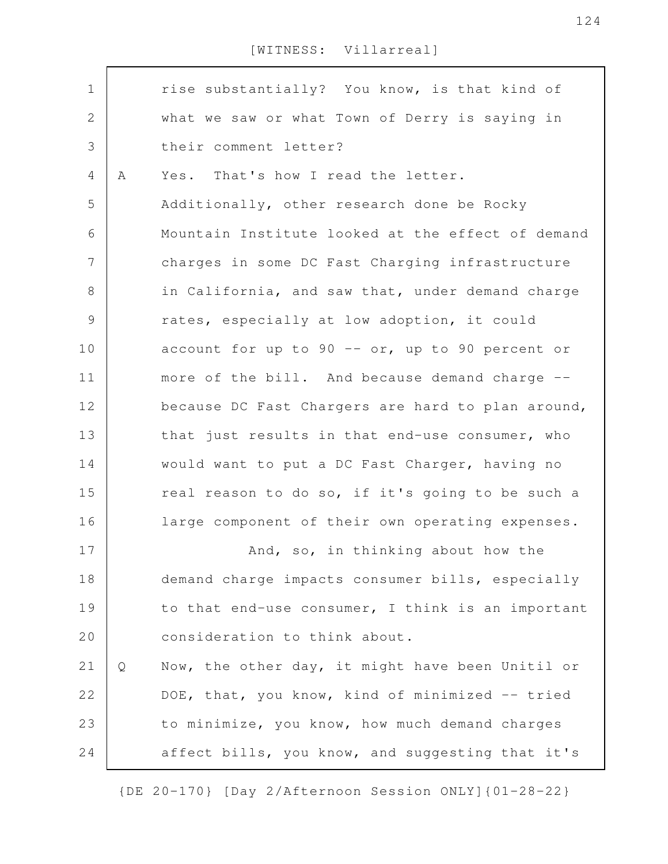| $\mathbf 1$   |   | rise substantially? You know, is that kind of     |
|---------------|---|---------------------------------------------------|
| $\mathbf{2}$  |   | what we saw or what Town of Derry is saying in    |
| 3             |   | their comment letter?                             |
| 4             | Α | Yes. That's how I read the letter.                |
| 5             |   | Additionally, other research done be Rocky        |
| 6             |   | Mountain Institute looked at the effect of demand |
| 7             |   | charges in some DC Fast Charging infrastructure   |
| $8\,$         |   | in California, and saw that, under demand charge  |
| $\mathcal{G}$ |   | rates, especially at low adoption, it could       |
| 10            |   | account for up to 90 -- or, up to 90 percent or   |
| 11            |   | more of the bill. And because demand charge --    |
| 12            |   | because DC Fast Chargers are hard to plan around, |
| 13            |   | that just results in that end-use consumer, who   |
| 14            |   | would want to put a DC Fast Charger, having no    |
| 15            |   | real reason to do so, if it's going to be such a  |
| 16            |   | large component of their own operating expenses.  |
| 17            |   | And, so, in thinking about how the                |
|               |   |                                                   |
| 18            |   | demand charge impacts consumer bills, especially  |
| 19            |   | to that end-use consumer, I think is an important |
| 20            |   | consideration to think about.                     |
| 21            | Q | Now, the other day, it might have been Unitil or  |
| 22            |   | DOE, that, you know, kind of minimized -- tried   |
| 23            |   | to minimize, you know, how much demand charges    |
| 24            |   | affect bills, you know, and suggesting that it's  |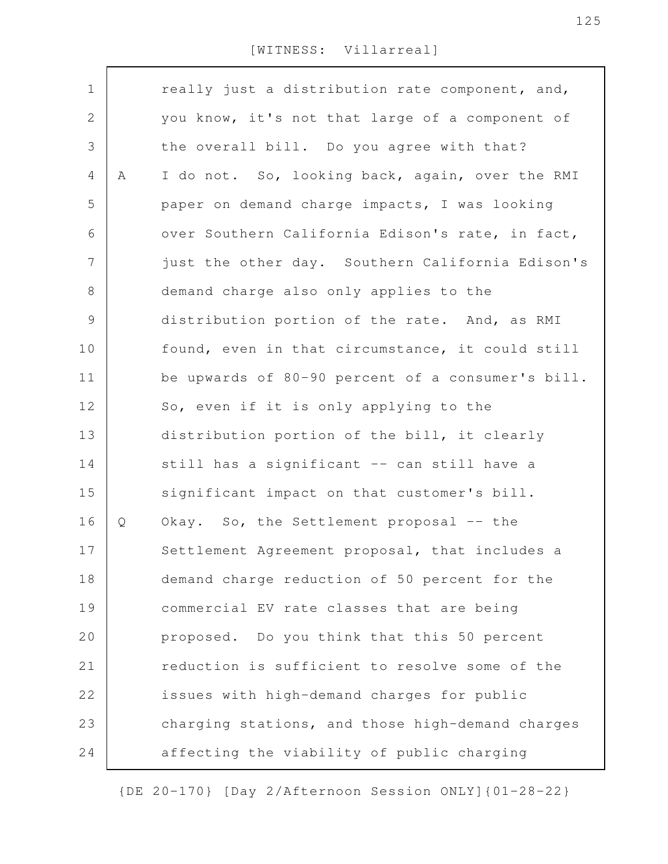| $\mathbf 1$    |   | really just a distribution rate component, and,   |
|----------------|---|---------------------------------------------------|
| $\overline{2}$ |   | you know, it's not that large of a component of   |
| 3              |   | the overall bill. Do you agree with that?         |
| 4              | Α | I do not. So, looking back, again, over the RMI   |
| 5              |   | paper on demand charge impacts, I was looking     |
| 6              |   | over Southern California Edison's rate, in fact,  |
| $\overline{7}$ |   | just the other day. Southern California Edison's  |
| $8\,$          |   | demand charge also only applies to the            |
| $\mathsf 9$    |   | distribution portion of the rate. And, as RMI     |
| 10             |   | found, even in that circumstance, it could still  |
| 11             |   | be upwards of 80-90 percent of a consumer's bill. |
| 12             |   | So, even if it is only applying to the            |
| 13             |   | distribution portion of the bill, it clearly      |
| 14             |   | still has a significant -- can still have a       |
| 15             |   | significant impact on that customer's bill.       |
| 16             | Q | Okay. So, the Settlement proposal -- the          |
| 17             |   | Settlement Agreement proposal, that includes a    |
| 18             |   | demand charge reduction of 50 percent for the     |
| 19             |   | commercial EV rate classes that are being         |
| 20             |   | proposed. Do you think that this 50 percent       |
| 21             |   | reduction is sufficient to resolve some of the    |
| 22             |   | issues with high-demand charges for public        |
| 23             |   | charging stations, and those high-demand charges  |
|                |   |                                                   |
| 24             |   | affecting the viability of public charging        |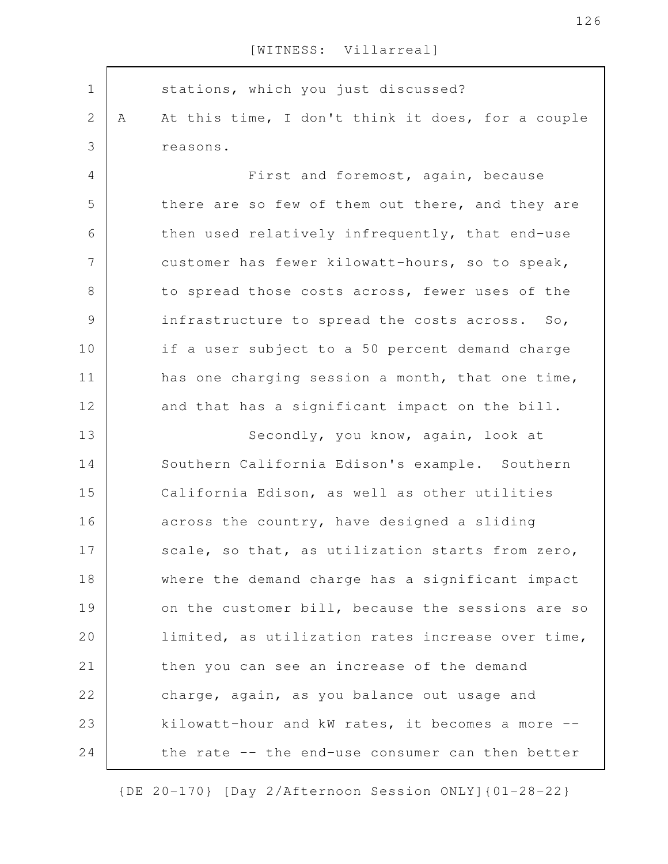stations, which you just discussed? A At this time, I don't think it does, for a couple reasons. First and foremost, again, because there are so few of them out there, and they are then used relatively infrequently, that end-use customer has fewer kilowatt-hours, so to speak, to spread those costs across, fewer uses of the infrastructure to spread the costs across. So, if a user subject to a 50 percent demand charge has one charging session a month, that one time, and that has a significant impact on the bill. Secondly, you know, again, look at Southern California Edison's example. Southern California Edison, as well as other utilities across the country, have designed a sliding scale, so that, as utilization starts from zero, where the demand charge has a significant impact on the customer bill, because the sessions are so limited, as utilization rates increase over time, then you can see an increase of the demand charge, again, as you balance out usage and kilowatt-hour and kW rates, it becomes a more - the rate -- the end-use consumer can then better 1 2 3 4 5 6 7 8 9 10 11 12 13 14 15 16 17 18 19 20 21 22 23 24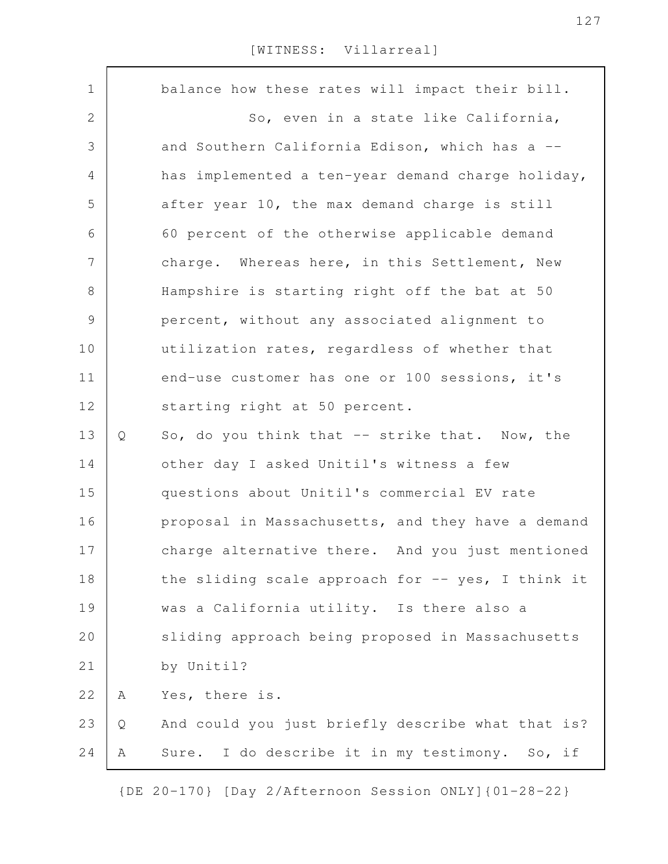| $\mathbf 1$    |   | balance how these rates will impact their bill.   |
|----------------|---|---------------------------------------------------|
| 2              |   | So, even in a state like California,              |
| 3              |   | and Southern California Edison, which has a --    |
| 4              |   | has implemented a ten-year demand charge holiday, |
| 5              |   | after year 10, the max demand charge is still     |
| 6              |   | 60 percent of the otherwise applicable demand     |
| $\overline{7}$ |   | charge. Whereas here, in this Settlement, New     |
| $8\,$          |   | Hampshire is starting right off the bat at 50     |
| 9              |   | percent, without any associated alignment to      |
| 10             |   | utilization rates, regardless of whether that     |
| 11             |   | end-use customer has one or 100 sessions, it's    |
| 12             |   | starting right at 50 percent.                     |
| 13             | Q | So, do you think that -- strike that. Now, the    |
| 14             |   | other day I asked Unitil's witness a few          |
| 15             |   | questions about Unitil's commercial EV rate       |
| 16             |   | proposal in Massachusetts, and they have a demand |
| 17             |   | charge alternative there. And you just mentioned  |
| 18             |   | the sliding scale approach for -- yes, I think it |
| 19             |   | was a California utility. Is there also a         |
| 20             |   | sliding approach being proposed in Massachusetts  |
| 21             |   | by Unitil?                                        |
| 22             | Α | Yes, there is.                                    |
| 23             | Q | And could you just briefly describe what that is? |
| 24             | Α | Sure. I do describe it in my testimony. So, if    |
|                |   |                                                   |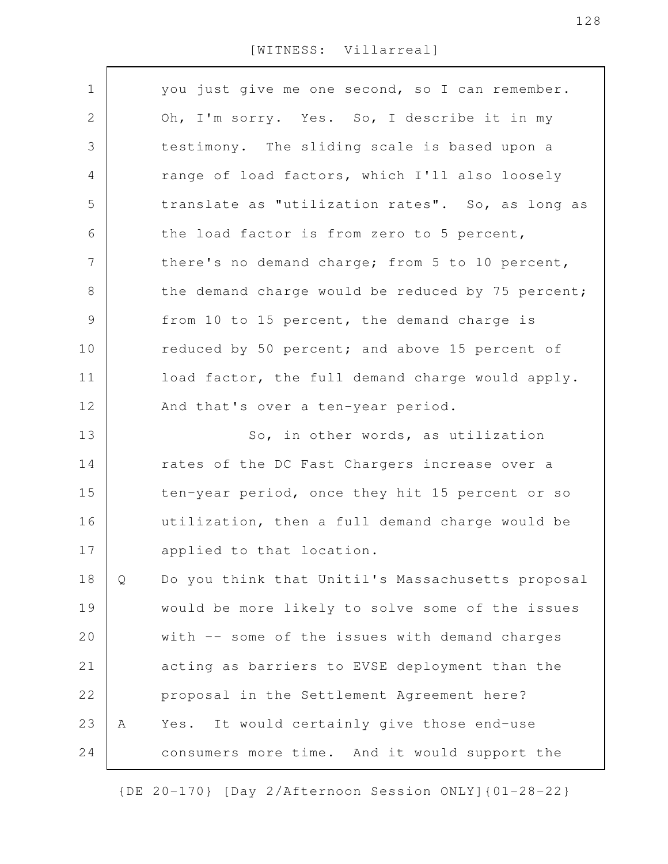| $\mathbf 1$    |   | you just give me one second, so I can remember.   |
|----------------|---|---------------------------------------------------|
| $\mathbf{2}$   |   | Oh, I'm sorry. Yes. So, I describe it in my       |
| 3              |   | testimony. The sliding scale is based upon a      |
| $\overline{4}$ |   | range of load factors, which I'll also loosely    |
| 5              |   | translate as "utilization rates". So, as long as  |
| 6              |   | the load factor is from zero to 5 percent,        |
| $\overline{7}$ |   | there's no demand charge; from 5 to 10 percent,   |
| $8\,$          |   | the demand charge would be reduced by 75 percent; |
| $\mathcal{G}$  |   | from 10 to 15 percent, the demand charge is       |
| 10             |   | reduced by 50 percent; and above 15 percent of    |
| 11             |   | load factor, the full demand charge would apply.  |
| 12             |   | And that's over a ten-year period.                |
| 13             |   | So, in other words, as utilization                |
| 14             |   | rates of the DC Fast Chargers increase over a     |
| 15             |   | ten-year period, once they hit 15 percent or so   |
| 16             |   | utilization, then a full demand charge would be   |
| 17             |   | applied to that location.                         |
| 18             | Q | Do you think that Unitil's Massachusetts proposal |
| 19             |   | would be more likely to solve some of the issues  |
| 20             |   | with -- some of the issues with demand charges    |
| 21             |   | acting as barriers to EVSE deployment than the    |
| 22             |   | proposal in the Settlement Agreement here?        |
| 23             | Α | It would certainly give those end-use<br>Yes.     |
| 24             |   | consumers more time. And it would support the     |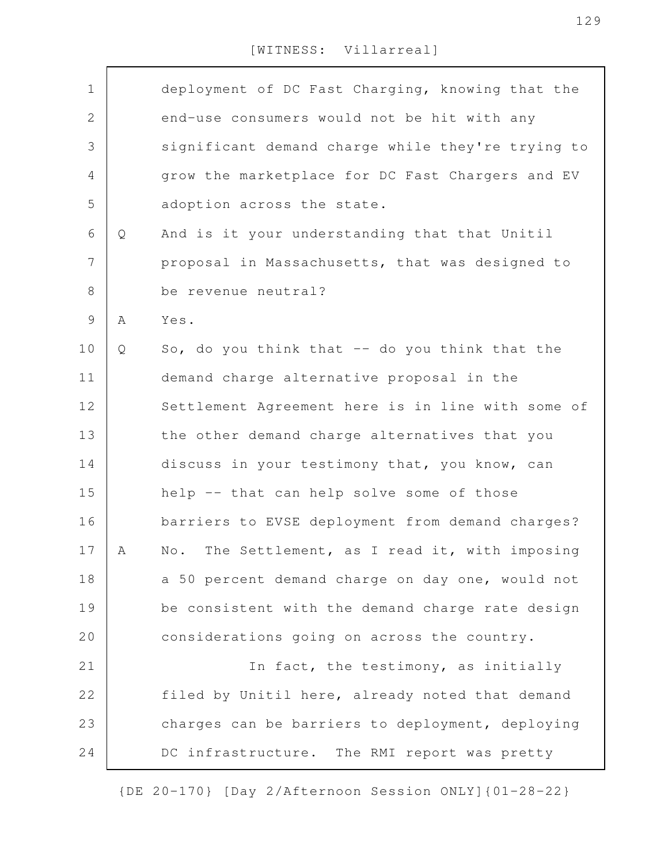| $\mathbf 1$    |   | deployment of DC Fast Charging, knowing that the  |
|----------------|---|---------------------------------------------------|
| $\mathbf{2}$   |   | end-use consumers would not be hit with any       |
| 3              |   | significant demand charge while they're trying to |
| $\overline{4}$ |   | grow the marketplace for DC Fast Chargers and EV  |
| 5              |   | adoption across the state.                        |
| 6              | Q | And is it your understanding that that Unitil     |
| $\overline{7}$ |   | proposal in Massachusetts, that was designed to   |
| $\,8\,$        |   | be revenue neutral?                               |
| $\mathsf 9$    | Α | Yes.                                              |
| 10             | Q | So, do you think that $-$ do you think that the   |
| 11             |   | demand charge alternative proposal in the         |
| 12             |   | Settlement Agreement here is in line with some of |
| 13             |   | the other demand charge alternatives that you     |
| 14             |   | discuss in your testimony that, you know, can     |
| 15             |   | help -- that can help solve some of those         |
| 16             |   | barriers to EVSE deployment from demand charges?  |
| 17             | А | No. The Settlement, as I read it, with imposing   |
| 18             |   | a 50 percent demand charge on day one, would not  |
| 19             |   | be consistent with the demand charge rate design  |
| 20             |   | considerations going on across the country.       |
| 21             |   | In fact, the testimony, as initially              |
| 22             |   | filed by Unitil here, already noted that demand   |
| 23             |   | charges can be barriers to deployment, deploying  |
| 24             |   | DC infrastructure. The RMI report was pretty      |
|                |   |                                                   |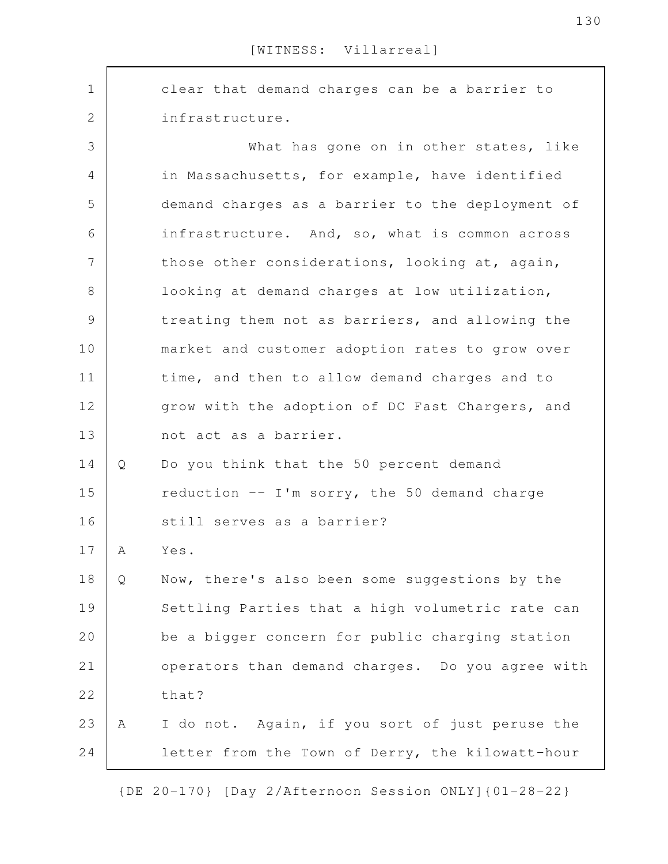clear that demand charges can be a barrier to infrastructure. What has gone on in other states, like in Massachusetts, for example, have identified demand charges as a barrier to the deployment of infrastructure. And, so, what is common across those other considerations, looking at, again, looking at demand charges at low utilization, treating them not as barriers, and allowing the market and customer adoption rates to grow over time, and then to allow demand charges and to grow with the adoption of DC Fast Chargers, and not act as a barrier. Q Do you think that the 50 percent demand reduction -- I'm sorry, the 50 demand charge still serves as a barrier? A Yes. Q Now, there's also been some suggestions by the Settling Parties that a high volumetric rate can be a bigger concern for public charging station operators than demand charges. Do you agree with that? A I do not. Again, if you sort of just peruse the letter from the Town of Derry, the kilowatt-hour 1 2 3 4 5 6 7 8 9 10 11 12 13 14 15 16 17 18 19 20 21 22 23 24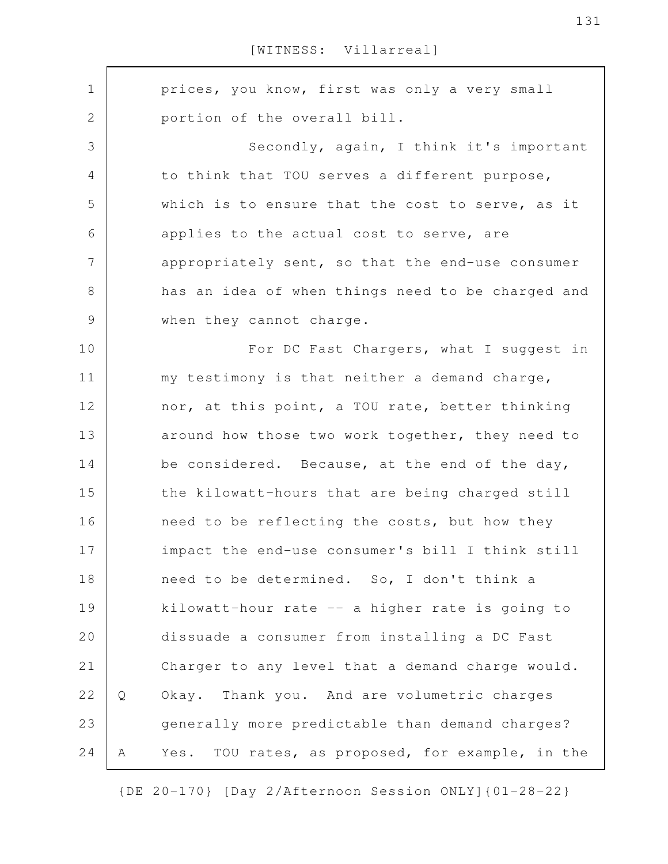prices, you know, first was only a very small portion of the overall bill. Secondly, again, I think it's important to think that TOU serves a different purpose, which is to ensure that the cost to serve, as it applies to the actual cost to serve, are appropriately sent, so that the end-use consumer has an idea of when things need to be charged and when they cannot charge. For DC Fast Chargers, what I suggest in my testimony is that neither a demand charge, nor, at this point, a TOU rate, better thinking around how those two work together, they need to be considered. Because, at the end of the day, the kilowatt-hours that are being charged still need to be reflecting the costs, but how they impact the end-use consumer's bill I think still need to be determined. So, I don't think a kilowatt-hour rate -- a higher rate is going to dissuade a consumer from installing a DC Fast Charger to any level that a demand charge would. Q Okay. Thank you. And are volumetric charges generally more predictable than demand charges? A Yes. TOU rates, as proposed, for example, in the 1 2 3 4 5 6 7 8 9 10 11 12 13 14 15 16 17 18 19 20 21 22 23 24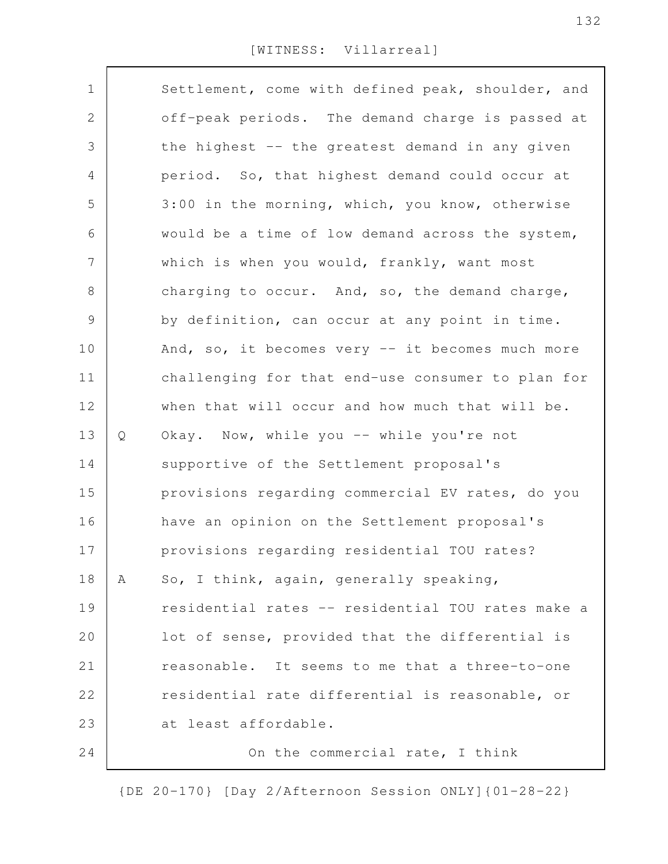| $\mathbf 1$    |   | Settlement, come with defined peak, shoulder, and |
|----------------|---|---------------------------------------------------|
| 2              |   | off-peak periods. The demand charge is passed at  |
| 3              |   | the highest -- the greatest demand in any given   |
| 4              |   | period. So, that highest demand could occur at    |
| 5              |   | 3:00 in the morning, which, you know, otherwise   |
| 6              |   | would be a time of low demand across the system,  |
| $\overline{7}$ |   | which is when you would, frankly, want most       |
| $8\,$          |   | charging to occur. And, so, the demand charge,    |
| 9              |   | by definition, can occur at any point in time.    |
| 10             |   | And, so, it becomes very -- it becomes much more  |
| 11             |   | challenging for that end-use consumer to plan for |
| 12             |   | when that will occur and how much that will be.   |
| 13             | Q | Okay. Now, while you -- while you're not          |
| 14             |   | supportive of the Settlement proposal's           |
| 15             |   | provisions regarding commercial EV rates, do you  |
| 16             |   | have an opinion on the Settlement proposal's      |
| 17             |   | provisions regarding residential TOU rates?       |
| 18             | Α | So, I think, again, generally speaking,           |
| 19             |   | residential rates -- residential TOU rates make a |
| 20             |   | lot of sense, provided that the differential is   |
| 21             |   | reasonable. It seems to me that a three-to-one    |
| 22             |   | residential rate differential is reasonable, or   |
| 23             |   | at least affordable.                              |
| 24             |   | On the commercial rate, I think                   |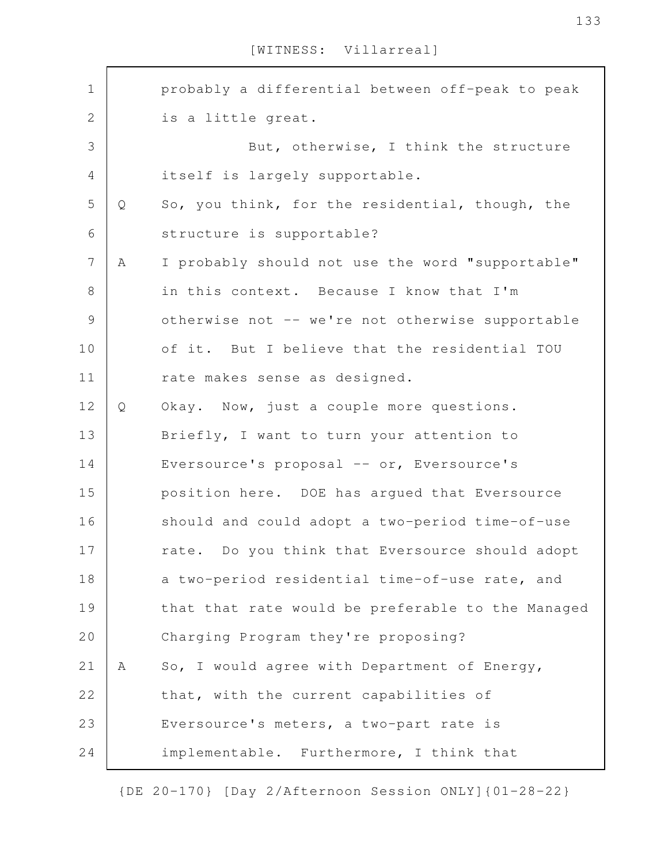| $\mathbf 1$    |   | probably a differential between off-peak to peak  |
|----------------|---|---------------------------------------------------|
| $\mathbf{2}$   |   | is a little great.                                |
| 3              |   | But, otherwise, I think the structure             |
| 4              |   | itself is largely supportable.                    |
| 5              | Q | So, you think, for the residential, though, the   |
| 6              |   | structure is supportable?                         |
| $\overline{7}$ | A | I probably should not use the word "supportable"  |
| $8\,$          |   | in this context. Because I know that I'm          |
| $\mathsf{S}$   |   | otherwise not -- we're not otherwise supportable  |
| 10             |   | of it. But I believe that the residential TOU     |
| 11             |   | rate makes sense as designed.                     |
| 12             | Q | Okay. Now, just a couple more questions.          |
| 13             |   | Briefly, I want to turn your attention to         |
| 14             |   | Eversource's proposal -- or, Eversource's         |
| 15             |   | position here. DOE has argued that Eversource     |
| 16             |   | should and could adopt a two-period time-of-use   |
| 17             |   | rate. Do you think that Eversource should adopt   |
| 18             |   | a two-period residential time-of-use rate, and    |
| 19             |   | that that rate would be preferable to the Managed |
| 20             |   | Charging Program they're proposing?               |
| 21             | Α | So, I would agree with Department of Energy,      |
| 22             |   | that, with the current capabilities of            |
| 23             |   | Eversource's meters, a two-part rate is           |
| 24             |   | implementable. Furthermore, I think that          |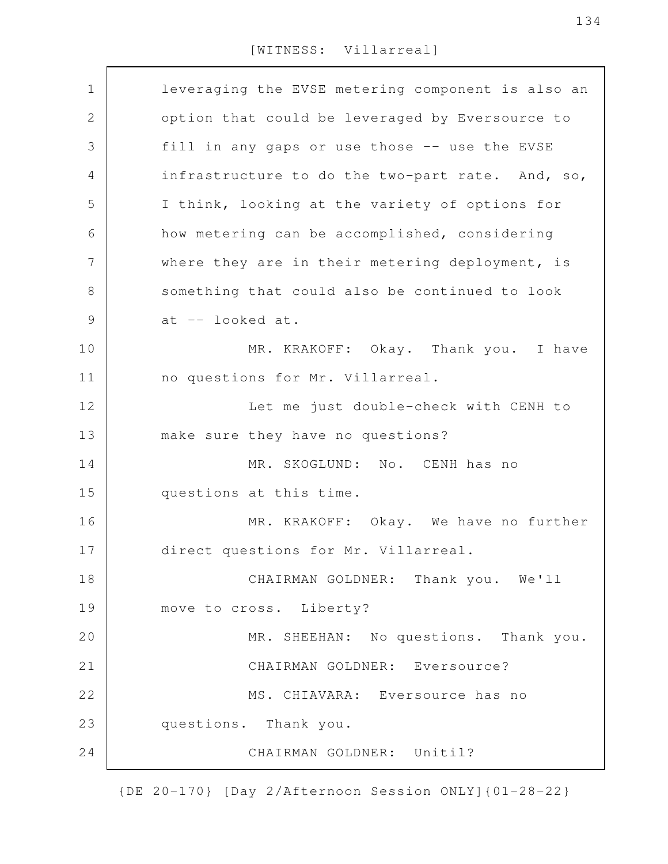| $\mathbf 1$    | leveraging the EVSE metering component is also an |
|----------------|---------------------------------------------------|
| 2              | option that could be leveraged by Eversource to   |
| 3              | fill in any gaps or use those -- use the EVSE     |
| $\overline{4}$ | infrastructure to do the two-part rate. And, so,  |
| 5              | I think, looking at the variety of options for    |
| 6              | how metering can be accomplished, considering     |
| 7              | where they are in their metering deployment, is   |
| $8\,$          | something that could also be continued to look    |
| $\mathcal{G}$  | at -- looked at.                                  |
| 10             | MR. KRAKOFF: Okay. Thank you. I have              |
| 11             | no questions for Mr. Villarreal.                  |
| 12             | Let me just double-check with CENH to             |
| 13             | make sure they have no questions?                 |
| 14             | MR. SKOGLUND: No. CENH has no                     |
| 15             | questions at this time.                           |
| 16             | MR. KRAKOFF: Okay. We have no further             |
| 17             | direct questions for Mr. Villarreal.              |
| 18             | CHAIRMAN GOLDNER: Thank you. We'll                |
| 19             | move to cross. Liberty?                           |
| 20             | MR. SHEEHAN: No questions. Thank you.             |
| 21             | CHAIRMAN GOLDNER: Eversource?                     |
| 22             | MS. CHIAVARA: Eversource has no                   |
| 23             | questions. Thank you.                             |
| 24             | CHAIRMAN GOLDNER: Unitil?                         |
|                |                                                   |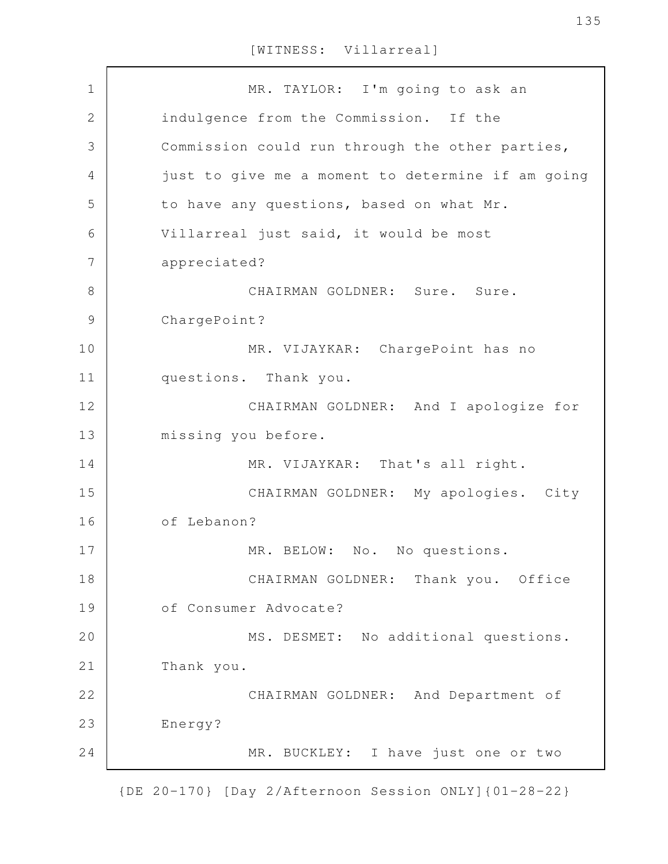MR. TAYLOR: I'm going to ask an indulgence from the Commission. If the Commission could run through the other parties, just to give me a moment to determine if am going to have any questions, based on what Mr. Villarreal just said, it would be most appreciated? CHAIRMAN GOLDNER: Sure. Sure. ChargePoint? MR. VIJAYKAR: ChargePoint has no questions. Thank you. CHAIRMAN GOLDNER: And I apologize for missing you before. MR. VIJAYKAR: That's all right. CHAIRMAN GOLDNER: My apologies. City of Lebanon? MR. BELOW: No. No questions. CHAIRMAN GOLDNER: Thank you. Office of Consumer Advocate? MS. DESMET: No additional questions. Thank you. CHAIRMAN GOLDNER: And Department of Energy? MR. BUCKLEY: I have just one or two 1 2 3 4 5 6 7 8 9 10 11 12 13 14 15 16 17 18 19 20 21 22 23 24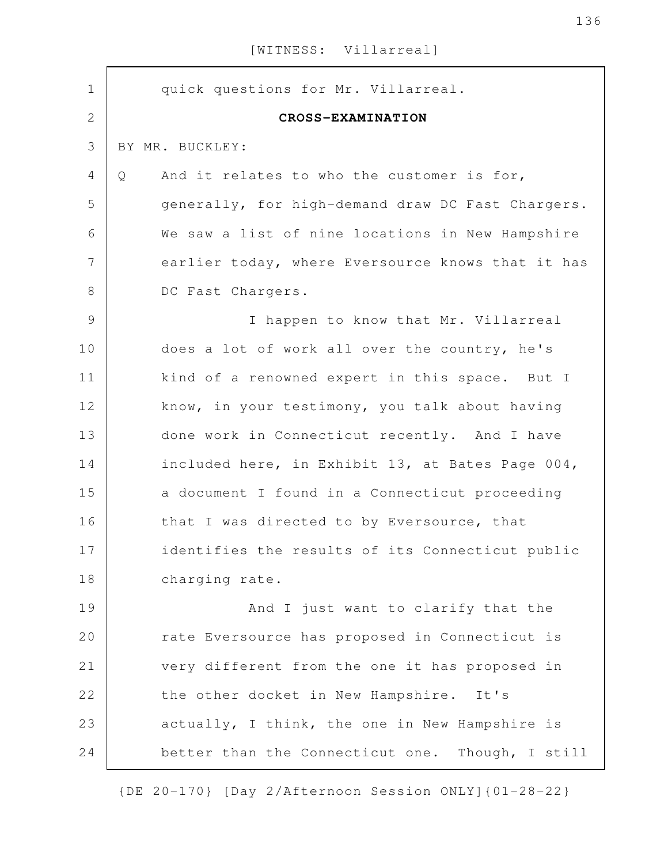| $\mathbf 1$    | quick questions for Mr. Villarreal.               |
|----------------|---------------------------------------------------|
| $\mathbf{2}$   | CROSS-EXAMINATION                                 |
| 3              | BY MR. BUCKLEY:                                   |
| 4              | And it relates to who the customer is for,<br>Q   |
| 5              | generally, for high-demand draw DC Fast Chargers. |
| $\sqrt{6}$     | We saw a list of nine locations in New Hampshire  |
| $\overline{7}$ | earlier today, where Eversource knows that it has |
| $\,8\,$        | DC Fast Chargers.                                 |
| $\mathcal{G}$  | I happen to know that Mr. Villarreal              |
| 10             | does a lot of work all over the country, he's     |
| 11             | kind of a renowned expert in this space. But I    |
| 12             | know, in your testimony, you talk about having    |
| 13             | done work in Connecticut recently. And I have     |
| 14             | included here, in Exhibit 13, at Bates Page 004,  |
| 15             | a document I found in a Connecticut proceeding    |
| 16             | that I was directed to by Eversource, that        |
| 17             | identifies the results of its Connecticut public  |
| 18             | charging rate.                                    |
| 19             | And I just want to clarify that the               |
| 20             | rate Eversource has proposed in Connecticut is    |
| 21             | very different from the one it has proposed in    |
| 22             | the other docket in New Hampshire. It's           |
| 23             | actually, I think, the one in New Hampshire is    |
| 24             | better than the Connecticut one. Though, I still  |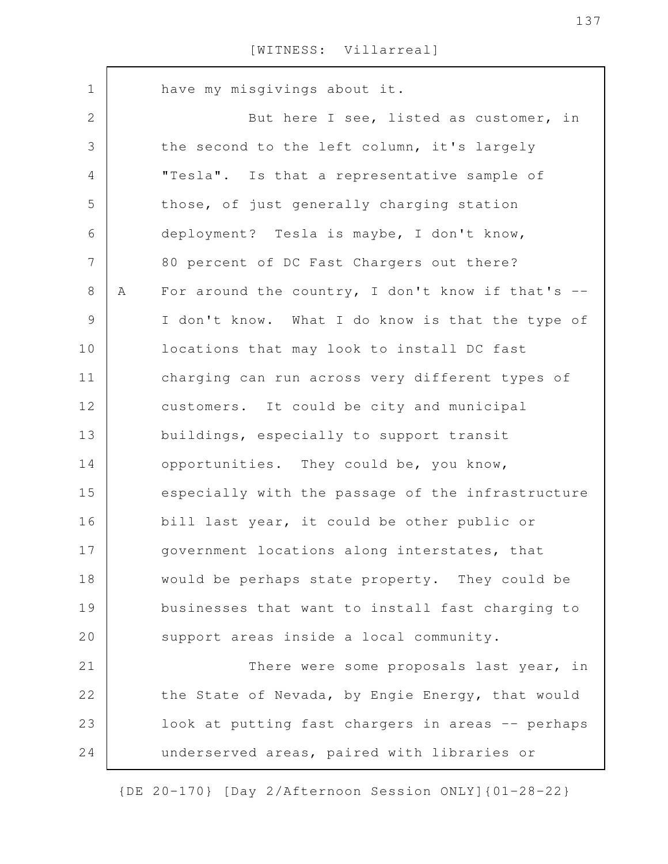have my misgivings about it. But here I see, listed as customer, in the second to the left column, it's largely "Tesla". Is that a representative sample of those, of just generally charging station deployment? Tesla is maybe, I don't know, 80 percent of DC Fast Chargers out there? A For around the country, I don't know if that's -- I don't know. What I do know is that the type of locations that may look to install DC fast charging can run across very different types of customers. It could be city and municipal buildings, especially to support transit opportunities. They could be, you know, especially with the passage of the infrastructure bill last year, it could be other public or government locations along interstates, that would be perhaps state property. They could be businesses that want to install fast charging to support areas inside a local community. There were some proposals last year, in the State of Nevada, by Engie Energy, that would look at putting fast chargers in areas -- perhaps underserved areas, paired with libraries or 1 2 3 4 5 6 7 8 9 10 11 12 13 14 15 16 17 18 19 20 21 22 23 24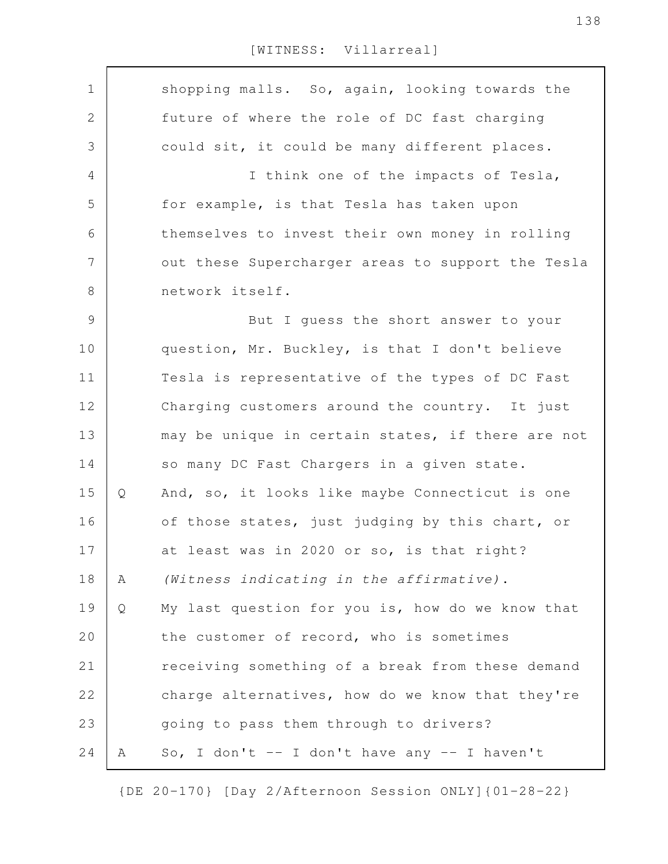| $\mathbf 1$  |   | shopping malls. So, again, looking towards the    |
|--------------|---|---------------------------------------------------|
| $\mathbf{2}$ |   | future of where the role of DC fast charging      |
| 3            |   | could sit, it could be many different places.     |
| 4            |   | I think one of the impacts of Tesla,              |
| 5            |   | for example, is that Tesla has taken upon         |
| 6            |   | themselves to invest their own money in rolling   |
| 7            |   | out these Supercharger areas to support the Tesla |
| $8\,$        |   | network itself.                                   |
| 9            |   | But I guess the short answer to your              |
| 10           |   | question, Mr. Buckley, is that I don't believe    |
| 11           |   | Tesla is representative of the types of DC Fast   |
|              |   |                                                   |
| 12           |   | Charging customers around the country. It just    |
| 13           |   | may be unique in certain states, if there are not |
| 14           |   | so many DC Fast Chargers in a given state.        |
| 15           | Q | And, so, it looks like maybe Connecticut is one   |
| 16           |   | of those states, just judging by this chart, or   |
| 17           |   | at least was in 2020 or so, is that right?        |
| 18           | Α | (Witness indicating in the affirmative).          |
| 19           | Q | My last question for you is, how do we know that  |
| 20           |   | the customer of record, who is sometimes          |
| 21           |   | receiving something of a break from these demand  |
| 22           |   | charge alternatives, how do we know that they're  |
| 23           |   | going to pass them through to drivers?            |
| 24           | Α | So, I don't -- I don't have any -- I haven't      |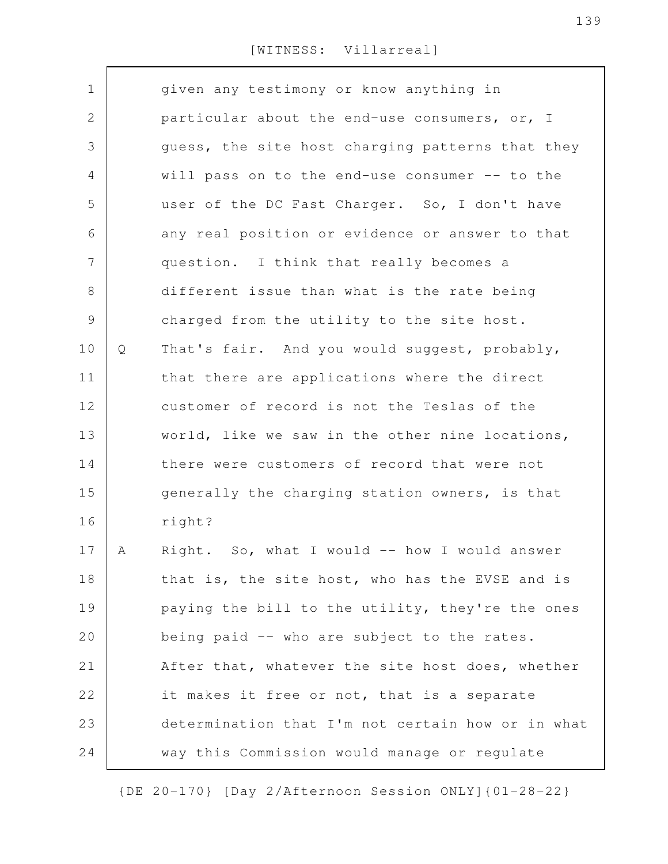| $\mathbf 1$ |   | given any testimony or know anything in           |
|-------------|---|---------------------------------------------------|
| 2           |   | particular about the end-use consumers, or, I     |
| 3           |   | guess, the site host charging patterns that they  |
| 4           |   | will pass on to the end-use consumer -- to the    |
| 5           |   | user of the DC Fast Charger. So, I don't have     |
| 6           |   | any real position or evidence or answer to that   |
| 7           |   | question. I think that really becomes a           |
| 8           |   | different issue than what is the rate being       |
| $\mathsf 9$ |   | charged from the utility to the site host.        |
| 10          | Q | That's fair. And you would suggest, probably,     |
| 11          |   | that there are applications where the direct      |
| 12          |   | customer of record is not the Teslas of the       |
| 13          |   | world, like we saw in the other nine locations,   |
| 14          |   | there were customers of record that were not      |
| 15          |   | generally the charging station owners, is that    |
| 16          |   | right?                                            |
| 17          | Α | Right. So, what I would -- how I would answer     |
| 18          |   | that is, the site host, who has the EVSE and is   |
| 19          |   | paying the bill to the utility, they're the ones  |
| 20          |   | being paid -- who are subject to the rates.       |
| 21          |   | After that, whatever the site host does, whether  |
| 22          |   | it makes it free or not, that is a separate       |
| 23          |   | determination that I'm not certain how or in what |
| 24          |   | way this Commission would manage or regulate      |
|             |   |                                                   |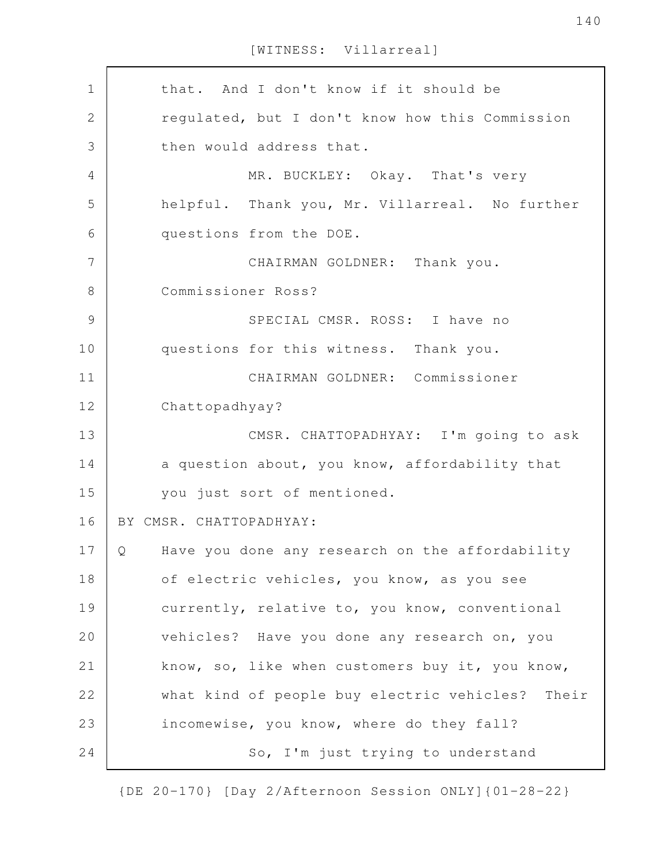that. And I don't know if it should be regulated, but I don't know how this Commission then would address that. MR. BUCKLEY: Okay. That's very helpful. Thank you, Mr. Villarreal. No further questions from the DOE. CHAIRMAN GOLDNER: Thank you. Commissioner Ross? SPECIAL CMSR. ROSS: I have no questions for this witness. Thank you. CHAIRMAN GOLDNER: Commissioner Chattopadhyay? CMSR. CHATTOPADHYAY: I'm going to ask a question about, you know, affordability that you just sort of mentioned. BY CMSR. CHATTOPADHYAY: Q Have you done any research on the affordability of electric vehicles, you know, as you see currently, relative to, you know, conventional vehicles? Have you done any research on, you know, so, like when customers buy it, you know, what kind of people buy electric vehicles? Their incomewise, you know, where do they fall? So, I'm just trying to understand 1 2 3 4 5 6 7 8 9 10 11 12 13 14 15 16 17 18 19 20 21 22 23 24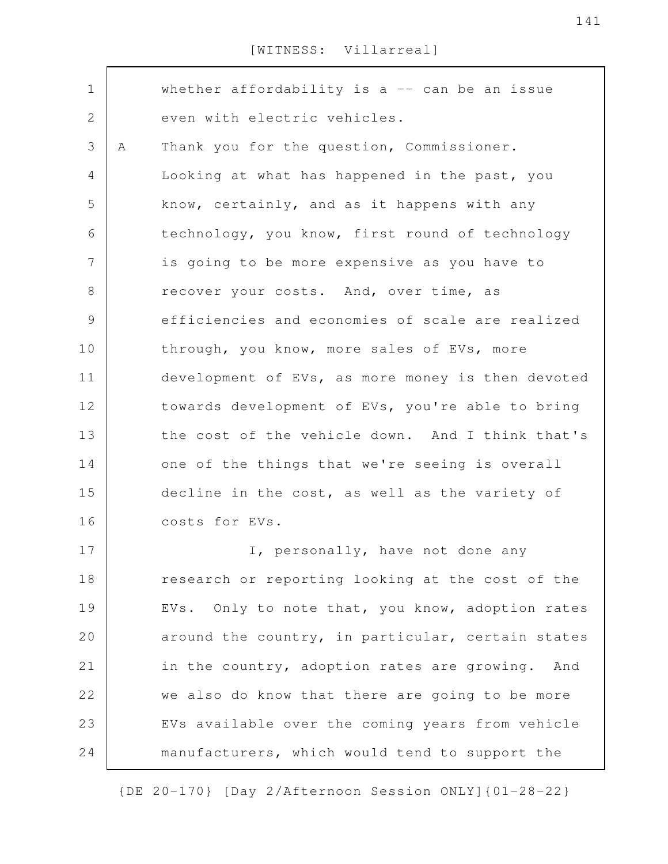| $\mathbf 1$ |   | whether affordability is a $-$ can be an issue    |
|-------------|---|---------------------------------------------------|
| 2           |   | even with electric vehicles.                      |
| 3           | A | Thank you for the question, Commissioner.         |
| 4           |   | Looking at what has happened in the past, you     |
| 5           |   | know, certainly, and as it happens with any       |
| 6           |   | technology, you know, first round of technology   |
| 7           |   | is going to be more expensive as you have to      |
| 8           |   | recover your costs. And, over time, as            |
| $\mathsf 9$ |   | efficiencies and economies of scale are realized  |
| 10          |   | through, you know, more sales of EVs, more        |
| 11          |   | development of EVs, as more money is then devoted |
| 12          |   | towards development of EVs, you're able to bring  |
| 13          |   | the cost of the vehicle down. And I think that's  |
| 14          |   | one of the things that we're seeing is overall    |
| 15          |   | decline in the cost, as well as the variety of    |
| 16          |   | costs for EVs.                                    |
| 17          |   | I, personally, have not done any                  |
| 18          |   | research or reporting looking at the cost of the  |
| 19          |   | EVs. Only to note that, you know, adoption rates  |
| 20          |   | around the country, in particular, certain states |
| 21          |   | in the country, adoption rates are growing. And   |
| 22          |   | we also do know that there are going to be more   |
| 23          |   | EVs available over the coming years from vehicle  |
| 24          |   | manufacturers, which would tend to support the    |
|             |   |                                                   |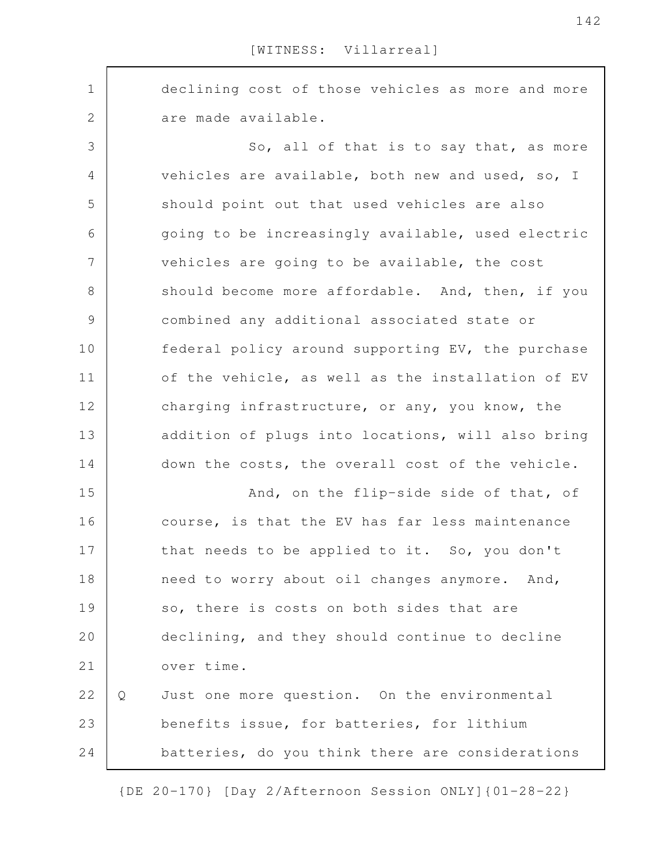declining cost of those vehicles as more and more are made available. So, all of that is to say that, as more vehicles are available, both new and used, so, I should point out that used vehicles are also going to be increasingly available, used electric vehicles are going to be available, the cost should become more affordable. And, then, if you combined any additional associated state or federal policy around supporting EV, the purchase of the vehicle, as well as the installation of EV charging infrastructure, or any, you know, the addition of plugs into locations, will also bring down the costs, the overall cost of the vehicle. And, on the flip-side side of that, of course, is that the EV has far less maintenance that needs to be applied to it. So, you don't need to worry about oil changes anymore. And, so, there is costs on both sides that are declining, and they should continue to decline over time. Q Just one more question. On the environmental benefits issue, for batteries, for lithium batteries, do you think there are considerations 1 2 3 4 5 6 7 8 9 10 11 12 13 14 15 16 17 18 19 20 21 22 23 24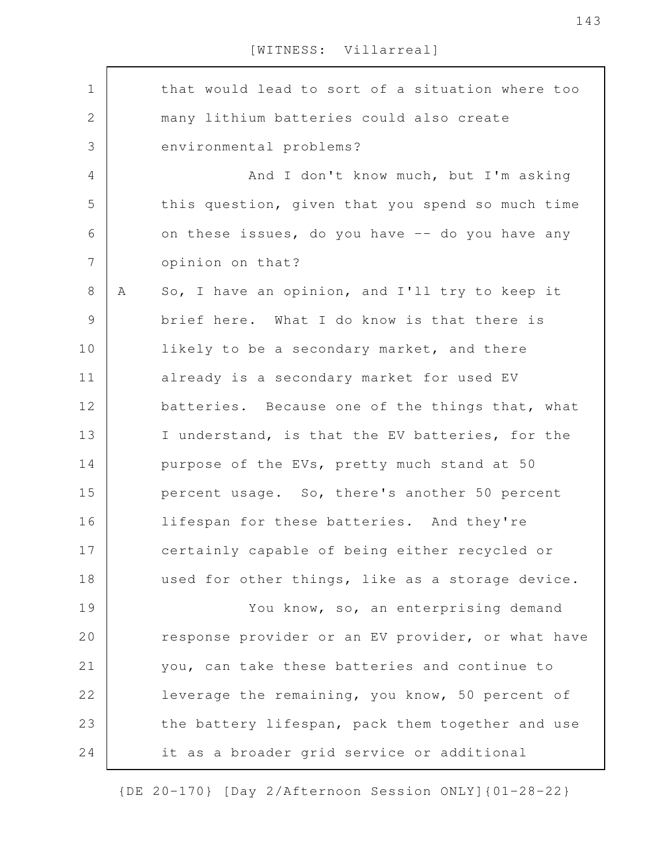that would lead to sort of a situation where too many lithium batteries could also create environmental problems? And I don't know much, but I'm asking this question, given that you spend so much time on these issues, do you have -- do you have any opinion on that? A So, I have an opinion, and I'll try to keep it brief here. What I do know is that there is likely to be a secondary market, and there already is a secondary market for used EV batteries. Because one of the things that, what I understand, is that the EV batteries, for the purpose of the EVs, pretty much stand at 50 percent usage. So, there's another 50 percent lifespan for these batteries. And they're certainly capable of being either recycled or used for other things, like as a storage device. You know, so, an enterprising demand response provider or an EV provider, or what have you, can take these batteries and continue to leverage the remaining, you know, 50 percent of the battery lifespan, pack them together and use it as a broader grid service or additional 1 2 3 4 5 6 7 8 9 10 11 12 13 14 15 16 17 18 19 20 21 22 23 24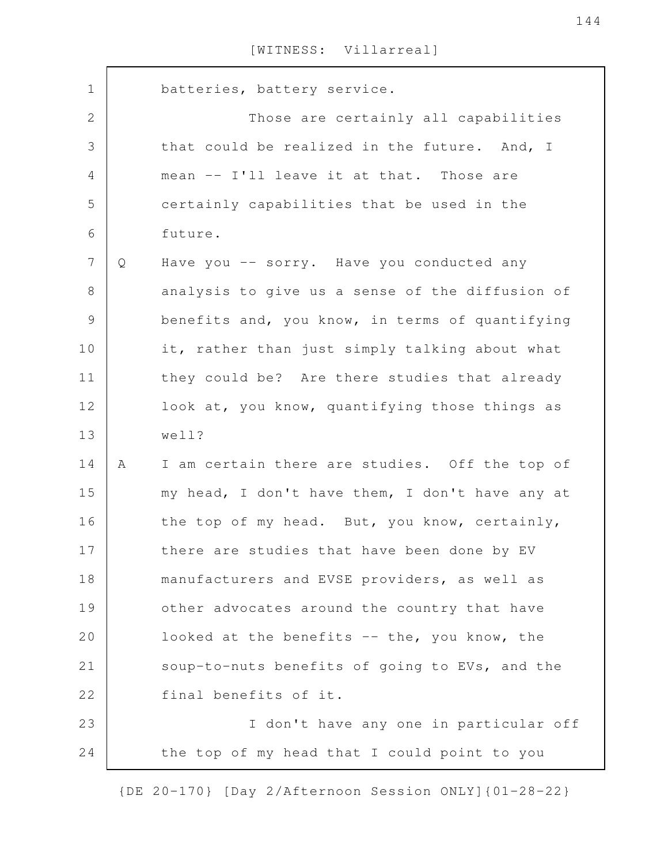| $\mathbf 1$    |   | batteries, battery service.                     |
|----------------|---|-------------------------------------------------|
| $\overline{2}$ |   | Those are certainly all capabilities            |
| 3              |   | that could be realized in the future. And, I    |
| 4              |   | mean -- I'll leave it at that. Those are        |
| 5              |   | certainly capabilities that be used in the      |
| 6              |   | future.                                         |
| $\overline{7}$ | Q | Have you -- sorry. Have you conducted any       |
| 8              |   | analysis to give us a sense of the diffusion of |
| $\mathcal{G}$  |   | benefits and, you know, in terms of quantifying |
| 10             |   | it, rather than just simply talking about what  |
| 11             |   | they could be? Are there studies that already   |
| 12             |   | look at, you know, quantifying those things as  |
| 13             |   | well?                                           |
| 14             | A | I am certain there are studies. Off the top of  |
| 15             |   | my head, I don't have them, I don't have any at |
| 16             |   | the top of my head. But, you know, certainly,   |
| 17             |   | there are studies that have been done by EV     |
| 18             |   | manufacturers and EVSE providers, as well as    |
| 19             |   | other advocates around the country that have    |
| 20             |   | looked at the benefits -- the, you know, the    |
| 21             |   | soup-to-nuts benefits of going to EVs, and the  |
| 22             |   | final benefits of it.                           |
| 23             |   | I don't have any one in particular off          |
| 24             |   | the top of my head that I could point to you    |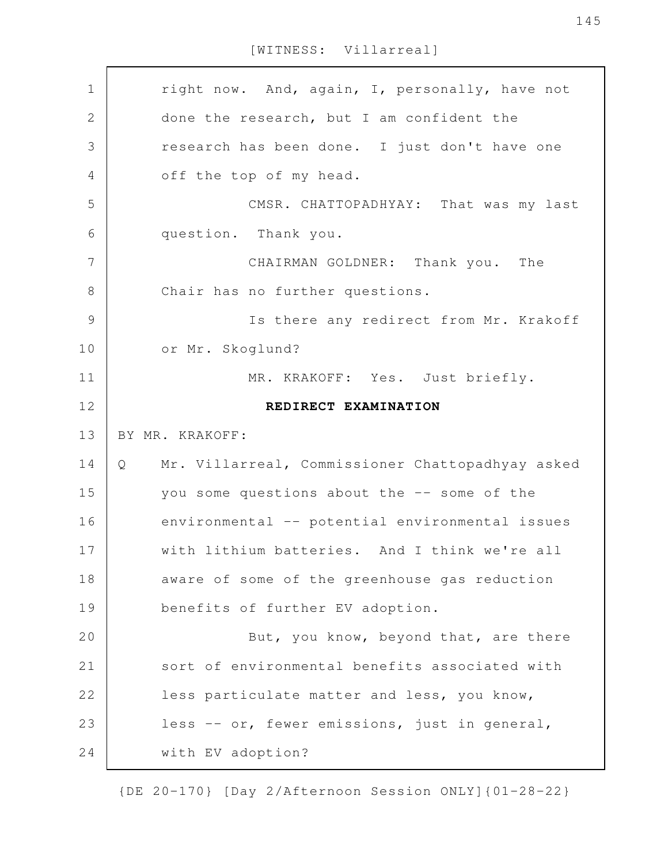[WITNESS: Villarreal]

right now. And, again, I, personally, have not done the research, but I am confident the research has been done. I just don't have one off the top of my head. CMSR. CHATTOPADHYAY: That was my last question. Thank you. CHAIRMAN GOLDNER: Thank you. The Chair has no further questions. Is there any redirect from Mr. Krakoff or Mr. Skoglund? MR. KRAKOFF: Yes. Just briefly. **REDIRECT EXAMINATION** BY MR. KRAKOFF: Q Mr. Villarreal, Commissioner Chattopadhyay asked you some questions about the -- some of the environmental -- potential environmental issues with lithium batteries. And I think we're all aware of some of the greenhouse gas reduction benefits of further EV adoption. But, you know, beyond that, are there sort of environmental benefits associated with less particulate matter and less, you know, less -- or, fewer emissions, just in general, with EV adoption? 1 2 3 4 5 6 7 8 9 10 11 12 13 14 15 16 17 18 19 20 21 22 23 24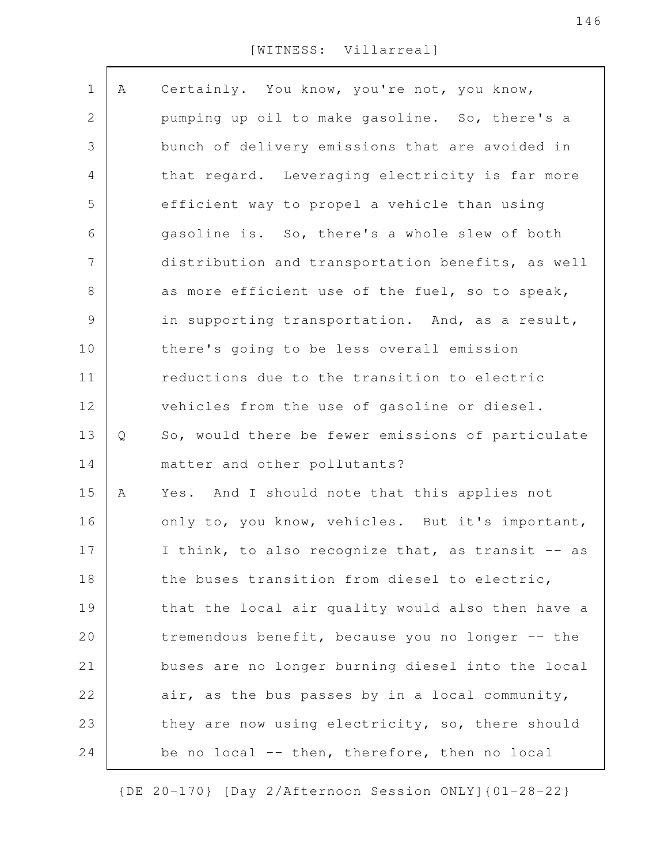[WITNESS: Villarreal]

| $\mathbf 1$    | Α | Certainly. You know, you're not, you know,        |
|----------------|---|---------------------------------------------------|
| 2              |   | pumping up oil to make gasoline. So, there's a    |
| 3              |   | bunch of delivery emissions that are avoided in   |
| 4              |   | that regard. Leveraging electricity is far more   |
| 5              |   | efficient way to propel a vehicle than using      |
| 6              |   | gasoline is. So, there's a whole slew of both     |
| $\overline{7}$ |   | distribution and transportation benefits, as well |
| $8\,$          |   | as more efficient use of the fuel, so to speak,   |
| $\mathsf 9$    |   | in supporting transportation. And, as a result,   |
| 10             |   | there's going to be less overall emission         |
| 11             |   | reductions due to the transition to electric      |
| 12             |   | vehicles from the use of gasoline or diesel.      |
| 13             | Q | So, would there be fewer emissions of particulate |
| 14             |   | matter and other pollutants?                      |
| 15             | Α | Yes. And I should note that this applies not      |
| 16             |   | only to, you know, vehicles. But it's important,  |
| 17             |   | I think, to also recognize that, as transit -- as |
| 18             |   | the buses transition from diesel to electric,     |
| 19             |   | that the local air quality would also then have a |
| 20             |   | tremendous benefit, because you no longer -- the  |
| 21             |   | buses are no longer burning diesel into the local |
| 22             |   | air, as the bus passes by in a local community,   |
| 23             |   | they are now using electricity, so, there should  |
| 24             |   | be no local -- then, therefore, then no local     |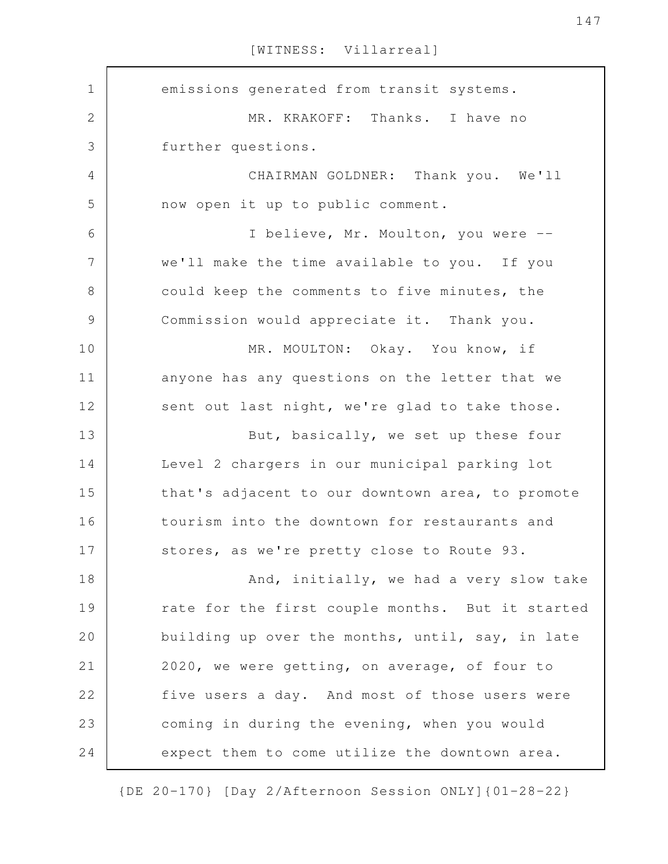[WITNESS: Villarreal]

emissions generated from transit systems. MR. KRAKOFF: Thanks. I have no further questions. CHAIRMAN GOLDNER: Thank you. We'll now open it up to public comment. I believe, Mr. Moulton, you were - we'll make the time available to you. If you could keep the comments to five minutes, the Commission would appreciate it. Thank you. MR. MOULTON: Okay. You know, if anyone has any questions on the letter that we sent out last night, we're glad to take those. But, basically, we set up these four Level 2 chargers in our municipal parking lot that's adjacent to our downtown area, to promote tourism into the downtown for restaurants and stores, as we're pretty close to Route 93. And, initially, we had a very slow take rate for the first couple months. But it started building up over the months, until, say, in late 2020, we were getting, on average, of four to five users a day. And most of those users were coming in during the evening, when you would expect them to come utilize the downtown area. 1 2 3 4 5 6 7 8 9 10 11 12 13 14 15 16 17 18 19 20 21 22 23 24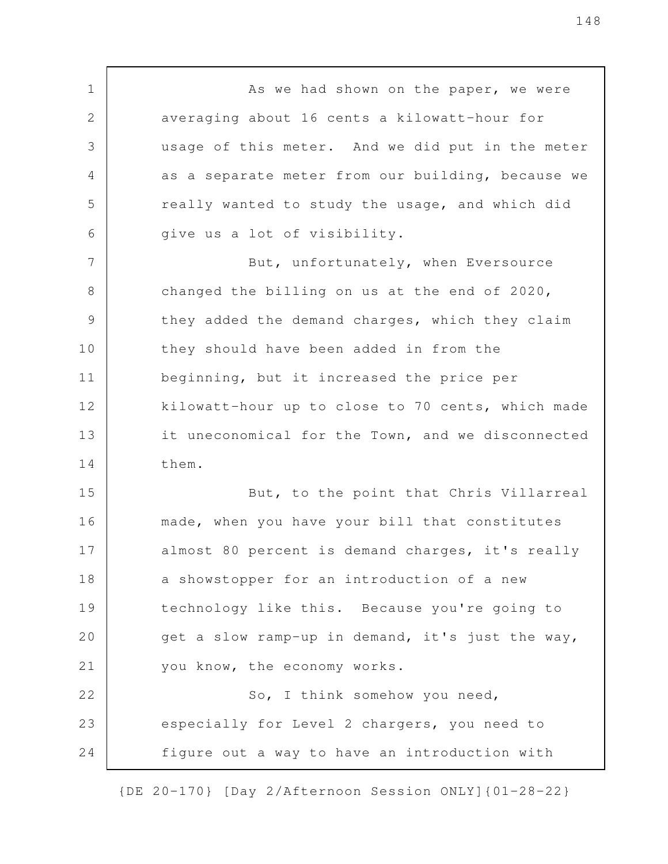As we had shown on the paper, we were averaging about 16 cents a kilowatt-hour for usage of this meter. And we did put in the meter as a separate meter from our building, because we really wanted to study the usage, and which did give us a lot of visibility. But, unfortunately, when Eversource changed the billing on us at the end of 2020, they added the demand charges, which they claim they should have been added in from the beginning, but it increased the price per kilowatt-hour up to close to 70 cents, which made it uneconomical for the Town, and we disconnected them. But, to the point that Chris Villarreal made, when you have your bill that constitutes almost 80 percent is demand charges, it's really a showstopper for an introduction of a new technology like this. Because you're going to get a slow ramp-up in demand, it's just the way, you know, the economy works. So, I think somehow you need, especially for Level 2 chargers, you need to figure out a way to have an introduction with 1 2 3 4 5 6 7 8 9 10 11 12 13 14 15 16 17 18 19 20 21 22 23 24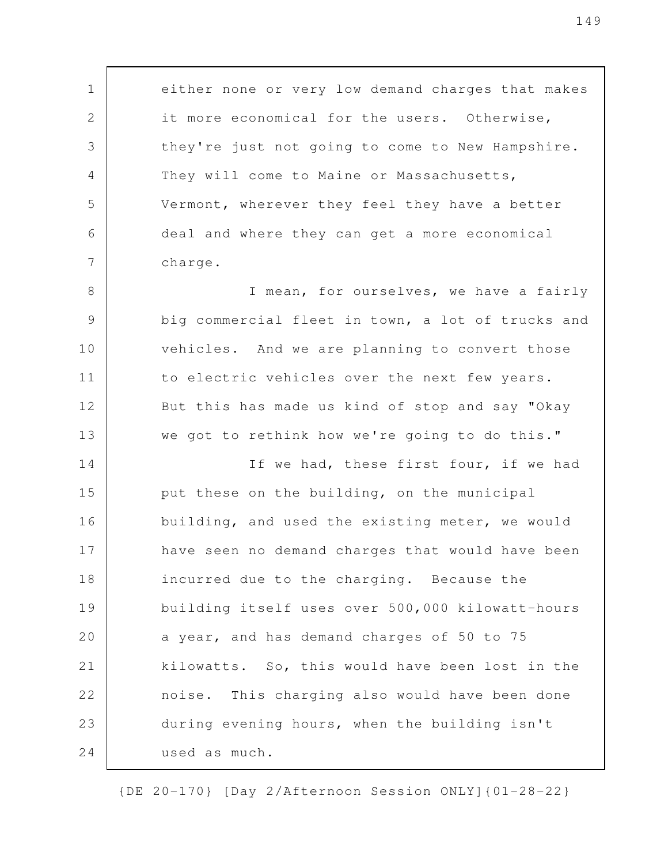either none or very low demand charges that makes it more economical for the users. Otherwise, they're just not going to come to New Hampshire. They will come to Maine or Massachusetts, Vermont, wherever they feel they have a better deal and where they can get a more economical charge.

1

2

3

4

5

6

7

I mean, for ourselves, we have a fairly big commercial fleet in town, a lot of trucks and vehicles. And we are planning to convert those to electric vehicles over the next few years. But this has made us kind of stop and say "Okay we got to rethink how we're going to do this." 8 9 10 11 12 13

If we had, these first four, if we had put these on the building, on the municipal building, and used the existing meter, we would have seen no demand charges that would have been incurred due to the charging. Because the building itself uses over 500,000 kilowatt-hours a year, and has demand charges of 50 to 75 kilowatts. So, this would have been lost in the noise. This charging also would have been done during evening hours, when the building isn't used as much. 14 15 16 17 18 19 20 21 22 23 24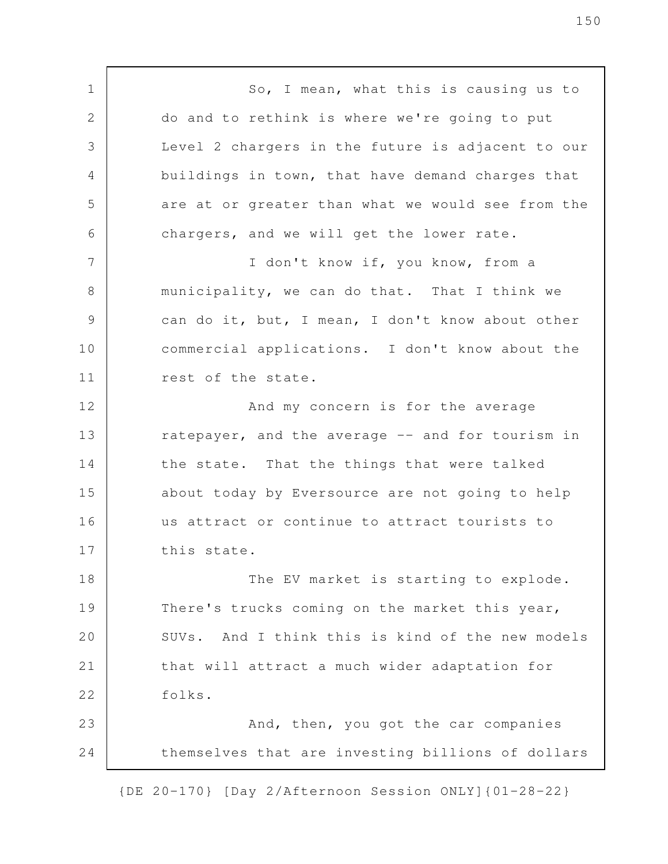So, I mean, what this is causing us to do and to rethink is where we're going to put Level 2 chargers in the future is adjacent to our buildings in town, that have demand charges that are at or greater than what we would see from the chargers, and we will get the lower rate. I don't know if, you know, from a municipality, we can do that. That I think we can do it, but, I mean, I don't know about other commercial applications. I don't know about the rest of the state. And my concern is for the average ratepayer, and the average -- and for tourism in the state. That the things that were talked about today by Eversource are not going to help us attract or continue to attract tourists to this state. The EV market is starting to explode. There's trucks coming on the market this year, SUVs. And I think this is kind of the new models that will attract a much wider adaptation for folks. And, then, you got the car companies themselves that are investing billions of dollars 1 2 3 4 5 6 7 8 9 10 11 12 13 14 15 16 17 18 19 20 21 22 23 24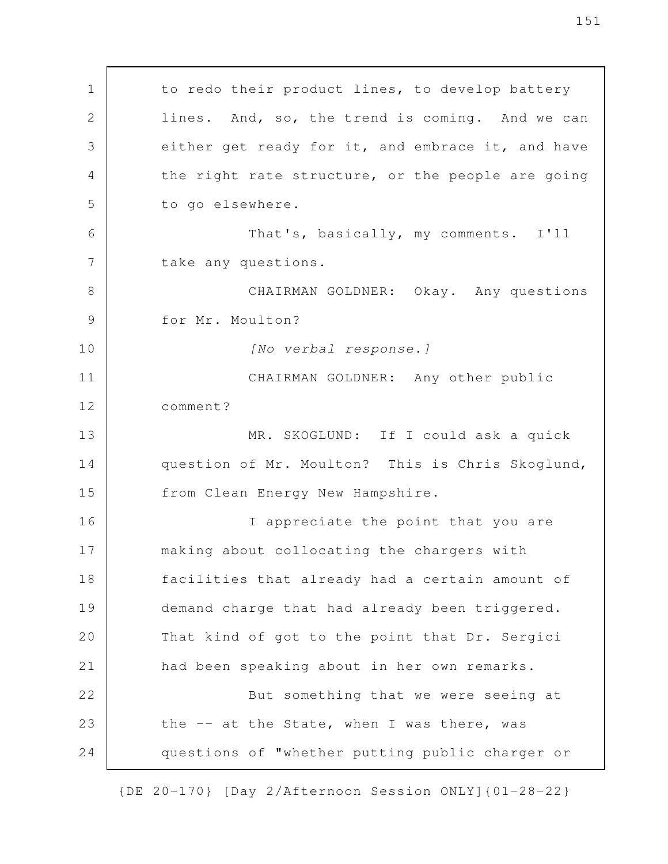to redo their product lines, to develop battery lines. And, so, the trend is coming. And we can either get ready for it, and embrace it, and have the right rate structure, or the people are going to go elsewhere. That's, basically, my comments. I'll take any questions. CHAIRMAN GOLDNER: Okay. Any questions for Mr. Moulton? *[No verbal response.]* CHAIRMAN GOLDNER: Any other public comment? MR. SKOGLUND: If I could ask a quick question of Mr. Moulton? This is Chris Skoglund, from Clean Energy New Hampshire. I appreciate the point that you are making about collocating the chargers with facilities that already had a certain amount of demand charge that had already been triggered. That kind of got to the point that Dr. Sergici had been speaking about in her own remarks. But something that we were seeing at the -- at the State, when I was there, was questions of "whether putting public charger or 1 2 3 4 5 6 7 8 9 10 11 12 13 14 15 16 17 18 19 20 21 22 23 24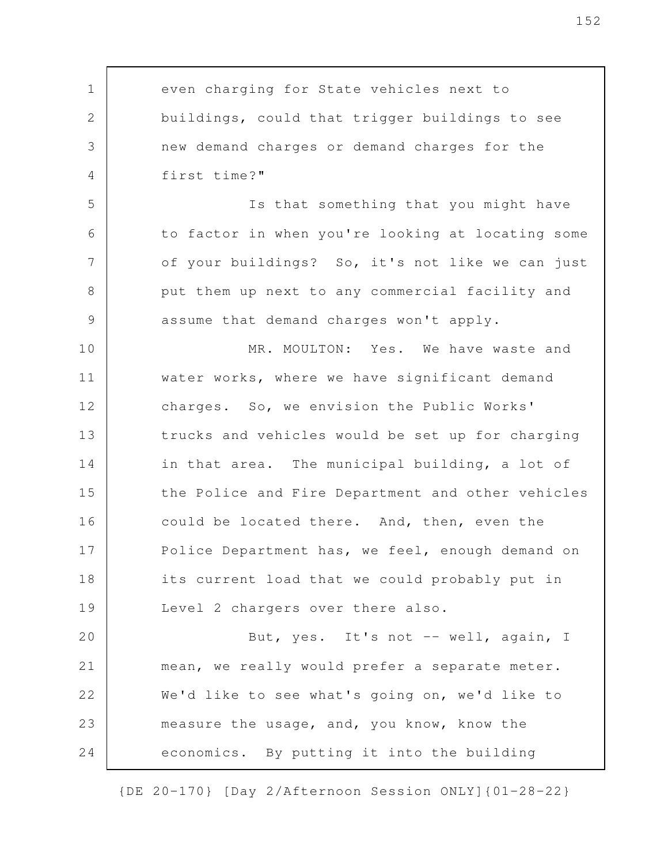even charging for State vehicles next to buildings, could that trigger buildings to see new demand charges or demand charges for the first time?" Is that something that you might have to factor in when you're looking at locating some of your buildings? So, it's not like we can just put them up next to any commercial facility and assume that demand charges won't apply. MR. MOULTON: Yes. We have waste and water works, where we have significant demand charges. So, we envision the Public Works' trucks and vehicles would be set up for charging in that area. The municipal building, a lot of the Police and Fire Department and other vehicles could be located there. And, then, even the Police Department has, we feel, enough demand on its current load that we could probably put in Level 2 chargers over there also. But, yes. It's not -- well, again, I mean, we really would prefer a separate meter. We'd like to see what's going on, we'd like to measure the usage, and, you know, know the economics. By putting it into the building 1 2 3 4 5 6 7 8 9 10 11 12 13 14 15 16 17 18 19 20 21 22 23 24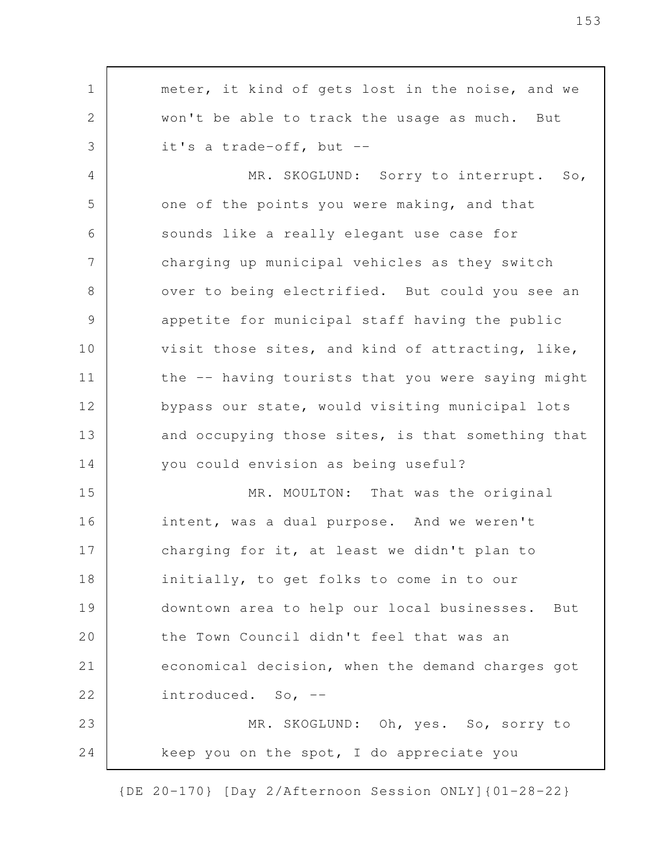meter, it kind of gets lost in the noise, and we won't be able to track the usage as much. But it's a trade-off, but -- MR. SKOGLUND: Sorry to interrupt. So, one of the points you were making, and that sounds like a really elegant use case for charging up municipal vehicles as they switch over to being electrified. But could you see an appetite for municipal staff having the public visit those sites, and kind of attracting, like, the -- having tourists that you were saying might bypass our state, would visiting municipal lots and occupying those sites, is that something that you could envision as being useful? MR. MOULTON: That was the original intent, was a dual purpose. And we weren't charging for it, at least we didn't plan to initially, to get folks to come in to our downtown area to help our local businesses. But the Town Council didn't feel that was an economical decision, when the demand charges got introduced. So, -- MR. SKOGLUND: Oh, yes. So, sorry to keep you on the spot, I do appreciate you 1 2 3 4 5 6 7 8 9 10 11 12 13 14 15 16 17 18 19 20 21 22 23 24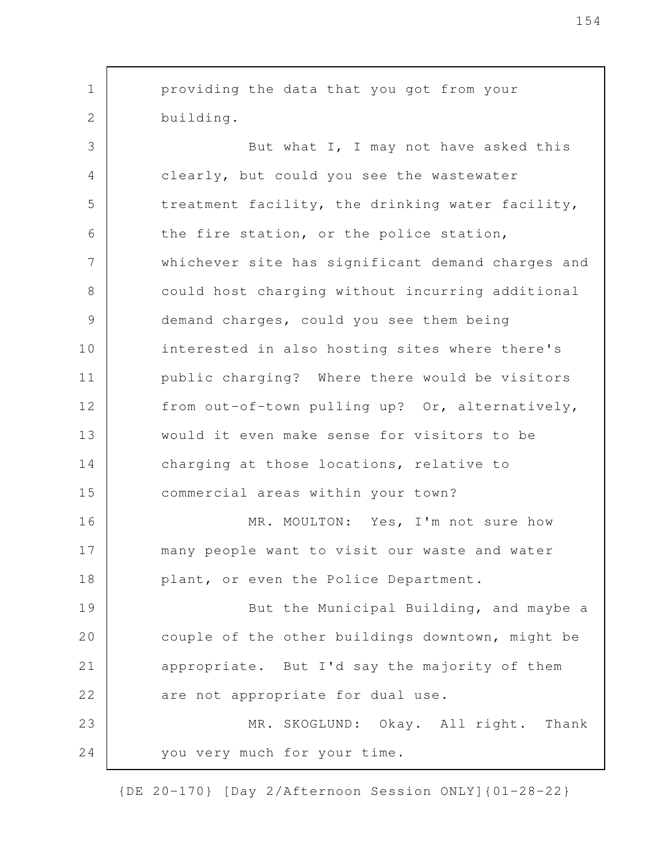providing the data that you got from your building. But what I, I may not have asked this clearly, but could you see the wastewater treatment facility, the drinking water facility, the fire station, or the police station, whichever site has significant demand charges and could host charging without incurring additional demand charges, could you see them being interested in also hosting sites where there's public charging? Where there would be visitors from out-of-town pulling up? Or, alternatively, would it even make sense for visitors to be charging at those locations, relative to commercial areas within your town? MR. MOULTON: Yes, I'm not sure how many people want to visit our waste and water plant, or even the Police Department. But the Municipal Building, and maybe a couple of the other buildings downtown, might be appropriate. But I'd say the majority of them are not appropriate for dual use. MR. SKOGLUND: Okay. All right. Thank you very much for your time. 1 2 3 4 5 6 7 8 9 10 11 12 13 14 15 16 17 18 19 20 21 22 23 24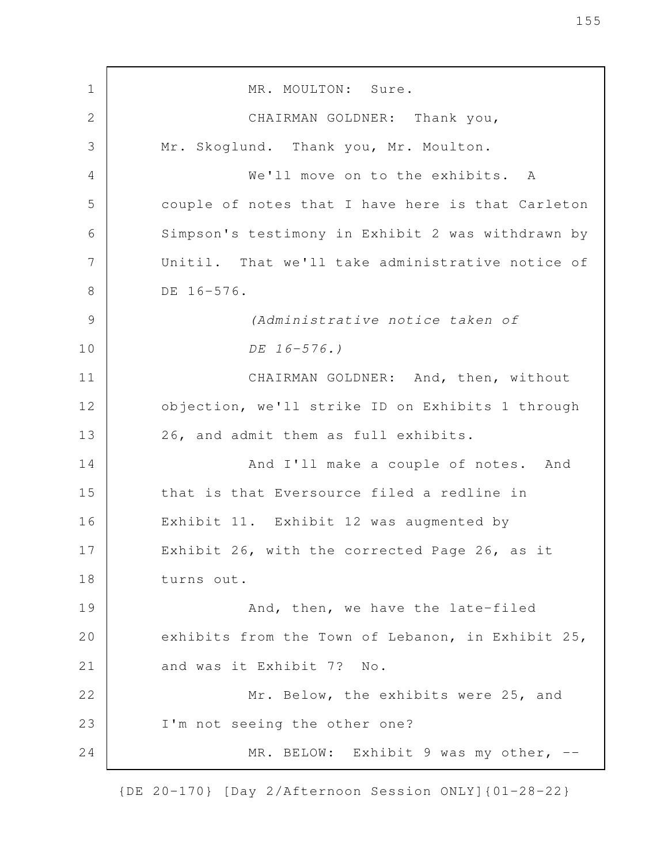MR. MOULTON: Sure. CHAIRMAN GOLDNER: Thank you, Mr. Skoglund. Thank you, Mr. Moulton. We'll move on to the exhibits. A couple of notes that I have here is that Carleton Simpson's testimony in Exhibit 2 was withdrawn by Unitil. That we'll take administrative notice of DE 16-576. *(Administrative notice taken of DE 16-576.)* CHAIRMAN GOLDNER: And, then, without objection, we'll strike ID on Exhibits 1 through 26, and admit them as full exhibits. And I'll make a couple of notes. And that is that Eversource filed a redline in Exhibit 11. Exhibit 12 was augmented by Exhibit 26, with the corrected Page 26, as it turns out. And, then, we have the late-filed exhibits from the Town of Lebanon, in Exhibit 25, and was it Exhibit 7? No. Mr. Below, the exhibits were 25, and I'm not seeing the other one? MR. BELOW: Exhibit 9 was my other, -- 1 2 3 4 5 6 7 8 9 10 11 12 13 14 15 16 17 18 19 20 21 22 23 24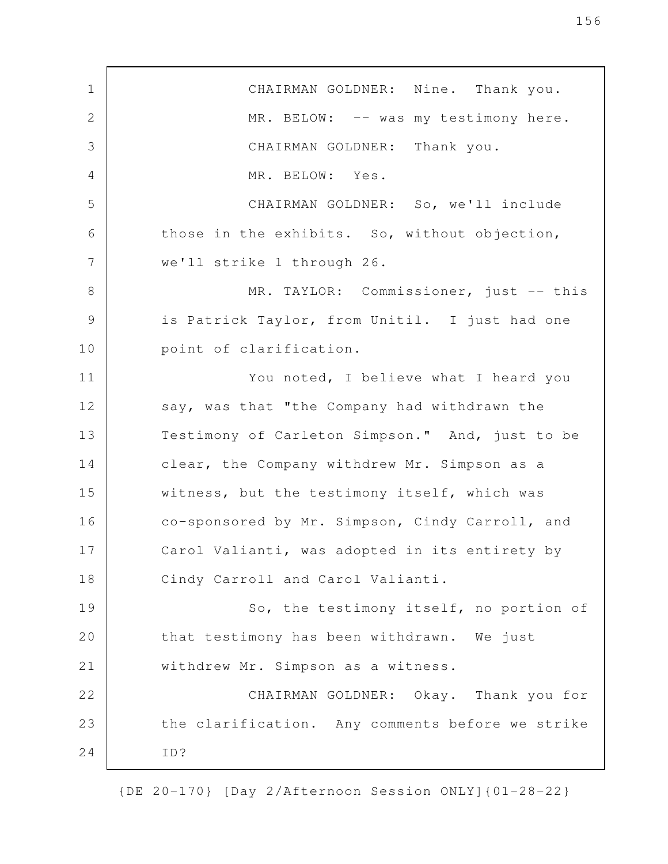CHAIRMAN GOLDNER: Nine. Thank you. MR. BELOW: -- was my testimony here. CHAIRMAN GOLDNER: Thank you. MR. BELOW: Yes. CHAIRMAN GOLDNER: So, we'll include those in the exhibits. So, without objection, we'll strike 1 through 26. MR. TAYLOR: Commissioner, just -- this is Patrick Taylor, from Unitil. I just had one point of clarification. You noted, I believe what I heard you say, was that "the Company had withdrawn the Testimony of Carleton Simpson." And, just to be clear, the Company withdrew Mr. Simpson as a witness, but the testimony itself, which was co-sponsored by Mr. Simpson, Cindy Carroll, and Carol Valianti, was adopted in its entirety by Cindy Carroll and Carol Valianti. So, the testimony itself, no portion of that testimony has been withdrawn. We just withdrew Mr. Simpson as a witness. CHAIRMAN GOLDNER: Okay. Thank you for the clarification. Any comments before we strike ID? 1 2 3 4 5 6 7 8 9 10 11 12 13 14 15 16 17 18 19 20 21 22 23 24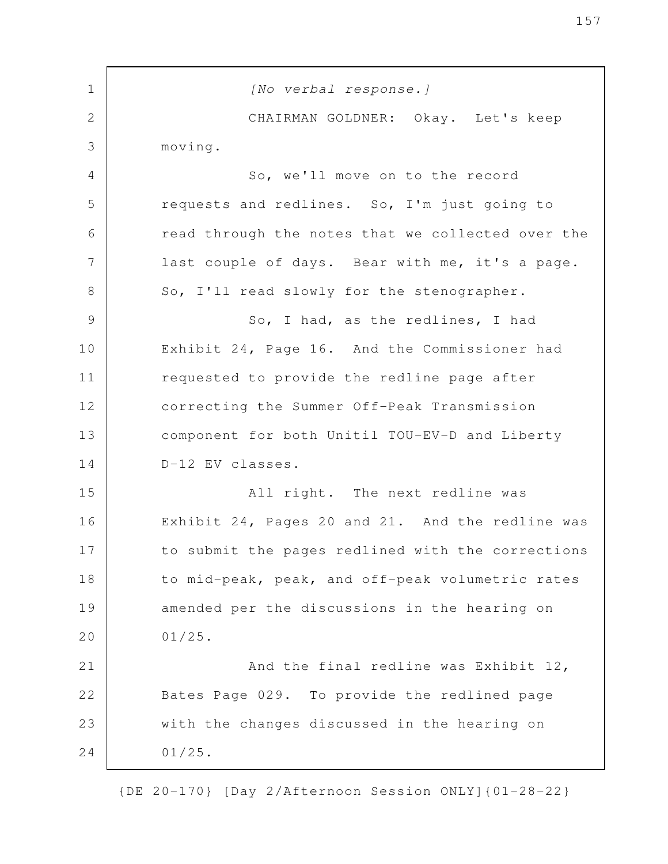| $\mathbf 1$  | [No verbal response.]                             |
|--------------|---------------------------------------------------|
| $\mathbf{2}$ | CHAIRMAN GOLDNER: Okay. Let's keep                |
| 3            | moving.                                           |
| 4            | So, we'll move on to the record                   |
| 5            | requests and redlines. So, I'm just going to      |
| 6            | read through the notes that we collected over the |
| 7            | last couple of days. Bear with me, it's a page.   |
| $8\,$        | So, I'll read slowly for the stenographer.        |
| 9            | So, I had, as the redlines, I had                 |
| 10           | Exhibit 24, Page 16. And the Commissioner had     |
| 11           | requested to provide the redline page after       |
| 12           | correcting the Summer Off-Peak Transmission       |
| 13           | component for both Unitil TOU-EV-D and Liberty    |
| 14           | D-12 EV classes.                                  |
| 15           | All right. The next redline was                   |
| 16           | Exhibit 24, Pages 20 and 21. And the redline was  |
| 17           | to submit the pages redlined with the corrections |
| 18           | to mid-peak, peak, and off-peak volumetric rates  |
| 19           | amended per the discussions in the hearing on     |
| 20           | $01/25$ .                                         |
| 21           | And the final redline was Exhibit 12,             |
| 22           | Bates Page 029. To provide the redlined page      |
| 23           | with the changes discussed in the hearing on      |
| 24           | $01/25$ .                                         |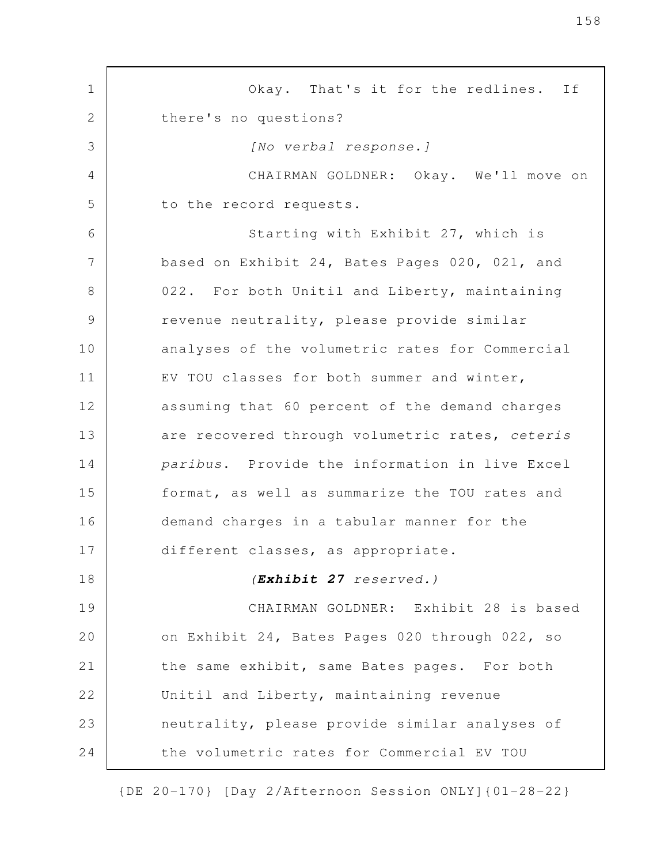Okay. That's it for the redlines. If there's no questions? *[No verbal response.]* CHAIRMAN GOLDNER: Okay. We'll move on to the record requests. Starting with Exhibit 27, which is based on Exhibit 24, Bates Pages 020, 021, and 022. For both Unitil and Liberty, maintaining revenue neutrality, please provide similar analyses of the volumetric rates for Commercial EV TOU classes for both summer and winter, assuming that 60 percent of the demand charges are recovered through volumetric rates, *ceteris paribus*. Provide the information in live Excel format, as well as summarize the TOU rates and demand charges in a tabular manner for the different classes, as appropriate. *(Exhibit 27 reserved.)* CHAIRMAN GOLDNER: Exhibit 28 is based on Exhibit 24, Bates Pages 020 through 022, so the same exhibit, same Bates pages. For both Unitil and Liberty, maintaining revenue neutrality, please provide similar analyses of the volumetric rates for Commercial EV TOU 1 2 3 4 5 6 7 8 9 10 11 12 13 14 15 16 17 18 19 20 21 22 23 24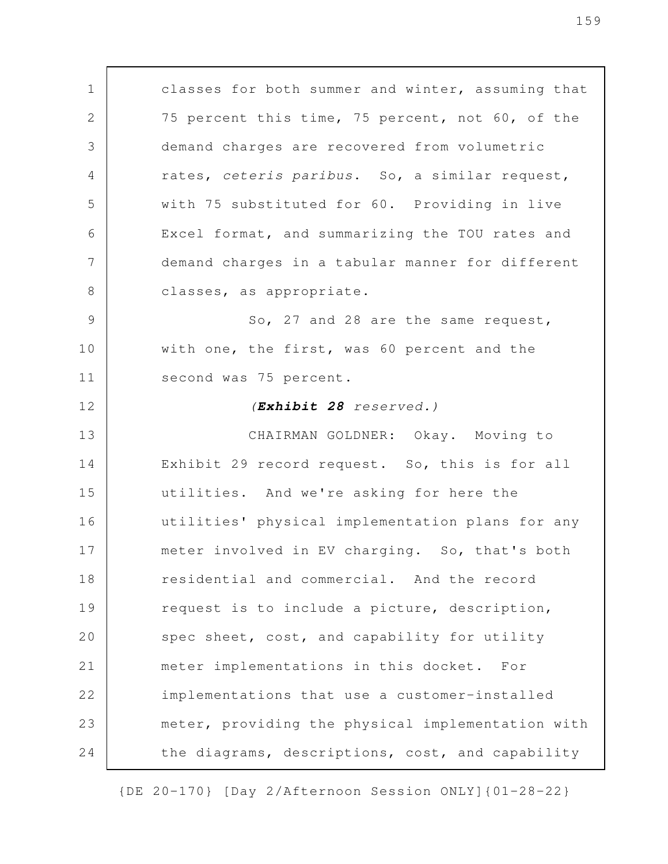classes for both summer and winter, assuming that 75 percent this time, 75 percent, not 60, of the demand charges are recovered from volumetric rates, *ceteris paribus*. So, a similar request, with 75 substituted for 60. Providing in live Excel format, and summarizing the TOU rates and demand charges in a tabular manner for different classes, as appropriate. So, 27 and 28 are the same request, with one, the first, was 60 percent and the second was 75 percent. *(Exhibit 28 reserved.)* CHAIRMAN GOLDNER: Okay. Moving to Exhibit 29 record request. So, this is for all utilities. And we're asking for here the utilities' physical implementation plans for any meter involved in EV charging. So, that's both residential and commercial. And the record request is to include a picture, description, spec sheet, cost, and capability for utility meter implementations in this docket. For implementations that use a customer-installed meter, providing the physical implementation with the diagrams, descriptions, cost, and capability 1 2 3 4 5 6 7 8 9 10 11 12 13 14 15 16 17 18 19 20 21 22 23 24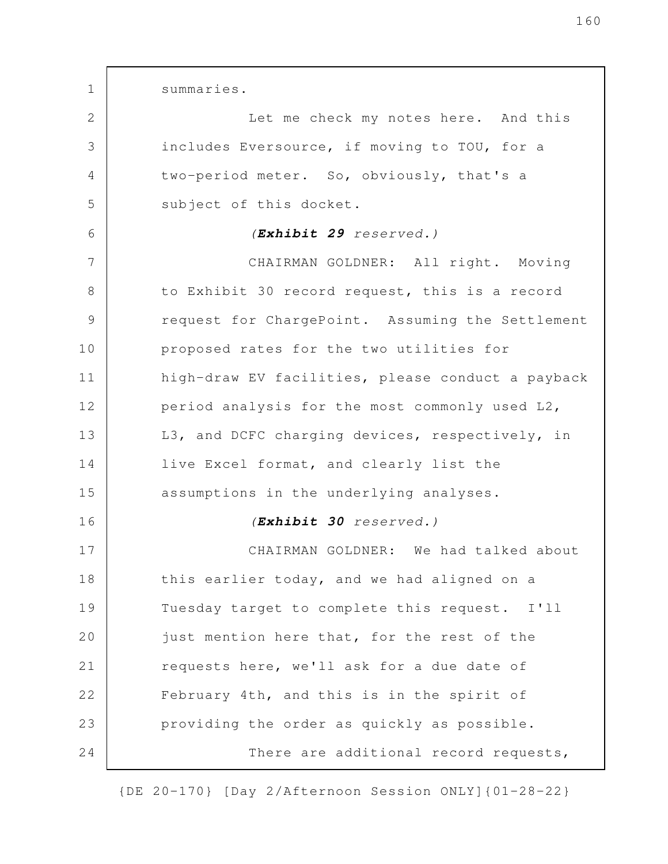summaries. Let me check my notes here. And this includes Eversource, if moving to TOU, for a two-period meter. So, obviously, that's a subject of this docket. *(Exhibit 29 reserved.)* CHAIRMAN GOLDNER: All right. Moving to Exhibit 30 record request, this is a record request for ChargePoint. Assuming the Settlement proposed rates for the two utilities for high-draw EV facilities, please conduct a payback period analysis for the most commonly used L2, L3, and DCFC charging devices, respectively, in live Excel format, and clearly list the assumptions in the underlying analyses. *(Exhibit 30 reserved.)* CHAIRMAN GOLDNER: We had talked about this earlier today, and we had aligned on a Tuesday target to complete this request. I'll just mention here that, for the rest of the requests here, we'll ask for a due date of February 4th, and this is in the spirit of providing the order as quickly as possible. There are additional record requests, 1 2 3 4 5 6 7 8 9 10 11 12 13 14 15 16 17 18 19 20 21 22 23 24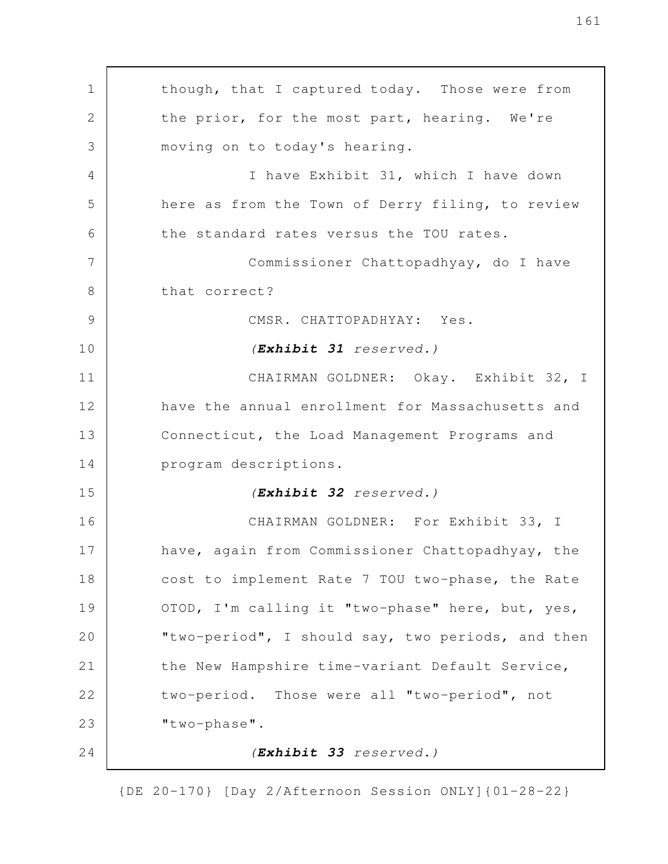though, that I captured today. Those were from the prior, for the most part, hearing. We're moving on to today's hearing. I have Exhibit 31, which I have down here as from the Town of Derry filing, to review the standard rates versus the TOU rates. Commissioner Chattopadhyay, do I have that correct? CMSR. CHATTOPADHYAY: Yes. *(Exhibit 31 reserved.)* CHAIRMAN GOLDNER: Okay. Exhibit 32, I have the annual enrollment for Massachusetts and Connecticut, the Load Management Programs and program descriptions. *(Exhibit 32 reserved.)* CHAIRMAN GOLDNER: For Exhibit 33, I have, again from Commissioner Chattopadhyay, the cost to implement Rate 7 TOU two-phase, the Rate OTOD, I'm calling it "two-phase" here, but, yes, "two-period", I should say, two periods, and then the New Hampshire time-variant Default Service, two-period. Those were all "two-period", not "two-phase". *(Exhibit 33 reserved.)* 1 2 3 4 5 6 7 8 9 10 11 12 13 14 15 16 17 18 19 20 21 22 23 24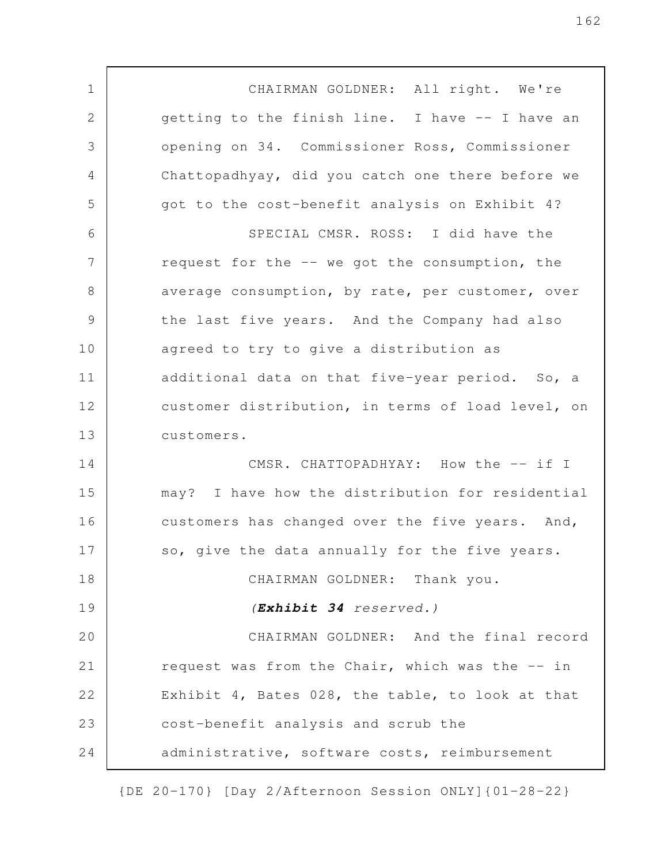CHAIRMAN GOLDNER: All right. We're getting to the finish line. I have -- I have an opening on 34. Commissioner Ross, Commissioner Chattopadhyay, did you catch one there before we got to the cost-benefit analysis on Exhibit 4? SPECIAL CMSR. ROSS: I did have the request for the -- we got the consumption, the average consumption, by rate, per customer, over the last five years. And the Company had also agreed to try to give a distribution as additional data on that five-year period. So, a customer distribution, in terms of load level, on customers. CMSR. CHATTOPADHYAY: How the -- if I may? I have how the distribution for residential customers has changed over the five years. And, so, give the data annually for the five years. CHAIRMAN GOLDNER: Thank you. *(Exhibit 34 reserved.)* CHAIRMAN GOLDNER: And the final record request was from the Chair, which was the -- in Exhibit 4, Bates 028, the table, to look at that cost-benefit analysis and scrub the administrative, software costs, reimbursement 1 2 3 4 5 6 7 8 9 10 11 12 13 14 15 16 17 18 19 20 21 22 23 24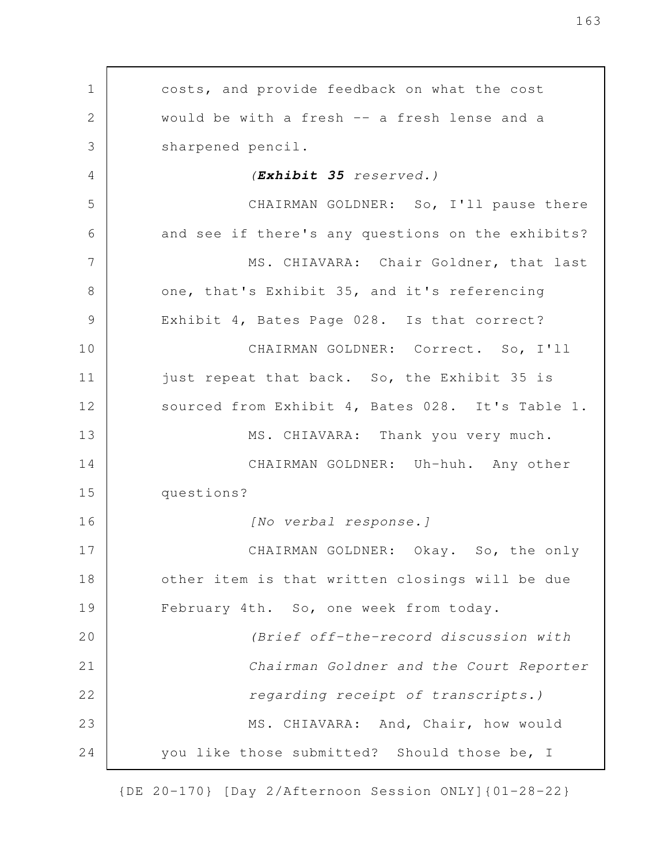costs, and provide feedback on what the cost would be with a fresh -- a fresh lense and a sharpened pencil. *(Exhibit 35 reserved.)* CHAIRMAN GOLDNER: So, I'll pause there and see if there's any questions on the exhibits? MS. CHIAVARA: Chair Goldner, that last one, that's Exhibit 35, and it's referencing Exhibit 4, Bates Page 028. Is that correct? CHAIRMAN GOLDNER: Correct. So, I'll just repeat that back. So, the Exhibit 35 is sourced from Exhibit 4, Bates 028. It's Table 1. MS. CHIAVARA: Thank you very much. CHAIRMAN GOLDNER: Uh-huh. Any other questions? *[No verbal response.]* CHAIRMAN GOLDNER: Okay. So, the only other item is that written closings will be due February 4th. So, one week from today. *(Brief off-the-record discussion with Chairman Goldner and the Court Reporter regarding receipt of transcripts.)* MS. CHIAVARA: And, Chair, how would you like those submitted? Should those be, I 1 2 3 4 5 6 7 8 9 10 11 12 13 14 15 16 17 18 19 20 21 22 23 24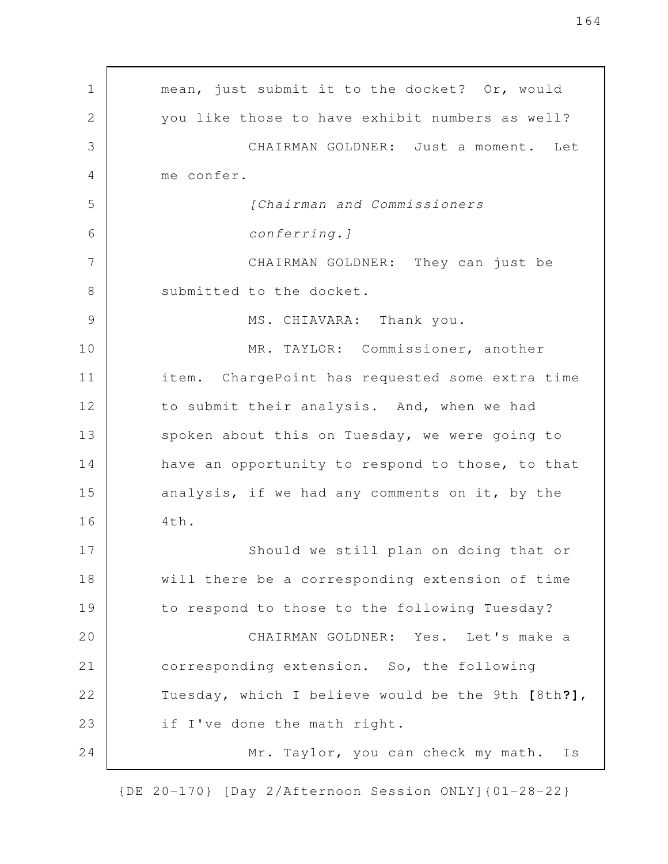| mean, just submit it to the docket? Or, would     |
|---------------------------------------------------|
| you like those to have exhibit numbers as well?   |
| CHAIRMAN GOLDNER: Just a moment.<br>Let           |
| me confer.                                        |
| [Chairman and Commissioners                       |
| conferring.]                                      |
| CHAIRMAN GOLDNER: They can just be                |
| submitted to the docket.                          |
| MS. CHIAVARA: Thank you.                          |
| MR. TAYLOR: Commissioner, another                 |
| item. ChargePoint has requested some extra time   |
| to submit their analysis. And, when we had        |
| spoken about this on Tuesday, we were going to    |
| have an opportunity to respond to those, to that  |
| analysis, if we had any comments on it, by the    |
| 4th.                                              |
| Should we still plan on doing that or             |
| will there be a corresponding extension of time   |
| to respond to those to the following Tuesday?     |
| CHAIRMAN GOLDNER: Yes. Let's make a               |
| corresponding extension. So, the following        |
| Tuesday, which I believe would be the 9th [8th?], |
| if I've done the math right.                      |
| Mr. Taylor, you can check my math.<br>Is          |
|                                                   |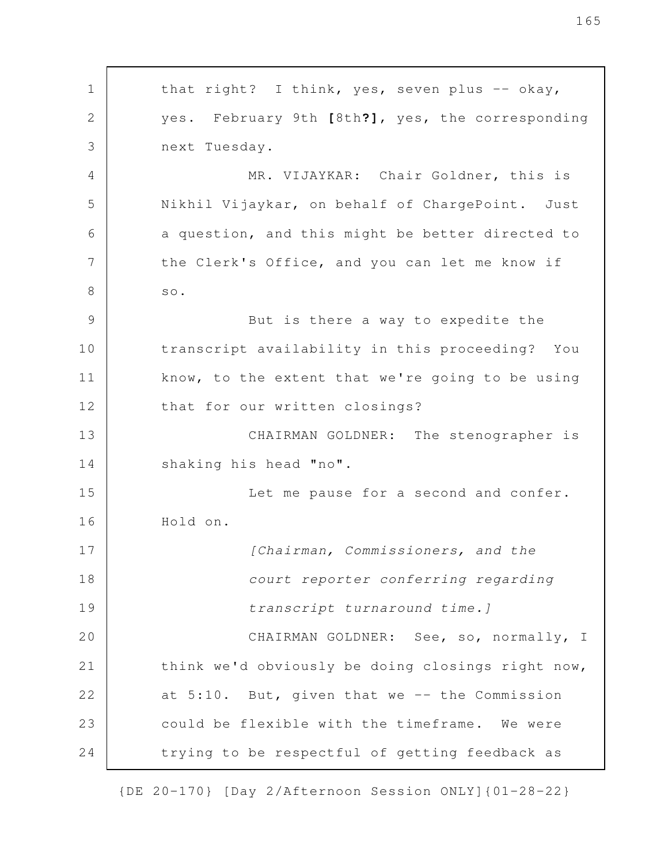that right? I think, yes, seven plus -- okay, yes. February 9th **[**8th**?]**, yes, the corresponding next Tuesday. MR. VIJAYKAR: Chair Goldner, this is Nikhil Vijaykar, on behalf of ChargePoint. Just a question, and this might be better directed to the Clerk's Office, and you can let me know if so. But is there a way to expedite the transcript availability in this proceeding? You know, to the extent that we're going to be using that for our written closings? CHAIRMAN GOLDNER: The stenographer is shaking his head "no". Let me pause for a second and confer. Hold on. *[Chairman, Commissioners, and the court reporter conferring regarding transcript turnaround time.]* CHAIRMAN GOLDNER: See, so, normally, I think we'd obviously be doing closings right now, at  $5:10$ . But, given that we  $-$  the Commission could be flexible with the timeframe. We were trying to be respectful of getting feedback as 1 2 3 4 5 6 7 8 9 10 11 12 13 14 15 16 17 18 19 20 21 22 23 24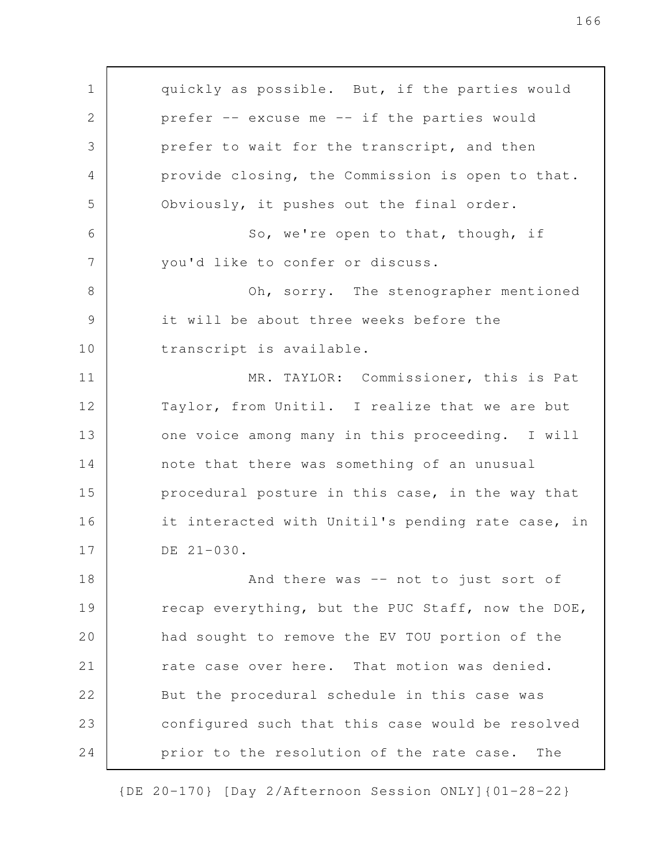quickly as possible. But, if the parties would prefer -- excuse me -- if the parties would prefer to wait for the transcript, and then provide closing, the Commission is open to that. Obviously, it pushes out the final order. So, we're open to that, though, if you'd like to confer or discuss. Oh, sorry. The stenographer mentioned it will be about three weeks before the transcript is available. MR. TAYLOR: Commissioner, this is Pat Taylor, from Unitil. I realize that we are but one voice among many in this proceeding. I will note that there was something of an unusual procedural posture in this case, in the way that it interacted with Unitil's pending rate case, in DE 21-030. And there was -- not to just sort of recap everything, but the PUC Staff, now the DOE, had sought to remove the EV TOU portion of the rate case over here. That motion was denied. But the procedural schedule in this case was configured such that this case would be resolved prior to the resolution of the rate case. The 1 2 3 4 5 6 7 8 9 10 11 12 13 14 15 16 17 18 19 20 21 22 23 24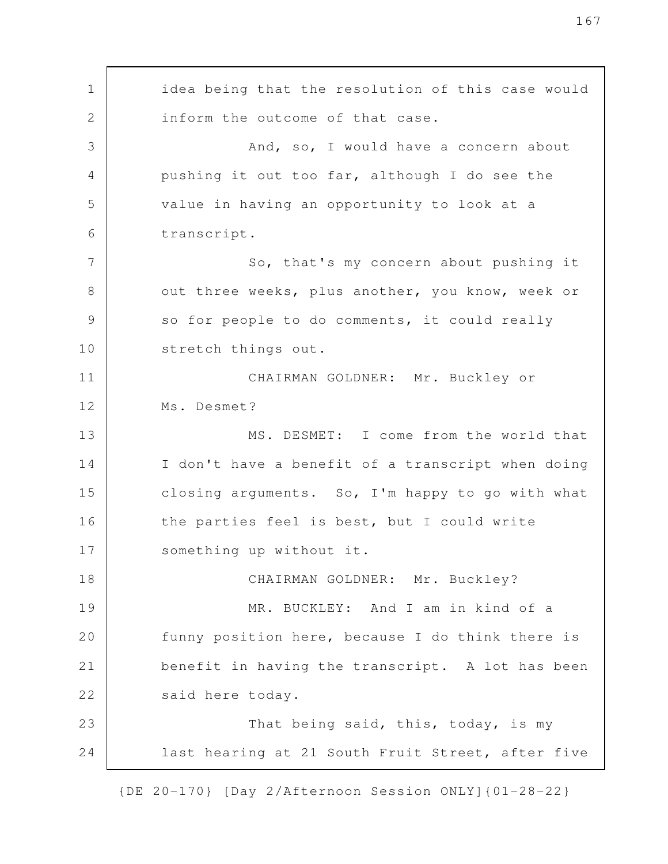idea being that the resolution of this case would inform the outcome of that case. And, so, I would have a concern about pushing it out too far, although I do see the value in having an opportunity to look at a transcript. So, that's my concern about pushing it out three weeks, plus another, you know, week or so for people to do comments, it could really stretch things out. CHAIRMAN GOLDNER: Mr. Buckley or Ms. Desmet? MS. DESMET: I come from the world that I don't have a benefit of a transcript when doing closing arguments. So, I'm happy to go with what the parties feel is best, but I could write something up without it. CHAIRMAN GOLDNER: Mr. Buckley? MR. BUCKLEY: And I am in kind of a funny position here, because I do think there is benefit in having the transcript. A lot has been said here today. That being said, this, today, is my last hearing at 21 South Fruit Street, after five 1 2 3 4 5 6 7 8 9 10 11 12 13 14 15 16 17 18 19 20 21 22 23 24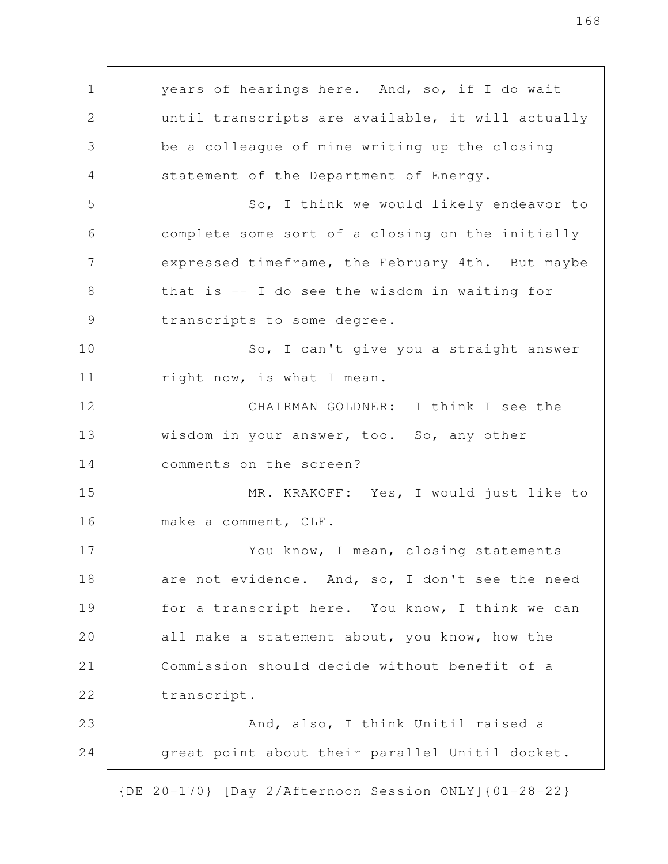years of hearings here. And, so, if I do wait until transcripts are available, it will actually be a colleague of mine writing up the closing statement of the Department of Energy. So, I think we would likely endeavor to complete some sort of a closing on the initially expressed timeframe, the February 4th. But maybe that is -- I do see the wisdom in waiting for transcripts to some degree. So, I can't give you a straight answer right now, is what I mean. CHAIRMAN GOLDNER: I think I see the wisdom in your answer, too. So, any other comments on the screen? MR. KRAKOFF: Yes, I would just like to make a comment, CLF. You know, I mean, closing statements are not evidence. And, so, I don't see the need for a transcript here. You know, I think we can all make a statement about, you know, how the Commission should decide without benefit of a transcript. And, also, I think Unitil raised a great point about their parallel Unitil docket. 1 2 3 4 5 6 7 8 9 10 11 12 13 14 15 16 17 18 19 20 21 22 23 24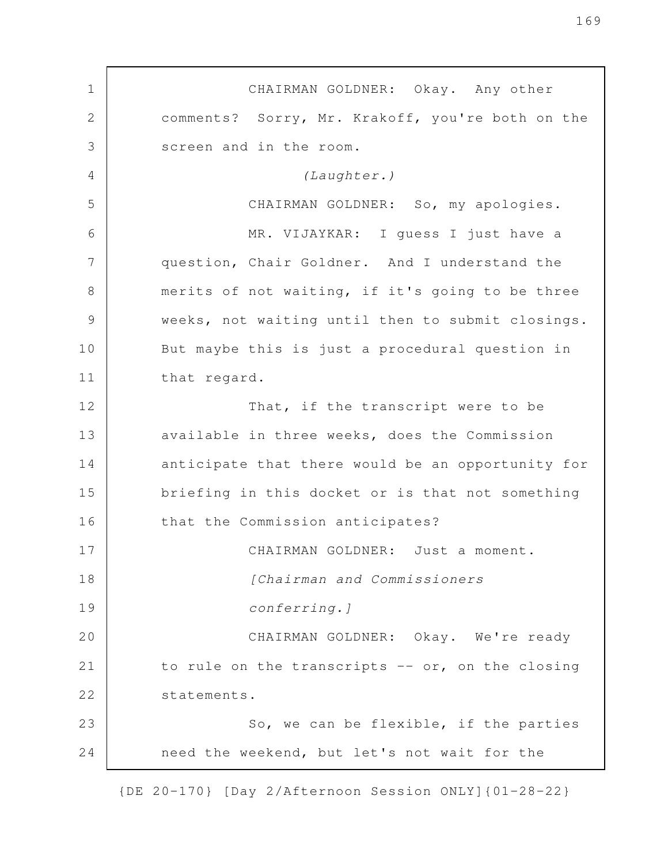CHAIRMAN GOLDNER: Okay. Any other comments? Sorry, Mr. Krakoff, you're both on the screen and in the room. *(Laughter.)* CHAIRMAN GOLDNER: So, my apologies. MR. VIJAYKAR: I guess I just have a question, Chair Goldner. And I understand the merits of not waiting, if it's going to be three weeks, not waiting until then to submit closings. But maybe this is just a procedural question in that regard. That, if the transcript were to be available in three weeks, does the Commission anticipate that there would be an opportunity for briefing in this docket or is that not something that the Commission anticipates? CHAIRMAN GOLDNER: Just a moment. *[Chairman and Commissioners conferring.]* CHAIRMAN GOLDNER: Okay. We're ready to rule on the transcripts -- or, on the closing statements. So, we can be flexible, if the parties need the weekend, but let's not wait for the 1 2 3 4 5 6 7 8 9 10 11 12 13 14 15 16 17 18 19 20 21 22 23 24